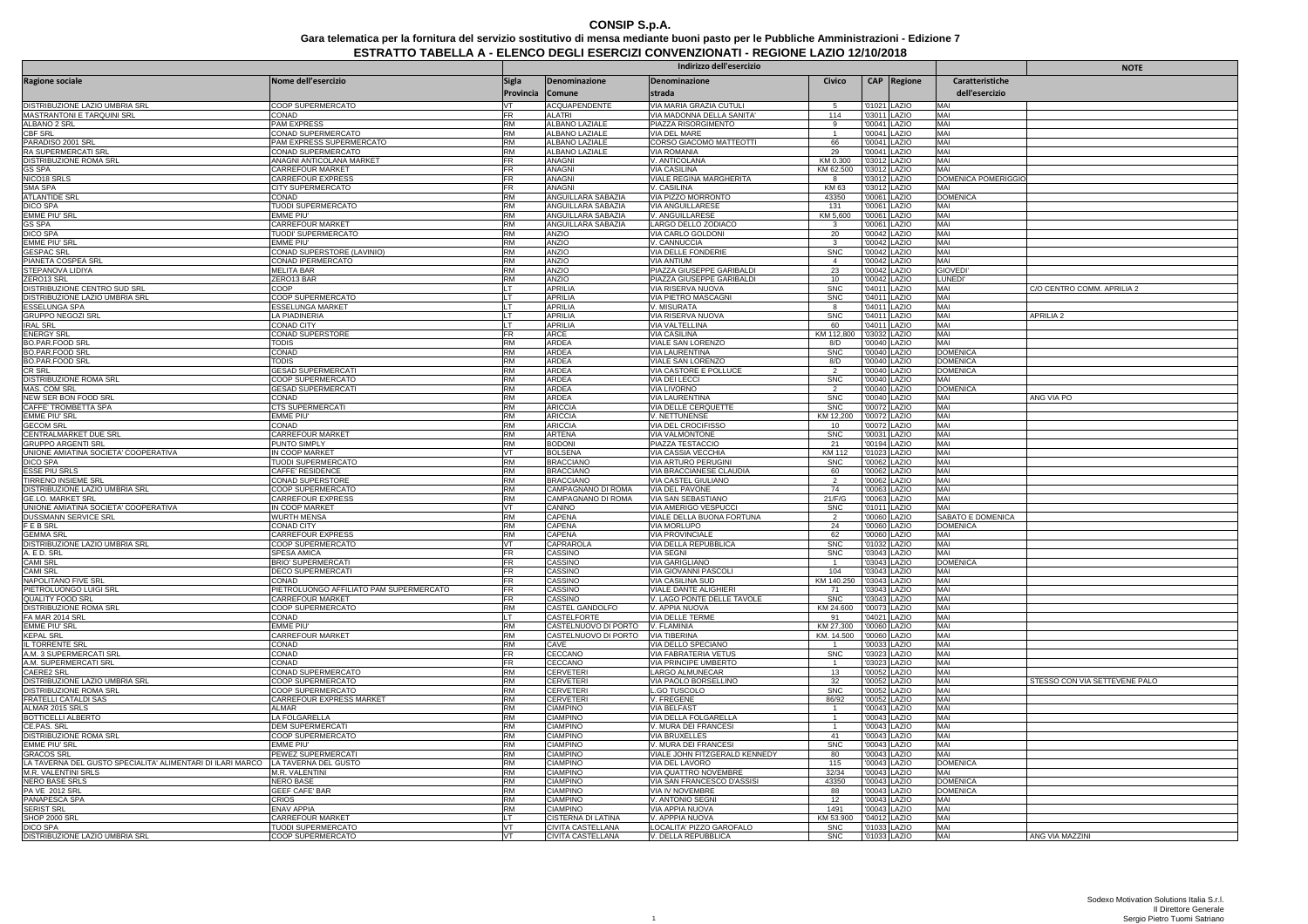# **CONSIP S.p.A.**7 Gara telematica per la fornitura del servizio sostitutivo di mensa mediante buoni pasto per le Pubbliche Amministrazioni - Edizione<br>ESTRATTO TABELLA A - ELENCO DEGLI ESERCIZI CONVENZIONATI - REGIONE LAZIO 12/10/2018

|                                                                                 |                                                             | Indirizzo dell'esercizio |                                                                      |                                                        |                                |                              |             |                                   | <b>NOTE</b>                   |
|---------------------------------------------------------------------------------|-------------------------------------------------------------|--------------------------|----------------------------------------------------------------------|--------------------------------------------------------|--------------------------------|------------------------------|-------------|-----------------------------------|-------------------------------|
| Ragione sociale                                                                 | Nome dell'esercizio                                         | <b>Sigla</b>             | Denominazione                                                        | Denominazione                                          | Civico                         |                              | CAP Regione | Caratteristiche                   |                               |
|                                                                                 |                                                             | Provincia                | Comune                                                               | strada                                                 |                                |                              |             | dell'esercizio                    |                               |
| DISTRIBUZIONE LAZIO UMBRIA SRL                                                  | COOP SUPERMERCATO                                           | <b>VT</b>                | <b>ACQUAPENDENTE</b>                                                 | VIA MARIA GRAZIA CUTULI                                |                                | '01021 LAZIO                 |             | MAI                               |                               |
| MASTRANTONI E TARQUINI SRL                                                      | CONAD                                                       | <b>RM</b>                | <b>ALATRI</b>                                                        | VIA MADONNA DELLA SANITA'                              | 114                            | '03011 LAZIO                 |             | MAI                               |                               |
| ALBANO 2 SRL<br><b>CBF SRL</b>                                                  | PAM EXPRESS<br>CONAD SUPERMERCATO                           | <b>RM</b>                | <b>ALBANO LAZIALE</b><br><b>ALBANO LAZIALE</b>                       | PIAZZA RISORGIMENTO<br><b>VIA DEL MARE</b>             | -9                             | '00041 LAZIO<br>'00041 LAZIO |             | MAI<br>MAI                        |                               |
| PARADISO 2001 SRL                                                               | PAM EXPRESS SUPERMERCATO                                    | <b>RM</b>                | ALBANO LAZIALE                                                       | CORSO GIACOMO MATTEOTTI                                | 66                             | '00041 LAZIO                 |             | MAI                               |                               |
| <b>RA SUPERMERCATI SRI</b>                                                      | CONAD SUPERMERCATO                                          | <b>RM</b>                | <b>ALBANO LAZIALE</b>                                                | <b>VIA ROMANIA</b>                                     | 29                             | '00041 LAZIO                 |             | MAI                               |                               |
| DISTRIBUZIONE ROMA SRI                                                          | ANAGNI ANTICOLANA MARKET                                    | <b>FR</b>                | ANAGNI                                                               | V. ANTICOLANA                                          | KM 0.300                       | '03012 LAZIO                 |             | MAI                               |                               |
| <b>GS SPA</b><br>NICO18 SRLS                                                    | CARREFOUR MARKET<br>CARREFOUR EXPRESS                       | <b>FR</b><br>FR.         | ANAGNI<br><b>ANAGNI</b>                                              | <b>VIA CASILINA</b><br>VIALE REGINA MARGHERITA         | KM 62.500<br>8                 | '03012 LAZIO<br>'03012 LAZIO |             | MAI<br><b>DOMENICA POMERIGGIO</b> |                               |
| SMA SPA                                                                         | CITY SUPERMERCATO                                           | FR                       | ANAGNI                                                               | V. CASILINA                                            | KM 63                          | '03012 LAZIO                 |             | MAI                               |                               |
| <b>ATLANTIDE SRI</b>                                                            | CONAD                                                       | <b>RM</b>                | ANGUILLARA SABAZIA                                                   | VIA PIZZO MORRONTO                                     | 43350                          | '00061 LAZIO                 |             | <b>DOMENICA</b>                   |                               |
| <b>DICO SPA</b>                                                                 | TUODI SUPERMERCATO                                          | <b>RM</b>                | ANGUILLARA SABAZIA                                                   | <b>VIA ANGUILLARESE</b>                                | 131                            | '00061 LAZIO                 |             | MAI                               |                               |
| EMME PIU' SR<br><b>GS SPA</b>                                                   | emme piu'<br>CARREFOUR MARKET                               | <b>RM</b><br><b>RM</b>   | ANGUILLARA SABAZIA<br>ANGUILLARA SABAZIA                             | V. ANGUILLARESE<br>LARGO DELLO ZODIACO                 | KM 5,600<br>3                  | '00061 LAZIO<br>00061 LAZIO  |             | MAI<br>MAI                        |                               |
| <b>DICO SPA</b>                                                                 | TUODI' SUPERMERCATO                                         | <b>RM</b>                | ANZIO                                                                | VIA CARLO GOLDONI                                      | 20                             | '00042 LAZIO                 |             | MAI                               |                               |
| <b>EMME PIU' SRI</b>                                                            | EMME PIU'                                                   | <b>RM</b>                | ANZIO                                                                | V. CANNUCCIA                                           | 3                              | '00042 LAZIO                 |             | MAI                               |                               |
| <b>GESPAC SRL</b>                                                               | CONAD SUPERSTORE (LAVINIO)                                  | RM                       | ANZIO                                                                | VIA DELLE FONDERIE                                     | <b>SNC</b>                     | '00042 LAZIO                 |             | MAI                               |                               |
| PIANETA COSPEA SRL                                                              | CONAD IPERMERCATO                                           | <b>RM</b><br><b>RM</b>   | ANZIO                                                                | <b>VIA ANTIUM</b>                                      | $\overline{4}$                 | 00042 LAZIO                  |             | MAI                               |                               |
| STEPANOVA LIDIYA<br>ZERO13 SRL                                                  | MELITA BAR<br>ZERO13 BAR                                    | <b>RM</b>                | ANZIO<br>ANZIO                                                       | PIAZZA GIUSEPPE GARIBALDI<br>PIAZZA GIUSEPPE GARIBALDI | 23<br>10                       | '00042 LAZIO<br>'00042 LAZIO |             | <b>GIOVED</b><br><b>LUNEDI</b>    |                               |
| DISTRIBUZIONE CENTRO SUD SRL                                                    | COOP                                                        |                          | <b>APRILIA</b>                                                       | VIA RISERVA NUOVA                                      | <b>SNC</b>                     | '04011 LAZIO                 |             | MAI                               | C/O CENTRO COMM. APRILIA 2    |
| DISTRIBUZIONE LAZIO UMBRIA SRL                                                  | COOP SUPERMERCATO                                           |                          | <b>APRILIA</b>                                                       | VIA PIETRO MASCAGNI                                    | <b>SNC</b>                     | '04011 LAZIO                 |             | MAI                               |                               |
| ESSELUNGA SPA                                                                   | ESSELUNGA MARKET                                            |                          | APRILIA                                                              | V. MISURATA                                            | 8                              | '04011 LAZIO                 |             | MAI                               |                               |
| <b>GRUPPO NEGOZI SRL</b>                                                        | LA PIADINERIA                                               |                          | <b>APRILIA</b>                                                       | VIA RISERVA NUOVA                                      | <b>SNC</b>                     | '04011 LAZIO                 |             | MAI<br>MAI                        | <b>APRILIA 2</b>              |
| <b>IRAL SRL</b><br><b>ENERGY SRL</b>                                            | CONAD CITY<br>CONAD SUPERSTORE                              | FR                       | APRILIA<br><b>ARCE</b>                                               | VIA VALTELLINA<br><b>VIA CASILINA</b>                  | 60<br>KM 112,800               | '04011 LAZIO<br>'03032 LAZIO |             | MAI                               |                               |
| <b>BO.PAR.FOOD SRI</b>                                                          | <b>TODIS</b>                                                | <b>RM</b>                | <b>ARDEA</b>                                                         | VIALE SAN LORENZO                                      | 8/D                            | '00040 LAZIO                 |             | MAI                               |                               |
| <b>BO.PAR.FOOD SRL</b>                                                          | CONAD                                                       | <b>RM</b>                | ARDEA                                                                | <b>VIA LAURENTINA</b>                                  | <b>SNC</b>                     | '00040 LAZIO                 |             | <b>DOMENICA</b>                   |                               |
| <b>BO.PAR.FOOD SRL</b>                                                          | Todis                                                       | <b>RM</b>                | ARDEA                                                                | VIALE SAN LORENZO                                      | 8/D                            | '00040 LAZIO                 |             | <b>DOMENICA</b>                   |                               |
| <b>CR SRL</b>                                                                   | <b>GESAD SUPERMERCATI</b><br>COOP SUPERMERCATO              | <b>RM</b><br><b>RM</b>   | <b>ARDEA</b><br><b>ARDEA</b>                                         | VIA CASTORE E POLLUCE                                  | <b>SNC</b>                     | 00040 LAZIO                  |             | <b>DOMENICA</b><br>MAI            |                               |
| DISTRIBUZIONE ROMA SRL<br>MAS. COM SRL                                          | <b>GESAD SUPERMERCATI</b>                                   | <b>RM</b>                | <b>ARDEA</b>                                                         | VIA DEI LECCI<br><b>VIA LIVORNO</b>                    |                                | '00040 LAZIO<br>'00040 LAZIO |             | <b>DOMENICA</b>                   |                               |
| NEW SER BON FOOD SRL                                                            | CONAD                                                       | <b>RM</b>                | ARDEA                                                                | VIA LAURENTINA                                         | <b>SNC</b>                     | '00040 LAZIO                 |             | MAI                               | ANG VIA PO                    |
| CAFFE' TROMBETTA SPA                                                            | CTS SUPERMERCATI                                            | RM                       | <b>ARICCIA</b>                                                       | VIA DELLE CERQUETTE                                    | <b>SNC</b>                     | '00072 LAZIO                 |             | MAI                               |                               |
| <b>EMME PIU' SRL</b>                                                            | emme piu'                                                   | <b>RM</b>                | <b>ARICCIA</b>                                                       | V. NETTUNENSE                                          | KM 12,200                      | '00072 LAZIO                 |             | MAI                               |                               |
| <b>GECOM SRL</b><br>CENTRALMARKET DUE SRL                                       | CONAD<br>CARREFOUR MARKET                                   | <b>RM</b><br>RM          | <b>ARICCIA</b><br><b>ARTENA</b>                                      | VIA DEL CROCIFISSO<br><b>VIA VALMONTONE</b>            | 10<br><b>SNC</b>               | '00072 LAZIO<br>'00031 LAZIO |             | MAI<br>MAI                        |                               |
| <b>GRUPPO ARGENTI SRL</b>                                                       | PUNTO SIMPLY                                                | <b>RM</b>                | <b>BODONI</b>                                                        | PIAZZA TESTACCIO                                       | 21                             | 00194 LAZIO                  |             | MAI                               |                               |
| UNIONE AMIATINA SOCIETA' COOPERATIVA                                            | IN COOP MARKET                                              | <b>VT</b>                | <b>BOLSENA</b>                                                       | VIA CASSIA VECCHIA                                     | <b>KM 112</b>                  | '01023 LAZIO                 |             | MAI                               |                               |
| <b>DICO SPA</b>                                                                 | TUODI SUPERMERCATO                                          | <b>RM</b>                | <b>BRACCIANO</b>                                                     | <b>VIA ARTURO PERUGINI</b>                             | <b>SNC</b>                     | '00062 LAZIO                 |             | MAI                               |                               |
| <b>ESSE PIU SRLS</b>                                                            | CAFFE' RESIDENCE                                            | RM<br><b>RM</b>          | <b>BRACCIANO</b>                                                     | VIA BRACCIANESE CLAUDIA                                | 60                             | '00062 LAZIO                 |             | MAI<br>MAI                        |                               |
| TIRRENO INSIEME SRL<br>DISTRIBUZIONE LAZIO UMBRIA SRL                           | CONAD SUPERSTORE<br>COOP SUPERMERCATO                       | <b>RM</b>                | <b>BRACCIANO</b><br>CAMPAGNANO DI ROMA                               | VIA CASTEL GIULIANO<br>VIA DEL PAVONE                  | 74                             | 00062 LAZIO<br>'00063 LAZIO  |             | MAI                               |                               |
| <b>GE.LO. MARKET SRL</b>                                                        | CARREFOUR EXPRESS                                           | <b>RM</b>                | CAMPAGNANO DI ROMA                                                   | VIA SAN SEBASTIANO                                     | 21/F/G                         | '00063 LAZIO                 |             | MAI                               |                               |
| UNIONE AMIATINA SOCIETA' COOPERATIVA                                            | IN COOP MARKET                                              | VT                       | CANINO                                                               | VIA AMERIGO VESPUCCI                                   | <b>SNC</b>                     | '01011 LAZIO                 |             | MAI                               |                               |
| DUSSMANN SERVICE SRL                                                            | WURTH MENSA                                                 | RM                       | CAPENA                                                               | VIALE DELLA BUONA FORTUNA                              |                                | 00060 LAZIO                  |             | SABATO E DOMENICA                 |                               |
| F E B SRL<br><b>GEMMA SRL</b>                                                   | CONAD CITY<br>CARREFOUR EXPRESS                             | <b>RM</b><br><b>RM</b>   | CAPENA<br>CAPENA                                                     | VIA MORLUPO<br><b>VIA PROVINCIALE</b>                  | 24<br>62                       | '00060 LAZIO<br>'00060 LAZIO |             | <b>DOMENICA</b><br>MAI            |                               |
| DISTRIBUZIONE LAZIO UMBRIA SRL                                                  | COOP SUPERMERCATO                                           | VT                       | CAPRAROL                                                             | VIA DELLA REPUBBLICA                                   | <b>SNC</b>                     | '01032 LAZIO                 |             | MAI                               |                               |
| A. E D. SRL                                                                     | SPESA AMICA                                                 | FR                       | CASSINO                                                              | VIA SEGNI                                              | <b>SNC</b>                     | '03043 LAZIO                 |             | MAI                               |                               |
| CAMI SRL                                                                        | <b>BRIO' SUPERMERCATI</b>                                   | <b>FR</b>                | CASSINO                                                              | <b>VIA GARIGLIANO</b>                                  |                                | '03043 LAZIO                 |             | <b>DOMENICA</b>                   |                               |
| <b>CAMI SRL</b>                                                                 | <b>DECO SUPERMERCATI</b><br>CONAD                           | FR<br><b>FR</b>          | CASSINO                                                              | <b>VIA GIOVANNI PASCOLI</b>                            | 104                            | '03043 LAZIO                 |             | MAI<br>MAI                        |                               |
| NAPOLITANO FIVE SRL<br>PIETROLUONGO LUIGI SRI                                   |                                                             | <b>FR</b>                | CASSINO<br>CASSINO                                                   | VIA CASILINA SUD<br>VIALE DANTE ALIGHIERI              | KM 140.250<br>71               | '03043 LAZIO<br>03043 LAZIO  |             | MAI                               |                               |
| QUALITY FOOD SRL                                                                | PIETROLUONGO AFFILIATO PAM SUPERMERCATO<br>CARREFOUR MARKET | <b>FR</b>                | CASSINO                                                              | V. LAGO PONTE DELLE TAVOLE                             | <b>SNC</b>                     | '03043 LAZIO                 |             | MAI                               |                               |
| DISTRIBUZIONE ROMA SRL                                                          | COOP SUPERMERCATO                                           | <b>RM</b>                | CASTEL GANDOLFO                                                      | V. APPIA NUOVA                                         | KM 24.600                      | '00073 LAZIO                 |             | MAI                               |                               |
| FA MAR 2014 SRL                                                                 | CONAD                                                       | LT                       | CASTELFORTE                                                          | VIA DELLE TERME                                        | 91                             | '04021 LAZIO                 |             | MAI                               |                               |
| <b>EMME PIU' SRL</b><br><b>KEPAL SRL</b>                                        | EMME PIU'<br>CARREFOUR MARKET                               | <b>RM</b><br><b>RM</b>   | CASTELNUOVO DI PORTO V. FLAMINIA<br>CASTELNUOVO DI PORTO VIA TIBERIN | <b>VIA TIBERINA</b>                                    | KM 27,300<br>KM. 14.500        | '00060 LAZIO<br>'00060 LAZIO |             | MAI<br>MAI                        |                               |
| IL TORRENTE SRL                                                                 | CONAD                                                       | <b>RM</b>                | CAVE                                                                 | VIA DELLO SPECIANO                                     |                                | '00033 LAZIO                 |             | MAI                               |                               |
| A.M. 3 SUPERMERCATI SRL                                                         | CONAD                                                       | <b>FR</b>                | CECCANO                                                              | VIA FABRATERIA VETUS                                   | <b>SNC</b>                     | '03023 LAZIO                 |             | MAI                               |                               |
| A.M. SUPERMERCATI SRL                                                           | CONAD                                                       | <b>FR</b>                | CECCANO                                                              | VIA PRINCIPE UMBERTO                                   | -1                             | 03023 LAZIO                  |             | MAI                               |                               |
| CAERE2 SRL<br>DISTRIBUZIONE LAZIO UMBRIA SRL                                    | CONAD SUPERMERCATO<br>COOP SUPERMERCATO                     | <b>RM</b><br><b>RM</b>   | <b>CERVETER</b><br><b>CERVETER</b>                                   | LARGO ALMUNECAR<br>VIA PAOLO BORSELLINO                | 13<br>32                       | '00052 LAZIO                 |             | MAI<br>MAI                        | STESSO CON VIA SETTEVENE PALO |
| DISTRIBUZIONE ROMA SRL                                                          | COOP SUPERMERCATO                                           | RM                       | CERVETERI                                                            | L.GO TUSCOLO                                           | <b>SNC</b>                     | '00052 LAZIO<br>'00052 LAZIO |             | MAI                               |                               |
| <b>FRATELLI CATALDI SAS</b>                                                     | CARREFOUR EXPRESS MARKET                                    | <b>RM</b>                | CERVETERI                                                            | <b>V. FREGENE</b>                                      | 86/92                          | '00052 LAZIO                 |             | MAI                               |                               |
| ALMAR 2015 SRLS                                                                 | ALMAR                                                       | <b>RM</b>                | <b>CIAMPINO</b>                                                      | VIA BELFAST                                            | $\overline{1}$                 | '00043 LAZIO                 |             | MAI                               |                               |
| <b>BOTTICELLI ALBERTO</b>                                                       | LA FOLGARELLA                                               | <b>RM</b>                | <b>CIAMPINO</b>                                                      | <b>VIA DELLA FOLGARELLA</b>                            | $\mathbf{1}$<br>$\overline{1}$ | '00043 LAZIO                 |             | MAI                               |                               |
| CE.PAS. SRL<br><b>DISTRIBUZIONE ROMA SRL</b>                                    | <b>DEM SUPERMERCATI</b><br>COOP SUPERMERCATO                | <b>RM</b><br><b>RM</b>   | <b>CIAMPINO</b><br><b>CIAMPINO</b>                                   | V. MURA DEI FRANCESI<br><b>VIA BRUXELLES</b>           | 41                             | '00043 LAZIO<br>00043 LAZIO  |             | MAI<br>MAI                        |                               |
| EMME PIU' SRL                                                                   | EMME PIU'                                                   | <b>RM</b>                | <b>CIAMPINO</b>                                                      | V. MURA DEI FRANCESI                                   | <b>SNC</b>                     | '00043 LAZIO                 |             | MAI                               |                               |
| <b>GRACOS SRL</b>                                                               | PEWEZ SUPERMERCATI                                          | <b>RM</b>                | <b>CIAMPINO</b>                                                      | VIALE JOHN FITZGERALD KENNEDY                          | 80                             | '00043 LAZIO                 |             | MAI                               |                               |
| LA TAVERNA DEL GUSTO SPECIALITA' ALIMENTARI DI ILARI MARCO LA TAVERNA DEL GUSTO |                                                             | <b>RM</b>                | CIAMPINO                                                             | VIA DEL LAVORO                                         | 115                            | '00043 LAZIO                 |             | <b>DOMENICA</b>                   |                               |
| M.R. VALENTINI SRLS                                                             | M.R. VALENTINI<br><b>NERO BASE</b>                          | RM<br><b>RM</b>          | <b>CIAMPINO</b>                                                      | VIA QUATTRO NOVEMBRE                                   | 32/34                          | 00043 LAZIO                  |             | MAI<br><b>DOMENICA</b>            |                               |
| NERO BASE SRLS<br><b>PA VE 2012 SRL</b>                                         | <b>GEEF CAFE' BAR</b>                                       | <b>RM</b>                | CIAMPINO<br><b>CIAMPINO</b>                                          | VIA SAN FRANCESCO D'ASSIS<br><b>VIA IV NOVEMBRE</b>    | 43350<br>88                    | '00043 LAZIO<br>'00043 LAZIO |             | <b>DOMENICA</b>                   |                               |
| PANAPESCA SPA                                                                   | CRIOS                                                       | <b>RM</b>                | CIAMPINO                                                             | V. ANTONIO SEGNI                                       | 12                             | '00043 LAZIO                 |             | MAI                               |                               |
| <b>SERIST SRL</b>                                                               | <b>ENAV APPIA</b>                                           | <b>RM</b>                | <b>CIAMPINO</b>                                                      | VIA APPIA NUOVA                                        | 1491                           | '00043 LAZIO                 |             | MAI                               |                               |
| <b>SHOP 2000 SF</b>                                                             | CARREFOUR MARKET                                            |                          | CISTERNA DI LATINA                                                   | V. APPPIA NUOVA                                        | KM 53.900                      | '04012 LAZIO                 |             | MAI                               |                               |
| <b>DICO SPA</b><br>DISTRIBUZIONE LAZIO UMBRIA SRL                               | TUODI SUPERMERCATO<br>COOP SUPERMERCATO                     | VT.<br>VT                | CIVITA CASTELLANA<br>CIVITA CASTELLANA                               | LOCALITA' PIZZO GAROFALO<br>V. DELLA REPUBBLICA        | <b>SNC</b><br><b>SNC</b>       | '01033 LAZIO<br>'01033 LAZIO |             | MAI<br>MAI                        | ANG VIA MAZZINI               |
|                                                                                 |                                                             |                          |                                                                      |                                                        |                                |                              |             |                                   |                               |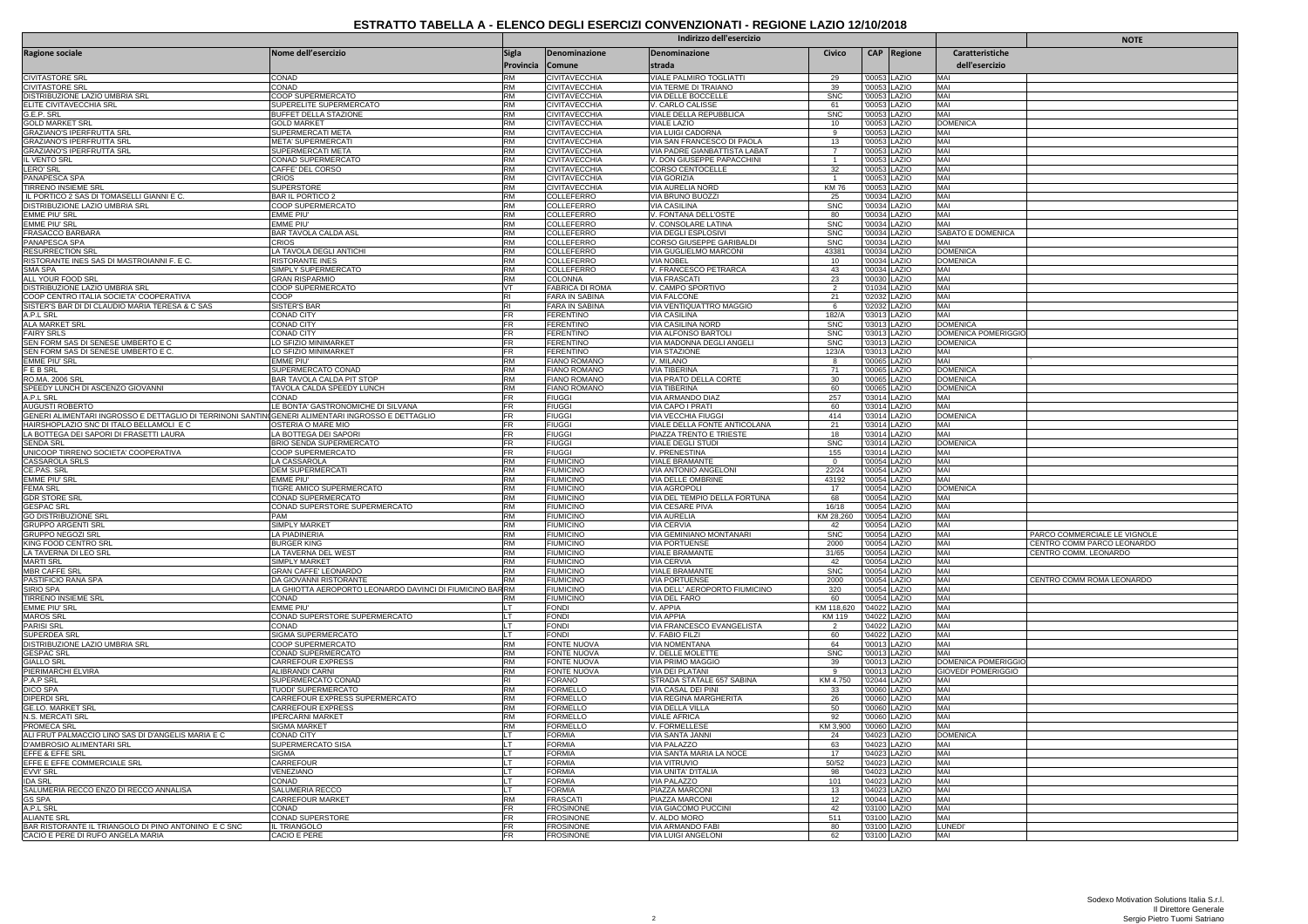|                                                                                                   |                                                              | Indirizzo dell'esercizio  |                                              |                                                     |                      |                              |                              |                                   | <b>NOTE</b>                  |
|---------------------------------------------------------------------------------------------------|--------------------------------------------------------------|---------------------------|----------------------------------------------|-----------------------------------------------------|----------------------|------------------------------|------------------------------|-----------------------------------|------------------------------|
| Ragione sociale                                                                                   | Nome dell'esercizio                                          | <b>Sigla</b><br>Provincia | Denominazione<br>Comune                      | Denominazione<br>strada                             | Civico               |                              | CAP Regione                  | Caratteristiche<br>dell'esercizio |                              |
| <b>CIVITASTORE SRI</b>                                                                            | CONAD                                                        | <b>RM</b>                 | CIVITAVECCHIA                                | VIALE PALMIRO TOGLIATTI                             | 29                   | '00053 LAZIO                 |                              | MAI                               |                              |
| CIVITASTORE SRL                                                                                   | CONAD                                                        | <b>RM</b>                 | CIVITAVECCHIA                                | VIA TERME DI TRAIANO                                | 39                   | '00053 LAZIO                 |                              | MAI                               |                              |
| DISTRIBUZIONE LAZIO UMBRIA SRL<br><u>ELITE CIVITAVECCHIA SRL</u>                                  | COOP SUPERMERCATO<br>SUPERELITE SUPERMERCATO                 | <b>RM</b><br><b>RM</b>    | <b>CIVITAVECCHIA</b><br><b>CIVITAVECCHIA</b> | VIA DELLE BOCCELLE<br>V. CARLO CALISSE              | <b>SNC</b><br>61     | '00053 LAZIO<br>'00053 LAZIO |                              | MAI<br>MAI                        |                              |
| G.E.P. SRL                                                                                        | BUFFET DELLA STAZIONE                                        | <b>RM</b>                 | CIVITAVECCHIA                                | VIALE DELLA REPUBBLICA                              | <b>SNC</b>           | '00053 LAZIO                 |                              | MAI                               |                              |
| <b>GOLD MARKET SRL</b>                                                                            | <b>GOLD MARKET</b>                                           | <b>RM</b>                 | <b>CIVITAVECCHIA</b>                         | <b>VIALE LAZIO</b>                                  | 10                   | '00053 LAZIO                 |                              | <b>DOMENICA</b>                   |                              |
| GRAZIANO'S IPERFRUTTA SRL<br><b>GRAZIANO'S IPERFRUTTA SRL</b>                                     | SUPERMERCATI META<br><b>META' SUPERMERCATI</b>               | RM<br>RM                  | CIVITAVECCHIA<br><b>CIVITAVECCHIA</b>        | VIA LUIGI CADORNA<br>VIA SAN FRANCESCO DI PAOLA     | 9<br>13              | '00053 LAZIO<br>'00053 LAZIO |                              | MAI<br>MAI                        |                              |
| GRAZIANO'S IPERFRUTTA SRL                                                                         | SUPERMERCATI META                                            | <b>RM</b>                 | <b>CIVITAVECCHIA</b>                         | VIA PADRE GIANBATTISTA LABAT                        | $\overline{7}$       | '00053 LAZIO                 |                              | MAI                               |                              |
| IL VENTO SRI                                                                                      | CONAD SUPERMERCAT                                            | <b>RM</b>                 | CIVITAVECCHIA                                | V. DON GIUSEPPE PAPACCHINI                          | $\overline{1}$       | '00053 LAZIO                 |                              | MAI                               |                              |
| LERO' SRL                                                                                         | CAFFE' DEL CORSO<br>CRIOS                                    | <b>RM</b><br><b>RM</b>    | CIVITAVECCHIA                                | CORSO CENTOCELLE                                    | 32<br>$\overline{1}$ | '00053 LAZIO                 |                              | MAI<br>MAI                        |                              |
| PANAPESCA SPA<br>TIRRENO INSIEME SRI                                                              | SUPERSTORE                                                   | RM                        | <b>CIVITAVECCHIA</b><br><b>CIVITAVECCHIA</b> | VIA GORIZIA<br>VIA AURELIA NORD                     | <b>KM76</b>          | '00053 LAZIO<br>'00053 LAZIO |                              | MAI                               |                              |
| IL PORTICO 2 SAS DI TOMASELLI GIANNI E C                                                          | <b>BAR IL PORTICO 2</b>                                      | <b>RM</b>                 | COLLEFERRO                                   | VIA BRUNO BUOZZI                                    | 25                   | '00034 LAZIO                 |                              | MAI                               |                              |
| DISTRIBUZIONE LAZIO UMBRIA SRL                                                                    | COOP SUPERMERCATO                                            | <b>RM</b>                 | COLLEFERRO                                   | <b>VIA CASILINA</b>                                 | <b>SNC</b>           | '00034 LAZIO                 |                              | MAI                               |                              |
| EMME PIU' SRL<br>EMME PIU' SRL                                                                    | EMME PIU<br><b>EMME PIU</b>                                  | <b>RM</b><br><b>RM</b>    | COLLEFERRO<br>COLLEFERRO                     | V. FONTANA DELL'OSTE<br>V. CONSOLARE LATINA         | 80<br>SNC            | '00034 LAZIO                 | '00034 LAZIO                 | MAI<br>MAI                        |                              |
| FRASACCO BARBARA                                                                                  | BAR TAVOLA CALDA ASL                                         | <b>RM</b>                 | COLLEFERRO                                   | VIA DEGLI ESPLOSIVI                                 | <b>SNC</b>           | '00034 LAZIO                 |                              | SABATO E DOMENICA                 |                              |
| PANAPESCA SPA                                                                                     | CRIOS                                                        | <b>RM</b>                 | <b>COLLEFERRO</b>                            | CORSO GIUSEPPE GARIBALDI                            | <b>SNC</b>           |                              | '00034 LAZIO                 | MAI                               |                              |
| <b>RESURRECTION SRI</b>                                                                           | LA TAVOLA DEGLI ANTICHI                                      | <b>RM</b>                 | COLLEFERRO                                   | VIA GUGLIELMO MARCONI                               | 43381                | '00034 LAZIO                 |                              | <b>DOMENICA</b>                   |                              |
| RISTORANTE INES SAS DI MASTROIANNI F. E C.<br>SMA SPA                                             | RISTORANTE INES<br>SIMPLY SUPERMERCATO                       | <b>RM</b><br><b>RM</b>    | COLLEFERRO<br><b>COLLEFERRO</b>              | <b>VIA NOBEL</b><br>V. FRANCESCO PETRARCA           | 10<br>43             | '00034 LAZIO                 | '00034 LAZIO                 | <b>DOMENICA</b><br>MAI            |                              |
| ALL YOUR FOOD SRL                                                                                 | <b>GRAN RISPARMIO</b>                                        | RM                        | COLONNA                                      | <b>VIA FRASCATI</b>                                 | 23                   | '00030 LAZIO                 |                              | MAI                               |                              |
| DISTRIBUZIONE LAZIO UMBRIA SRL                                                                    | COOP SUPERMERCATO                                            | VT                        | <b>FABRICA DI ROMA</b>                       | V. CAMPO SPORTIVO                                   | 2                    | '01034 LAZIO                 |                              | MAI                               |                              |
| COOP CENTRO ITALIA SOCIETA' COOPERATIVA                                                           | COOP                                                         | lRI.                      | FARA IN SABINA                               | VIA FALCONE                                         | 21                   | '02032 LAZIO                 |                              | MAI                               |                              |
| SISTER'S BAR DI DI CLAUDIO MARIA TERESA & C SAS<br>A.P.L SRL                                      | <b>SISTER'S BAR</b><br><b>CONAD CITY</b>                     | R1<br>FR                  | FARA IN SABINA<br><b>FERENTINO</b>           | VIA VENTIQUATTRO MAGGIO<br><b>VIA CASILINA</b>      | 6<br>182/A           | '02032 LAZIO<br>'03013 LAZIO |                              | MAI<br>MAI                        |                              |
| ALA MARKET SRL                                                                                    | CONAD CITY                                                   | FR                        | <b>FFRENTINO</b>                             | <b>VIA CASILINA NORD</b>                            | <b>SNC</b>           | '03013 LAZIO                 |                              | DOMENICA                          |                              |
| <b>FAIRY SRLS</b>                                                                                 | <b>CONAD CITY</b>                                            | FR                        | <b>FERENTINO</b>                             | VIA ALFONSO BARTOL                                  | <b>SNC</b>           | '03013 LAZIO                 |                              | DOMENICA POMERIGGIO               |                              |
| SEN FORM SAS DI SENESE UMBERTO E C                                                                | LO SFIZIO MINIMARKET                                         | FR<br><b>IFR</b>          | <b>FERENTINO</b><br><b>FERENTINO</b>         | VIA MADONNA DEGLI ANGEL                             | <b>SNC</b>           | '03013 LAZIO                 |                              | <b>DOMENICA</b>                   |                              |
| SEN FORM SAS DI SENESE UMBERTO E C<br>EMME PIU' SRL                                               | LO SFIZIO MINIMARKET<br>EMME PIL                             | <b>RM</b>                 | <b>FIANO ROMANO</b>                          | <b>VIA STAZIONE</b><br>V. MILANO                    | 123/A<br>8           |                              | '03013 LAZIO<br>'00065 LAZIO | MAI<br>MAI                        |                              |
| <b>FEBSRL</b>                                                                                     | SUPERMERCATO CONAD                                           | RM                        | <b>FIANO ROMANO</b>                          | <b>VIA TIBERINA</b>                                 | 71                   | '00065 LAZIO                 |                              | <b>DOMENICA</b>                   |                              |
| RO.MA. 2006 SRL                                                                                   | BAR TAVOLA CALDA PIT STOP                                    | <b>RM</b>                 | FIANO ROMANO                                 | VIA PRATO DELLA CORTE                               | 30                   | '00065 LAZIO                 |                              | <b>DOMENICA</b>                   |                              |
| SPEEDY LUNCH DI ASCENZO GIOVANNI<br>A.P.L SRL                                                     | TAVOLA CALDA SPEEDY LUNCH                                    | <b>RM</b><br><b>FR</b>    | FIANO ROMANO                                 | VIA TIBERINA                                        | 60                   |                              | '00065 LAZIO                 | <b>DOMENICA</b><br>MAI            |                              |
| AUGUSTI ROBERTO                                                                                   | CONAD<br>LE BONTA' GASTRONOMICHE DI SILVANA                  | FR                        | <b>FIUGGI</b><br><b>FIUGGI</b>               | VIA ARMANDO DIAZ<br>VIA CAPO I PRATI                | 257<br>60            | '03014 LAZIO<br>'03014 LAZIO |                              | MAI                               |                              |
| GENERI ALIMENTARI INGROSSO E DETTAGLIO DI TERRINONI SANTIN(GENERI ALIMENTARI INGROSSO E DETTAGLIO |                                                              | FR                        | <b>FIUGGI</b>                                | <b>VIA VECCHIA FIUGG</b>                            | 414                  | '03014 LAZIO                 |                              | <b>DOMENICA</b>                   |                              |
| HAIRSHOPLAZIO SNC DI ITALO BELLAMOLI E C                                                          | OSTERIA O MARE MIO                                           | FR                        | <b>FIUGGI</b>                                | VIALE DELLA FONTE ANTICOLANA                        | 21                   | '03014 LAZIO                 |                              | MAI                               |                              |
| LA BOTTEGA DEI SAPORI DI FRASETTI LAURA<br><b>SENDA SRL</b>                                       | LA BOTTEGA DEI SAPORI<br>BRIO SENDA SUPERMERCATO             | FR<br>FR                  | <b>FIUGGI</b><br><b>FIUGGI</b>               | PIAZZA TRENTO E TRIESTE<br><b>VIALE DEGLI STUDI</b> | 18<br><b>SNC</b>     | '03014 LAZIO<br>'03014 LAZIO |                              | MAI<br><b>DOMENICA</b>            |                              |
| UNICOOP TIRRENO SOCIETA' COOPERATIVA                                                              | COOP SUPERMERCATO                                            | FR                        | <b>FIUGGI</b>                                | V. PRENESTINA                                       | 155                  | '03014 LAZIO                 |                              | MAI                               |                              |
| CASSAROLA SRLS                                                                                    | LA CASSAROLA                                                 | RM                        | <b>FIUMICINO</b>                             | <b>VIALE BRAMANTE</b>                               | $\overline{0}$       | '00054 LAZIO                 |                              | MAI                               |                              |
| CE.PAS. SRL                                                                                       | <b>DEM SUPERMERCATI</b>                                      | <b>RM</b>                 | <b>FIUMICINO</b>                             | <b>VIA ANTONIO ANGELONI</b>                         | 22/24                | '00054 LAZIO                 |                              | MAI                               |                              |
| EMME PIU' SF<br><b>FEMA SRI</b>                                                                   | EMME PIU'<br>TIGRE AMICO SUPERMERCATO                        | <b>RM</b><br><b>RM</b>    | <b>FIUMICINO</b><br><b>FIUMICINO</b>         | VIA DELLE OMBRINE<br><b>VIA AGROPOLI</b>            | 43192<br>17          | '00054 LAZIO                 | '00054 LAZIO                 | MAI<br><b>DOMENICA</b>            |                              |
| <b>GDR STORE SRL</b>                                                                              | CONAD SUPERMERCATO                                           | <b>RM</b>                 | <b>FIUMICINO</b>                             | VIA DEL TEMPIO DELLA FORTUNA                        | 68                   |                              | '00054 LAZIO                 | MAI                               |                              |
| <b>GESPAC SRL</b>                                                                                 | CONAD SUPERSTORE SUPERMERCATO                                | <b>RM</b>                 | <b>FIUMICINO</b>                             | VIA CESARE PIVA                                     | 16/18                | '00054 LAZIO                 |                              | MAI                               |                              |
| <b>GO DISTRIBUZIONE SRL</b>                                                                       | PAM                                                          | <b>RM</b><br><b>RM</b>    | <b>FIUMICINO</b>                             | <b>VIA AURELIA</b>                                  | KM 28,260            | '00054 LAZIO                 |                              | MAI<br>MAI                        |                              |
| GRUPPO ARGENTI SRL<br><b>GRUPPO NEGOZI SRL</b>                                                    | SIMPLY MARKET<br>LA PIADINERIA                               | RM                        | <b>FIUMICINO</b><br><b>FIUMICINO</b>         | <b>VIA CERVIA</b><br>VIA GEMINIANO MONTANARI        | 42<br><b>SNC</b>     | '00054 LAZIO                 | '00054 LAZIO                 | MAI                               | PARCO COMMERCIALE LE VIGNOLE |
| KING FOOD CENTRO SRI                                                                              | <b>BURGER KING</b>                                           | RM                        | <b>FIUMICINO</b>                             | <b>VIA PORTUENSE</b>                                | 2000                 | '00054 LAZIO                 |                              | MAI                               | CENTRO COMM PARCO LEONARDO   |
| LA TAVERNA DI LEO SRL                                                                             | LA TAVERNA DEL WEST                                          | <b>RM</b>                 | <b>FIUMICINO</b>                             | <b>VIALE BRAMANTE</b>                               | 31/65                | '00054 LAZIO                 |                              | MAI                               | CENTRO COMM. LEONARDO        |
| <b>MARTI SRL</b><br>MBR CAFFF SRI                                                                 | SIMPLY MARKET<br><b>GRAN CAFFE LEONARDO</b>                  | <b>RM</b><br><b>RM</b>    | <b>FIUMICINO</b><br><b>FIUMICINO</b>         | VIA CERVIA<br><b>VIALE BRAMANTE</b>                 | 42<br><b>SNC</b>     | '00054 LAZIO                 | '00054 LAZIO                 | MAI<br>MAI                        |                              |
| PASTIFICIO RANA SPA                                                                               | DA GIOVANNI RISTORANTE                                       | <b>RM</b>                 | <b>FIUMICINO</b>                             | <b>VIA PORTUENSE</b>                                | 2000                 | '00054 LAZIO                 |                              | MAI                               | CENTRO COMM ROMA LEONARDO    |
| SIRIO SPA                                                                                         | LA GHIOTTA AEROPORTO LEONARDO DAVINCI DI FIUMICINO BARRM     |                           | <b>FIUMICINO</b>                             | VIA DELL' AEROPORTO FIUMICINO                       | 320                  | '00054 LAZIO                 |                              | MAI                               |                              |
| <b>TIRRENO INSIEME SRL</b>                                                                        | CONAD                                                        | <b>RM</b>                 | <b>FIUMICINO</b>                             | VIA DEL FARO                                        | 60                   | '00054 LAZIO                 |                              | MAI                               |                              |
| EMME PIU' SRL<br><b>MAROS SRL</b>                                                                 | EMME PIU'<br>CONAD SUPERSTORE SUPERMERCATO                   | ILT.                      | <b>FONDI</b><br><b>FONDI</b>                 | V. APPIA<br><b>VIA APPIA</b>                        | KM 118,620<br>KM 119 | '04022 LAZIO<br>'04022 LAZIO |                              | MAI<br>MAI                        |                              |
| PARISI SRL                                                                                        | CONAD                                                        | IT.                       | <b>FONDI</b>                                 | VIA FRANCESCO EVANGELISTA                           |                      | '04022 LAZIO                 |                              | MAI                               |                              |
| SUPERDEA SR                                                                                       | SIGMA SUPERMERCATO                                           |                           | <b>FONDI</b>                                 | V. FABIO FILZI                                      | 60                   | '04022 LAZIO                 |                              | MAI                               |                              |
| DISTRIBUZIONE LAZIO UMBRIA SRL                                                                    | COOP SUPERMERCATO                                            | <b>RM</b>                 | FONTE NUOVA                                  | <b>VIA NOMENTANA</b>                                | 64                   | '00013 LAZIO                 |                              | MAI                               |                              |
| <b>GESPAC SRL</b><br><b>GIALLO SRL</b>                                                            | CONAD SUPERMERCATO<br>CARREFOUR EXPRESS                      | <b>RM</b><br><b>RM</b>    | <b>FONTE NUOVA</b><br>FONTE NUOVA            | V. DELLE MOLETTE<br>VIA PRIMO MAGGIO                | <b>SNC</b><br>39     | '00013 LAZIO<br>'00013 LAZIO |                              | MAI<br>DOMENICA POMERIGGIO        |                              |
| PIERIMARCHI ELVIRA                                                                                | ALIBRANDI CARNI                                              | <b>RM</b>                 | FONTE NUOVA                                  | VIA DEI PLATANI                                     | 9                    | '00013 LAZIO                 |                              | <b>GIOVEDI' POMERIGGIO</b>        |                              |
| P.A.P SRL                                                                                         | SUPERMERCATO CONAD                                           | RI                        | <b>FORANO</b>                                | STRADA STATALE 657 SABINA                           | KM 4.750             | '02044 LAZIO                 |                              | MAI                               |                              |
| <b>DICO SPA</b><br>diperdi Sri                                                                    | <b>TUODI' SUPERMERCATO</b><br>CARREFOUR EXPRESS SUPERMERCATO | <b>RM</b><br><b>RM</b>    | <b>FORMELLO</b><br>FORMELLO                  | <b>VIA CASAL DEI PINI</b><br>VIA REGINA MARGHERITA  | 33<br>26             | '00060 LAZIO<br>'00060 LAZIO |                              | MAI<br>MAI                        |                              |
| GE.LO. MARKET SRL                                                                                 | CARREFOUR EXPRESS                                            | <b>RM</b>                 | <b>FORMELLO</b>                              | VIA DELLA VILLA                                     | 50                   | '00060 LAZIO                 |                              | MAI                               |                              |
| N.S. MERCATI SRL                                                                                  | <b>IPERCARNI MARKET</b>                                      | RM                        | <b>FORMELLO</b>                              | <b>VIALE AFRICA</b>                                 | 92                   | '00060 LAZIO                 |                              | MAI                               |                              |
| PROMECA SRL                                                                                       | SIGMA MARKET                                                 | <b>RM</b>                 | <b>FORMELLO</b>                              | V. FORMELLES                                        | KM 3,900             | '00060 LAZIO                 |                              | MAI                               |                              |
| ALI FRUT PALMACCIO LINO SAS DI D'ANGELIS MARIA E C<br>D'AMBROSIO ALIMENTARI SRL                   | CONAD CITY<br>SUPERMERCATO SISA                              | li T                      | FORMIA<br><b>FORMIA</b>                      | <b>VIA SANTA JANNI</b><br>VIA PALAZZO               | 24<br>63             | '04023   AZIO                | '04023 LAZIO                 | <b>DOMENICA</b><br>MAI            |                              |
| EFFE & EFFE SRL                                                                                   | SIGMA                                                        | LT                        | <b>FORMIA</b>                                | VIA SANTA MARIA LA NOCE                             | 17                   | '04023 LAZIO                 |                              | MAI                               |                              |
| EFFE E EFFE COMMERCIALE SRL                                                                       | CARREFOUR                                                    | LT                        | <b>FORMIA</b>                                | <b>VIA VITRUVIO</b>                                 | 50/52                | '04023 LAZIO                 |                              | MAI                               |                              |
| EVVI' SRL                                                                                         | VENEZIANO                                                    | ll T                      | <b>FORMIA</b>                                | VIA UNITA' D'ITALIA                                 | 98                   | '04023 LAZIO                 |                              | MAI                               |                              |
| <b>IDA SRL</b><br>SALUMERIA RECCO ENZO DI RECCO ANNALISA                                          | CONAD<br>SALUMERIA RECCO                                     | lLТ<br>ll T               | <b>FORMIA</b><br><b>FORMIA</b>               | <b>VIA PALAZZO</b><br>PIAZZA MARCON                 | 101<br>13            | '04023 LAZIO<br>'04023 LAZIO |                              | MAI<br>MAI                        |                              |
| GS SPA                                                                                            | CARREFOUR MARKET                                             | <b>RM</b>                 | <b>FRASCATI</b>                              | PIAZZA MARCONI                                      | 12                   | '00044 LAZIO                 |                              | MAI                               |                              |
| A.P.L SRI                                                                                         | CONAD                                                        | FR                        | <b>FROSINONE</b>                             | VIA GIACOMO PUCCINI                                 | 42                   | '03100 LAZIO                 |                              | MAI                               |                              |
| <b>ALIANTE SR</b>                                                                                 | CONAD SUPERSTORE                                             | FR                        | <b>FROSINONE</b>                             | V. ALDO MORO                                        | 511                  | '03100 LAZIO                 |                              | MAI                               |                              |
| BAR RISTORANTE IL TRIANGOLO DI PINO ANTONINO E C SNC<br>CACIO E PERE DI RUFO ANGELA MARIA         | <b>IL TRIANGOLO</b><br>CACIO E PERE                          | FR<br><b>FR</b>           | <b>FROSINON</b><br><b>FROSINONE</b>          | VIA ARMANDO FAB<br>VIA LUIGI ANGELONI               | 80<br>62             | '03100 LAZIO<br>'03100 LAZIO |                              | LUNED<br>MAI                      |                              |
|                                                                                                   |                                                              |                           |                                              |                                                     |                      |                              |                              |                                   |                              |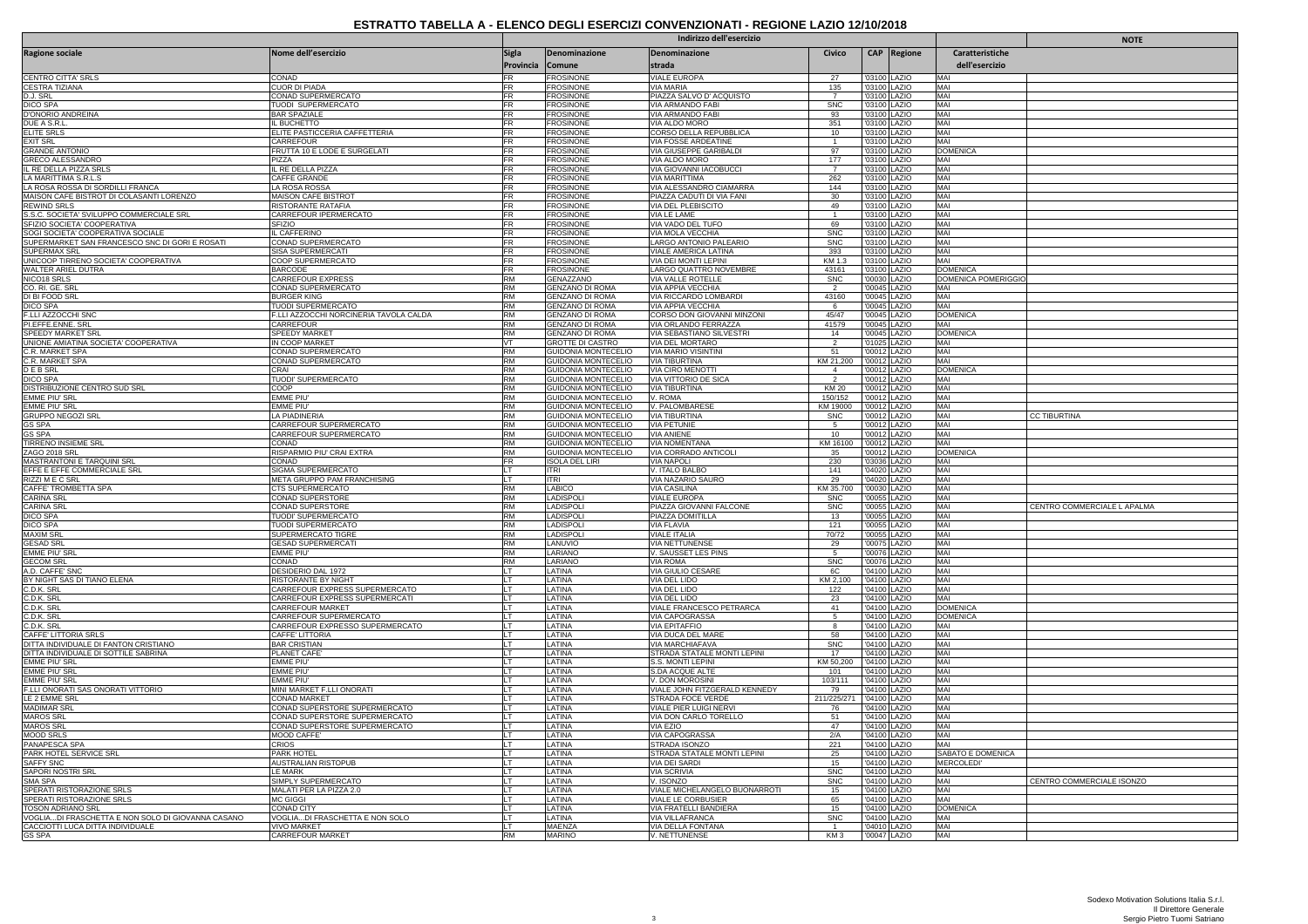|                                                                               |                                                    | <b>NOTE</b>                      |                                                   |                                                  |                                   |                              |                              |                                   |                             |
|-------------------------------------------------------------------------------|----------------------------------------------------|----------------------------------|---------------------------------------------------|--------------------------------------------------|-----------------------------------|------------------------------|------------------------------|-----------------------------------|-----------------------------|
| <b>Ragione sociale</b>                                                        | Nome dell'esercizio                                | <b>Sigla</b><br>Provincia Comune | Denominazione                                     | Denominazione<br>strada                          | Civico                            |                              | CAP Regione                  | Caratteristiche<br>dell'esercizio |                             |
| CENTRO CITTA' SRLS                                                            | CONAD                                              | FR                               | <b>FROSINONE</b>                                  | <b>VIALE EUROPA</b>                              | 27                                |                              | '03100 LAZIO                 | MAI                               |                             |
| CESTRA TIZIANA                                                                | CUOR DI PIADA                                      | <b>FR</b>                        | <b>FROSINONE</b>                                  | VIA MARIA                                        | 135                               |                              | '03100 LAZIO                 | MAI                               |                             |
| D.J. SRL                                                                      | CONAD SUPERMERCATO                                 | FR                               | <b>FROSINONE</b>                                  | PIAZZA SALVO D' ACQUISTO                         |                                   |                              | '03100 LAZIO                 | MAI<br>MAI                        |                             |
| DICO SPA<br>D'ONORIO ANDREINA                                                 | TUODI SUPERMERCATO<br><b>BAR SPAZIALE</b>          | <b>FR</b><br>FR                  | <b>FROSINONE</b><br><b>FROSINONE</b>              | VIA ARMANDO FABI<br>VIA ARMANDO FABI             | <b>SNC</b><br>93                  | '03100 LAZIO<br>'03100 LAZIO |                              | MAI                               |                             |
| DUE A S.R.L                                                                   | L BUCHETTO                                         | FR                               | <b>FROSINONE</b>                                  | <b>VIA ALDO MORO</b>                             | 351                               |                              | 03100 LAZIO                  | MAI                               |                             |
| <b>ELITE SRLS</b>                                                             | ELITE PASTICCERIA CAFFETTERIA                      | FR                               | <b>FROSINONE</b>                                  | CORSO DELLA REPUBBLICA                           | 10                                |                              | '03100 LAZIO                 | MAI                               |                             |
| <b>EXIT SRL</b>                                                               | CARREFOUR                                          | FR                               | <b>FROSINONI</b>                                  | VIA FOSSE ARDEATINE                              | $\mathbf{1}$                      |                              | '03100 LAZIO                 | MAI                               |                             |
| <b>GRANDE ANTONIO</b><br><b>GRECO ALESSANDRC</b>                              | FRUTTA 10 E LODE E SURGELATI<br>PIZZA              | <b>FR</b><br>FR                  | <b>FROSINONE</b><br><b>FROSINONE</b>              | VIA GIUSEPPE GARIBALDI<br>VIA ALDO MORO          | 97<br>177                         | '03100 LAZIO                 | '03100   AZIO                | <b>DOMENICA</b><br>MAI            |                             |
| IL RE DELLA PIZZA SRLS                                                        | IL RE DELLA PIZZA                                  | FR                               | <b>FROSINONE</b>                                  | VIA GIOVANNI IACOBUCCI                           | $\overline{7}$                    |                              | '03100 LAZIO                 | MAI                               |                             |
| LA MARITTIMA S.R.L.S                                                          | CAFFE GRANDE                                       | <b>FR</b>                        | <b>FROSINONE</b>                                  | <b>VIA MARITTIMA</b>                             | 262                               |                              | '03100 LAZIO                 | MAI                               |                             |
| LA ROSA ROSSA DI SORDILLI FRANCA                                              | A ROSA ROSSA                                       | FR                               | <b>FROSINONE</b>                                  | VIA ALESSANDRO CIAMARRA                          | 144                               |                              | '03100 LAZIO                 | MAI                               |                             |
| MAISON CAFE BISTROT DI COLASANTI LORENZO<br>REWIND SRLS                       | MAISON CAFE BISTROT<br>RISTORANTE RATAFIA          | <b>FR</b><br><b>FR</b>           | <b>FROSINONE</b><br><b>FROSINONE</b>              | PIAZZA CADUTI DI VIA FANI<br>VIA DEL PLEBISCITO  | 30<br>49                          |                              | '03100 LAZIO<br>'03100 LAZIO | MAI<br>MAI                        |                             |
| S.S.C. SOCIETA' SVILUPPO COMMERCIALE SRL                                      | CARREFOUR IPERMERCATO                              | FR                               | <b>FROSINONE</b>                                  | VIA LE LAME                                      | $\mathbf{1}$                      |                              | 03100 LAZIO                  | MAI                               |                             |
| SFIZIO SOCIETA' COOPERATIVA                                                   | SFIZIO                                             | FR                               | <b>FROSINONE</b>                                  | VIA VADO DEL TUFO                                | 69                                | '03100 LAZIO                 |                              | MAI                               |                             |
| SOGI SOCIETA' COOPERATIVA SOCIALE                                             | IL CAFFERINO                                       | <b>FR</b>                        | <b>FROSINONE</b>                                  | VIA MOLA VECCHIA                                 | <b>SNC</b>                        | '03100 LAZIO                 |                              | MAI                               |                             |
| SUPERMARKET SAN FRANCESCO SNC DI GORI E ROSATI                                | CONAD SUPERMERCATO                                 | FR<br>FR                         | <b>FROSINONE</b>                                  | LARGO ANTONIO PALEARIO                           | <b>SNC</b>                        |                              | 03100 LAZIO                  | MAI<br>MAI                        |                             |
| SUPERMAX SRL<br>UNICOOP TIRRENO SOCIETA' COOPERATIVA                          | SISA SUPERMERCATI<br>COOP SUPERMERCATO             | <b>FR</b>                        | <b>FROSINONE</b><br><b>FROSINONE</b>              | VIALE AMERICA LATINA<br>VIA DEI MONTI LEPINI     | 393<br>KM 1.3                     | '03100 LAZIO<br>'03100 LAZIO |                              | MAI                               |                             |
| WALTER ARIEL DUTRA                                                            | BARCODE                                            | FR                               | <b>FROSINONE</b>                                  | LARGO QUATTRO NOVEMBRE                           | 43161                             |                              | 03100 LAZIO                  | <b>DOMENICA</b>                   |                             |
| NICO18 SRLS                                                                   | CARREFOUR EXPRESS                                  | <b>RM</b>                        | GENAZZANO                                         | VIA VALLE ROTELLE                                | SNC                               |                              | '00030 LAZIO                 | <b>DOMENICA POMERIGGIO</b>        |                             |
| CO. RI. GE. SRI                                                               | CONAD SUPERMERCATO                                 | <b>RM</b>                        | <b>GENZANO DI ROMA</b>                            | VIA APPIA VECCHIA                                |                                   |                              | '00045 LAZIO                 | MAI                               |                             |
| DI BI FOOD SRL<br>DICO SPA                                                    | <b>BURGER KING</b><br>TUODI SUPERMERCATO           | <b>RM</b><br><b>RM</b>           | <b>GENZANO DI ROMA</b><br><b>GENZANO DI ROMA</b>  | VIA RICCARDO LOMBARDI<br>VIA APPIA VECCHIA       | 43160<br>6                        |                              | 00045 LAZIO<br>'00045 LAZIO  | MAI<br>MAI                        |                             |
| F.LLI AZZOCCHI SNC                                                            | F.LLI AZZOCCHI NORCINERIA TAVOLA CALDA             | <b>RM</b>                        | <b>GENZANO DI ROMA</b>                            | CORSO DON GIOVANNI MINZONI                       | 45/47                             |                              | '00045 LAZIO                 | <b>DOMENICA</b>                   |                             |
| PI.EFFE.ENNE, SRL                                                             | CARREFOUR                                          | <b>RM</b>                        | <b>GENZANO DI ROMA</b>                            | VIA ORLANDO FERRAZZA                             | 41579                             |                              | '00045 LAZIO                 | MAI                               |                             |
| SPEEDY MARKET SRL                                                             | SPEEDY MARKET                                      | <b>RM</b>                        | <b>GENZANO DI ROMA</b>                            | VIA SEBASTIANO SILVESTRI                         | 14                                |                              | 00045 LAZIO                  | <b>DOMENICA</b>                   |                             |
| UNIONE AMIATINA SOCIETA' COOPERATIVA                                          | IN COOP MARKET                                     | УT<br><b>RM</b>                  | <b>GROTTE DI CASTRO</b>                           | <b>VIA DEL MORTARO</b>                           | $\overline{2}$                    | '01025 LAZIO                 |                              | MAI<br>MAI                        |                             |
| C.R. MARKET SPA                                                               | CONAD SUPERMERCATO<br>CONAD SUPERMERCATO           | <b>RM</b>                        | GUIDONIA MONTECELIO<br><b>GUIDONIA MONTECELIO</b> | VIA MARIO VISINTIN<br>VIA TIBURTINA              | 51<br>KM 21,20                    |                              | '00012 LAZIO<br>00012 LAZIO  | MAI                               |                             |
| C.R. MARKET SPA<br>D E B SRL                                                  | CRAI                                               | <b>RM</b>                        | <b>GUIDONIA MONTECELIO</b>                        | <b>VIA CIRO MENOTTI</b>                          | $\overline{4}$                    |                              | '00012 LAZIO                 | <b>DOMENICA</b>                   |                             |
| <b>DICO SPA</b>                                                               | TUODI' SUPERMERCATO                                | <b>RM</b>                        | GUIDONIA MONTECELIO                               | VIA VITTORIO DE SICA                             | $\overline{2}$                    |                              | '00012 LAZIO                 | MAI                               |                             |
| DISTRIBUZIONE CENTRO SUD SRL                                                  | COOP                                               | <b>RM</b>                        | <b>GUIDONIA MONTECELIO</b>                        | VIA TIBURTINA                                    | KM 20                             | '00012                       | LAZIO                        | MAI                               |                             |
| EMME PIU' SRL<br>EMME PIU' SRL                                                | <b>EMME PIL</b><br>EMME PIU                        | <b>RM</b><br><b>RM</b>           | GUIDONIA MONTECELIO<br>GUIDONIA MONTECELIO        | V. ROMA<br>V. PALOMBARESE                        | 150/152<br>KM 19000               | '00012 LAZIO<br>'00012 LAZIO |                              | MAI<br>MAI                        |                             |
| <b>GRUPPO NEGOZI SRL</b>                                                      | A PIADINERIA                                       | <b>RM</b>                        | <b>GUIDONIA MONTECELIO</b>                        | <b>VIA TIBURTINA</b>                             | <b>SNC</b>                        |                              | '00012 LAZIO                 | MAI                               | <b>CC TIBURTINA</b>         |
| <b>GS SPA</b>                                                                 | CARREFOUR SUPERMERCATO                             | <b>RM</b>                        | <b>GUIDONIA MONTECELIO</b>                        | <b>VIA PETUNIE</b>                               | $\sqrt{5}$                        |                              | '00012 LAZIO                 | MAI                               |                             |
| <b>GS SPA</b>                                                                 | CARREFOUR SUPERMERCATO                             | <b>RM</b>                        | GUIDONIA MONTECELIO                               | VIA ANIENE                                       | 10                                | '00012 LAZIO                 |                              | MAI                               |                             |
| TIRRENO INSIEME SRL<br>ZAGO 2018 SRL                                          | CONAD<br>RISPARMIO PIU' CRAI EXTRA                 | <b>RM</b><br><b>RM</b>           | GUIDONIA MONTECELIO<br>GUIDONIA MONTECELIO        | <b>VIA NOMENTANA</b><br>VIA CORRADO ANTICOLI     | KM 16100<br>35                    |                              | '00012 LAZIO<br>'00012 LAZIO | MAI<br><b>DOMENICA</b>            |                             |
| MASTRANTONI E TARQUINI SRL                                                    | CONAD                                              | FR                               | <b>ISOLA DEL LIRI</b>                             | <b>VIA NAPOLI</b>                                | 230                               |                              | '03036 LAZIO                 | MAI                               |                             |
| EFFE E EFFE COMMERCIALE SRL                                                   | SIGMA SUPERMERCATO                                 | IL T                             | ITRI                                              | V. ITALO BALBO                                   | 141                               |                              | '04020 LAZIO                 | MAI                               |                             |
| RIZZI M E C SRL                                                               | META GRUPPO PAM FRANCHISING                        | LT                               | ITRI                                              | VIA NAZARIO SAURO                                | 29                                |                              | '04020 LAZIO                 | MAI                               |                             |
| CAFFE' TROMBETTA SPA<br><b>CARINA SRL</b>                                     | CTS SUPERMERCATO<br><b>CONAD SUPERSTORE</b>        | <b>RM</b><br><b>RM</b>           | <b>LABICO</b><br><b>LADISPOLI</b>                 | <b>VIA CASILINA</b><br><b>VIALE EUROPA</b>       | KM 35.700<br><b>SNC</b>           | '00030 LAZIO                 |                              | MAI<br>MAI                        |                             |
| CARINA SRI                                                                    | CONAD SUPERSTORE                                   | <b>RM</b>                        | LADISPOLI                                         | PIAZZA GIOVANNI FALCONE                          | <b>SNC</b>                        | '00055                       | '00055 LAZIO<br>LAZIO        | MAI                               | CENTRO COMMERCIALE L APALMA |
| <b>DICO SPA</b>                                                               | TUODI' SUPERMERCATO                                | <b>RM</b>                        | <b>LADISPOLI</b>                                  | PIAZZA DOMITILLA                                 | 13                                | '00055 LAZIO                 |                              | MAI                               |                             |
| DICO SPA                                                                      | TUODI SUPERMERCATO                                 | <b>RM</b>                        | LADISPOLI                                         | VIA FLAVIA                                       | 121                               |                              | '00055 LAZIO                 | MAI                               |                             |
| <b>MAXIM SRI</b>                                                              | <b>SUPERMERCATO TIGRE</b>                          | <b>RM</b>                        | ADISPOLI                                          | VIALE ITALIA                                     | 70/72<br>29                       |                              | 00055 LAZIO                  | MAI                               |                             |
| <b>GESAD SRL</b><br>EMME PIU' SR                                              | <b>GESAD SUPERMERCAT</b><br>EMME PIU'              | <b>RM</b><br><b>RM</b>           | LANUVIO<br>LARIANO                                | <b>VIA NETTUNENSE</b><br>V. SAUSSET LES PINS     | 5                                 | '00075 LAZIO                 | '00076 LAZIO                 | MAI<br>MAI                        |                             |
| <b>GECOM SRI</b>                                                              | CONAD                                              | <b>RM</b>                        | ARIANO                                            | VIA ROMA                                         | SNC                               |                              | '00076 LAZIO                 | MAI                               |                             |
| A.D. CAFFE' SNC                                                               | DESIDERIO DAL 1972                                 | ĪЕТ                              | <b>LATINA</b>                                     | <b>VIA GIULIO CESARE</b>                         | 6C                                | '04100 LAZIO                 |                              | MAI                               |                             |
| BY NIGHT SAS DI TIANO ELENA                                                   | RISTORANTE BY NIGHT                                | LT                               | LATINA                                            | VIA DEL LIDO                                     | KM 2,100                          | '04100 LAZIO                 |                              | MAI                               |                             |
| C.D.K. SRL<br>C.D.K. SRL                                                      | CARREFOUR EXPRESS SUPERMERCATO                     | LТ<br>IT.                        | <b>ATINA</b>                                      | VIA DEL LIDO                                     | <u>122</u>                        |                              | '04100 LAZIO                 | MAI<br>MAI                        |                             |
| C.D.K. SRL                                                                    | CARREFOUR EXPRESS SUPERMERCATI<br>CARREFOUR MARKET | LT.                              | LATINA<br>LATINA                                  | VIA DEL LIDO<br>VIALE FRANCESCO PETRARCA         | 23<br>41                          | '04100 LAZIO                 | '04100 LAZIO                 | <b>DOMENICA</b>                   |                             |
| C.D.K. SRL                                                                    | CARREFOUR SUPERMERCATO                             | LТ                               | ATINA                                             | VIA CAPOGRASSA                                   | -5                                |                              | 04100 LAZIO                  | <b>DOMENICA</b>                   |                             |
| C.D.K. SRL                                                                    | CARREFOUR EXPRESSO SUPERMERCATO                    | LT                               | LATINA                                            | VIA EPITAFFIO                                    | 8                                 | '04100 LAZIO                 |                              | MAI                               |                             |
| CAFFE' LITTORIA SRLS                                                          | CAFFE' LITTORIA                                    | LT.<br>LT                        | LATINA                                            | VIA DUCA DEL MARE                                | 58<br><b>SNC</b>                  |                              | '04100 LAZIO                 | MAI<br>MAI                        |                             |
| DITTA INDIVIDUALE DI FANTON CRISTIANO<br>DITTA INDIVIDUALE DI SOTTILE SABRINA | <b>BAR CRISTIAN</b><br>PLANET CAFE'                | LT.                              | LATINA<br>LATINA                                  | VIA MARCHIAFAVA<br>STRADA STATALE MONTI LEPINI   | 17                                |                              | '04100 LAZIO<br>'04100 LAZIO | MAI                               |                             |
| EMME PIU' SRL                                                                 | EMME PIU'                                          | LТ                               | LATINA                                            | S.S. MONTI LEPINI                                | KM 50,200                         |                              | '04100 LAZIO                 | MAI                               |                             |
| EMME PIU' SRL                                                                 | FMME PIU'                                          | LT                               | LATINA                                            | S.DA ACQUE ALTE                                  | 101                               |                              | '04100 LAZIO                 | MAI                               |                             |
| EMME PIU' SRL<br>F.LLI ONORATI SAS ONORATI VITTORIO                           | EMME PIU<br>MINI MARKET F.LLI ONORATI              | LT<br>LT                         | ATINA<br>LATINA                                   | V. DON MOROSINI<br>VIALE JOHN FITZGERALD KENNEDY | 103/111<br>79                     |                              | '04100 LAZIO<br>'04100 LAZIO | MAI<br>MAI                        |                             |
| LE 2 EMME SRL                                                                 | <b>CONAD MARKET</b>                                | LT                               | LATINA                                            | STRADA FOCE VERDE                                | 211/225/27                        | '04100 LAZIO                 |                              | MAI                               |                             |
| <b>MADIMAR SRI</b>                                                            | CONAD SUPERSTORE SUPERMERCATO                      |                                  | ATINA                                             | VIALE PIER LUIGI NERVI                           | 76                                |                              | 04100 LAZIO                  | MAI                               |                             |
| <b>MAROS SRL</b>                                                              | CONAD SUPERSTORE SUPERMERCATO                      | LT                               | LATINA                                            | VIA DON CARLO TORELLO                            | 51                                |                              | '04100 LAZIO                 | MAI                               |                             |
| <b>MAROS SRL</b>                                                              | CONAD SUPERSTORE SUPERMERCATO                      | LT.                              | LATINA                                            | VIA EZIO                                         | 47                                |                              | '04100 LAZIO                 | MAI                               |                             |
| <b>MOOD SRLS</b><br>PANAPESCA SPA                                             | MOOD CAFFE'<br><b>CRIOS</b>                        | llt.                             | <b>ATINA</b><br>LATINA                            | VIA CAPOGRASSA<br>STRADA ISONZO                  | 2/A<br>221                        | '04100 LAZIO                 | '04100 LAZIO                 | MAI<br>MAI                        |                             |
| PARK HOTEL SERVICE SRL                                                        | PARK HOTEL                                         | LT.                              | LATINA                                            | STRADA STATALE MONTI LEPINI                      | 25                                |                              | '04100 LAZIO                 | SABATO E DOMENICA                 |                             |
| <b>SAFFY SNC</b>                                                              | AUSTRALIAN RISTOPUB                                | LT                               | LATINA                                            | VIA DEI SARDI                                    | 15                                |                              | '04100 LAZIO                 | <b>MERCOLEDI</b>                  |                             |
| SAPORI NOSTRI SRL                                                             | <b>LE MARK</b>                                     | <b>LT</b>                        | LATINA                                            | <b>VIA SCRIVIA</b>                               | <b>SNC</b>                        |                              | '04100 LAZIO                 | MAI                               |                             |
| <b>SMA SPA</b><br>SPERATI RISTORAZIONE SRLS                                   | SIMPLY SUPERMERCATO<br>MALATI PER LA PIZZA 2.0     | LT.<br>LT                        | LATINA<br>ATINA                                   | V. ISONZO<br>VIALE MICHELANGELO BUONARROTI       | <b>SNC</b><br>15                  |                              | '04100 LAZIO<br>'04100 LAZIO | MAI<br>MAI                        | CENTRO COMMERCIALE ISONZO   |
| SPERATI RISTORAZIONE SRLS                                                     | <b>MC GIGGI</b>                                    | LT                               | LATINA                                            | VIALE LE CORBUSIER                               | 65                                | '04100 LAZIO                 |                              | MAI                               |                             |
| TOSON ADRIANO SRL                                                             | CONAD CITY                                         | LT                               | LATINA                                            | VIA FRATELLI BANDIERA                            | 15                                |                              | '04100 LAZIO                 | <b>DOMENICA</b>                   |                             |
| VOGLIADI FRASCHETTA E NON SOLO DI GIOVANNA CASANO                             | VOGLIADI FRASCHETTA E NON SOLO                     | LT                               | LATINA                                            | VIA VILLAFRANCA                                  | <b>SNC</b>                        |                              | '04100 LAZIO                 | MAI                               |                             |
| CACCIOTTI LUCA DITTA INDIVIDUALE<br><b>GS SPA</b>                             | <b>VIVO MARKET</b><br><b>CARREFOUR MARKET</b>      | LT.<br><b>RM</b>                 | <b>MAENZA</b><br><b>MARINO</b>                    | VIA DELLA FONTANA<br>V. NETTUNENSE               | $\overline{1}$<br>KM <sub>3</sub> | '04010 LAZIO<br>'00047 LAZIO |                              | MAI<br>MAI                        |                             |
|                                                                               |                                                    |                                  |                                                   |                                                  |                                   |                              |                              |                                   |                             |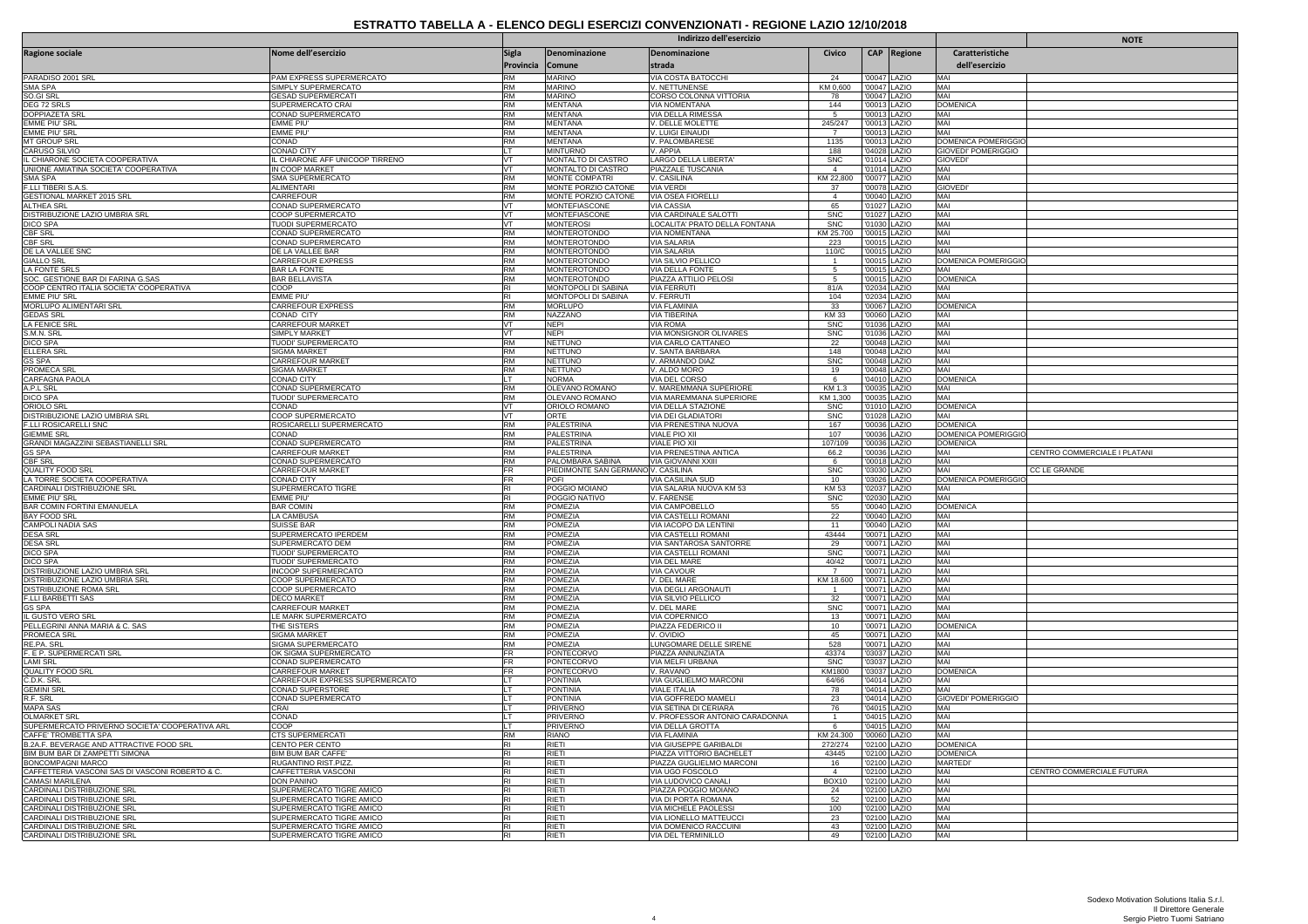|                                                                            |                                                      | Indirizzo dell'esercizio  |                                             |                                                        |                          |                              |                              |                                        | <b>NOTE</b>                  |
|----------------------------------------------------------------------------|------------------------------------------------------|---------------------------|---------------------------------------------|--------------------------------------------------------|--------------------------|------------------------------|------------------------------|----------------------------------------|------------------------------|
| <b>Ragione sociale</b>                                                     | Nome dell'esercizio                                  | <b>Sigla</b><br>Provincia | Denominazione<br>Comune                     | Denominazione<br>strada                                | Civico                   |                              | CAP Regione                  | Caratteristiche<br>dell'esercizio      |                              |
| PARADISO 2001 SRL                                                          | PAM EXPRESS SUPERMERCATO                             | <b>RM</b>                 | <b>MARINO</b>                               | VIA COSTA BATOCCHI                                     | 24                       |                              | '00047 LAZIO                 | MAI                                    |                              |
| <b>SMA SPA</b>                                                             | SIMPLY SUPERMERCATO                                  | <b>RM</b>                 | <b>MARINO</b>                               | V. NETTUNENSE                                          | KM 0,600                 |                              | '00047 LAZIO                 | MAI                                    |                              |
| SO.GI SRL<br>DEG 72 SRLS                                                   | <b>GESAD SUPERMERCATI</b><br>SUPERMERCATO CRAI       | <b>RM</b><br><b>RM</b>    | MARINO<br><b>MENTANA</b>                    | CORSO COLONNA VITTORIA<br><b>VIA NOMENTANA</b>         | 78<br>144                |                              | '00047 LAZIO<br>'00013 LAZIO | MAI<br><b>DOMENICA</b>                 |                              |
| <b>DOPPIAZETA SR</b>                                                       | CONAD SUPERMERCATO                                   | <b>RM</b>                 | <b>MENTANA</b>                              | VIA DELLA RIMESSA                                      |                          |                              | '00013 LAZIO                 | MAI                                    |                              |
| <b>FMMF PIU'SRL</b>                                                        | <b>FMMF PIU'</b>                                     | <b>RM</b>                 | <b>MENTANA</b>                              | V. DELLE MOLETTE                                       | 245/247                  | '00013 LAZIO                 |                              | MAI                                    |                              |
| <b>EMME PIU' SRI</b><br><b>MT GROUP SRL</b>                                | EMME PIU'<br>CONAD                                   | <b>RM</b><br><b>RM</b>    | <b>MENTANA</b><br><b>MENTANA</b>            | V. LUIGI EINAUDI<br>V. PALOMBARESE                     | $\overline{7}$<br>1135   |                              | '00013 LAZIO<br>'00013 LAZIO | MAI<br>DOMENICA POMERIGGIO             |                              |
| <b>CARUSO SILVIO</b>                                                       | <b>CONAD CITY</b>                                    | IT.                       | <b>MINTURNO</b>                             | V. APPIA                                               | 188                      | '04028 LAZIO                 |                              | GIOVEDI' POMERIGGIO                    |                              |
| IL CHIARONE SOCIETA COOPERATIVA                                            | L CHIARONE AFF UNICOOP TIRRENO                       |                           | MONTALTO DI CASTRO                          | LARGO DELLA LIBERTA'                                   | <b>SNC</b>               |                              | '01014 LAZIO                 | <b>GIOVEDI</b>                         |                              |
| UNIONE AMIATINA SOCIETA' COOPERATIVA<br><b>SMA SPA</b>                     | IN COOP MARKET                                       | VT<br><b>RM</b>           | MONTALTO DI CASTRO<br><b>MONTE COMPATRI</b> | PIAZZALE TUSCANIA<br>V. CASILINA                       | $\overline{4}$           | '01014 LAZIO                 |                              | MAI<br>MAI                             |                              |
| F.LLI TIBERI S.A.S.                                                        | SMA SUPERMERCATO<br>ALIMENTARI                       | <b>RM</b>                 | MONTE PORZIO CATONE                         | VIA VERDI                                              | KM 22,800<br>37          | '00077 LAZIO                 | '00078 LAZIO                 | <b>GIOVEDI</b>                         |                              |
| <b>GESTIONAL MARKET 2015 SRL</b>                                           | CARREFOUR                                            | <b>RM</b>                 | MONTE PORZIO CATONE                         | <b>VIA OSEA FIORELLI</b>                               | $\overline{4}$           |                              | '00040 LAZIO                 | MAI                                    |                              |
| ALTHEA SRL                                                                 | CONAD SUPERMERCATO                                   | <b>VT</b>                 | MONTEFIASCONE                               | <b>VIA CASSIA</b>                                      | 65                       |                              | '01027 LAZIO                 | MAI                                    |                              |
| DISTRIBUZIONE LAZIO UMBRIA SRL<br><b>DICO SPA</b>                          | COOP SUPERMERCATO<br>TUODI SUPERMERCATO              | VT<br>VT                  | MONTEFIASCONE<br><b>MONTEROSI</b>           | VIA CARDINALE SALOTTI<br>LOCALITA' PRATO DELLA FONTANA | <b>SNC</b><br><b>SNC</b> | '01030 LAZIO                 | '01027 LAZIO                 | MAI<br>MAI                             |                              |
| <b>CBF SRL</b>                                                             | CONAD SUPERMERCATO                                   | <b>RM</b>                 | MONTEROTONDO                                | VIA NOMENTANA                                          | KM 25.700                | '00015 LAZIO                 |                              | MAI                                    |                              |
| <b>CBF SRL</b>                                                             | CONAD SUPERMERCATO                                   | <b>RM</b>                 | <b>MONTEROTONDO</b>                         | <b>VIA SALARIA</b>                                     | 223                      |                              | '00015 LAZIO                 | MAI                                    |                              |
| DE LA VALLEE SNC<br><b>GIALLO SRL</b>                                      | DE LA VALLEE BAR<br>CARREFOUR EXPRESS                | <b>RM</b><br><b>RM</b>    | MONTEROTONDO<br><b>MONTEROTONDO</b>         | <b>VIA SALARIA</b><br>VIA SILVIO PELLICO               | 110/C<br>$\overline{1}$  | '00015 LAZIO                 | '00015 LAZIO                 | MAI<br>DOMENICA POMERIGGIO             |                              |
| LA FONTE SRLS                                                              | <b>BAR LA FONTE</b>                                  | <b>RM</b>                 | <b>MONTEROTONDO</b>                         | VIA DELLA FONTE                                        | -5                       |                              | '00015 LAZIO                 | MAI                                    |                              |
| SOC. GESTIONE BAR DI FARINA G.SAS                                          | <b>BAR BELLAVISTA</b>                                | <b>RM</b>                 | MONTEROTONDO                                | PIAZZA ATTILIO PELOSI                                  | 5                        |                              | '00015 LAZIO                 | <b>DOMENICA</b>                        |                              |
| COOP CENTRO ITALIA SOCIETA' COOPERATIVA                                    | COOP                                                 | <b>RI</b>                 | MONTOPOLI DI SABINA                         | <b>VIA FERRUTI</b>                                     | 81/A                     |                              | '02034 LAZIO                 | MAI                                    |                              |
| <b>FMMF PIU' SRI</b><br>MORLUPO ALIMENTARI SRL                             | EMME PIU<br>CARREFOUR EXPRESS                        | RI<br><b>RM</b>           | MONTOPOLI DI SABINA<br><b>MORLUPO</b>       | V. FERRUTI<br><b>VIA FLAMINIA</b>                      | 104<br>33                |                              | '02034 LAZIO<br>'00067 LAZIO | MAI<br><b>DOMENICA</b>                 |                              |
| <b>GEDAS SRL</b>                                                           | CONAD CITY                                           | <b>RM</b>                 | NAZZANO                                     | <b>VIA TIBERINA</b>                                    | <b>KM33</b>              |                              | '00060 LAZIO                 | MAI                                    |                              |
| LA FENICE SR                                                               | CARREFOUR MARKET                                     | VT                        | NEPI                                        | VIA ROMA                                               | <b>SNC</b>               |                              | '01036 LAZIO                 | MAI                                    |                              |
| S.M.N. SRL                                                                 | SIMPLY MARKET                                        | VT                        | <b>NEPI</b>                                 | VIA MONSIGNOR OLIVARES                                 | <b>SNC</b>               |                              | '01036 LAZIO                 | MAI                                    |                              |
| <b>DICO SPA</b><br><b>ELLERA SR</b>                                        | <b>TUODI' SUPERMERCATO</b><br>SIGMA MARKET           | <b>RM</b><br><b>RM</b>    | <b>NETTUNO</b><br>NETTUNO                   | VIA CARLO CATTANEO<br>V. SANTA BARBARA                 | 22<br>148                |                              | '00048 LAZIO<br>'00048 LAZIO | MAI<br>MAI                             |                              |
| <b>GS SPA</b>                                                              | CARREFOUR MARKET                                     | <b>RM</b>                 | <b>NETTUNO</b>                              | V. ARMANDO DIAZ                                        | <b>SNC</b>               |                              | '00048 LAZIO                 | MAI                                    |                              |
| <b>PROMECA SRI</b>                                                         | SIGMA MARKET                                         | <b>RM</b>                 | <b>NETTUNO</b>                              | V. ALDO MORO                                           | 19                       |                              | '00048 LAZIO                 | MAI                                    |                              |
| <b>CARFAGNA PAOLA</b>                                                      | CONAD CITY                                           | LT.                       | <b>NORMA</b>                                | VIA DEL CORSO                                          | 6                        |                              | '04010 LAZIO                 | <b>DOMENICA</b>                        |                              |
| A.P.L SRL<br><b>DICO SPA</b>                                               | <b>CONAD SUPERMERCATO</b><br>TUODI' SUPERMERCATO     | RM<br><b>RM</b>           | OLEVANO ROMANO<br>OLEVANO ROMANO            | V. MAREMMANA SUPERIORE<br>VIA MAREMMANA SUPERIORE      | KM 1.3<br>KM 1,300       |                              | '00035 LAZIO<br>'00035 LAZIO | MAI<br>MAI                             |                              |
| ORIOLO SR                                                                  | CONAD                                                | <b>VT</b>                 | ORIOLO ROMANO                               | VIA DELLA STAZIONE                                     | <b>SNC</b>               |                              | '01010 LAZIO                 | <b>DOMENICA</b>                        |                              |
| DISTRIBUZIONE LAZIO UMBRIA SRL                                             | COOP SUPERMERCATO                                    | VT                        | ORTE                                        | VIA DEI GLADIATORI                                     | <b>SNC</b>               |                              | '01028 LAZIO                 | MAI                                    |                              |
| F.LLI ROSICARELLI SNC                                                      | ROSICARELLI SUPERMERCATO                             | <b>RM</b><br><b>RM</b>    | PALESTRINA                                  | VIA PRENESTINA NUOVA                                   | 167                      |                              | '00036 LAZIO                 | <b>DOMENICA</b>                        |                              |
| <b>GIEMME SRL</b><br>GRANDI MAGAZZINI SEBASTIANELLI SRL                    | CONAD<br>CONAD SUPERMERCATO                          | <b>RM</b>                 | PALESTRINA<br>PALESTRINA                    | VIALE PIO XII<br><b>VIALE PIO XII</b>                  | 107<br>107/109           |                              | '00036 LAZIO<br>'00036 LAZIO | DOMENICA POMERIGGIO<br><b>DOMENICA</b> |                              |
| <b>GS SPA</b>                                                              | CARREFOUR MARKET                                     | <b>RM</b>                 | <b>PALESTRINA</b>                           | VIA PRENESTINA ANTICA                                  | 66.2                     |                              | '00036 LAZIO                 | MAI                                    | CENTRO COMMERCIALE I PLATANI |
| <b>CBF SRL</b>                                                             | CONAD SUPERMERCATO                                   | <b>RM</b>                 | PALOMBARA SABINA                            | <b>VIA GIOVANNI XXIII</b>                              | 6                        |                              | '00018 LAZIO                 | MAI                                    |                              |
| <b>QUALITY FOOD SRL</b>                                                    | CARREFOUR MARKET                                     | <b>FR</b><br><b>FR</b>    | PIEDIMONTE SAN GERMANO V. CASILINA          |                                                        | <b>SNC</b>               |                              | '03030 LAZIO                 | MAI                                    | <b>CC LE GRANDE</b>          |
| LA TORRE SOCIETA COOPERATIVA<br>CARDINALI DISTRIBUZIONE SRL                | CONAD CITY<br>SUPERMERCATO TIGRE                     | <b>RI</b>                 | POFI<br>POGGIO MOIANO                       | VIA CASILINA SUD<br>VIA SALARIA NUOVA KM 53            | 10<br><b>KM 53</b>       |                              | '03026 LAZIO<br>'02037 LAZIO | DOMENICA POMERIGGIO<br>MAI             |                              |
| <b>FMMF PIU' SRI</b>                                                       | EMME PIU'                                            | RI                        | POGGIO NATIVO                               | <b>V. FARENSE</b>                                      | <b>SNC</b>               | '02030 LAZIO                 |                              | MAI                                    |                              |
| <b>BAR COMIN FORTINI EMANUELA</b>                                          | <b>BAR COMIN</b>                                     | <b>RM</b>                 | POMEZIA                                     | VIA CAMPOBELLO                                         | 55                       |                              | '00040 LAZIO                 | DOMENIC.                               |                              |
| <b>BAY FOOD SRL</b><br>CAMPOLI NADIA SAS                                   | LA CAMBUSA<br><b>SUISSE BAR</b>                      | <b>RM</b><br><b>RM</b>    | POMEZIA<br>POMEZIA                          | VIA CASTELLI ROMANI                                    | 22<br>11                 |                              | '00040 LAZIO<br>'00040 LAZIO | MAI<br>MAI                             |                              |
| <b>DESA SRL</b>                                                            | SUPERMERCATO IPERDEM                                 | <b>RM</b>                 | <b>POMEZIA</b>                              | VIA IACOPO DA LENTINI<br>VIA CASTELLI ROMANI           | 43444                    |                              | '00071 LAZIO                 | MAI                                    |                              |
| <b>DESA SRL</b>                                                            | <b>SUPERMERCATO DEM</b>                              | <b>RM</b>                 | <b>POMEZIA</b>                              | VIA SANTAROSA SANTORRE                                 | 29                       |                              | '00071 LAZIO                 | MAI                                    |                              |
| <b>DICO SPA</b>                                                            | TUODI' SUPERMERCATO                                  | <b>RM</b>                 | POMEZIA                                     | VIA CASTELLI ROMANI                                    | <b>SNC</b>               |                              | '00071 LAZIO                 | MAI                                    |                              |
| <b>DICO SPA</b><br>DISTRIBUZIONE LAZIO UMBRIA SRL                          | TUODI' SUPERMERCATO<br><b>INCOOP SUPERMERCATO</b>    | <b>RM</b><br><b>RM</b>    | POMEZIA<br><b>POMEZIA</b>                   | VIA DEL MARE<br><b>VIA CAVOUR</b>                      | 40/42<br>$\overline{7}$  |                              | '00071 LAZIO<br>'00071 LAZIO | MAI<br>MAI                             |                              |
| DISTRIBUZIONE LAZIO UMBRIA SRL                                             | COOP SUPERMERCATO                                    | <b>RM</b>                 | POMEZIA                                     | V. DEL MARE                                            | KM 18.600                | '00071 LAZIO                 |                              | MAI                                    |                              |
| DISTRIBUZIONE ROMA SRL                                                     | COOP SUPERMERCATO                                    | <b>RM</b>                 | POMEZIA                                     | VIA DEGLI ARGONAUTI                                    |                          | '00071 LAZIO<br>'00071 LAZIO |                              | MAI                                    |                              |
| <b>F.LLI BARBETTI SAS</b><br><b>GS SPA</b>                                 | DECO MARKET<br>CARREFOUR MARKET                      | <b>RM</b><br><b>RM</b>    | <b>POMEZIA</b><br>POMEZIA                   | VIA SILVIO PELLICO<br>V. DEL MARE                      | 32<br><b>SNC</b>         |                              | '00071 LAZIO                 | MAI<br>MAI                             |                              |
| IL GUSTO VERO SRL                                                          | E MARK SUPERMERCATO                                  | <b>RM</b>                 | POMEZIA                                     | <b>VIA COPERNICC</b>                                   | 13                       |                              | '00071 LAZIO                 | MAI                                    |                              |
| PELLEGRINI ANNA MARIA & C. SAS                                             | THE SISTERS                                          | <b>RM</b>                 | <b>POMEZIA</b>                              | PIAZZA FEDERICO II                                     | 10                       |                              | '00071 LAZIO                 | <b>DOMENICA</b>                        |                              |
| PROMECA SRL                                                                | SIGMA MARKET                                         | <b>RM</b>                 | POMEZIA                                     | V. OVIDIO                                              | 45                       |                              | '00071 LAZIO                 | MAI                                    |                              |
| RE PA. SRL<br>F. E P. SUPERMERCATI SRL                                     | SIGMA SUPERMERCATO<br>OK SIGMA SUPERMERCATO          | <b>RM</b><br><b>FR</b>    | <b>POMEZIA</b><br>PONTECORVO                | LUNGOMARE DELLE SIRENE<br>PIAZZA ANNUNZIATA            | 528<br>43374             |                              | '00071 LAZIO<br>'03037 LAZIO | MAI<br>MAI                             |                              |
| <b>LAMI SRL</b>                                                            | CONAD SUPERMERCATO                                   | <b>FR</b>                 | <b>PONTECORVO</b>                           | <b>VIA MELFI URBANA</b>                                | <b>SNC</b>               |                              | '03037 LAZIO                 | MAI                                    |                              |
| <b>QUALITY FOOD SRL</b>                                                    | CARREFOUR MARKET                                     | <b>FR</b>                 | <b>PONTECORVO</b>                           | V. RAVANO                                              | KM1800                   | '03037 LAZIO                 |                              | <b>DOMENICA</b>                        |                              |
| C.D.K. SRL                                                                 | CARREFOUR EXPRESS SUPERMERCATO                       | LT                        | PONTINIA                                    | VIA GUGLIELMO MARCONI                                  | 64/66                    |                              | '04014 LAZIO                 | MAI                                    |                              |
| <b>GEMINI SRL</b><br>R.F. SRL                                              | CONAD SUPERSTORE                                     | LT<br>LT.                 | <b>PONTINIA</b><br><b>PONTINIA</b>          | VIALE ITALIA<br>VIA GOFFREDO MAMELI                    | 78<br>23                 |                              | '04014 LAZIO<br>'04014 LAZIO | MAI<br><b>GIOVEDI' POMERIGGIO</b>      |                              |
| <b>MAPA SAS</b>                                                            |                                                      |                           |                                             |                                                        |                          |                              |                              |                                        |                              |
|                                                                            | CONAD SUPERMERCATO<br>CRAI                           | LT                        | PRIVERNO                                    | VIA SETINA DI CERIARA                                  |                          |                              |                              | MAI                                    |                              |
| <b>OLMARKET SRL</b>                                                        | CONAD                                                | LT                        | PRIVERNC                                    | V. PROFESSOR ANTONIO CARADONNA                         | 76<br>$\overline{1}$     |                              | '04015 LAZIO<br>'04015 LAZIO | MAI                                    |                              |
| SUPERMERCATO PRIVERNO SOCIETA' COOPERATIVA ARL                             | COOP                                                 | LT.                       | <b>PRIVERNC</b>                             | VIA DELLA GROTTA                                       | -6                       |                              | '04015 LAZIO                 | MAI                                    |                              |
| CAFFE' TROMBETTA SPA                                                       | CTS SUPERMERCATI                                     | <b>RM</b>                 | RIANO                                       | VIA FLAMINIA                                           | KM 24.300                |                              | '00060 LAZIO                 | MAI                                    |                              |
| B.2A.F. BEVERAGE AND ATTRACTIVE FOOD SRL<br>BIM BUM BAR DI ZAMPETTI SIMONA | CENTO PER CENTO<br>BIM BUM BAR CAFFE'                | <b>RI</b><br><b>RI</b>    | RIETI<br>RIETI                              | VIA GIUSEPPE GARIBALDI<br>PIAZZA VITTORIO BACHELET     | 272/274<br>43445         |                              | '02100 LAZIO<br>'02100 LAZIO | <b>DOMENICA</b><br><b>DOMENICA</b>     |                              |
| BONCOMPAGNI MARCO                                                          | RUGANTINO RIST.PIZZ                                  | RI                        | RIETI                                       | PIAZZA GUGLIELMO MARCONI                               | 16                       |                              | '02100 LAZIO                 | <b>MARTEDI</b> '                       |                              |
| CAFFETTERIA VASCONI SAS DI VASCONI ROBERTO & C                             | CAFFETTERIA VASCONI                                  | <b>RI</b>                 | RIETI                                       | VIA UGO FOSCOLO                                        | $\overline{4}$           |                              | '02100 LAZIO                 | MAI                                    | CENTRO COMMERCIALE FUTURA    |
| CAMASI MARILENA                                                            | DON PANINO                                           | <b>RI</b>                 | RIETI                                       | VIA LUDOVICO CANALI                                    | BOX10                    | '02100 LAZIO                 |                              | MAI                                    |                              |
| CARDINALI DISTRIBUZIONE SRL<br>CARDINALI DISTRIBUZIONE SRL                 | SUPERMERCATO TIGRE AMICO<br>SUPERMERCATO TIGRE AMICO | <b>RI</b><br>RI           | RIETI<br>RIETI                              | PIAZZA POGGIO MOIANO<br>VIA DI PORTA ROMANA            | 24<br>52                 |                              | '02100 LAZIO<br>'02100 LAZIO | MAI<br>MAI                             |                              |
| CARDINALI DISTRIBUZIONE SRL                                                | SUPERMERCATO TIGRE AMICO                             | RI                        | RIETI                                       | VIA MICHELE PAOLESSI                                   | 100                      |                              | '02100 LAZIO                 | MAI                                    |                              |
| CARDINALI DISTRIBUZIONE SRL                                                | SUPERMERCATO TIGRE AMICO                             | R <sub>1</sub>            | <b>RIETI</b>                                | VIA LIONELLO MATTEUCCI                                 | 23                       |                              | '02100 LAZIO                 | MAI                                    |                              |
| CARDINALI DISTRIBUZIONE SRL<br>CARDINALI DISTRIBUZIONE SRL                 | SUPERMERCATO TIGRE AMICO<br>SUPERMERCATO TIGRE AMICO | <b>RI</b><br>RI           | RIETI<br><b>RIETI</b>                       | VIA DOMENICO RACCUINI<br>VIA DEL TERMINILLO            | 43<br>49                 | '02100 LAZIO                 | '02100 LAZIO                 | MAI<br>MAI                             |                              |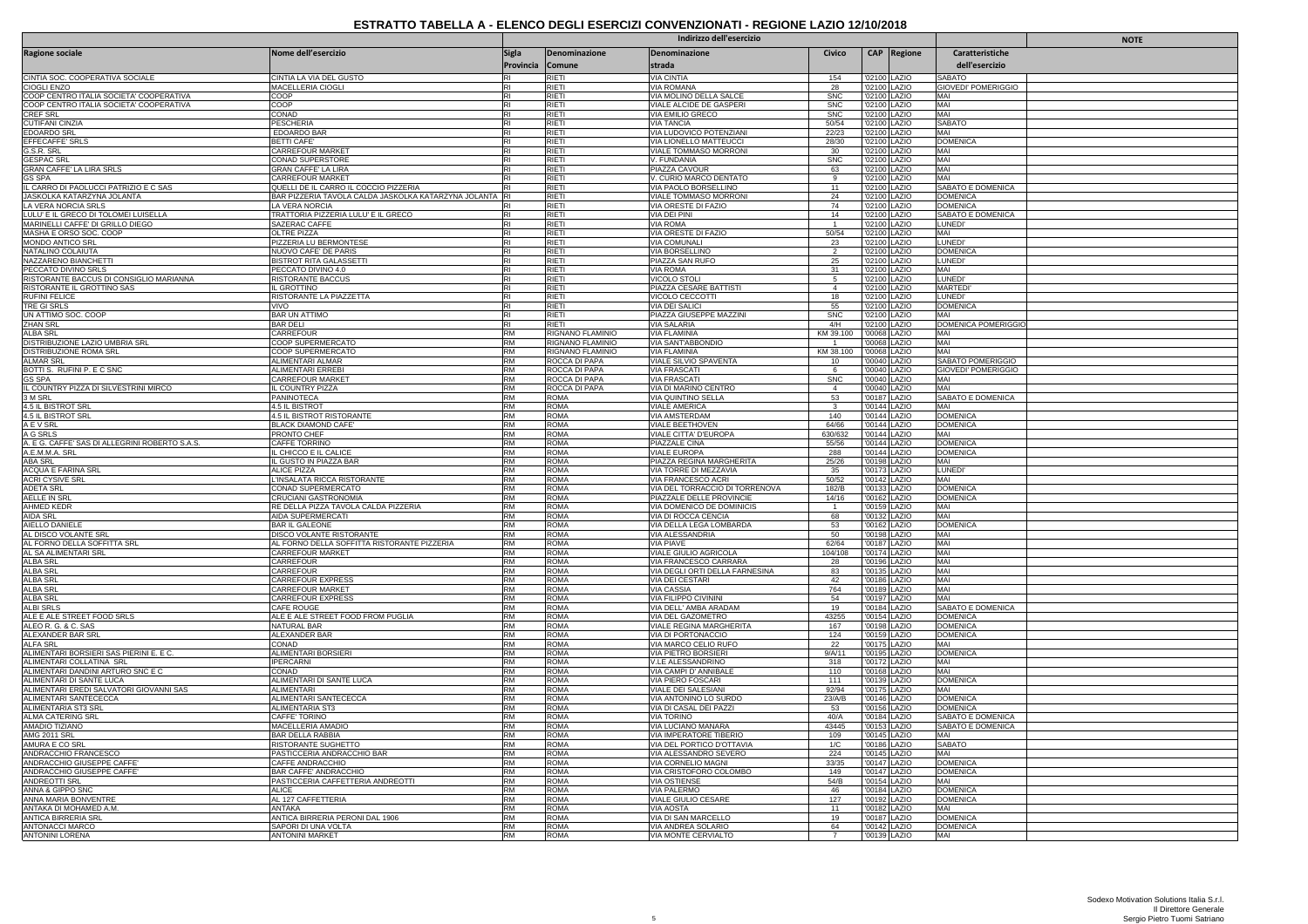|                                                                                    | Indirizzo dell'esercizio                                        |                        |                                |                                                          |                          | <b>NOTE</b>                  |                              |                                      |  |
|------------------------------------------------------------------------------------|-----------------------------------------------------------------|------------------------|--------------------------------|----------------------------------------------------------|--------------------------|------------------------------|------------------------------|--------------------------------------|--|
| <b>Ragione sociale</b>                                                             | Nome dell'esercizio                                             | Sigla<br>Provincia     | Denominazione<br>Comune        | Denominazione<br>strada                                  | Civico                   |                              | CAP Regione                  | Caratteristiche<br>dell'esercizio    |  |
| CINTIA SOC. COOPERATIVA SOCIALE                                                    | CINTIA LA VIA DEL GUSTO                                         |                        | RIETI                          | VIA CINTIA                                               | 154                      |                              | '02100 LAZIO                 | SABATO                               |  |
| CIOGLI ENZO                                                                        | MACELLERIA CIOGLI                                               |                        | RIETI<br>RIFTI                 | <b>VIA ROMANA</b><br>VIA MOLINO DELLA SALCE              | 28                       |                              | '02100 LAZIO                 | <b>GIOVEDI' POMERIGGIO</b>           |  |
| COOP CENTRO ITALIA SOCIETA' COOPERATIVA<br>COOP CENTRO ITALIA SOCIETA' COOPERATIVA | COOP<br>COOP                                                    | RI<br>RI               | RIETI                          | VIALE ALCIDE DE GASPERI                                  | <b>SNC</b><br><b>SNC</b> |                              | '02100 LAZIO<br>'02100 LAZIO | MAI<br>MAI                           |  |
| CREF SRL                                                                           | CONAD                                                           | <b>RI</b>              | RIETI                          | VIA EMILIO GRECO                                         | <b>SNC</b>               |                              | '02100 LAZIO                 | MAI                                  |  |
| <b>CUTIFANI CINZIA</b>                                                             | PESCHERIA                                                       | RI                     | RIFTI                          | <b>VIA TANCIA</b>                                        | 50/54                    |                              | '02100 LAZIO                 | <b>SABATO</b><br>MAI                 |  |
| <b>EDOARDO SRL</b><br>EFFECAFFE' SRLS                                              | <b>EDOARDO BAR</b><br><b>BETTI CAFE</b>                         | <b>RI</b><br><b>RI</b> | RIETI<br>RIETI                 | VIA LUDOVICO POTENZIANI<br><b>VIA LIONELLO MATTEUCCI</b> | 22/23<br>28/30           |                              | '02100 LAZIO<br>'02100 LAZIO | <b>DOMENICA</b>                      |  |
| G.S.R. SRL                                                                         | CARREFOUR MARKET                                                | RI                     | RIFTI                          | VIALE TOMMASO MORRONI                                    | 30                       |                              | '02100 LAZIO                 | MAI                                  |  |
| <b>GESPAC SRL</b>                                                                  | CONAD SUPERSTORE                                                | RI                     | RIETI                          | V. FUNDANIA                                              | <b>SNC</b>               |                              | '02100 LAZIO                 | MAI                                  |  |
| GRAN CAFFE' LA LIRA SRLS<br>GS SPA                                                 | <b>GRAN CAFFE' LA LIRA</b><br><b>CARREFOUR MARKET</b>           |                        | RIETI<br><b>RIETI</b>          | PIAZZA CAVOUR<br>V. CURIO MARCO DENTATO                  | 63<br>9                  |                              | '02100 LAZIO<br>'02100 LAZIO | MAI<br>MAI                           |  |
| IL CARRO DI PAOLUCCI PATRIZIO E C SAS                                              | QUELLI DE IL CARRO IL COCCIO PIZZERIA                           |                        | RIETI                          | VIA PAOLO BORSELLINO                                     | 11                       |                              | '02100 LAZIO                 | SABATO E DOMENICA                    |  |
| JASKOLKA KATARZYNA JOLANTA                                                         | BAR PIZZERIA TAVOLA CALDA JASKOLKA KATARZYNA JOLANTA            |                        | RIETI                          | VIALE TOMMASO MORRONI                                    | 24                       |                              | '02100 LAZIO                 | <b>DOMENICA</b>                      |  |
| LA VERA NORCIA SRLS<br>LULU' E IL GRECO DI TOLOMEI LUISELLA                        | LA VERA NORCIA<br>TRATTORIA PIZZERIA LULU' E IL GRECO           |                        | RIETI<br><b>RIETI</b>          | VIA ORESTE DI FAZIO<br><b>VIA DEI PINI</b>               | 74<br>14                 |                              | '02100 LAZIO<br>'02100 LAZIO | <b>DOMENICA</b><br>SABATO E DOMENICA |  |
| MARINELLI CAFFE' DI GRILLO DIEGO                                                   | SAZERAC CAFFE                                                   | RI                     | RIFTI                          | <b>VIA ROMA</b>                                          | $\overline{1}$           |                              | '02100 LAZIO                 | <b>LUNEDI</b>                        |  |
| MASHA E ORSO SOC. COOP                                                             | OLTRE PIZZA                                                     | <b>RI</b>              | RIETI                          | VIA ORESTE DI FAZIO                                      | 50/54                    |                              | '02100 LAZIO                 | MAI                                  |  |
| MONDO ANTICO SRL                                                                   | PIZZERIA LU BERMONTESE                                          | RI                     | RIETI<br><b>RIETI</b>          | <b>VIA COMUNALI</b>                                      | 23<br>$\overline{2}$     |                              | '02100 LAZIO                 | LUNEDI                               |  |
| NATALINO COLAIUTA<br>NAZZARENO BIANCHETTI                                          | NUOVO CAFE' DE PARIS<br>BISTROT RITA GALASSETTI                 | <b>RI</b>              | RIETI                          | VIA BORSELLINO<br>PIAZZA SAN RUFO                        | 25                       |                              | '02100 LAZIO<br>'02100 LAZIO | <b>DOMENICA</b><br>LUNEDI            |  |
| PECCATO DIVINO SRLS                                                                | PECCATO DIVINO 4.0                                              | <b>RI</b>              | RIFTI                          | <b>VIA ROMA</b>                                          | 31                       |                              | '02100 LAZIO                 | MAI                                  |  |
| RISTORANTE BACCUS DI CONSIGLIO MARIANNA                                            | RISTORANTE BACCUS                                               | RI                     | <b>RIETI</b>                   | VICOLO STOLI                                             | 5                        |                              | '02100 LAZIO                 | LUNEDI                               |  |
| RISTORANTE IL GROTTINO SAS<br><b>RUFINI FELICE</b>                                 | IL GROTTINO<br>RISTORANTE LA PIAZZETTA                          | R <sub>l</sub><br>RI   | RIETI<br>RIFTI                 | PIAZZA CESARE BATTISTI<br>VICOLO CECCOTTI                | $\overline{4}$<br>18     |                              | '02100 LAZIO<br>'02100 LAZIO | <b>MARTEDI</b><br><b>LUNEDI</b>      |  |
| TRE GI SRLS                                                                        | <b>VIVO</b>                                                     | <b>RI</b>              | RIETI                          | <b>VIA DEI SALICI</b>                                    | 55                       |                              | '02100 LAZIO                 | <b>DOMENICA</b>                      |  |
| UN ATTIMO SOC. COOP                                                                | <b>BAR UN ATTIMO</b>                                            | <b>RI</b>              | RIETI                          | PIAZZA GIUSEPPE MAZZINI                                  | <b>SNC</b>               |                              | '02100 LAZIO                 | MAI                                  |  |
| <b>ZHAN SRL</b><br>ALBA SRL                                                        | BAR DELL<br>CARREFOUR                                           | <b>RI</b><br><b>RM</b> | RIFTI<br>RIGNANO FLAMINIO      | VIA SALARIA<br><b>VIA FLAMINIA</b>                       | 4/H<br>KM 39.100         | '00068 LAZIO                 | '02100 LAZIO                 | <b>DOMENICA POMERIGGIO</b><br>MAI    |  |
| DISTRIBUZIONE LAZIO UMBRIA SRL                                                     | <b>COOP SUPERMERCATO</b>                                        | <b>RM</b>              | RIGNANO FLAMINIO               | <b>VIA SANT'ABBONDIO</b>                                 |                          |                              | '00068 LAZIO                 | MAI                                  |  |
| DISTRIBUZIONE ROMA SRL                                                             | COOP SUPERMERCATO                                               | <b>RM</b>              | RIGNANO FLAMINIO               | <b>VIA FLAMINIA</b>                                      | KM 38.100                | '00068 LAZIO                 |                              | MAI                                  |  |
| ALMAR SRL                                                                          | ALIMENTARI ALMAR                                                | RM                     | ROCCA DI PAPA                  | VIALE SILVIO SPAVENTA                                    | 10                       |                              | '00040 LAZIO                 | SABATO POMERIGGIO                    |  |
| BOTTI S. RUFINI P. E C SNC<br>GS SPA                                               | ALIMENTARI ERREBI<br>CARREFOUR MARKET                           | <b>RM</b><br><b>RM</b> | ROCCA DI PAPA<br>ROCCA DI PAPA | <b>VIA FRASCATI</b><br><b>VIA FRASCATI</b>               | 6<br><b>SNC</b>          |                              | '00040 LAZIO<br>'00040 LAZIO | <b>GIOVEDI' POMERIGGIO</b><br>MAI    |  |
| IL COUNTRY PIZZA DI SILVESTRINI MIRCO                                              | L COUNTRY PIZZA                                                 | <b>RM</b>              | ROCCA DI PAPA                  | VIA DI MARINO CENTRO                                     | $\overline{4}$           |                              | '00040 LAZIO                 | MAI                                  |  |
| 3 M SRL                                                                            | <b>PANINOTECA</b>                                               | <b>RM</b>              | <b>ROMA</b>                    | VIA QUINTINO SELLA                                       | 53                       |                              | '00187 LAZIO                 | SABATO E DOMENICA                    |  |
| 4.5 IL BISTROT SRL                                                                 | 4.5 IL BISTROT                                                  | <b>RM</b>              | <b>ROMA</b>                    | <b>VIALE AMERICA</b>                                     | $\mathbf{3}$             |                              | '00144 LAZIO                 | MAI                                  |  |
| 4.5 IL BISTROT SRL<br>A E V SRL                                                    | 4.5 IL BISTROT RISTORANTE<br><b>BLACK DIAMOND CAFE'</b>         | <b>RM</b><br><b>RM</b> | <b>ROMA</b><br><b>ROMA</b>     | <b>VIA AMSTERDAM</b><br><b>VIALE BEETHOVEN</b>           | 140<br>64/66             |                              | '00144 LAZIO<br>'00144 LAZIO | <b>DOMENICA</b><br><b>DOMENICA</b>   |  |
| A G SRLS                                                                           | PRONTO CHEF                                                     | <b>RM</b>              | <b>ROMA</b>                    | VIALE CITTA' D'EUROPA                                    | 630/632                  |                              | '00144 LAZIO                 | MAI                                  |  |
| A. E G. CAFFE' SAS DI ALLEGRINI ROBERTO S.A.S.                                     | <b>CAFFE TORRINO</b>                                            | RM                     | <b>ROMA</b>                    | PIAZZALE CINA                                            | 55/56                    |                              | '00144 LAZIO                 | <b>DOMENICA</b>                      |  |
| A.E.M.M.A. SRL                                                                     | IL CHICCO E IL CALICI                                           | RM                     | <b>ROMA</b>                    | VIALE EUROPA                                             | 288                      |                              | '00144 LAZIO                 | <b>DOMENICA</b>                      |  |
| <b>ABA SRL</b><br><b>ACQUA E FARINA SRL</b>                                        | IL GUSTO IN PIAZZA BAR<br>ALICE PIZZA                           | <b>RM</b><br><b>RM</b> | <b>ROMA</b><br><b>ROMA</b>     | PIAZZA REGINA MARGHERITA<br>VIA TORRE DI MEZZAVIA        | 25/26<br>35              |                              | '00198 LAZIO<br>'00173 LAZIO | MAI<br>LUNEDI'                       |  |
| <b>ACRI CYSIVE SRL</b>                                                             | L'INSALATA RICCA RISTORANTE                                     | RM                     | <b>ROMA</b>                    | VIA FRANCESCO ACRI                                       | 50/52                    |                              | '00142 LAZIO                 | MAI                                  |  |
| <b>ADETA SRL</b>                                                                   | CONAD SUPERMERCATO                                              | <b>RM</b>              | <b>ROMA</b>                    | VIA DEL TORRACCIO DI TORRENOVA                           | 182/B                    |                              | '00133 LAZIO                 | <b>DOMENICA</b>                      |  |
| AELLE IN SRL<br><b>AHMED KEDF</b>                                                  | CRUCIANI GASTRONOMIA<br>RE DELLA PIZZA TAVOLA CALDA PIZZERIA    | <b>RM</b><br><b>RM</b> | <b>ROMA</b><br><b>ROMA</b>     | PIAZZALE DELLE PROVINCIE                                 | 14/16                    |                              | '00162 LAZIO                 | <b>DOMENICA</b><br>MAI               |  |
| <b>AIDA SRL</b>                                                                    | AIDA SUPERMERCATI                                               | <b>RM</b>              | <b>ROMA</b>                    | VIA DOMENICO DE DOMINICI<br>VIA DI ROCCA CENCIA          | 68                       |                              | '00159 LAZIO<br>'00132 LAZIO | MAI                                  |  |
| AIELLO DANIELE                                                                     | <b>BAR IL GALEONE</b>                                           | <b>RM</b>              | <b>ROMA</b>                    | VIA DELLA LEGA LOMBARDA                                  | 53                       |                              | '00162 LAZIO                 | <b>DOMENICA</b>                      |  |
| AL DISCO VOLANTE SR                                                                | DISCO VOLANTE RISTORANTE                                        | RM                     | <b>ROMA</b>                    | <b>VIA ALESSANDRIA</b>                                   | 50                       | '00198 LAZIO<br>'00187 LAZIO |                              | MAI                                  |  |
| AL FORNO DELLA SOFFITTA SRL<br>AL SA ALIMENTARI SRL                                | AL FORNO DELLA SOFFITTA RISTORANTE PIZZERIA<br>CARREFOUR MARKET | <b>RM</b><br><b>RM</b> | <b>ROMA</b><br><b>ROMA</b>     | <b>VIA PIAVE</b><br>VIALE GIULIO AGRICOLA                | 62/64<br>104/108         |                              | '00174 LAZIO                 | MAI<br>MAI                           |  |
| <b>ALBA SRL</b>                                                                    | CARREFOUR                                                       | <b>RM</b>              | <b>ROMA</b>                    | /IA FRANCESCO CARRARA                                    | 28                       |                              | '00196 LAZIO                 | MAI                                  |  |
| ALBA SRI                                                                           | CARREFOUR                                                       | <b>RM</b>              | <b>ROMA</b>                    | VIA DEGLI ORTI DELLA FARNESINA                           | 83                       |                              | '00135 LAZIO                 | MAI                                  |  |
| ALBA SRI                                                                           | CARREFOUR EXPRESS                                               | <b>RM</b>              | <b>ROMA</b>                    | VIA DEI CESTARI                                          | 42                       |                              | '00186 LAZIO                 | MAI                                  |  |
| ALBA SRL<br>ALBA SRL                                                               | CARREFOUR MARKET<br>CARREFOUR EXPRESS                           | <b>RM</b><br><b>RM</b> | <b>ROMA</b><br><b>ROMA</b>     | VIA CASSIA<br><b>VIA FILIPPO CIVININI</b>                | 764<br>54                |                              | '00189 LAZIO<br>'00197 LAZIO | MAI<br>MAI                           |  |
| <b>ALBI SRLS</b>                                                                   | <b>CAFE ROUGE</b>                                               | <b>RM</b>              | <b>ROMA</b>                    | VIA DELL' AMBA ARADAM                                    | 19                       |                              | '00184 LAZIO                 | SABATO E DOMENICA                    |  |
| ALE E ALE STREET FOOD SRLS                                                         | ALE E ALE STREET FOOD FROM PUGLIA                               | <b>RM</b>              | <b>ROMA</b>                    | VIA DEL GAZOMETRO                                        | 43255                    |                              | '00154 LAZIO                 | <b>DOMENICA</b>                      |  |
| ALEO R. G. & C. SAS<br>ALEXANDER BAR SRL                                           | NATURAL BAR<br>ALEXANDER BAR                                    | <b>RM</b><br><b>RM</b> | <b>ROMA</b><br><b>ROMA</b>     | VIALE REGINA MARGHERITA<br>VIA DI PORTONACCIO            | 167<br>124               |                              | '00198 LAZIO<br>'00159 LAZIO | <b>DOMENICA</b><br><b>DOMENICA</b>   |  |
| <b>ALFA SRL</b>                                                                    | CONAD                                                           | <b>RM</b>              | <b>ROMA</b>                    | VIA MARCO CELIO RUFO                                     | 22                       |                              | '00175 LAZIO                 | MAI                                  |  |
| ALIMENTARI BORSIERI SAS PIERINI E. E C.                                            | ALIMENTARI BORSIERI                                             | <b>RM</b>              | <b>ROMA</b>                    | VIA PIETRO BORSIERI                                      | 9/A/11                   |                              | '00195 LAZIO                 | <b>DOMENICA</b>                      |  |
| ALIMENTARI COLLATINA SRL                                                           | <b>IPERCARNI</b><br>CONAD                                       | <b>RM</b><br><b>RM</b> | <b>ROMA</b>                    | V.LE ALESSANDRINO                                        | 318<br>110               |                              | '00172 LAZIO                 | MAI<br>MAI                           |  |
| ALIMENTARI DANDINI ARTURO SNC E C<br>ALIMENTARI DI SANTE LUCA                      | ALIMENTARI DI SANTE LUCA                                        | <b>RM</b>              | <b>ROMA</b><br><b>ROMA</b>     | VIA CAMPI D' ANNIBALE<br><b>VIA PIERO FOSCARI</b>        | 111                      |                              | '00168 LAZIO<br>'00139 LAZIO | <b>DOMENICA</b>                      |  |
| ALIMENTARI EREDI SALVATORI GIOVANNI SAS                                            | <b>ALIMENTARI</b>                                               | <b>RM</b>              | <b>ROMA</b>                    | VIALE DEI SALESIANI                                      | 92/94                    |                              | '00175 LAZIO                 | MAI                                  |  |
| ALIMENTARI SANTECECCA                                                              | ALIMENTARI SANTECECCA                                           | <b>RM</b>              | <b>ROMA</b>                    | VIA ANTONINO LO SURDO                                    | 23/A/B                   |                              | '00146 LAZIO                 | <b>DOMENICA</b>                      |  |
| ALIMENTARIA ST3 SRL<br>ALMA CATERING SRL                                           | <b>ALIMENTARIA ST3</b><br>CAFFE' TORINO                         | <b>RM</b><br><b>RM</b> | <b>ROMA</b><br><b>ROMA</b>     | VIA DI CASAL DEI PAZZI<br><b>VIA TORINO</b>              | 53<br>40/A               |                              | '00156 LAZIO<br>'00184 LAZIO | <b>DOMENICA</b><br>SABATO E DOMENICA |  |
| AMADIO TIZIANO                                                                     | MACELLERIA AMADIO                                               | <b>RM</b>              | <b>ROMA</b>                    | VIA LUCIANO MANARA                                       | 43445                    |                              | '00153 LAZIO                 | SABATO E DOMENICA                    |  |
| <b>AMG 2011 SRL</b>                                                                | <b>BAR DELLA RABBIA</b>                                         | <b>RM</b>              | <b>ROMA</b>                    | VIA IMPERATORE TIBERIO                                   | 109                      |                              | '00145 LAZIO                 | MAI                                  |  |
| AMURA F CO SRI                                                                     | RISTORANTE SUGHETTO                                             | <b>RM</b>              | <b>ROMA</b>                    | VIA DEL PORTICO D'OTTAVIA                                | 1/C                      |                              | '00186 LAZIO                 | SABATO                               |  |
| ANDRACCHIO FRANCESCO<br>ANDRACCHIO GIUSEPPE CAFFE                                  | PASTICCERIA ANDRACCHIO BAR<br>CAFFE ANDRACCHIO                  | <b>RM</b><br><b>RM</b> | <b>ROMA</b><br><b>ROMA</b>     | VIA ALESSANDRO SEVERO<br>VIA CORNELIO MAGNI              | 224<br>33/35             |                              | '00145 LAZIO<br>'00147 LAZIO | MAI<br><b>DOMENICA</b>               |  |
| ANDRACCHIO GIUSEPPE CAFFE                                                          | <b>BAR CAFFE' ANDRACCHIO</b>                                    | <b>RM</b>              | <b>ROMA</b>                    | VIA CRISTOFORO COLOMBO                                   | 149                      |                              | '00147 LAZIO                 | <b>DOMENICA</b>                      |  |
| <b>ANDREOTTI SRL</b>                                                               | PASTICCERIA CAFFETTERIA ANDREOTTI                               | <b>RM</b>              | <b>ROMA</b>                    | <b>VIA OSTIENSE</b>                                      | 54/B                     |                              | '00154 LAZIO                 | MAI                                  |  |
| ANNA & GIPPO SNO                                                                   | ALICE                                                           | <b>RM</b>              | <b>ROMA</b>                    | <b>JIA PALERMO</b>                                       | 46                       |                              | '00184 LAZIO                 | <b>DOMENICA</b>                      |  |
| ANNA MARIA BONVENTRE<br>ANTAKA DI MOHAMED A.M.                                     | AL 127 CAFFETTERIA<br><b>ANTAKA</b>                             | <b>RM</b><br><b>RM</b> | <b>ROMA</b><br><b>ROMA</b>     | VIALE GIULIO CESARE<br><b>VIA AOSTA</b>                  | 127<br>11                |                              | '00192 LAZIO<br>'00182 LAZIO | <b>DOMENICA</b><br>MAI               |  |
| ANTICA BIRRERIA SRL                                                                | ANTICA BIRRERIA PERONI DAL 1906                                 | <b>RM</b>              | <b>ROMA</b>                    | VIA DI SAN MARCELLO                                      | 19                       |                              | '00187 LAZIO                 | <b>DOMENICA</b>                      |  |
| ANTONACCI MARCO                                                                    | SAPORI DI UNA VOLTA                                             | <b>RM</b>              | <b>ROMA</b>                    | VIA ANDREA SOLARIO                                       | 64                       |                              | '00142 LAZIO                 | <b>DOMENICA</b>                      |  |
| ANTONINI LORENA                                                                    | ANTONINI MARKET                                                 | <b>RM</b>              | <b>ROMA</b>                    | VIA MONTE CERVIALTO                                      | $\overline{7}$           |                              | '00139 LAZIO                 | MAI                                  |  |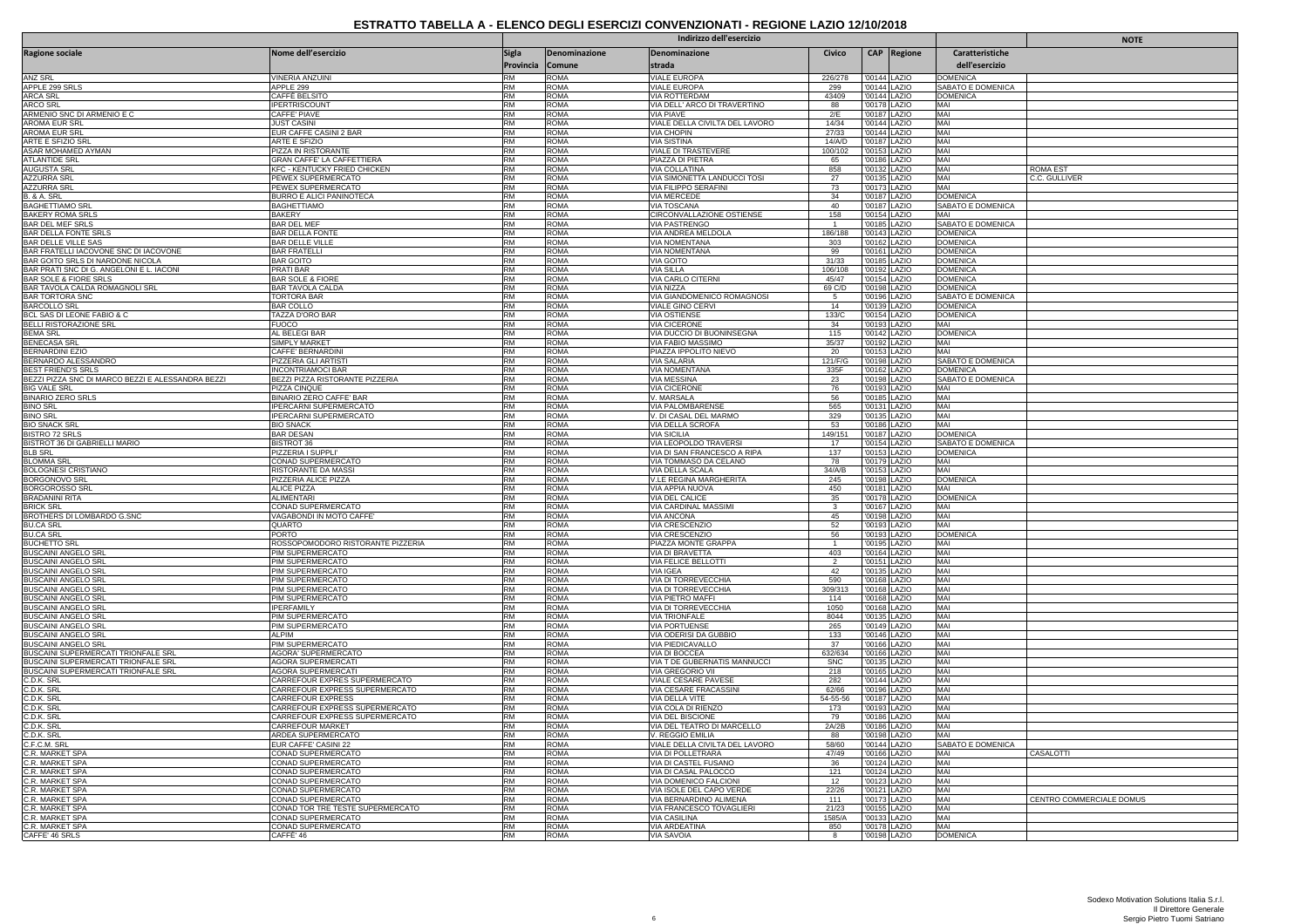|                                                                           |                                                                  |                           |                            | Indirizzo dell'esercizio                              |                       | <b>NOTE</b>                  |                              |                                      |                                  |
|---------------------------------------------------------------------------|------------------------------------------------------------------|---------------------------|----------------------------|-------------------------------------------------------|-----------------------|------------------------------|------------------------------|--------------------------------------|----------------------------------|
| <b>Ragione sociale</b>                                                    | Nome dell'esercizio                                              | <b>Sigla</b><br>Provincia | Denominazione<br>Comune    | Denominazione<br>strada                               | Civico                |                              | CAP Regione                  | Caratteristiche<br>dell'esercizio    |                                  |
| <b>ANZ SRL</b>                                                            | <b>VINERIA ANZUINI</b>                                           | <b>RM</b>                 | AMOS                       | <b>VIALE EUROPA</b>                                   | 226/278               | '00144 LAZIO                 |                              | <b>DOMENICA</b>                      |                                  |
| APPLE 299 SRLS<br><b>ARCA SRL</b>                                         | APPLE 299<br>CAFFÈ BELSITO                                       | RM<br>RM                  | <b>ROMA</b><br>roma        | <b>VIALE EUROPA</b><br><b>VIA ROTTERDAM</b>           | 299<br>43409          |                              | '00144 LAZIO                 | SABATO E DOMENICA<br><b>DOMENICA</b> |                                  |
| ARCO SRL                                                                  | <b>IPERTRISCOUNT</b>                                             | RM                        | <b>ROMA</b>                | VIA DELL' ARCO DI TRAVERTINO                          | 88                    |                              | '00144 LAZIO<br>'00178 LAZIO | MAI                                  |                                  |
| ARMENIO SNC DI ARMENIO E C                                                | <b>CAFFE' PIAVE</b>                                              | <b>RM</b>                 | <b>ROMA</b>                | <b>VIA PIAVE</b>                                      | 2/E                   | '00187 LAZIO                 |                              | MAI                                  |                                  |
| <b>AROMA EUR SRL</b>                                                      | <b>JUST CASINI</b>                                               | <b>RM</b>                 | <b>ROMA</b>                | VIALE DELLA CIVILTA DEL LAVORO                        | 14/34                 | '00144 LAZIO                 |                              | MAI                                  |                                  |
| <b>AROMA EUR SRI</b><br>ARTE E SFIZIO SRI                                 | EUR CAFFE CASINI 2 BAR<br>ARTE E SFIZIO                          | RM<br><b>RM</b>           | <b>ROMA</b><br><b>ROMA</b> | <b>VIA CHOPIN</b><br><b>VIA SISTINA</b>               | 27/33<br>14/A/D       | '00187 LAZIO                 | 00144 LAZIO                  | MAI<br>MAI                           |                                  |
| ASAR MOHAMED AYMAN                                                        | PIZZA IN RISTORANTE                                              | <b>RM</b>                 | ROMA                       | VIALE DI TRASTEVERE                                   | 100/102               |                              | '00153 LAZIO                 | MAI                                  |                                  |
| ATLANTIDE SRL                                                             | GRAN CAFFE' LA CAFFETTIERA                                       | RM                        | ROMA                       | PIAZZA DI PIETRA                                      | 65                    |                              | 00186 LAZIO                  | MAI                                  |                                  |
| <b>AUGUSTA SRL</b><br><b>AZZURRA SRL</b>                                  | <b>KFC - KENTUCKY FRIED CHICKEN</b><br>PEWEX SUPERMERCATO        | <b>RM</b><br><b>RM</b>    | <b>ROMA</b><br>ROMA        | <b>VIA COLLATINA</b><br>VIA SIMONETTA LANDUCCI TOSI   | 858<br>27             | '00132 LAZIO<br>'00135 LAZIO |                              | MAI<br>MAI                           | <b>ROMA EST</b><br>C.C. GULLIVER |
|                                                                           | PEWEX SUPERMERCATO                                               | <b>RM</b>                 | ROMA                       | VIA FILIPPO SERAFINI                                  | 73                    |                              | '00173 LAZIO                 | MAI                                  |                                  |
| AZZURRA SRL<br>B. & A. SRL                                                | <b>BURRO E ALICI PANINOTECA</b>                                  | <b>RM</b>                 | <b>ROMA</b>                | <b>VIA MERCEDE</b>                                    | 34                    | '00187 LAZIO                 |                              | <b>DOMENICA</b>                      |                                  |
| <b>BAGHETTIAMO SRL</b><br><b>BAKERY ROMA SRLS</b>                         | <b>BAGHETTIAMO</b><br><b>BAKERY</b>                              | <b>RM</b><br>RM           | <b>ROMA</b><br>ROMA        | VIA TOSCANA<br>CIRCONVALLAZIONE OSTIENSE              | 40<br>158             | '00187 LAZIO                 | 00154 LAZIO                  | SABATO E DOMENICA<br>MAI             |                                  |
| <b>BAR DEL MEF SRLS</b>                                                   | <b>BAR DEL MEF</b>                                               | <b>RM</b>                 | <b>ROMA</b>                | VIA PASTRENGO                                         | $\overline{1}$        | '00185 LAZIO                 |                              | SABATO E DOMENICA                    |                                  |
| BAR DELLA FONTE SRLS                                                      | <b>BAR DELLA FONTE</b>                                           | <b>RM</b>                 | <b>ROMA</b>                | VIA ANDREA MELDOLA                                    | 186/188               | '00143 LAZIO                 |                              | <b>DOMENICA</b>                      |                                  |
| <b>BAR DELLE VILLE SAS</b>                                                | <b>BAR DELLE VILLE</b>                                           | <b>RM</b>                 | <b>ROMA</b>                | VIA NOMENTANA                                         | 303                   |                              | '00162 LAZIO                 | <b>DOMENICA</b>                      |                                  |
| BAR FRATELLI IACOVONE SNC DI IACOVONE<br>BAR GOITO SRLS DI NARDONE NICOLA | <b>BAR FRATELLI</b><br><b>BAR GOITO</b>                          | RM<br><b>RM</b>           | <b>ROMA</b><br><b>ROMA</b> | VIA NOMENTANA<br><b>VIA GOITO</b>                     | 99<br>31/33           | '00161 LAZIO<br>'00185 LAZIO |                              | <b>DOMENICA</b><br><b>DOMENICA</b>   |                                  |
| BAR PRATI SNC DI G. ANGELONI E L. IACONI                                  | PRATI BAR                                                        | <b>RM</b>                 | <b>ROMA</b>                | <b>VIA SILLA</b>                                      | 106/108               | '00192 LAZIC                 |                              | <b>DOMENICA</b>                      |                                  |
| <b>BAR SOLE &amp; FIORE SRLS</b>                                          | <b>BAR SOLE &amp; FIORE</b>                                      | <b>RM</b>                 | <b>ROMA</b>                | VIA CARLO CITERNI                                     | 45/47                 | '00154 LAZIO                 |                              | <b>DOMENICA</b>                      |                                  |
| BAR TAVOLA CALDA ROMAGNOLI SRL<br><b>BAR TORTORA SNC</b>                  | <b>BAR TAVOLA CALDA</b><br><b>TORTORA BAR</b>                    | RM<br><b>RM</b>           | <b>ROMA</b><br><b>ROMA</b> | VIA NIZZA<br>VIA GIANDOMENICO ROMAGNOSI               | 69 C/D                | '00198 LAZIO                 |                              | <b>DOMENICA</b><br>SABATO E DOMENICA |                                  |
| <b>BARCOLLO SRL</b>                                                       | <b>BAR COLLO</b>                                                 | RM                        | <b>ROMA</b>                | VIALE GINO CERVI                                      | - 5<br>14             | '00196 LAZIO                 | '00139 LAZIO                 | <b>DOMENICA</b>                      |                                  |
| BCL SAS DI LEONE FABIO & C                                                | TAZZA D'ORO BAR                                                  | <b>RM</b>                 | <b>ROMA</b>                | <b>VIA OSTIENSE</b>                                   | 133/C                 | '00154 LAZIO                 |                              | <b>DOMENICA</b>                      |                                  |
| BELLI RISTORAZIONE SRL                                                    | <b>FUOCO</b>                                                     | RM                        | ROMA                       | <b>VIA CICERONE</b>                                   | 34                    |                              | '00193 LAZIO                 | MAI                                  |                                  |
| <b>BEMA SRL</b><br><b>BENECASA SR</b>                                     | AL BELEGI BAR<br><b>SIMPLY MARKET</b>                            | RM<br><b>RM</b>           | ROMA<br><b>ROMA</b>        | VIA DUCCIO DI BUONINSEGNA<br><b>VIA FABIO MASSIMO</b> | 115<br>35/37          | '00192 LAZIO                 | '00142 LAZIO                 | <b>DOMENICA</b><br>MAI               |                                  |
| BERNARDINI EZIO                                                           | CAFFE' BERNARDINI                                                | <b>RM</b>                 | ROMA                       | PIAZZA IPPOLITO NIEVO                                 | 20                    | '00153 LAZIO                 |                              | MAI                                  |                                  |
| BERNARDO ALESSANDRO                                                       | PIZZERIA GLI ARTISTI                                             | <b>RM</b>                 | ROMA                       | VIA SALARIA                                           | 121/F/G               |                              | '00198 LAZIO                 | SABATO E DOMENICA                    |                                  |
| <b>BEST FRIEND'S SRLS</b>                                                 | <b>INCONTRIAMOCI BAR</b>                                         | <b>RM</b>                 | <b>ROMA</b>                | <b>VIA NOMENTANA</b>                                  | 335F                  | '00162 LAZIO                 |                              | <b>DOMENICA</b>                      |                                  |
| BEZZI PIZZA SNC DI MARCO BEZZI E ALESSANDRA BEZZI<br><b>BIG VALE SRL</b>  | BEZZI PIZZA RISTORANTE PIZZERIA<br>PIZZA CINQUE                  | <b>RM</b><br><b>RM</b>    | <b>ROMA</b><br><b>AMOS</b> | VIA MESSINA<br><b>VIA CICERONE</b>                    | 23<br>76              | '00198 LAZIO                 | '00193 LAZIO                 | SABATO E DOMENICA<br>MAI             |                                  |
| <b>BINARIO ZERO SRLS</b>                                                  | BINARIO ZERO CAFFE' BAR                                          | <b>RM</b>                 | <b>ROMA</b>                | V. MARSALA                                            | 56                    | '00185 LAZIO                 |                              | MAI                                  |                                  |
| <b>BINO SRL</b>                                                           | IPERCARNI SUPERMERCATO                                           | <b>RM</b>                 | <b>ROMA</b>                | VIA PALOMBARENSE                                      | 565                   | '00131 LAZIO                 |                              | MAI                                  |                                  |
| <b>BINO SRL</b>                                                           | <b>IPERCARNI SUPERMERCATO</b>                                    | <b>RM</b>                 | <b>ROMA</b>                | V. DI CASAL DEL MARMO                                 | 329                   |                              | '00135 LAZIO                 | MAI<br>MAI                           |                                  |
| <b>BIO SNACK SR</b><br><b>BISTRO 72 SRLS</b>                              | <b>BIO SNACK</b><br><b>BAR DESAN</b>                             | <b>RM</b><br><b>RM</b>    | <b>ROMA</b><br><b>ROMA</b> | VIA DELLA SCROFA<br><b>VIA SICILIA</b>                | 53<br>149/151         | '00186 LAZIO<br>'00187 LAZIO |                              | <b>DOMENICA</b>                      |                                  |
| BISTROT 36 DI GABRIELLI MARIO                                             | <b>BISTROT 36</b>                                                | <b>RM</b>                 | <b>ROMA</b>                | VIA LEOPOLDO TRAVERSI                                 | 17                    |                              | '00154 LAZIO                 | SABATO E DOMENICA                    |                                  |
| <b>BLB SRL</b>                                                            | PIZZERIA I SUPPLI'                                               | <b>RM</b>                 | <b>ROMA</b>                | VIA DI SAN FRANCESCO A RIPA                           | 137                   | '00153 LAZIO                 |                              | <b>DOMENICA</b>                      |                                  |
| <b>BLOMMA SRL</b><br><b>BOLOGNESI CRISTIANO</b>                           | CONAD SUPERMERCATO<br>RISTORANTE DA MASSI                        | <b>RM</b><br><b>RM</b>    | <b>ROMA</b><br><b>ROMA</b> | VIA TOMMASO DA CELANO<br>VIA DELLA SCALA              | 78<br>34/A/B          | '00179 LAZIO                 | '00153 LAZIO                 | MAI<br>MAI                           |                                  |
| <b>BORGONOVO SRL</b>                                                      | PIZZERIA ALICE PIZZA                                             | <b>RM</b>                 | ROMA                       | V.LE REGINA MARGHERITA                                | 245                   |                              | '00198 LAZIO                 | <b>DOMENICA</b>                      |                                  |
| <b>BORGOROSSO SRL</b>                                                     | <b>ALICE PIZZA</b>                                               | <b>RM</b>                 | <b>ROMA</b>                | VIA APPIA NUOVA                                       | 450                   | '00181 LAZIO                 |                              | MAI                                  |                                  |
| <b>BRADANINI RITA</b>                                                     | ALIMENTARI                                                       | RM                        | <b>ROMA</b>                | VIA DEL CALICE                                        | 35                    |                              | '00178 LAZIO                 | <b>DOMENICA</b>                      |                                  |
| <b>BRICK SRL</b><br>BROTHERS DI LOMBARDO G.SNC                            | CONAD SUPERMERCATO<br>VAGABONDI IN MOTO CAFFE'                   | RM<br><b>RM</b>           | <b>ROMA</b><br><b>ROMA</b> | VIA CARDINAL MASSIMI<br><b>VIA ANCONA</b>             | 3<br>45               | '00198 LAZIO                 | '00167 LAZIO                 | MAI<br>MAI                           |                                  |
| <b>BU.CA SRL</b>                                                          | QUARTO                                                           | <b>RM</b>                 | ROMA                       | VIA CRESCENZIO                                        | 52                    | '00193 LAZIO                 |                              | MAI                                  |                                  |
| <b>BU.CA SRL</b>                                                          | PORTO                                                            | <b>RM</b>                 | ROMA                       | VIA CRESCENZIO                                        | 56                    |                              | '00193 LAZIO                 | <b>DOMENICA</b>                      |                                  |
| <b>BUCHETTO SRI</b><br><b>BUSCAINI ANGELO SRL</b>                         | ROSSOPOMODORO RISTORANTE PIZZERIA<br>PIM SUPERMERCATO            | <b>RM</b><br><b>RM</b>    | <b>ROMA</b><br><b>ROMA</b> | PIAZZA MONTE GRAPPA<br>VIA DI BRAVETTA                | $\overline{1}$<br>403 | '00195 LAZIO<br>'00164 LAZIO |                              | MAI<br>MAI                           |                                  |
| <b>BUSCAINI ANGELO SRL</b>                                                | PIM SUPERMERCATO                                                 | <b>RM</b>                 | <b>AMOS</b>                | VIA FELICE BELLOTTI                                   |                       | 00151                        | LAZIO                        | MAI                                  |                                  |
| <b>BUSCAINI ANGELO SRI</b>                                                | PIM SUPERMERCATO                                                 | <b>RM</b>                 | <b>ROMA</b>                | VIA IGFA                                              | 42                    | '00135 LAZIO                 |                              | MAI                                  |                                  |
| <b>BUSCAINI ANGELO SRI</b>                                                | PIM SUPERMERCATO                                                 | <b>RM</b>                 | <b>ROMA</b>                | VIA DI TORREVECCHIA                                   | 590                   | '00168 LAZIO                 |                              | MAI                                  |                                  |
| <b>BUSCAINI ANGELO SRI</b><br><b>BUSCAINI ANGELO SRL</b>                  | PIM SUPERMERCATO<br>PIM SUPERMERCATO                             | <b>RM</b><br><b>RM</b>    | <b>ROMA</b><br><b>ROMA</b> | VIA DI TORREVECCHIA<br>VIA PIETRO MAFFI               | 309/313<br>114        |                              | 00168 LAZIO<br>'00168 LAZIO  | MAI<br>MAI                           |                                  |
| <b>BUSCAINI ANGELO SRI</b>                                                | <b>IPERFAMILY</b>                                                | <b>RM</b>                 | <b>ROMA</b>                | VIA DI TORREVECCHIA                                   | 1050                  | '00168 LAZIO                 |                              | MAI                                  |                                  |
| <b>BUSCAINI ANGELO SRI</b>                                                | PIM SUPERMERCATO                                                 | <b>RM</b>                 | <b>ROMA</b>                | <b>VIA TRIONFALE</b>                                  | 8044                  |                              | '00135 LAZIO                 | MAI                                  |                                  |
| <b>BUSCAINI ANGELO SRI</b><br><b>BUSCAINI ANGELO SRI</b>                  | PIM SUPERMERCATO<br><b>ALPIM</b>                                 | <b>RM</b><br><b>RM</b>    | <b>ROMA</b><br><b>ROMA</b> | <b>VIA PORTUENSE</b><br>VIA ODERISI DA GUBBIO         | 265<br>133            | '00149 LAZIO                 | '00146 LAZIO                 | MAI<br>MAI                           |                                  |
| <b>BUSCAINI ANGELO SRL</b>                                                | PIM SUPERMERCATO                                                 | <b>RM</b>                 | <b>ROMA</b>                | <u>VIA PIEDICAVALLO</u>                               | 37                    |                              | '00166 LAZIO                 | MAI                                  |                                  |
| BUSCAINI SUPERMERCATI TRIONFALE SRL                                       | AGORA' SUPERMERCATO                                              | <b>RM</b>                 | <b>ROMA</b>                | VIA DI BOCCEA                                         | 632/634               |                              | '00166 LAZIO                 | MAI                                  |                                  |
| BUSCAINI SUPERMERCATI TRIONFALE SRL                                       | <b>AGORA SUPERMERCATI</b>                                        | <b>RM</b><br>RM           | <b>ROMA</b><br><b>ROMA</b> | VIA T DE GUBERNATIS MANNUCCI                          | <b>SNC</b>            |                              | '00135 LAZIO                 | MAI<br>MAI                           |                                  |
| BUSCAINI SUPERMERCATI TRIONFALE SRL                                       | <b>AGORA SUPERMERCATI</b><br>CARREFOUR EXPRES SUPERMERCATO       | RM                        | <b>ROMA</b>                | VIA GREGORIO VII<br>VIALE CESARE PAVESE               | 218<br>282            |                              | '00165 LAZIO<br>'00144 LAZIO | MAI                                  |                                  |
| C.D.K. SRL<br>C.D.K. SRL                                                  | CARREFOUR EXPRESS SUPERMERCATO                                   | <b>RM</b>                 | <b>ROMA</b>                | <b>VIA CESARE FRACASSINI</b>                          | 62/66                 | '00196 LAZIO                 |                              | MAI                                  |                                  |
| C.D.K. SRL<br>C.D.K. SRL<br>C.D.K. SRL                                    | CARREFOUR EXPRESS                                                | <b>RM</b>                 | ROMA                       | VIA DELLA VITE                                        | 54-55-56              |                              | '00187 LAZIO                 | MAI                                  |                                  |
|                                                                           | CARREFOUR EXPRESS SUPERMERCATO<br>CARREFOUR EXPRESS SUPERMERCATO | <b>RM</b><br><b>RM</b>    | ROMA<br><b>ROMA</b>        | VIA COLA DI RIENZO<br><b>VIA DEL BISCIONE</b>         | 173<br>79             | '00186 LAZIO                 | '00193 LAZIO                 | MAI<br>MAI                           |                                  |
| C.D.K. SRL                                                                | CARREFOUR MARKET                                                 | <b>RM</b>                 | <b>ROMA</b>                | VIA DEL TEATRO DI MARCELLO                            | 2A/2B                 | '00186 LAZIO                 |                              | MAI                                  |                                  |
| C.D.K. SRL                                                                | ARDEA SUPERMERCATO                                               | <b>RM</b>                 | <b>AMOS</b>                | V. REGGIO EMILIA                                      | 88                    |                              | '00198 LAZIO                 | MAI                                  |                                  |
| C.F.C.M. SRI                                                              | FUR CAFFF' CASINI 22                                             | <b>RM</b>                 | <b>ROMA</b>                | VIALE DELLA CIVILTA DEL LAVORO                        | 58/60                 | '00144 LAZIO                 |                              | SABATO E DOMENICA                    |                                  |
| C.R. MARKET SPA                                                           | CONAD SUPERMERCATO<br>CONAD SUPERMERCATO                         | <b>RM</b><br><b>RM</b>    | <b>ROMA</b><br><b>ROMA</b> | VIA DI POLLETRARA<br>VIA DI CASTEL FUSANO             | 47/49<br>36           | '00166 LAZIO                 | '00124 LAZIO                 | MAI<br>MAI                           | CASALOTTI                        |
| C.R. MARKET SPA<br>C.R. MARKET SPA                                        | CONAD SUPERMERCATO                                               | <b>RM</b>                 | <b>ROMA</b>                | VIA DI CASAL PALOCCO                                  | 121                   | '00124 LAZIO                 |                              | MAI                                  |                                  |
| C.R. MARKET SPA                                                           | <b>CONAD SUPERMERCATO</b>                                        | <b>RM</b>                 | <b>ROMA</b>                | VIA DOMENICO FALCIONI                                 | 12                    |                              | '00123 LAZIO                 | MAI                                  |                                  |
|                                                                           | CONAD SUPERMERCATO                                               | <b>RM</b><br><b>RM</b>    | <b>ROMA</b>                | VIA ISOLE DEL CAPO VERDI                              | 22/26<br>111          |                              | '00121 LAZIO                 | MAI<br>MAI                           |                                  |
| <b>C.R. MARKET SPA</b><br>C.R. MARKET SPA<br>C.R. MARKET SPA              | CONAD SUPERMERCATO<br>CONAD TOR TRE TESTE SUPERMERCATO           | <b>RM</b>                 | ROMA<br><b>ROMA</b>        | VIA BERNARDINO ALIMENA<br>VIA FRANCESCO TOVAGLIERI    | 21/23                 |                              | '00173 LAZIO<br>'00155 LAZIO | MAI                                  | CENTRO COMMERCIALE DOMUS         |
| C.R. MARKET SPA                                                           | CONAD SUPERMERCATO                                               | <b>RM</b>                 | <b>ROMA</b>                | VIA CASILINA                                          | 1585/A                |                              | '00133 LAZIO                 | MAI                                  |                                  |
| C.R. MARKET SPA                                                           | CONAD SUPERMERCATO                                               | <b>RM</b>                 | <b>ROMA</b>                | VIA ARDEATINA                                         | 850                   | '00178 LAZIO                 |                              | MAI                                  |                                  |
| CAFFE' 46 SRLS                                                            | CAFFÈ' 46                                                        | <b>RM</b>                 | <b>ROMA</b>                | VIA SAVOIA                                            | 8                     | '00198 LAZIO                 |                              | <b>DOMENICA</b>                      |                                  |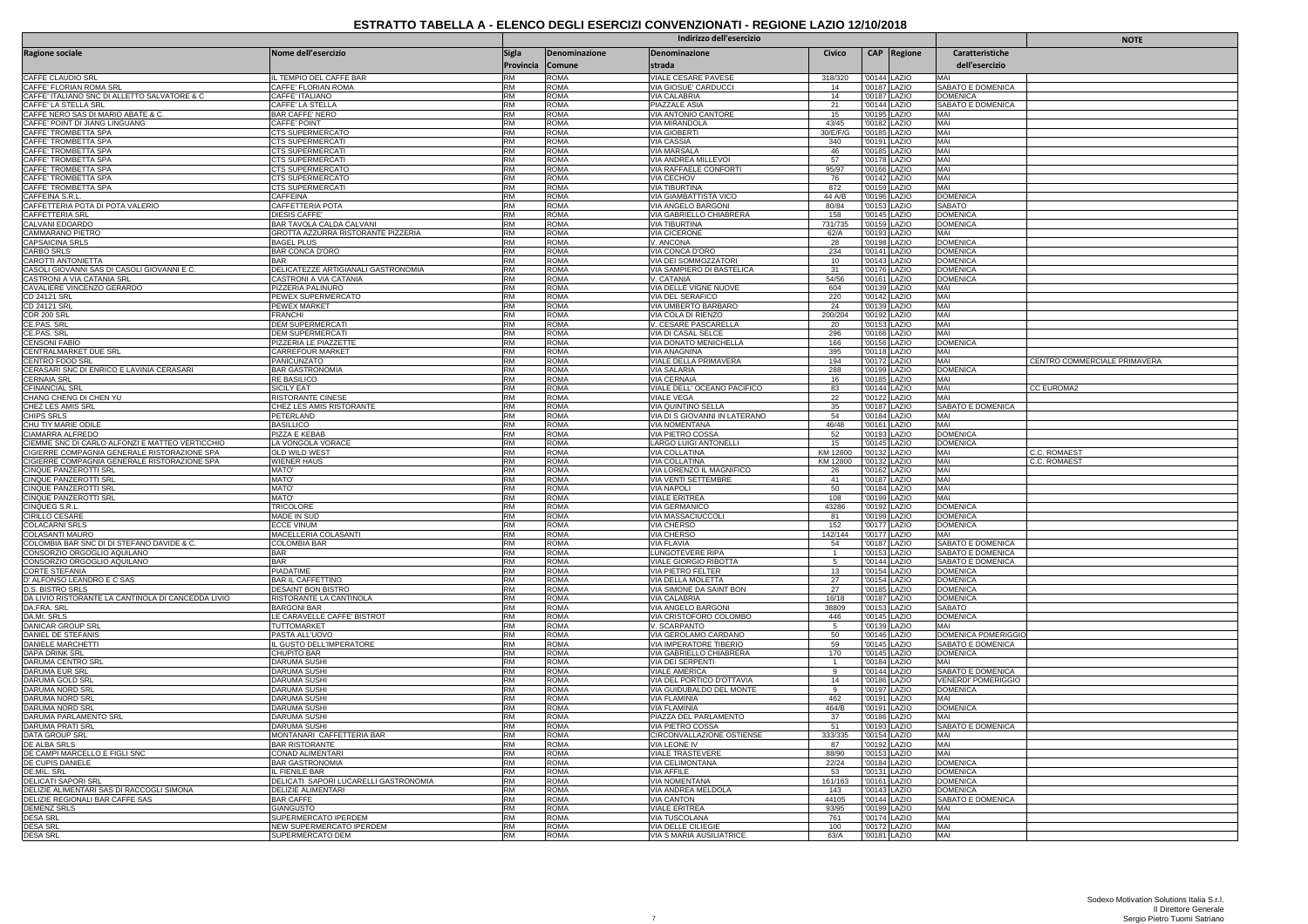|                                                                              |                                                    | Indirizzo dell'esercizio  |                            |                                                   |                          |                              |             |                                        | <b>NOTE</b>                  |
|------------------------------------------------------------------------------|----------------------------------------------------|---------------------------|----------------------------|---------------------------------------------------|--------------------------|------------------------------|-------------|----------------------------------------|------------------------------|
| Ragione sociale                                                              | Nome dell'esercizio                                | <b>Sigla</b><br>Provincia | Denominazione<br>Comune    | Denominazione<br>strada                           | Civico                   |                              | CAP Regione | Caratteristiche<br>dell'esercizio      |                              |
| CAFFE CLAUDIO SRL                                                            | IL TEMPIO DEL CAFFE BAR                            | <b>RM</b>                 | <b>ROMA</b>                | VIALE CESARE PAVESE                               | 318/320                  | '00144 LAZIO                 |             | MAI                                    |                              |
| CAFFE' FLORIAN ROMA SRL<br>CAFFE' ITALIANO SNC DI ALLETTO SALVATORE & C      | CAFFE' FLORIAN ROMA<br>CAFFF' ITALIANO             | <b>RM</b><br><b>RM</b>    | <b>ROMA</b><br><b>ROMA</b> | VIA GIOSUE' CARDUCCI<br>VIA CALABRIA              | 14<br>14                 | '00187 LAZIO<br>'00187 LAZIO |             | SABATO E DOMENICA<br><b>DOMENICA</b>   |                              |
| CAFFE' LA STELLA SRL                                                         | CAFFE' LA STELLA                                   | <b>RM</b>                 | <b>ROMA</b>                | PIAZZALE ASIA                                     | 21                       | '00144 LAZIO                 |             | SABATO E DOMENICA                      |                              |
| CAFFE NERO SAS DI MARIO ABATE & C                                            | <b>BAR CAFFE' NERO</b>                             | <b>RM</b>                 | <b>ROMA</b>                | VIA ANTONIO CANTORE                               | 15                       | '00195 LAZIO                 |             | MAI                                    |                              |
| CAFFE' POINT DI JIANG LINGUANG                                               | CAFFF' POINT<br>CTS SUPERMERCATO                   | <b>RM</b><br><b>RM</b>    | <b>ROMA</b><br><b>ROMA</b> | VIA MIRANDOLA                                     | 43/45<br>30/E/F/G        | '00182 LAZIO<br>'00185 LAZIO |             | MAI<br>MAI                             |                              |
| CAFFE' TROMBETTA SPA<br>CAFFE' TROMBETTA SPA                                 | CTS SUPERMERCATI                                   | RM                        | <b>ROMA</b>                | <b>VIA GIOBERTI</b><br><b>VIA CASSIA</b>          | 340                      | '00191 LAZIO                 |             | MAI                                    |                              |
| CAFFE' TROMBETTA SPA                                                         | CTS SUPERMERCATI                                   | <b>RM</b>                 | <b>ROMA</b>                | <b>VIA MARSALA</b>                                | 46                       | '00185 LAZIO                 |             | MAI                                    |                              |
| CAFFE' TROMBETTA SPA<br>CAFFE' TROMBETTA SPA                                 | <b>CTS SUPERMERCATI</b><br><b>CTS SUPERMERCATO</b> | RM<br><b>RM</b>           | <b>ROMA</b><br><b>ROMA</b> | VIA ANDREA MILLEVOI<br>VIA RAFFAELE CONFORT       | 57<br>95/97              | '00178 LAZIO<br>'00166 LAZIO |             | MAI<br>MAI                             |                              |
| CAFFE' TROMBETTA SPA                                                         | CTS SUPERMERCATO                                   | <b>RM</b>                 | <b>ROMA</b>                | VIA CECHOV                                        | 76                       | '00142 LAZIO                 |             | MAI                                    |                              |
| CAFFE' TROMBETTA SPA                                                         | CTS SUPERMERCATI                                   | RM                        | <b>ROMA</b>                | <b>VIA TIBURTINA</b>                              | 872                      | '00159 LAZIO                 |             | MAI                                    |                              |
| CAFFEINA S.R.L                                                               | <b>CAFFEINA</b>                                    | RM                        | <b>ROMA</b>                | <b>VIA GIAMBATTISTA VICO</b>                      | 44 A/B                   | '00196 LAZIO                 |             | <b>DOMENICA</b>                        |                              |
| CAFFETTERIA POTA DI POTA VALERIO<br>CAFFETTERIA SRL                          | CAFFETTERIA POTA<br>DIESIS CAFFE                   | <b>RM</b><br>RM           | <b>ROMA</b><br><b>ROMA</b> | VIA ANGELO BARGONI<br>VIA GABRIELLO CHIABRERA     | 80/84<br>158             | '00153 LAZIO<br>'00145 LAZIO |             | <b>SABATO</b><br><b>DOMENICA</b>       |                              |
| CALVANI EDOARDO                                                              | BAR TAVOLA CALDA CALVANI                           | RM                        | <b>ROMA</b>                | <b>VIA TIBURTINA</b>                              | 731/735                  | '00159 LAZIO                 |             | <b>DOMENICA</b>                        |                              |
| CAMMARANO PIETRO                                                             | GROTTA AZZURRA RISTORANTE PIZZERIA                 | <b>RM</b>                 | <b>ROMA</b>                | <b>VIA CICERONE</b>                               | 62/A                     | '00193 LAZIO                 |             | MAI                                    |                              |
| CAPSAICINA SRLS                                                              | <b>BAGEL PLUS</b>                                  | <b>RM</b><br><b>RM</b>    | <b>ROMA</b><br><b>ROMA</b> | V. ANCONA                                         | 28<br>234                | '00198 LAZIO                 |             | <b>DOMENICA</b><br><b>DOMENICA</b>     |                              |
| CARBO SRLS<br>CAROTTI ANTONIETTA                                             | <b>BAR CONCA D'ORO</b><br><b>BAR</b>               | <b>RM</b>                 | <b>ROMA</b>                | VIA CONCA D'ORO<br>VIA DEI SOMMOZZATORI           | 10                       | '00141 LAZIO<br>'00143 LAZIO |             | <b>DOMENICA</b>                        |                              |
| CASOLI GIOVANNI SAS DI CASOLI GIOVANNI E C.                                  | DELICATEZZE ARTIGIANALI GASTRONOMIA                | <b>RM</b>                 | <b>ROMA</b>                | VIA SAMPIERO DI BASTELICA                         | 31                       | '00176 LAZIO                 |             | <b>DOMENICA</b>                        |                              |
| CASTRONI A VIA CATANIA SRL                                                   | <b>CASTRONI A VIA CATANIA</b>                      | <b>RM</b>                 | <b>ROMA</b>                | V. CATANIA                                        | 54/56                    | '00161 LAZIO                 |             | <b>DOMENICA</b>                        |                              |
| CAVALIERE VINCENZO GERARDO<br>CD 24121 SRL                                   | PIZZERIA PALINURO<br>PEWEX SUPERMERCATO            | <b>RM</b><br><b>RM</b>    | <b>ROMA</b><br><b>ROMA</b> | VIA DELLE VIGNE NUOVE<br>VIA DEL SERAFICO         | 604<br>220               | '00139 LAZIO<br>'00142 LAZIO |             | MAI<br>MAI                             |                              |
| CD 24121 SRL                                                                 | PEWEX MARKET                                       | RM                        | <b>ROMA</b>                | VIA UMBERTO BARBAR                                | 24                       | '00139 LAZIO                 |             | MAI                                    |                              |
| CDR 200 SRL                                                                  | <b>FRANCHI</b>                                     | RM                        | <b>ROMA</b>                | VIA COLA DI RIENZO                                | 200/204                  | '00192 LAZIO                 |             | MAI                                    |                              |
| CE.PAS. SRL                                                                  | <b>DEM SUPERMERCATI</b>                            | <b>RM</b>                 | <b>ROMA</b>                | V. CESARE PASCARELLA                              | 20                       | '00153 LAZIO                 |             | MAI                                    |                              |
| CE.PAS. SRL<br><b>CENSONI FABIO</b>                                          | <b>DEM SUPERMERCATI</b><br>PIZZERIA LE PIAZZETTE   | <b>RM</b><br>RM           | <b>ROMA</b><br><b>ROMA</b> | VIA DI CASAL SELCE<br>VIA DONATO MENICHELLA       | 296<br>166               | '00166 LAZIO<br>'00156 LAZIO |             | MAI<br><b>DOMENICA</b>                 |                              |
| CENTRALMARKET DUE SRL                                                        | CARREFOUR MARKET                                   | <b>RM</b>                 | <b>ROMA</b>                | <b>VIA ANAGNINA</b>                               | 395                      | '00118 LAZIO                 |             | MAI                                    |                              |
| <b>CENTRO FOOD SRI</b>                                                       | <b>PANICUNZATO</b>                                 | RM                        | <b>ROMA</b>                | VIALE DELLA PRIMAVERA                             | 194                      | '00172 LAZIO                 |             | MAI                                    | CENTRO COMMERCIALE PRIMAVERA |
| CERASARI SNC DI ENRICO E LAVINIA CERASARI                                    | <b>BAR GASTRONOMIA</b>                             | <b>RM</b><br><b>RM</b>    | <b>ROMA</b>                | <b>VIA SALARIA</b>                                | 288<br>16                | '00199 LAZIO                 |             | <b>DOMENICA</b><br>MAI                 |                              |
| <b>CERNAIA SRL</b><br>CFINANCIAL SRL                                         | RE BASILICO<br>SICILY EAT                          | RM                        | <b>ROMA</b><br><b>ROMA</b> | <b>VIA CERNAIA</b><br>VIALE DELL' OCEANO PACIFICO | 83                       | '00185 LAZIO<br>'00144 LAZIO |             | MAI                                    | <b>CC EUROMA2</b>            |
| CHANG CHENG DI CHEN YU                                                       | RISTORANTE CINESE                                  | <b>RM</b>                 | <b>ROMA</b>                | <b>VIALE VEGA</b>                                 | 22                       | '00122 LAZIO                 |             | MAI                                    |                              |
| CHEZ LES AMIS SRL                                                            | CHEZ LES AMIS RISTORANTE                           | <b>RM</b>                 | ROMA                       | VIA QUINTINO SELLA                                | 35                       | '00187 LAZIO                 |             | <b>SABATO E DOMENICA</b>               |                              |
| <b>CHIPS SRLS</b><br>CHU TIY MARIE ODILE                                     | PETERLAND<br><b>BASILLICO</b>                      | RM<br><b>RM</b>           | <b>ROMA</b><br><b>ROMA</b> | VIA DI S GIOVANNI IN LATERANO<br>VIA NOMENTANA    | 54<br>46/48              | '00184 LAZIO<br>'00161 LAZIO |             | MAI<br>MAI                             |                              |
| CIAMARRA ALFREDO                                                             | PIZZA E KEBAB                                      | <b>RM</b>                 | <b>ROMA</b>                | VIA PIETRO COSSA                                  | 52                       | '00193 LAZIO                 |             | <b>DOMENICA</b>                        |                              |
| CIEMME SNC DI CARLO ALFONZI E MATTEO VERTICCHIO                              | A VONGOLA VORACE                                   | <b>RM</b>                 | <b>ROMA</b>                | <b>LARGO LUIGI ANTONELLI</b>                      | 15                       | '00145 LAZIO                 |             | <b>DOMENICA</b>                        |                              |
| CIGIERRE COMPAGNIA GENERALE RISTORAZIONE SPA                                 | <b>OLD WILD WEST</b>                               | <b>RM</b>                 | <b>ROMA</b>                | VIA COLLATINA                                     | KM 12800                 | '00132 LAZIO                 |             | MAI                                    | C.C. ROMAEST                 |
| CIGIERRE COMPAGNIA GENERALE RISTORAZIONE SPA<br>CINQUE PANZEROTTI SRL        | <b>WIENER HAUS</b><br>MATO'                        | <b>RM</b><br><b>RM</b>    | <b>ROMA</b><br><b>ROMA</b> | VIA COLLATINA<br>VIA LORENZO IL MAGNIFICO         | KM 12800<br>26           | '00132 LAZIO<br>'00162 LAZIO |             | MAI<br>MAI                             | C.C. ROMAEST                 |
| CINQUE PANZEROTTI SRL                                                        | <b>MATO</b>                                        | <b>RM</b>                 | <b>ROMA</b>                | <b>VIA VENTI SETTEMBRE</b>                        | 41                       | '00187 LAZIO                 |             | MAI                                    |                              |
| CINQUE PANZEROTTI SRL                                                        | MATO'                                              | <b>RM</b>                 | <b>ROMA</b>                | <b>VIA NAPOLI</b>                                 | 50                       | '00184 LAZIO                 |             | MAI                                    |                              |
| <b>CINQUE PANZEROTTI SRL</b>                                                 | <b>MATO</b><br><b>TRICOLORE</b>                    | <b>RM</b><br>RM           | <b>ROMA</b><br><b>ROMA</b> | <b>VIALE ERITREA</b><br>VIA GERMANICO             | 108<br>43286             | '00199 LAZIO<br>'00192       |             | MAI<br><b>DOMENICA</b>                 |                              |
| CINQUEG S.R.L<br><b>CIRILLO CESARE</b>                                       | <b>MADE IN SUD</b>                                 | RM                        | <b>ROMA</b>                | VIA MASSACIUCCOLI                                 | 81                       | '00199 LAZIO                 | LAZIO       | <b>DOMENICA</b>                        |                              |
| <b>COLACARNI SRLS</b>                                                        | <b>FCCF VINUM</b>                                  | <b>RM</b>                 | <b>ROMA</b>                | VIA CHERSO                                        | 152                      | '00177 LAZIO                 |             | <b>DOMENICA</b>                        |                              |
| COLASANTI MAURO                                                              | MACELLERIA COLASANTI                               | <b>RM</b>                 | <b>ROMA</b>                | <b>VIA CHERSC</b>                                 | 142/144                  | '00177 LAZIO                 |             | MAI                                    |                              |
| COLOMBIA BAR SNC DI DI STEFANO DAVIDE & C.<br>CONSORZIO ORGOGLIO AQUILANO    | <b>COLOMBIA BAR</b><br><b>BAR</b>                  | <b>RM</b><br><b>RM</b>    | <b>ROMA</b><br><b>ROMA</b> | <b>VIA FLAVIA</b><br>LUNGOTEVERE RIPA             | 54<br>$\overline{1}$     | '00187 LAZIO<br>'00153 LAZIO |             | SABATO E DOMENICA<br>SABATO E DOMENICA |                              |
| CONSORZIO ORGOGLIO AQUILANO                                                  | <b>BAR</b>                                         | <b>RM</b>                 | <b>ROMA</b>                | VIALE GIORGIO RIBOTTA                             |                          | '00144 LAZIO                 |             | SABATO E DOMENICA                      |                              |
| <b>CORTE STEFANIA</b>                                                        | PIADATIME                                          | <b>RM</b>                 | <b>ROMA</b>                | VIA PIETRO FELTER                                 | 13                       | '00154 LAZIO                 |             | <b>DOMENICA</b>                        |                              |
| D' ALFONSO LEANDRO E C SAS<br>D.S. BISTRO SRLS                               | BAR IL CAFFETTINO<br><b>DESAINT BON BISTRO</b>     | <b>RM</b><br>RM           | <b>ROMA</b><br><b>ROMA</b> | VIA DELLA MOLETTA<br>VIA SIMONE DA SAINT BON      | 27<br>27                 | '00154 LAZIO<br>'00185 LAZIO |             | <b>DOMENICA</b><br><b>DOMENICA</b>     |                              |
| DA LIVIO RISTORANTE LA CANTINOLA DI CANCEDDA LIVIO                           | RISTORANTE LA CANTINOLA                            | RM                        | <b>ROMA</b>                | <b>VIA CALABRIA</b>                               | 16/18                    | '00187 LAZIO                 |             | <b>DOMENICA</b>                        |                              |
| DA.FRA. SRL                                                                  | <b>BARGONI BAR</b>                                 | <b>RM</b>                 | ROMA                       | VIA ANGELO BARGONI                                | 38809                    | '00153 LAZIO                 |             | SABATO                                 |                              |
| DA.MI. SRLS                                                                  | <b>E CARAVELLE CAFFE' BISTROT</b>                  | RM                        | <b>ROMA</b>                | VIA CRISTOFORO COLOMBO                            | 446                      | '00145 LAZIO                 |             | <b>DOMENICA</b>                        |                              |
| <b>DANICAR GROUP SRI</b><br>DANIEL DE STEFANIS                               | <b>TUTTOMARKET</b><br>PASTA ALL'UOVC               | RM<br><b>RM</b>           | <b>ROMA</b><br><b>ROMA</b> | V. SCARPANTO<br>VIA GEROLAMO CARDANO              | -5<br>50                 | '00139 LAZIO<br>'00146 LAZIO |             | MAI<br><b>DOMENICA POMERIGGIO</b>      |                              |
| <b>DANIELE MARCHETTI</b>                                                     | IL GUSTO DELL'IMPERATORE                           | <b>RM</b>                 | <b>ROMA</b>                | VIA IMPERATORE TIBERIO                            | 59                       |                              |             | SABATO E DOMENICA                      |                              |
| <b>DAPA DRINK SRL</b>                                                        | CHUPITO BAR                                        | RM                        | <b>ROMA</b>                | VIA GABRIELLO CHIABRERA                           | 170                      | '00145 LAZIO<br>'00145 LAZIO |             | <b>DOMENICA</b>                        |                              |
| DARUMA CENTRO SRI<br><b>DARUMA EUR SRL</b>                                   | <b>DARUMA SUSHI</b><br><b>DARUMA SUSHI</b>         | <b>RM</b><br><b>RM</b>    | <b>ROMA</b><br><b>ROMA</b> | VIA DEI SERPENTI<br><b>VIALE AMERICA</b>          | $\overline{1}$<br>$_{9}$ | '00184 LAZIO<br>'00144 LAZIO |             | MAI<br>SABATO E DOMENICA               |                              |
| DARUMA GOLD SR                                                               | <b>DARUMA SUSHI</b>                                | <b>RM</b>                 | <b>ROMA</b>                | VIA DEL PORTICO D'OTTAVIA                         | 14                       | '00186 LAZIO                 |             | <b>VENERDI' POMERIGGIO</b>             |                              |
| DARUMA NORD SRL                                                              | DARUMA SUSHI                                       | <b>RM</b>                 | <b>ROMA</b>                | VIA GUIDUBALDO DEL MONTE                          | -9                       | '00197 LAZIO                 |             | <b>DOMENICA</b>                        |                              |
| DARUMA NORD SRL                                                              | <b>DARUMA SUSHI</b>                                | <b>RM</b>                 | <b>ROMA</b>                | <b>VIA FLAMINIA</b>                               | 462                      | '00191 LAZIO                 |             | MAI                                    |                              |
| DARUMA NORD SRL<br>DARUMA PARLAMENTO SRL                                     | <b>DARUMA SUSHI</b><br><b>DARUMA SUSHI</b>         | RM<br>RM                  | <b>ROMA</b><br><b>ROMA</b> | <b>VIA FLAMINIA</b><br>PIAZZA DEL PARLAMENTO      | 464/B<br>37              | '00191 LAZIO<br>'00186 LAZIO |             | <b>DOMENICA</b><br>MAI                 |                              |
| DARUMA PRATI SRL                                                             | <b>DARUMA SUSHI</b>                                | <b>RM</b>                 | <b>ROMA</b>                | VIA PIETRO COSSA                                  | 51                       | '00193 LAZIO                 |             | SABATO E DOMENICA                      |                              |
| DATA GROUP SRL                                                               | MONTANARI CAFFETTERIA BAR                          | RM                        | <b>ROMA</b>                | CIRCONVALLAZIONE OSTIENSE                         | 333/335                  | '00154 LAZIO                 |             | MAI                                    |                              |
| DE ALBA SRLS                                                                 | <b>BAR RISTORANTE</b>                              | RM<br><b>RM</b>           | <b>ROMA</b>                | VIA LEONE IV                                      | 87                       | '00192 LAZIO                 |             | MAI<br>MAI                             |                              |
| DE CAMPI MARCELLO E FIGLI SNC<br>DE CUPIS DANIELE                            | <b>CONAD ALIMENTARI</b><br><b>BAR GASTRONOMIA</b>  | RM                        | <b>ROMA</b><br><b>ROMA</b> | <b>VIALE TRASTEVERE</b><br>VIA CELIMONTANA        | 88/90<br>22/24           | '00153 LAZIO<br>'00184 LAZIO |             | <b>DOMENICA</b>                        |                              |
| DE.MIL. SRL                                                                  | IL FIENILE BAR                                     | RM                        | <b>ROMA</b>                | <b>VIA AFFILE</b>                                 | 53                       | '00131 LAZIO                 |             | <b>DOMENICA</b>                        |                              |
| DELICATI SAPORI SRL                                                          | DELICATI SAPORI LUCARELLI GASTRONOMIA              | <b>RM</b>                 | <b>ROMA</b>                | VIA NOMENTANA                                     | 161/163                  | '00161 LAZIO                 |             | DOMENICA                               |                              |
| DELIZIE ALIMENTARI SAS DI RACCOGLI SIMONA<br>DELIZIE REGIONALI BAR CAFFE SAS | DELIZIE ALIMENTARI<br><b>BAR CAFFE</b>             | RM<br><b>RM</b>           | <b>ROMA</b>                | VIA ANDREA MELDOLA<br><b>VIA CANTON</b>           | 143<br>44105             | '00143 LAZIO                 |             | <b>DOMENICA</b><br>SABATO E DOMENICA   |                              |
| DEMENZ SRLS                                                                  | <b>GIANGUSTO</b>                                   | <b>RM</b>                 | <b>ROMA</b><br>ROMA        | VIALE ERITREA                                     | 93/95                    | '00144 LAZIO<br>'00199 LAZIO |             | MAI                                    |                              |
| <b>DESA SRL</b>                                                              | SUPERMERCATO IPERDEM                               | <b>RM</b>                 | <b>ROMA</b>                | VIA TUSCOLANA                                     | 761                      | '00174 LAZIO                 |             | MAI                                    |                              |
| <b>DESA SRL</b>                                                              | NEW SUPERMERCATO IPERDEM                           | <b>RM</b>                 | <b>ROMA</b>                | <b>VIA DELLE CILIEGIE</b>                         | 100                      | '00172 LAZIO                 |             | MAI                                    |                              |
| <b>DESA SRL</b>                                                              | SUPERMERCATO DEM                                   | <b>RM</b>                 | <b>ROMA</b>                | VIA S MARIA AUSILIATRICE                          | 63/A                     | '00181 LAZIO                 |             | MAI                                    |                              |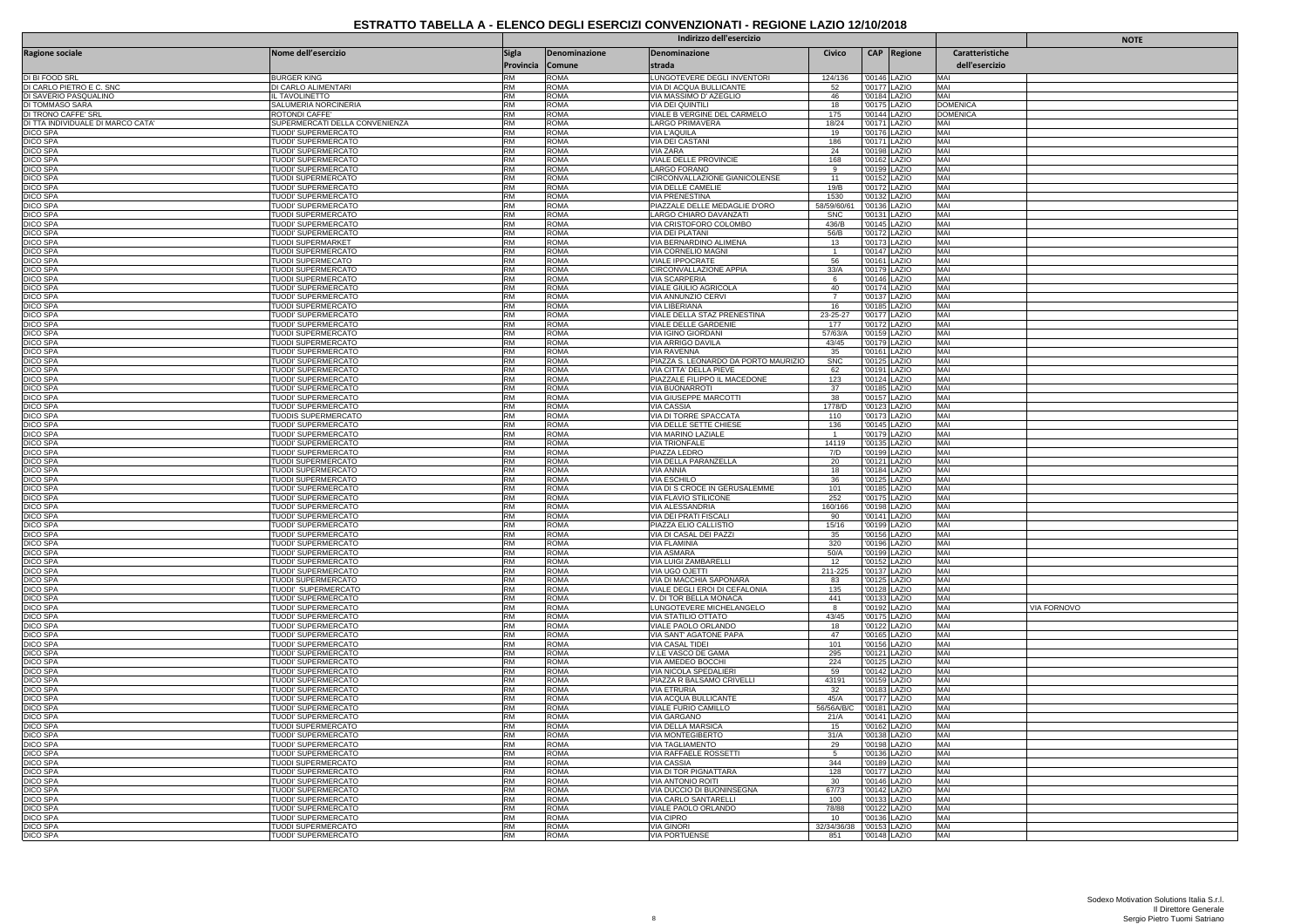|                                               |                                                         | Indirizzo dell'esercizio  |                            |                                                                |                           |        |                              |                                   | <b>NOTE</b> |
|-----------------------------------------------|---------------------------------------------------------|---------------------------|----------------------------|----------------------------------------------------------------|---------------------------|--------|------------------------------|-----------------------------------|-------------|
| <b>Ragione sociale</b>                        | Nome dell'esercizio                                     | Sigla<br>Provincia Comune | Denominazione              | Denominazione<br>strada                                        | Civico                    |        | CAP Regione                  | Caratteristiche<br>dell'esercizio |             |
| DI BI FOOD SRL                                | <b>BURGER KING</b>                                      | <b>RM</b>                 | <b>ROMA</b>                | LUNGOTEVERE DEGLI INVENTORI                                    | 124/136                   |        | '00146 LAZIO                 | MAI                               |             |
| DI CARLO PIETRO E C. SNC                      | DI CARLO ALIMENTARI                                     | <b>RM</b>                 | <b>ROMA</b>                | VIA DI ACQUA BULLICANTE                                        | 52                        |        | '00177 LAZIO                 | MAI                               |             |
| DI SAVERIO PASQUALINO                         | L TAVOLINETTO                                           | RM                        | <b>ROMA</b>                | VIA MASSIMO D' AZEGLIO                                         | 46                        |        | '00184 LAZIO                 | MAI                               |             |
| DI TOMMASO SARA                               | SALUMERIA NORCINERIA                                    | <b>RM</b><br><b>RM</b>    | <b>ROMA</b>                | VIA DEI QUINTILI                                               | 18                        |        | '00175 LAZIO                 | <b>DOMENICA</b>                   |             |
| DI TRONO CAFFE' SRL                           | ROTONDI CAFFE'<br>SUPERMERCATI DELLA CONVENIENZA        | <b>RM</b>                 | <b>ROMA</b><br><b>ROMA</b> | VIALE B VERGINE DEL CARMELO<br><b>LARGO PRIMAVERA</b>          | 175<br>18/24              |        | '00144 LAZIO<br>'00171 LAZIO | <b>DOMENICA</b><br>MAI            |             |
| DI TTA INDIVIDUALE DI MARCO CATA'<br>DICO SPA | TUODI' SUPERMERCATO                                     | <b>RM</b>                 | <b>ROMA</b>                | VIA L'AQUILA                                                   | 19                        |        | '00176 LAZIO                 | MAI                               |             |
| <b>DICO SPA</b>                               | TUODI' SUPERMERCATO                                     | <b>RM</b>                 | <b>ROMA</b>                | <b>VIA DEI CASTANI</b>                                         | 186                       |        | '00171 LAZIO                 | MAI                               |             |
| DICO SPA                                      | TUODI' SUPERMERCATO                                     | <b>RM</b>                 | <b>ROMA</b>                | <b>VIA ZARA</b>                                                | 24                        |        | '00198   AZIO                | MAI                               |             |
| DICO SPA<br><b>DICO SPA</b>                   | TUODI' SUPERMERCATO<br>TUODI' SUPERMERCATO              | <b>RM</b><br><b>RM</b>    | <b>ROMA</b><br><b>ROMA</b> | VIALE DELLE PROVINCIE<br><b>LARGO FORANO</b>                   | 168<br>$_{9}$             |        | '00162 LAZIO<br>'00199 LAZIO | MAI<br>MAI                        |             |
| DICO SPA                                      | TUODI SUPERMERCATO                                      | RM                        | <b>ROMA</b>                | CIRCONVALLAZIONE GIANICOLENSE                                  | 11                        |        | '00152 LAZIO                 | MAI                               |             |
| <b>DICO SPA</b>                               | TUODI' SUPERMERCATO                                     | RM                        | <b>ROMA</b>                | VIA DELLE CAMELIE                                              | 19/B                      |        | '00172 LAZIO                 | MAI                               |             |
| <b>DICO SPA</b>                               | TUODI' SUPERMERCATO                                     | RM                        | <b>ROMA</b>                | VIA PRENESTINA                                                 | 1530                      |        | '00132 LAZIO                 | MAI                               |             |
| <b>DICO SPA</b><br>DICO SPA                   | TUODI' SUPERMERCATO<br>TUODI SUPERMERCATO               | <b>RM</b><br><b>RM</b>    | ROMA<br><b>ROMA</b>        | PIAZZALE DELLE MEDAGLIE D'ORO<br>LARGO CHIARO DAVANZATI        | 58/59/60/61<br><b>SNC</b> |        | '00136 LAZIO<br>'00131 LAZIO | MAI<br>MAI                        |             |
| <b>DICO SPA</b>                               | TUODI' SUPERMERCATO                                     | <b>RM</b>                 | <b>ROMA</b>                | VIA CRISTOFORO COLOMBO                                         | 436/B                     |        | '00145 LAZIO                 | MAI                               |             |
| <b>DICO SPA</b>                               | TUODI' SUPERMERCATO                                     | RM                        | <b>ROMA</b>                | <b>VIA DEI PLATANI</b>                                         | 56/B                      |        | '00172 LAZIO                 | MAI                               |             |
| <b>DICO SPA</b>                               | TUODI SUPERMARKET                                       | <b>RM</b>                 | <b>ROMA</b>                | VIA BERNARDINO ALIMENA                                         | 13                        |        | '00173 LAZIO                 | MAI                               |             |
| <b>DICO SPA</b>                               | <b>TUODI SUPERMERCATO</b>                               | <b>RM</b><br>RM           | <b>ROMA</b><br><b>ROMA</b> | VIA CORNELIO MAGNI                                             | $\overline{1}$            |        | '00147 LAZIO                 | MAI<br>MAI                        |             |
| <b>DICO SPA</b><br><b>DICO SPA</b>            | TUODI SUPERMECATO<br>TUODI SUPERMERCATO                 | RM                        | <b>ROMA</b>                | VIALE IPPOCRATE<br>CIRCONVALLAZIONE APPIA                      | 56<br>33/A                |        | '00161 LAZIO<br>'00179 LAZIO | MAI                               |             |
| <b>DICO SPA</b>                               | <b>TUODI SUPERMERCATO</b>                               | <b>RM</b>                 | <b>ROMA</b>                | <b>VIA SCARPERIA</b>                                           | - 6                       |        | '00146 LAZIO                 | MAI                               |             |
| <b>DICO SPA</b>                               | TUODI' SUPERMERCATO                                     | <b>RM</b>                 | <b>ROMA</b>                | VIALE GIULIO AGRICOLA                                          | 40                        |        | '00174 LAZIO                 | MAI                               |             |
| <b>DICO SPA</b>                               | TUODI' SUPERMERCATO                                     | <b>RM</b>                 | <b>ROMA</b>                | VIA ANNUNZIO CERVI                                             | $\overline{7}$            |        | '00137 LAZIO                 | MAI                               |             |
| <b>DICO SPA</b><br><b>DICO SPA</b>            | <b>TUODI SUPERMERCATO</b><br><b>TUODI' SUPERMERCATO</b> | <b>RM</b><br><b>RM</b>    | <b>ROMA</b><br><b>ROMA</b> | VIA LIBERIANA<br>VIALE DELLA STAZ PRENESTINA                   | 16<br>23-25-27            |        | '00185 LAZIO<br>'00177 LAZIO | MAI<br>MAI                        |             |
| DICO SPA                                      | TUODI' SUPERMERCATO                                     | <b>RM</b>                 | <b>ROMA</b>                | VIALE DELLE GARDENIE                                           | 177                       |        | '00172 LAZIO                 | MAI                               |             |
| <b>DICO SPA</b>                               | TUODI SUPERMERCATO                                      | <b>RM</b>                 | <b>ROMA</b>                | VIA IGINO GIORDANI                                             | 57/63/A                   |        | '00159 LAZIO                 | MAI                               |             |
| <b>DICO SPA</b>                               | <b>TUODI SUPERMERCATO</b>                               | <b>RM</b>                 | <b>ROMA</b>                | VIA ARRIGO DAVILA                                              | 43/45                     |        | '00179 LAZIO                 | MAI                               |             |
| DICO SPA                                      | TUODI' SUPERMERCATO                                     | RM                        | <b>ROMA</b>                | <b>VIA RAVENNA</b>                                             | 35                        |        | '00161 LAZIO                 | MAI                               |             |
| <b>DICO SPA</b><br><b>DICO SPA</b>            | TUODI' SUPERMERCATO<br>TUODI' SUPERMERCATO              | RM<br>RM                  | <b>ROMA</b><br><b>ROMA</b> | PIAZZA S. LEONARDO DA PORTO MAURIZIO<br>VIA CITTA' DELLA PIEVE | <b>SNC</b><br>62          |        | '00125 LAZIO<br>'00191 LAZIO | MAI<br>MAI                        |             |
| <b>DICO SPA</b>                               | TUODI' SUPERMERCATO                                     | <b>RM</b>                 | ROMA                       | PIAZZALE FILIPPO IL MACEDONE                                   | 123                       |        | '00124 LAZIO                 | MAI                               |             |
| DICO SPA                                      | TUODI' SUPERMERCATO                                     | <b>RM</b>                 | <b>ROMA</b>                | VIA BUONARROTI                                                 | 37                        |        | '00185 LAZIO                 | MAI                               |             |
| <b>DICO SPA</b>                               | TUODI' SUPERMERCATO                                     | <b>RM</b>                 | <b>ROMA</b>                | VIA GIUSEPPE MARCOTTI                                          | 38                        |        | '00157 LAZIO                 | MAI                               |             |
| <b>DICO SPA</b><br><b>DICO SPA</b>            | TUODI' SUPERMERCATO<br>TUODIS SUPERMERCATO              | <b>RM</b><br><b>RM</b>    | <b>ROMA</b><br><b>ROMA</b> | <b>VIA CASSIA</b><br>VIA DI TORRE SPACCATA                     | 1778/D<br>110             |        | '00123 LAZIO<br>'00173 LAZIO | MAI<br>MAI                        |             |
| <b>DICO SPA</b>                               | TUODI' SUPERMERCATO                                     | <b>RM</b>                 | ROMA                       | VIA DELLE SETTE CHIESE                                         | 136                       |        | '00145 LAZIO                 | MAI                               |             |
| DICO SPA                                      | TUODI' SUPERMERCATO                                     | RM                        | <b>ROMA</b>                | VIA MARINO LAZIALE                                             | $\overline{1}$            |        | '00179 LAZIO                 | MAI                               |             |
| <b>DICO SPA</b>                               | TUODI' SUPERMERCATO                                     | RM                        | <b>ROMA</b>                | <b>VIA TRIONFALE</b>                                           | 14119                     | '00135 | <b>LAZIO</b>                 | MAI                               |             |
| <b>DICO SPA</b>                               | TUODI' SUPERMERCATO                                     | <b>RM</b><br><b>RM</b>    | <b>ROMA</b>                | PIAZZA LEDRO                                                   | 7/D                       |        | '00199 LAZIO                 | MAI<br>MAI                        |             |
| <b>DICO SPA</b><br><b>DICO SPA</b>            | TUODI SUPERMERCATO<br>TUODI SUPERMERCATO                | <b>RM</b>                 | <b>ROMA</b><br><b>ROMA</b> | VIA DELLA PARANZELLA<br><b>VIA ANNIA</b>                       | 20<br>18                  |        | '00121 LAZIO<br>'00184 LAZIO | MAI                               |             |
| <b>DICO SPA</b>                               | <b>TUODI SUPERMERCATO</b>                               | <b>RM</b>                 | <b>ROMA</b>                | <b>VIA ESCHILO</b>                                             | 36                        |        | '00125 LAZIO                 | MAI                               |             |
| <b>DICO SPA</b>                               | <b>TUODI' SUPERMERCATO</b>                              | <b>RM</b>                 | <b>ROMA</b>                | VIA DI S CROCE IN GERUSALEMME                                  | 101                       |        | '00185 LAZIO                 | MAI                               |             |
| DICO SPA                                      | TUODI' SUPERMERCATO                                     | <b>RM</b>                 | <b>ROMA</b>                | VIA FLAVIO STILICONE                                           | 252                       |        | '00175   AZIO                | MAI                               |             |
| DICO SPA<br><b>DICO SPA</b>                   | TUODI' SUPERMERCATO<br>TUODI' SUPERMERCATO              | <b>RM</b><br><b>RM</b>    | <b>ROMA</b><br><b>ROMA</b> | VIA ALESSANDRIA<br>VIA DEI PRATI FISCALI                       | 160/166<br>90             |        | '00198 LAZIO<br>'00141 LAZIO | MAI<br>MAI                        |             |
| DICO SPA                                      | TUODI' SUPERMERCATO                                     | RM                        | <b>ROMA</b>                | PIAZZA ELIO CALLISTIC                                          | 15/16                     |        | '00199 LAZIO                 | MAI                               |             |
| DICO SPA                                      | TUODI' SUPERMERCATO                                     | RM                        | <b>ROMA</b>                | VIA DI CASAL DEI PAZZI                                         | 35                        |        | '00156 LAZIO                 | MAI                               |             |
| <b>DICO SPA</b>                               | TUODI' SUPERMERCATO                                     | RM                        | <b>ROMA</b>                | VIA FLAMINIA                                                   | 320                       |        | '00196 LAZIO                 | MAI                               |             |
| <b>DICO SPA</b>                               | TUODI' SUPERMERCATO<br>TUODI' SUPERMERCATO              | <b>RM</b><br><b>RM</b>    | ROMA<br><b>ROMA</b>        | <b>VIA ASMARA</b>                                              | 50/A                      |        | '00199 LAZIO                 | MAI<br>MAI                        |             |
| <b>DICO SPA</b><br><b>DICO SPA</b>            | TUODI' SUPERMERCATO                                     | <b>RM</b>                 | <b>ROMA</b>                | VIA LUIGI ZAMBARELLI<br>VIA UGO OJETTI                         | 12<br>211-225             |        | '00152 LAZIO<br>'00137 LAZIO | MAI                               |             |
| <b>DICO SPA</b>                               | TUODI SUPERMERCATO                                      | <b>RM</b>                 | <b>ROMA</b>                | VIA DI MACCHIA SAPONARA                                        | 83                        |        | '00125 LAZIO                 | MAI                               |             |
| <b>DICO SPA</b>                               | TUODI' SUPERMERCATO                                     | <b>RM</b>                 | <b>ROMA</b>                | VIALE DEGLI EROI DI CEFALONIA                                  | 135                       |        | '00128 LAZIO                 | MAI                               |             |
| <b>DICO SPA</b>                               | TUODI' SUPERMERCATO                                     | <b>RM</b><br>RM           | <b>ROMA</b>                | V. DI TOR BELLA MONACA                                         | 441                       |        | '00133 LAZIO                 | MAI<br>MAI                        |             |
| <b>DICO SPA</b><br><b>DICO SPA</b>            | TUODI' SUPERMERCATO<br>TUODI' SUPERMERCATO              | RM                        | <b>ROMA</b><br><b>ROMA</b> | LUNGOTEVERE MICHELANGELO<br>VIA STATILIO OTTATO                | 8<br>43/45                |        | '00192 LAZIO<br>'00175 LAZIO | MAI                               | VIA FORNOVO |
| <b>DICO SPA</b>                               | <b>TUODI' SUPERMERCATO</b>                              | <b>RM</b>                 | <b>ROMA</b>                | VIALE PAOLO ORLANDO                                            | 18                        |        | '00122 LAZIO                 | MAI                               |             |
| <b>DICO SPA</b>                               | TUODI' SUPERMERCATO                                     | <b>RM</b>                 | <b>ROMA</b>                | VIA SANT' AGATONE PAPA                                         | 47                        |        | '00165 LAZIO                 | MAI                               |             |
| <b>DICO SPA</b>                               | TUODI' SUPERMERCATO                                     | <b>RM</b>                 | <b>ROMA</b>                | <b>VIA CASAL TIDEI</b>                                         | 101                       |        | '00156 LAZIO                 | MAI                               |             |
| <b>DICO SPA</b><br><b>DICO SPA</b>            | TUODI' SUPERMERCATO<br><b>TUODI' SUPERMERCATO</b>       | <b>RM</b><br><b>RM</b>    | <b>ROMA</b><br><b>ROMA</b> | V.LE VASCO DE GAMA<br>VIA AMEDEO BOCCHI                        | 295<br>224                |        | '00121 LAZIO<br>'00125 LAZIO | MAI<br>MAI                        |             |
| DICO SPA                                      | TUODI' SUPERMERCATO                                     | <b>RM</b>                 | <b>ROMA</b>                | VIA NICOLA SPEDALIERI                                          | 59                        |        | '00142 LAZIO                 | MAI                               |             |
| <b>DICO SPA</b>                               | TUODI' SUPERMERCATO                                     | <b>RM</b>                 | <b>ROMA</b>                | PIAZZA R BALSAMO CRIVELL                                       | 43191                     |        | '00159 LAZIO                 | MAI                               |             |
| <b>DICO SPA</b>                               | TUODI' SUPERMERCATO                                     | <b>RM</b>                 | <b>ROMA</b>                | <b>VIA ETRURIA</b>                                             | 32                        |        | '00183 LAZIO                 | MAI                               |             |
| DICO SPA                                      | TUODI' SUPERMERCATO                                     | <b>RM</b>                 | <b>ROMA</b>                | VIA ACQUA BULLICANTE                                           | 45/A                      |        | '00177 LAZIO                 | MAI                               |             |
| DICO SPA<br><b>DICO SPA</b>                   | <b>TUODI' SUPERMERCATO</b><br>TUODI' SUPERMERCATO       | RM<br><b>RM</b>           | <b>ROMA</b><br><b>ROMA</b> | VIALE FURIO CAMILLO<br>VIA GARGANO                             | 56/56A/B<br>21/A          |        | 00181 LAZIO<br>'00141 LAZIO  | MAI<br>MAI                        |             |
| <b>DICO SPA</b>                               | TUODI SUPERMERCATO                                      | <b>RM</b>                 | <b>ROMA</b>                | VIA DELLA MARSICA                                              | 15                        |        | '00162 LAZIO                 | MAI                               |             |
| <b>DICO SPA</b>                               | <b>TUODI' SUPERMERCATO</b>                              | <b>RM</b>                 | <b>ROMA</b>                | <b>VIA MONTEGIBERTO</b>                                        | 31/A                      | 00138  | LAZIO                        | MAI                               |             |
| <b>DICO SPA</b>                               | TUODI' SUPERMERCATO                                     | <b>RM</b>                 | <b>ROMA</b>                | <b>VIA TAGLIAMENTO</b>                                         | 29                        |        | '00198 LAZIO                 | MAI                               |             |
| <b>DICO SPA</b><br><b>DICO SPA</b>            | TUODI' SUPERMERCATO<br>TUODI SUPERMERCATO               | <b>RM</b><br><b>RM</b>    | <b>ROMA</b><br><b>ROMA</b> | VIA RAFFAELE ROSSETTI<br>VIA CASSIA                            | - 5<br>344                |        | '00136 LAZIO<br>'00189 LAZIO | MAI<br>MAI                        |             |
| <b>DICO SPA</b>                               | <b>TUODI' SUPERMERCATO</b>                              | <b>RM</b>                 | <b>ROMA</b>                | VIA DI TOR PIGNATTARA                                          | 128                       |        | '00177 LAZIO                 | MAI                               |             |
| <b>DICO SPA</b>                               | TUODI' SUPERMERCATO                                     | <b>RM</b>                 | <b>ROMA</b>                | VIA ANTONIO ROITI                                              | 30                        |        | '00146 LAZIO                 | MAI                               |             |
| <b>DICO SPA</b>                               | TUODI' SUPERMERCATO                                     | RM                        | <b>ROMA</b>                | VIA DUCCIO DI BUONINSEGNA                                      | 67/73                     |        | '00142 LAZIO                 | MAI                               |             |
| <b>DICO SPA</b>                               | <b>TUODI' SUPERMERCATO</b>                              | <b>RM</b>                 | <b>ROMA</b>                | <b>VIA CARLO SANTARELLI</b>                                    | 100                       |        | '00133 LAZIO                 | MAI                               |             |
| <b>DICO SPA</b><br><b>DICO SPA</b>            | TUODI' SUPERMERCATO<br>TUODI' SUPERMERCATO              | <b>RM</b><br>RM           | <b>ROMA</b><br><b>ROMA</b> | VIALE PAOLO ORLANDO<br><b>VIA CIPRO</b>                        | 78/88<br>10               |        | '00122 LAZIO<br>'00136 LAZIC | MAI<br>MAI                        |             |
| <b>DICO SPA</b>                               | <b>TUODI SUPERMERCATO</b>                               | <b>RM</b>                 | <b>ROMA</b>                | <b>VIA GINORI</b>                                              | 32/34/36/3                |        | '00153 LAZIO                 | MAI                               |             |
| <b>DICO SPA</b>                               | <b>TUODI' SUPERMERCATO</b>                              | RM                        | <b>ROMA</b>                | <b>VIA PORTUENSE</b>                                           | 851                       |        | '00148 LAZIO                 | MAI                               |             |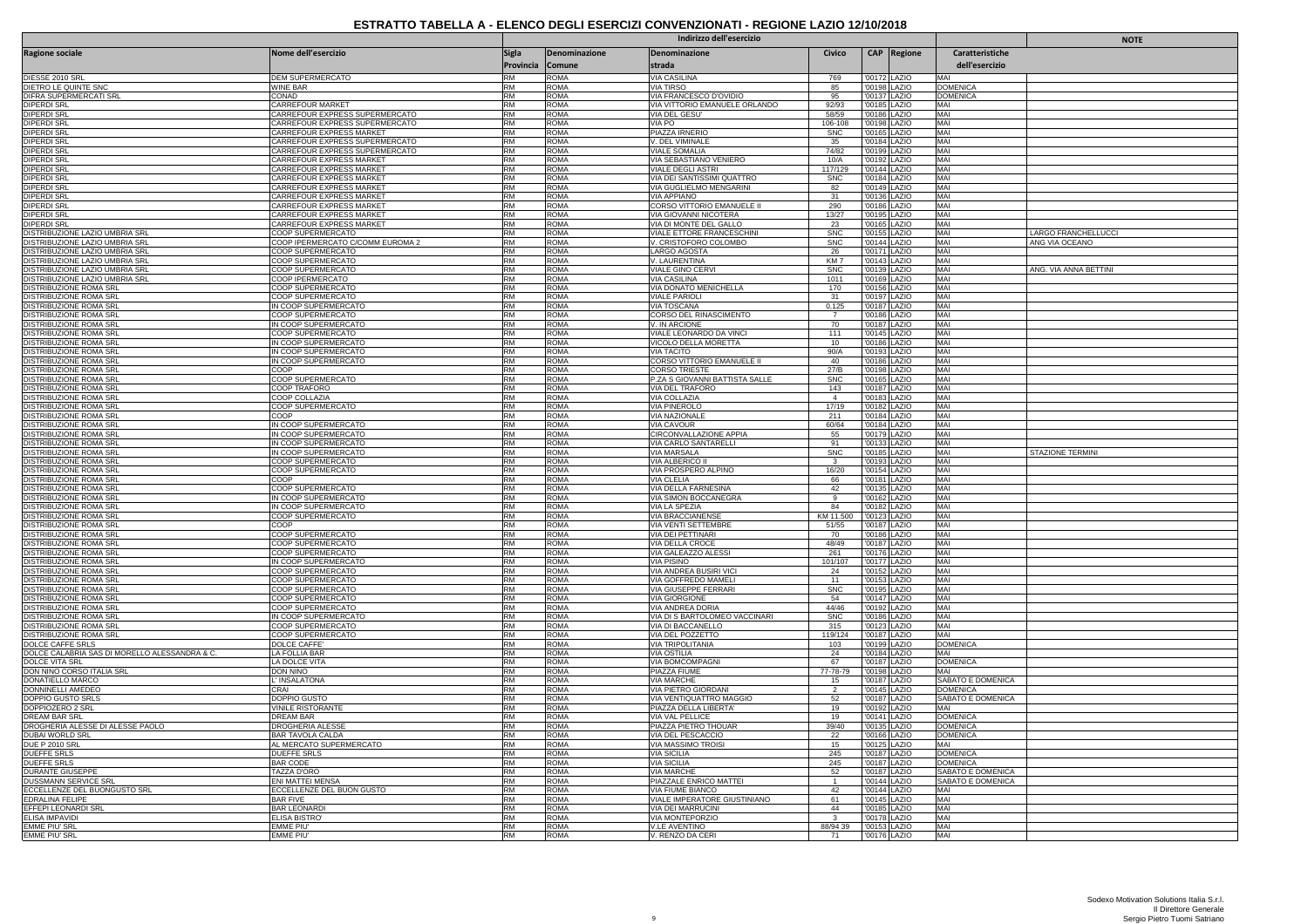|                                                                         |                                                            | Indirizzo dell'esercizio |                            |                                                         |                       |              |                              |                          | <b>NOTE</b>           |
|-------------------------------------------------------------------------|------------------------------------------------------------|--------------------------|----------------------------|---------------------------------------------------------|-----------------------|--------------|------------------------------|--------------------------|-----------------------|
| Ragione sociale                                                         | Nome dell'esercizio                                        | <b>Sigla</b>             | Denominazione              | Denominazione                                           | Civico                |              | <b>CAP</b> Regione           | Caratteristiche          |                       |
|                                                                         |                                                            | Provincia Comune         |                            | strada                                                  |                       |              |                              | dell'esercizio           |                       |
| DIESSE 2010 SRL                                                         | DEM SUPERMERCATO                                           | <b>RM</b>                | <b>ROMA</b>                | <b>VIA CASILINA</b>                                     | 769                   | '00172 LAZIO |                              | MAI                      |                       |
| DIETRO LE QUINTE SNC                                                    | WINE BAR                                                   | <b>RM</b>                | <b>ROMA</b>                | VIA TIRSO                                               | 85                    |              | '00198 LAZIO                 | <b>DOMENICA</b>          |                       |
| DIFRA SUPERMERCATI SRL<br><b>DIPERDI SRL</b>                            | CONAD<br>CARREFOUR MARKET                                  | <b>RM</b><br><b>RM</b>   | <b>ROMA</b><br><b>ROMA</b> | VIA FRANCESCO D'OVIDIO<br>VIA VITTORIO EMANUELE ORLANDO | 95<br>92/93           |              | '00137 LAZIO<br>'00185 LAZIO | <b>DOMENICA</b><br>MAI   |                       |
| <b>DIPERDI SRL</b>                                                      | CARREFOUR EXPRESS SUPERMERCATO                             | <b>RM</b>                | <b>ROMA</b>                | VIA DEL GESU'                                           | 58/59                 | '00186 LAZIO |                              | MAI                      |                       |
| <b>DIPERDI SRL</b>                                                      | CARREFOUR EXPRESS SUPERMERCATO                             | <b>RM</b>                | <b>ROMA</b>                | VIA PO                                                  | 106-108               | '00198 LAZIO |                              | MAI                      |                       |
| <b>DIPERDI SRI</b><br><b>DIPERDI SRL</b>                                | CARREFOUR EXPRESS MARKET<br>CARREFOUR EXPRESS SUPERMERCATO | RM<br><b>RM</b>          | <b>ROMA</b><br><b>ROMA</b> | PIAZZA IRNERIO<br>V. DEL VIMINALE                       | <b>SNC</b><br>35      |              | '00165 LAZIO<br>'00184 LAZIO | MAI<br>MAI               |                       |
| <b>DIPERDI SRL</b>                                                      | CARREFOUR EXPRESS SUPERMERCATO                             | <b>RM</b>                | <b>ROMA</b>                | VIALE SOMALIA                                           | 74/82                 |              | '00199 LAZIO                 | MAI                      |                       |
| <b>DIPERDI SRL</b>                                                      | CARREFOUR EXPRESS MARKET                                   | <b>RM</b>                | <b>ROMA</b>                | VIA SEBASTIANO VENIERO                                  | 10/A                  |              | '00192 LAZIO                 | MAI                      |                       |
| <b>DIPERDI SRL</b><br><b>DIPERDI SRL</b>                                | CARREFOUR EXPRESS MARKET<br>CARREFOUR EXPRESS MARKET       | <b>RM</b><br><b>RM</b>   | <b>ROMA</b><br><b>ROMA</b> | VIALE DEGLI ASTRI<br>VIA DEI SANTISSIMI QUATTRO         | 117/129<br><b>SNC</b> |              | '00144 LAZIO<br>'00184 LAZIO | MAI<br>MAI               |                       |
| <b>DIPERDI SRL</b>                                                      | CARREFOUR EXPRESS MARKET                                   | RM                       | <b>ROMA</b>                | VIA GUGLIELMO MENGARINI                                 | 82                    |              | '00149 LAZIO                 | MAI                      |                       |
| <b>DIPERDI SRL</b>                                                      | CARREFOUR EXPRESS MARKET                                   | <b>RM</b>                | <b>ROMA</b>                | <b>VIA APPIANO</b>                                      | 31                    |              | '00136 LAZIO                 | MAI                      |                       |
| <b>DIPERDI SRL</b><br>DIPERDI SRL                                       | CARREFOUR EXPRESS MARKET<br>CARREFOUR EXPRESS MARKET       | <b>RM</b><br><b>RM</b>   | <b>ROMA</b><br><b>ROMA</b> | CORSO VITTORIO EMANUELE II<br>VIA GIOVANNI NICOTERA     | 290<br>13/27          | '00195       | '00186 LAZIO<br>LAZIO        | MAI<br>MAI               |                       |
| DIPERDI SRI                                                             | CARREFOUR EXPRESS MARKET                                   | <b>RM</b>                | <b>ROMA</b>                | VIA DI MONTE DEL GALLO                                  | 23                    | '00165 LAZIO |                              | MAI                      |                       |
| DISTRIBUZIONE LAZIO UMBRIA SRL                                          | COOP SUPERMERCATO                                          | <b>RM</b>                | <b>ROMA</b>                | VIALE ETTORE FRANCESCHINI                               | <b>SNC</b>            |              | '00155 LAZIO                 | MAI                      | LARGO FRANCHELLUCCI   |
| DISTRIBUZIONE LAZIO UMBRIA SRI<br><b>DISTRIBUZIONE LAZIO UMBRIA SRI</b> | COOP IPERMERCATO C/COMM EUROMA 2<br>COOP SUPERMERCATO      | <b>RM</b><br><b>RM</b>   | <b>ROMA</b><br><b>ROMA</b> | V. CRISTOFORO COLOMBO<br>LARGO AGOSTA                   | <b>SNC</b><br>26      |              | '00144 LAZIO<br>'00171 LAZIO | MAI<br>MAI               | ANG VIA OCEANO        |
| DISTRIBUZIONE LAZIO UMBRIA SRL                                          | COOP SUPERMERCATO                                          | RM                       | <b>ROMA</b>                | V. LAURENTINA                                           | KM <sub>7</sub>       |              | '00143 LAZIO                 | MAI                      |                       |
| DISTRIBUZIONE LAZIO UMBRIA SRI                                          | COOP SUPERMERCATO                                          | <b>RM</b>                | <b>ROMA</b>                | <b>VIALE GINO CERVI</b>                                 | <b>SNC</b>            |              | '00139 LAZIO                 | MAI                      | ANG. VIA ANNA BETTINI |
| DISTRIBUZIONE LAZIO UMBRIA SRL<br>DISTRIBUZIONE ROMA SRI                | COOP IPERMERCATO<br>COOP SUPERMERCATO                      | <b>RM</b><br><b>RM</b>   | <b>ROMA</b><br><b>ROMA</b> | VIA CASILINA<br>VIA DONATO MENICHELLA                   | 1011<br>170           |              | '00169 LAZIO<br>'00156 LAZIO | MAI<br>MAI               |                       |
| DISTRIBUZIONE ROMA SRI                                                  | COOP SUPERMERCATO                                          | <b>RM</b>                | <b>ROMA</b>                | VIALE PARIOLI                                           | 31                    |              | '00197 LAZIO                 | MAI                      |                       |
| <b>DISTRIBUZIONE ROMA SRI</b>                                           | IN COOP SUPERMERCATO                                       | RM                       | <b>ROMA</b>                | <b>VIA TOSCANA</b>                                      | 0,125                 |              | '00187 LAZIO                 | MAI                      |                       |
| DISTRIBUZIONE ROMA SRI                                                  | COOP SUPERMERCATO                                          | <b>RM</b><br><b>RM</b>   | <b>ROMA</b>                | CORSO DEL RINASCIMENTO                                  | $\overline{7}$        |              | '00186 LAZIO                 | MAI                      |                       |
| <b>DISTRIBUZIONE ROMA SRI</b><br>DISTRIBUZIONE ROMA SRI                 | IN COOP SUPERMERCATO<br>COOP SUPERMERCATO                  | RM                       | <b>ROMA</b><br><b>ROMA</b> | V. IN ARCIONE<br>VIALE LEONARDO DA VINCI                | 70<br>111             |              | '00187 LAZIO<br>'00145 LAZIO | MAI<br>MAI               |                       |
| <b>DISTRIBUZIONE ROMA SRI</b>                                           | IN COOP SUPERMERCATO                                       | <b>RM</b>                | <b>ROMA</b>                | VICOLO DELLA MORETTA                                    | 10                    |              | '00186 LAZIO                 | MAI                      |                       |
| DISTRIBUZIONE ROMA SRI                                                  | IN COOP SUPERMERCATO                                       | <b>RM</b>                | <b>ROMA</b>                | VIA TACITO                                              | 90/A                  |              | '00193 LAZIO                 | MAI                      |                       |
| DISTRIBUZIONE ROMA SRI<br>DISTRIBUZIONE ROMA SRI                        | IN COOP SUPERMERCATO<br>COOP                               | <b>RM</b><br><b>RM</b>   | <b>ROMA</b><br><b>ROMA</b> | CORSO VITTORIO EMANUELE II<br>CORSO TRIESTE             | 40<br>27/B            |              | '00186 LAZIO<br>'00198 LAZIO | MAI<br>MAI               |                       |
| DISTRIBUZIONE ROMA SRI                                                  | COOP SUPERMERCATO                                          | <b>RM</b>                | <b>ROMA</b>                | P.ZA S GIOVANNI BATTISTA SALLE                          | <b>SNC</b>            |              | '00165 LAZIO                 | MAI                      |                       |
| DISTRIBUZIONE ROMA SRI                                                  | COOP TRAFORO                                               | <b>RM</b>                | <b>ROMA</b>                | VIA DEL TRAFORO                                         | 143                   |              | '00187 LAZIO                 | MAI                      |                       |
| DISTRIBUZIONE ROMA SRI<br><b>DISTRIBUZIONE ROMA SRI</b>                 | COOP COLLAZIA<br>COOP SUPERMERCATO                         | <b>RM</b><br>RM          | <b>ROMA</b><br><b>ROMA</b> | VIA COLLAZIA<br><b>VIA PINEROLO</b>                     | $\mathbf{A}$<br>17/19 |              | '00183 LAZIO<br>'00182 LAZIO | MAI<br>MAI               |                       |
| DISTRIBUZIONE ROMA SRI                                                  | COOP                                                       | <b>RM</b>                | <b>ROMA</b>                | VIA NAZIONALE                                           | 211                   |              | '00184 LAZIO                 | MAI                      |                       |
| DISTRIBUZIONE ROMA SRI                                                  | IN COOP SUPERMERCATO                                       | <b>RM</b>                | <b>ROMA</b>                | VIA CAVOUR                                              | 60/64                 |              | '00184 LAZIO                 | MAI                      |                       |
| DISTRIBUZIONE ROMA SRI                                                  | IN COOP SUPERMERCATO                                       | <b>RM</b><br><b>RM</b>   | <b>ROMA</b>                | CIRCONVALLAZIONE APPIA                                  | 55<br>91              |              | '00179 LAZIO                 | MAI<br>MAI               |                       |
| DISTRIBUZIONE ROMA SRI<br><b>DISTRIBUZIONE ROMA SRI</b>                 | IN COOP SUPERMERCATO<br>IN COOP SUPERMERCATO               | RM                       | <b>ROMA</b><br><b>ROMA</b> | VIA CARLO SANTARELLI<br><b>VIA MARSALA</b>              | SNC                   |              | '00133 LAZIO<br>'00185 LAZIO | MAI                      | STAZIONE TERMINI      |
| DISTRIBUZIONE ROMA SRI                                                  | COOP SUPERMERCATO                                          | <b>RM</b>                | <b>ROMA</b>                | VIA ALBERICO II                                         | $\mathbf{3}$          |              | '00193 LAZIO                 | MAI                      |                       |
| DISTRIBUZIONE ROMA SRI                                                  | COOP SUPERMERCATO                                          | <b>RM</b>                | <b>ROMA</b>                | VIA PROSPERO ALPINO                                     | 16/20                 | '00154 LAZIO |                              | MAI                      |                       |
| DISTRIBUZIONE ROMA SRI<br><b>DISTRIBUZIONE ROMA SRI</b>                 | COOP<br>COOP SUPERMERCATO                                  | RM<br><b>RM</b>          | <b>ROMA</b><br><b>ROMA</b> | <b>VIA CLELIA</b><br><b>VIA DELLA FARNESINA</b>         | 66<br>42              |              | '00181 LAZIO<br>'00135 LAZIO | MAI<br>MAI               |                       |
| DISTRIBUZIONE ROMA SRI                                                  | IN COOP SUPERMERCATO                                       | <b>RM</b>                | <b>ROMA</b>                | VIA SIMON BOCCANEGRA                                    | 9                     |              | '00162 LAZIO                 | MAI                      |                       |
| DISTRIBUZIONE ROMA SRI                                                  | IN COOP SUPERMERCATO                                       | <b>RM</b>                | <b>ROMA</b>                | VIA LA SPEZIA                                           | 84                    |              | '00182 LAZIO                 | MAI                      |                       |
| DISTRIBUZIONE ROMA SRI<br>DISTRIBUZIONE ROMA SRI                        | <b>COOP SUPERMERCATO</b><br>COOP                           | <b>RM</b><br><b>RM</b>   | <b>ROMA</b><br><b>ROMA</b> | <b>VIA BRACCIANENSE</b><br>VIA VENTI SETTEMBRE          | KM 11.500<br>51/55    | '00123 LAZIO | '00187 LAZIO                 | MAI<br>MAI               |                       |
| DISTRIBUZIONE ROMA SRI                                                  | COOP SUPERMERCATO                                          | <b>RM</b>                | <b>ROMA</b>                | <b>VIA DEI PETTINARI</b>                                | 70                    |              | '00186 LAZIO                 | MAI                      |                       |
| <b>DISTRIBUZIONE ROMA SRL</b>                                           | COOP SUPERMERCATO                                          | <b>RM</b>                | <b>ROMA</b>                | VIA DELLA CROCE                                         | 48/49                 |              | '00187 LAZIO                 | MAI                      |                       |
| <b>DISTRIBUZIONE ROMA SRI</b><br>DISTRIBUZIONE ROMA SRI                 | COOP SUPERMERCATO<br>IN COOP SUPERMERCATO                  | RM<br><b>RM</b>          | <b>ROMA</b><br><b>ROMA</b> | VIA GALEAZZO ALESSI<br>VIA PISINO                       | 261<br>101/107        |              | '00176 LAZIO<br>'00177 LAZIO | MAI<br>MAI               |                       |
| <b>DISTRIBUZIONE ROMA SRI</b>                                           | COOP SUPERMERCATO                                          | <b>RM</b>                | <b>ROMA</b>                | <b>VIA ANDREA BUSIRI VICI</b>                           | 24                    |              | '00152 LAZIO                 | MAI                      |                       |
| DISTRIBUZIONE ROMA SRI                                                  | COOP SUPERMERCATO                                          | <b>RM</b>                | <b>ROMA</b>                | VIA GOFFREDO MAMELI                                     | 11                    |              | '00153 LAZIO                 | MAI                      |                       |
| DISTRIBUZIONE ROMA SRI<br>DISTRIBUZIONE ROMA SRI                        | COOP SUPERMERCATO<br>COOP SUPERMERCATO                     | <b>RM</b><br>RM          | <b>ROMA</b><br><b>ROMA</b> | VIA GIUSEPPE FERRARI<br><b>VIA GIORGIONE</b>            | <b>SNC</b><br>54      |              | '00195 LAZIO<br>'00147 LAZIO | MAI<br>MAI               |                       |
| <b>DISTRIBUZIONE ROMA SRI</b>                                           | COOP SUPERMERCATO                                          | <b>RM</b>                | <b>ROMA</b>                | VIA ANDREA DORIA                                        | 44/46                 |              | '00192 LAZIO                 | MAI                      |                       |
| DISTRIBUZIONE ROMA SRI                                                  | IN COOP SUPERMERCATO                                       | <b>RM</b>                | <b>ROMA</b>                | VIA DI S BARTOLOMEO VACCINARI                           | <b>SNC</b>            |              | '00186 LAZIO                 | MAI                      |                       |
| DISTRIBUZIONE ROMA SRI<br><b>DISTRIBUZIONE ROMA SRL</b>                 | COOP SUPERMERCATO<br>COOP SUPERMERCATO                     | <b>RM</b><br>RM          | <b>ROMA</b><br><b>ROMA</b> | VIA DI BACCANELLO<br>VIA DEL POZZETTO                   | 315<br>119/124        | '00187 LAZIO | '00123 LAZIO                 | MAI<br>MAI               |                       |
| DOLCE CAFFE SRLS                                                        | <b>DOLCE CAFFE</b>                                         | <b>RM</b>                | <b>ROMA</b>                | VIA TRIPOLITANIA                                        | 103                   |              | '00199 LAZIO                 | <b>DOMENICA</b>          |                       |
| DOLCE CALABRIA SAS DI MORELLO ALESSANDRA & C                            | LA FOLLIA BAR                                              | RM                       | <b>ROMA</b>                | <b>VIA OSTILIA</b>                                      | 24                    | 100184 LAZIO |                              | MAI                      |                       |
| <b>DOLCE VITA SRL</b>                                                   | LA DOLCE VITA                                              | <b>RM</b><br><b>RM</b>   | <b>ROMA</b>                | <b>VIA BOMCOMPAGNI</b>                                  | 67                    |              |                              | <b>DOMENICA</b><br>MAI   |                       |
| DON NINO CORSO ITALIA SRL<br>DONATIELLO MARCO                           | DON NINO<br><b>INSALATONA</b>                              | RM                       | <b>ROMA</b><br><b>ROMA</b> | PIAZZA FIUME<br><b>VIA MARCHE</b>                       | 77-78-79<br>15        |              | '00198 LAZIO<br>'00187 LAZIO | SABATO E DOMENICA        |                       |
| DONNINELLI AMEDEO                                                       | CRAL                                                       | <b>RM</b>                | <b>ROMA</b>                | <b>VIA PIETRO GIORDANI</b>                              | $\overline{2}$        | '00145 LAZIO |                              | DOMENICA                 |                       |
| DOPPIO GUSTO SRLS                                                       | DOPPIO GUSTO                                               | RM<br><b>RM</b>          | <b>ROMA</b>                | VIA VENTIQUATTRO MAGGIO                                 | 52                    |              | '00187 LAZIO                 | SABATO E DOMENICA        |                       |
| DOPPIOZERO 2 SRL<br><b>DREAM BAR SRL</b>                                | <b>VINILE RISTORANTE</b><br><b>DREAM BAR</b>               | <b>RM</b>                | <b>ROMA</b><br><b>ROMA</b> | PIAZZA DELLA LIBERTA<br>VIA VAL PELLICE                 | 19<br>19              |              | '00192 LAZIO<br>'00141 LAZIO | MAI<br><b>DOMENICA</b>   |                       |
| DROGHERIA ALESSE DI ALESSE PAOLO                                        | DROGHERIA ALESSE                                           | <b>RM</b>                | <b>ROMA</b>                | PIAZZA PIETRO THOUAR                                    | 39/40                 |              | '00135 LAZIO                 | <b>DOMENICA</b>          |                       |
| DUBAI WORLD SRL                                                         | BAR TAVOLA CALDA                                           | <b>RM</b>                | <b>ROMA</b>                | VIA DEL PESCACCIO                                       | 22                    |              | '00166 LAZIO                 | <b>DOMENICA</b>          |                       |
| <b>DUE P 2010 SRL</b><br><b>DUEFFE SRLS</b>                             | AL MERCATO SUPERMERCATO<br><b>DUEFFE SRLS</b>              | <b>RM</b><br><b>RM</b>   | <b>ROMA</b><br><b>ROMA</b> | VIA MASSIMO TROISI<br><b>VIA SICILIA</b>                | 15<br>245             |              | '00125 LAZIO<br>'00187 LAZIO | MAI<br><b>DOMENICA</b>   |                       |
| <b>DUEFFE SRLS</b>                                                      | <b>BAR CODE</b>                                            | <b>RM</b>                | <b>ROMA</b>                | <b>VIA SICILIA</b>                                      | 245                   |              | '00187 LAZIO                 | <b>DOMENICA</b>          |                       |
| <b>DURANTE GIUSEPPE</b>                                                 | TAZZA D'ORO                                                | <b>RM</b>                | <b>ROMA</b>                | <b>VIA MARCHE</b>                                       | 52                    |              | '00187 LAZIO                 | SABATO E DOMENICA        |                       |
| <b>DUSSMANN SERVICE SRL</b><br>ECCELLENZE DEL BUONGUSTO SRL             | <b>FNI MATTFI MENSA</b><br>ECCELLENZE DEL BUON GUSTO       | RM<br><b>RM</b>          | <b>ROMA</b><br><b>ROMA</b> | PIAZZALE ENRICO MATTEI<br>VIA FIUME BIANCO              | $\overline{1}$<br>42  |              | '00144 LAZIO<br>'00144 LAZIO | SABATO E DOMENICA<br>MAI |                       |
| <b>EDRALINA FELIPE</b>                                                  | <b>BAR FIVE</b>                                            | RM                       | <b>ROMA</b>                | VIALE IMPERATORE GIUSTINIANO                            | 61                    |              | '00145 LAZIO                 | MAI                      |                       |
| <b>FFFFPLI FONARDI SRI</b>                                              | <b>BAR LEONARD</b>                                         | <b>RM</b>                | <b>ROMA</b>                | <b>VIA DEI MARRUCINI</b>                                | 44                    |              | '00185 LAZIO                 | MAI                      |                       |
| <b>ELISA IMPAVIDI</b>                                                   | <b>ELISA BISTRO</b>                                        | <b>RM</b>                | <b>ROMA</b>                | <b>VIA MONTEPORZIO</b>                                  | 3                     |              | '00178 LAZIO                 | MAI                      |                       |
| <b>FMMF PIU' SRI</b><br><b>EMME PIU' SRL</b>                            | EMME PIU<br><b>EMME PIU</b>                                | <b>RM</b><br><b>RM</b>   | <b>ROMA</b><br><b>ROMA</b> | <b>V.LE AVENTINO</b><br>V. RENZO DA CERI                | 88/94 39<br>71        | '00176 LAZIO | '00153 LAZIO                 | MAI<br>MAI               |                       |
|                                                                         |                                                            |                          |                            |                                                         |                       |              |                              |                          |                       |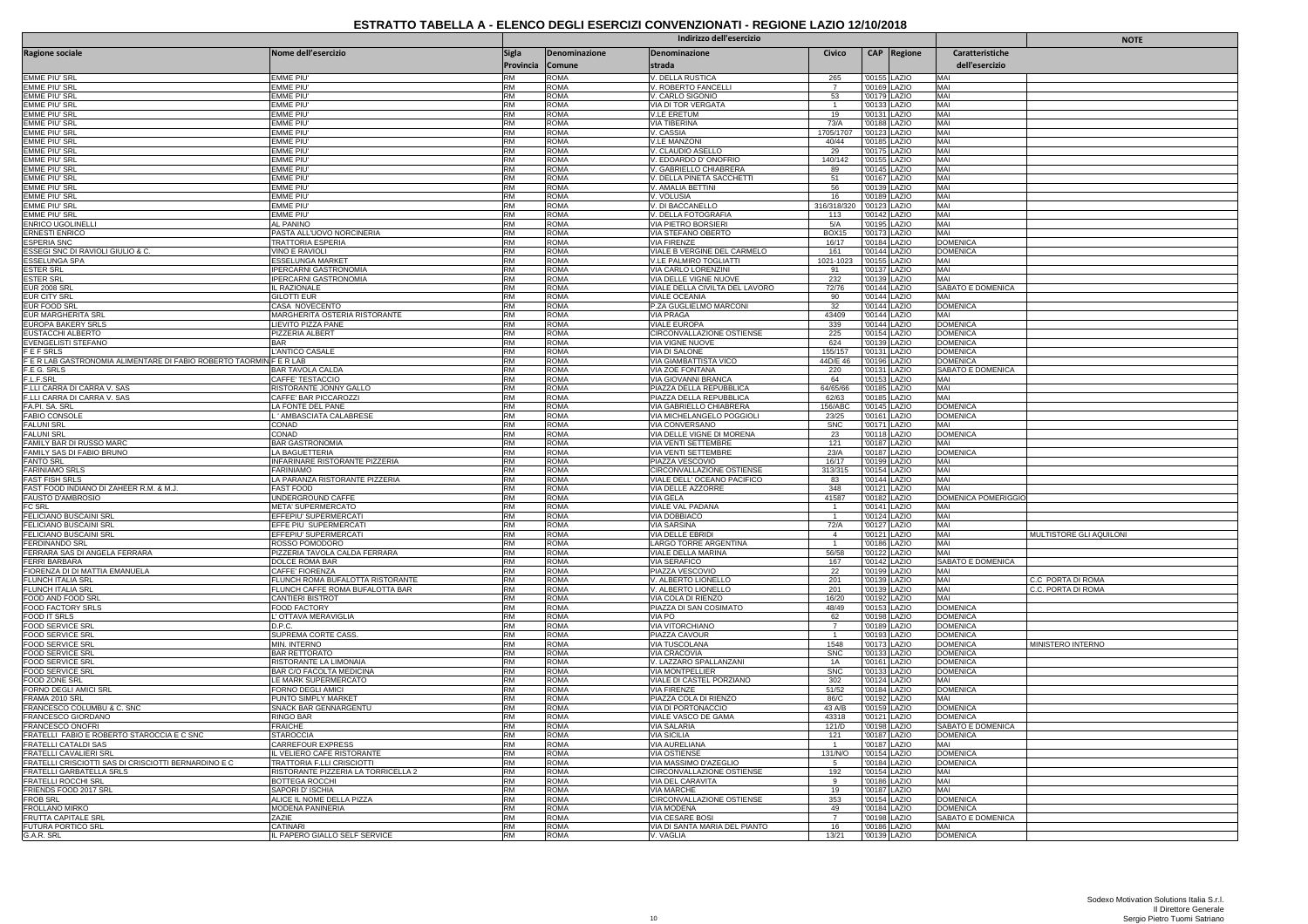|                                                                     |                                                    |                                  |                            | <b>NOTE</b>                                           |                  |                              |                                    |                         |
|---------------------------------------------------------------------|----------------------------------------------------|----------------------------------|----------------------------|-------------------------------------------------------|------------------|------------------------------|------------------------------------|-------------------------|
| <b>Ragione sociale</b>                                              | Nome dell'esercizio                                | <b>Sigla</b><br>Provincia Comune | Denominazione              | Denominazione<br>strada                               | Civico           | CAP Regione                  | Caratteristiche<br>dell'esercizio  |                         |
| EMME PIU' SRI                                                       | EMME PIU                                           | <b>RM</b>                        | ROMA                       | . DELLA RUSTICA                                       | 265              | '00155 LAZIO                 | MA                                 |                         |
| EMME PIU' SRL                                                       | EMME PIU                                           | <b>RM</b>                        | <b>ROMA</b>                | V. ROBERTO FANCELLI                                   | $\overline{7}$   | '00169 LAZIO                 | MAI                                |                         |
| <b>EMME PIU' SRI</b>                                                | EMME PIU                                           | <b>RM</b>                        | <b>ROMA</b>                | /. CARLO SIGONIO                                      | 53               | '00179 LAZIO                 | MAI                                |                         |
| EMME PIU' SR                                                        | EMME PIU                                           | RM                               | <b>ROMA</b>                | VIA DI TOR VERGATA                                    |                  | 00133 LAZIO                  | MAI<br>MAI                         |                         |
| <b>EMME PIU' SRL</b><br>EMME PIU' SRL                               | <b>EMME PIU</b><br>emme piu'                       | RM<br><b>RM</b>                  | <b>ROMA</b><br><b>ROMA</b> | <b>V.LE ERETUM</b><br>VIA TIBERINA                    | 19<br>73/A       | '00131 LAZIO<br>'00188 LAZIO | MAI                                |                         |
| EMME PIU' SR                                                        | EMME PIU                                           | <b>RM</b>                        | <b>ROMA</b>                | V. CASSIA                                             | 1705/1707        | 00123 LAZIO                  | MAI                                |                         |
| <b>EMME PIU'SR</b>                                                  | <b>EMME PIU</b>                                    | RM                               | <b>ROMA</b>                | <b>V.LE MANZONI</b>                                   | 40/44            | '00185 LAZIO                 | MAI                                |                         |
| EMME PIU' SRL                                                       | EMME PIU'                                          | RM                               | <b>ROMA</b>                | /. CLAUDIO ASELLO                                     | 29               | '00175 LAZIO                 | MAI                                |                         |
| <b>EMME PIU' SRI</b>                                                | EMME PIU                                           | RM                               | <b>ROMA</b>                | , EDOARDO D'ONOFRIO                                   | 140/142          | '00155 LAZIO                 | MAI                                |                         |
| <b>EMME PIU' SRI</b>                                                | <b>EMME PIU</b>                                    | <b>RM</b>                        | <b>ROMA</b>                | V. GABRIELLO CHIABRERA                                | 89               | '00145 LAZIO                 | MAI                                |                         |
| EMME PIU' SRL<br><b>EMME PIU' SRI</b>                               | EMME PIU'<br>EMME PIU                              | RM<br>RM                         | <b>ROMA</b><br><b>ROMA</b> | V. DELLA PINETA SACCHETTI                             | 51               | '00167 LAZIO<br>'00139 LAZIO | MAI                                |                         |
| <b>EMME PIU' SRI</b>                                                | <b>EMME PIU</b>                                    | <b>RM</b>                        | <b>ROMA</b>                | . AMALIA BETTINI<br>V. VOLUSIA                        | $\frac{56}{16}$  | '00189 LAZIO                 | MAI<br>MAI                         |                         |
| <b>EMME PIU' SRL</b>                                                | <b>EMME PIU'</b>                                   | RM                               | <b>ROMA</b>                | V. DI BACCANELLO                                      | 316/318/320      | '00123 LAZIO                 | MAI                                |                         |
| EMME PIU' SRL                                                       | FMMF PIU                                           | <b>RM</b>                        | <b>ROMA</b>                | V. DELLA FOTOGRAFIA                                   | 113              | '00142 LAZIO                 | MAI                                |                         |
| ENRICO UGOLINEL                                                     | AL PANINO                                          | RM                               | <b>ROMA</b>                | VIA PIETRO BORSIERI                                   | 5/A              | '00195 LAZIO                 | MAI                                |                         |
| <b>ERNESTI ENRICO</b>                                               | PASTA ALL'UOVO NORCINERIA                          | RM                               | <b>ROMA</b>                | VIA STEFANO OBERTO                                    | <b>BOX15</b>     | '00173 LAZIO                 | MAI                                |                         |
| <b>ESPERIA SNC</b>                                                  | <b>TRATTORIA ESPERIA</b>                           | <b>RM</b>                        | <b>ROMA</b>                | <b>VIA FIRENZE</b>                                    | 16/17            | '00184 LAZIO                 | <b>DOMENICA</b>                    |                         |
| ESSEGI SNC DI RAVIOLI GIULIO & C.<br>ESSELUNGA SPA                  | VINO E RAVIOLI<br>ESSELUNGA MARKET                 | <b>RM</b><br><b>RM</b>           | <b>ROMA</b><br><b>ROMA</b> | VIALE B VERGINE DEL CARMELO<br>V.LE PALMIRO TOGLIATTI | 161<br>1021-1023 | '00144 LAZIO<br>'00155 LAZIO | <b>DOMENICA</b><br>MAI             |                         |
| <b>ESTER SRL</b>                                                    | <b>IPERCARNI GASTRONOMIA</b>                       | <b>RM</b>                        | <b>ROMA</b>                | <u>VIA CARLO LORENZINI</u>                            | 91               | '00137 LAZIO                 | MAI                                |                         |
| <b>ESTER SRL</b>                                                    | <b>IPERCARNI GASTRONOMIA</b>                       | RM                               | <b>ROMA</b>                | VIA DELLE VIGNE NUOVE                                 | 232              | '00139 LAZIO                 | MAI                                |                         |
| <b>EUR 2008 SR</b>                                                  | <b>IL RAZIONALE</b>                                | RM                               | <b>ROMA</b>                | VIALE DELLA CIVILTA DEL LAVORO                        | 72/76            | '00144 LAZIO                 | SABATO E DOMENICA                  |                         |
| EUR CITY SRL                                                        | GILOTTI EUR                                        | <b>RM</b>                        | <b>ROMA</b>                | VIALE OCEANIA                                         | 90               | '00144 LAZIO                 | MAI                                |                         |
| EUR FOOD SRI                                                        | CASA NOVECENTO                                     | <b>RM</b>                        | <b>ROMA</b>                | P.ZA GUGLIELMO MARCONI                                | 32               | 00144 LAZIO                  | <b>DOMENICA</b>                    |                         |
| <b>EUR MARGHERITA SRL</b>                                           | MARGHERITA OSTERIA RISTORANTE                      | RM                               | <b>ROMA</b>                | <b>VIA PRAGA</b>                                      | 43409            | '00144 LAZIO                 | MAI                                |                         |
| EUROPA BAKERY SRLS<br><b>EUSTACCHI ALBERTO</b>                      | LIEVITO PIZZA PANE<br>PIZZERIA ALBERT              | <b>RM</b><br>RM                  | ROMA<br><b>ROMA</b>        | VIALE EUROPA                                          | 339              | '00144 LAZIO<br>00154 LAZIO  | <b>DOMENICA</b><br><b>DOMENICA</b> |                         |
| <b>FVENGELISTI STEFANO</b>                                          | <b>BAR</b>                                         | <b>RM</b>                        | <b>ROMA</b>                | CIRCONVALLAZIONE OSTIENSE<br><b>VIA VIGNE NUOVE</b>   | 225<br>624       | '00139 LAZIO                 | <b>DOMENICA</b>                    |                         |
| <b>FEFSRLS</b>                                                      | L'ANTICO CASALE                                    | <b>RM</b>                        | <b>ROMA</b>                | VIA DI SALONE                                         | 155/157          | '00131 LAZIO                 | <b>DOMENICA</b>                    |                         |
| F E R LAB GASTRONOMIA ALIMENTARE DI FABIO ROBERTO TAORMIN F E R LAB |                                                    | RM                               | <b>ROMA</b>                | <b>VIA GIAMBATTISTA VICO</b>                          | 44D/E 46         | 00196 LAZIO                  | <b>DOMENICA</b>                    |                         |
| F.E G. SRLS                                                         | <b>BAR TAVOLA CALDA</b>                            | <b>RM</b>                        | <b>ROMA</b>                | VIA ZOE FONTANA                                       | 220              | '00131 LAZIO                 | SABATO E DOMENICA                  |                         |
| F.L.F.SRL                                                           | CAFFE' TESTACCIO                                   | <b>RM</b>                        | <b>ROMA</b>                | VIA GIOVANNI BRANCA                                   | 64               | '00153 LAZIO                 | MAI                                |                         |
| F.LLI CARRA DI CARRA V. SAS                                         | RISTORANTE JONNY GALLO                             | RM                               | <b>ROMA</b>                | PIAZZA DELLA REPUBBLICA                               | 64/65/66         | '00185 LAZIO                 | MAI                                |                         |
| F.LLI CARRA DI CARRA V. SAS<br>FA.PI. SA. SRI                       | CAFFE' BAR PICCAROZZI<br>LA FONTE DEL PANE         | RM<br>RM                         | <b>ROMA</b><br><b>ROMA</b> | PIAZZA DELLA REPUBBLICA<br>VIA GABRIELLO CHIABRERA    | 62/63<br>156/ABC | '00185 LAZIO<br>'00145 LAZIO | MAI<br><b>DOMENICA</b>             |                         |
| <b>FABIO CONSOL</b>                                                 | ' AMBASCIATA CALABRESE                             | <b>RM</b>                        | <b>ROMA</b>                | VIA MICHELANGELO POGGIOL                              | 23/25            | '00161 LAZIO                 | <b>DOMENICA</b>                    |                         |
| <b>FALUNI SRL</b>                                                   | CONAD                                              | RM                               | <b>ROMA</b>                | VIA CONVERSANO                                        | <b>SNC</b>       | '00171 LAZIO                 | MAI                                |                         |
| <b>FALUNI SRL</b>                                                   | CONAD                                              | RM                               | <b>ROMA</b>                | VIA DELLE VIGNE DI MORENA                             | 23               | '00118 LAZIO                 | <b>DOMENICA</b>                    |                         |
| FAMILY BAR DI RUSSO MARC                                            | BAR GASTRONOMIA                                    | <b>RM</b>                        | <b>ROMA</b>                | <b>VIA VENTI SETTEMBRE</b>                            | 121              | '00187 LAZIO                 | MAI                                |                         |
| FAMILY SAS DI FABIO BRUNO                                           | LA BAGUETTERIA                                     | RM                               | <b>ROMA</b>                | VIA VENTI SETTEMBRE                                   | 23/A             | '00187 LAZIO                 | <b>DOMENICA</b>                    |                         |
| <b>FANTO SRL</b>                                                    | <b>INFARINARE RISTORANTE PIZZERIA</b>              | RM                               | <b>ROMA</b>                | PIAZZA VESCOVIO                                       | 16/17            | '00199 LAZIO                 | MAI                                |                         |
| <b>FARINIAMO SRL</b>                                                | <b>FARINIAMO</b>                                   | <b>RM</b><br>RM                  | <b>ROMA</b>                | CIRCONVALLAZIONE OSTIENSE                             | 313/315          | '00154 LAZIO                 | MAI<br>MAI                         |                         |
| <b>FAST FISH SRLS</b><br>FAST FOOD INDIANO DI ZAHEER R.M. & M.J.    | LA PARANZA RISTORANTE PIZZERIA<br><b>FAST FOOD</b> | RM                               | <b>ROMA</b><br><b>ROMA</b> | VIALE DELL' OCEANO PACIFICO<br>VIA DELLE AZZORRE      | 83<br>348        | 00144 LAZIO<br>'00121 LAZIO  | MAI                                |                         |
| FAUSTO D'AMBROSIO                                                   | UNDERGROUND CAFFE                                  | <b>RM</b>                        | ROMA                       | VIA GELA                                              | 41587            | '00182 LAZIO                 | DOMENICA POMERIGGIO                |                         |
| FC SRL                                                              | META' SUPERMERCATO                                 | <b>RM</b>                        | <b>ROMA</b>                | VIALE VAL PADANA                                      |                  | '00141 LAZIO                 | MAI                                |                         |
| FELICIANO BUSCAINI SRL                                              | EFFEPIU' SUPERMERCATI                              | RM                               | <b>ROMA</b>                | VIA DOBBIACO                                          | $\overline{1}$   | '00124 LAZIO                 | MAI                                |                         |
| FELICIANO BUSCAINI SRL                                              | EFFE PIU SUPERMERCATI                              | <b>RM</b>                        | <b>ROMA</b>                | VIA SARSINA                                           | 72/A             | '00127 LAZIO                 | MAI                                |                         |
| FELICIANO BUSCAINI SRI                                              | EFFEPIU' SUPERMERCATI                              | RM                               | <b>ROMA</b>                | <b>VIA DELLE EBRIDI</b>                               | $\overline{4}$   | '00121 LAZIO                 | MAI                                | MULTISTORE GLI AQUILONI |
| <b>FERDINANDO SRL</b>                                               | ROSSO POMODORO                                     | <b>RM</b>                        | <b>ROMA</b>                | LARGO TORRE ARGENTINA                                 | $\overline{1}$   | '00186 LAZIO                 | MAI                                |                         |
| FERRARA SAS DI ANGELA FERRARA<br><b>FERRI BARBARA</b>               | PIZZERIA TAVOLA CALDA FERRARA<br>DOLCE ROMA BAR    | RM<br>RM                         | <b>ROMA</b><br><b>ROMA</b> | VIALE DELLA MARINA<br><b>VIA SERAFICO</b>             | 56/58<br>167     | '00122 LAZIO<br>'00142 LAZIO | MAI<br>SABATO E DOMENICA           |                         |
| FIORENZA DI DI MATTIA EMANUELA                                      | CAFFE' FIORENZA                                    | <b>RM</b>                        | <b>ROMA</b>                | <b>PIAZZA VESCOVIO</b>                                | 22               | '00199 LAZIO                 | MAI                                |                         |
| <b>FLUNCH ITALIA SRL</b>                                            | FLUNCH ROMA BUFALOTTA RISTORANTE                   | RM                               | <b>ROMA</b>                | V. ALBERTO LIONELLO                                   | 201              | '00139 LAZIO                 | MAI                                | C.C PORTA DI ROMA       |
| FLUNCH ITALIA SRL                                                   | FLUNCH CAFFE ROMA BUFALOTTA BAR                    | <b>RM</b>                        | <b>ROMA</b>                | V. ALBERTO LIONELLO                                   | 201              | '00139 LAZIO                 | MAI                                | C.C. PORTA DI ROMA      |
| FOOD AND FOOD SRI                                                   | CANTIERI BISTROT                                   | <b>RM</b>                        | ROMA                       | VIA COLA DI RIENZO                                    | 16/20            | '00192 LAZIO                 | MAI                                |                         |
| FOOD FACTORY SRLS                                                   | FOOD FACTORY                                       | <b>RM</b>                        | <b>ROMA</b>                | PIAZZA DI SAN COSIMATO                                | 48/49            | '00153 LAZIO                 | <b>DOMENICA</b>                    |                         |
| FOOD IT SRLS                                                        | <b>OTTAVA MERAVIGLIA</b>                           | <b>RM</b>                        | <b>ROMA</b>                | VIA PO                                                | 62               | '00198 LAZIO                 | <b>DOMENICA</b>                    |                         |
| FOOD SERVICE SRI<br><b>FOOD SERVICE SRI</b>                         | D.P.C.<br>SUPREMA CORTE CASS.                      | RM<br>RM                         | ROMA<br><b>ROMA</b>        | <b>VIA VITORCHIANO</b><br>PIAZZA CAVOUR               | $\overline{7}$   | '00189 LAZIO<br>'00193 LAZIO | <b>DOMENICA</b><br><b>DOMENICA</b> |                         |
| <b>FOOD SERVICE SRL</b>                                             | <u>MIN. INTERNO</u>                                | <b>RM</b>                        | <b>ROMA</b>                | VIA TUSCOLANA                                         | 1548             | '00173 LAZIO                 | <b>DOMENICA</b>                    | MINISTERO INTERNO       |
| FOOD SERVICE SRI                                                    | <b>BAR RETTORATO</b>                               | RM                               | <b>ROMA</b>                | VIA CRACOVIA                                          | <b>SNC</b>       | '00133 LAZIO                 | <b>DOMENICA</b>                    |                         |
| <b>FOOD SERVICE SRL</b>                                             | RISTORANTE LA LIMONAIA                             | RM                               | <b>ROMA</b>                | V. LAZZARO SPALLANZANI                                | 1A               | '00161 LAZIO                 | <b>DOMENICA</b>                    |                         |
| FOOD SERVICE SRL                                                    | BAR C/O FACOLTA MEDICINA                           | <b>RM</b>                        | <b>ROMA</b>                | VIA MONTPELLIER                                       | ${\sf SNC}$      | '00133 LAZIO                 | <b>DOMENICA</b>                    |                         |
| FOOD ZONE SRL                                                       | LE MARK SUPERMERCATO                               | RM                               | <b>ROMA</b>                | VIALE DI CASTEL PORZIANO                              | 302              | 00124 LAZIO                  | MAI                                |                         |
| FORNO DEGLI AMICI SRL                                               | FORNO DEGLI AMICI                                  | RM                               | <b>ROMA</b>                | <b>VIA FIRENZE</b>                                    | 51/52            | '00184 LAZIO                 | <b>DOMENICA</b>                    |                         |
| FRAMA 2010 SRL                                                      | PUNTO SIMPLY MARKET                                | <b>RM</b>                        | <b>ROMA</b>                | PIAZZA COLA DI RIENZO                                 | 86/C             | '00192 LAZIO                 | MAI                                |                         |
| FRANCESCO COLUMBU & C. SNC<br>FRANCESCO GIORDANO                    | SNACK BAR GENNARGENTU<br>RINGO BAR                 | RM<br><b>RM</b>                  | <b>ROMA</b><br><b>ROMA</b> | VIA DI PORTONACCIO<br>VIALE VASCO DE GAMA             | 43 A/B<br>43318  | 00159 LAZIO<br>'00121 LAZIO  | <b>DOMENICA</b><br><b>DOMENICA</b> |                         |
| FRANCESCO ONOFRI                                                    | <b>FRAICHE</b>                                     | <b>RM</b>                        | <b>ROMA</b>                | VIA SALARIA                                           | 121/D            | '00198 LAZIO                 | SABATO E DOMENICA                  |                         |
| FRATELLI FABIO E ROBERTO STAROCCIA E C SNC                          | <b>STAROCCIA</b>                                   | RM                               | <b>ROMA</b>                | <b>VIA SICILIA</b>                                    | 121              | '00187 LAZIO                 | <b>DOMENICA</b>                    |                         |
| <b>FRATELLI CATALDI SAS</b>                                         | <b>CARREFOUR EXPRESS</b>                           | <b>RM</b>                        | <b>ROMA</b>                | <b>VIA AURELIANA</b>                                  | $\overline{1}$   | '00187   AZIO                | MAI                                |                         |
| FRATELLI CAVALIERI SRL                                              | IL VELIERO CAFE RISTORANTE                         | RM                               | <b>ROMA</b>                | <b>VIA OSTIENSE</b>                                   | 131/N/O          | '00154 LAZIO                 | <b>DOMENICA</b>                    |                         |
| FRATELLI CRISCIOTTI SAS DI CRISCIOTTI BERNARDINO E C                | TRATTORIA F.LLI CRISCIOTTI                         | <b>RM</b>                        | <b>ROMA</b>                | VIA MASSIMO D'AZEGLIO                                 | 5                | '00184 LAZIO                 | <b>DOMENICA</b>                    |                         |
| FRATELLI GARBATELLA SRLS                                            | RISTORANTE PIZZERIA LA TORRICELLA 2                | <b>RM</b><br>RM                  | <b>ROMA</b><br><b>ROMA</b> | CIRCONVALLAZIONE OSTIENSE                             | 192<br>9         | '00154 LAZIO<br>'00186 LAZIO | MAI<br>MAI                         |                         |
| FRATELLI ROCCHI SRL<br>FRIENDS FOOD 2017 SRI                        | BOTTEGA ROCCHI<br>SAPORI D' ISCHIA                 | <b>RM</b>                        | <b>ROMA</b>                | VIA DEL CARAVITA<br><b>VIA MARCHE</b>                 | 19               | '00187 LAZIO                 | MAI                                |                         |
| FROB SRL                                                            | ALICE IL NOME DELLA PIZZA                          | RM                               | <b>ROMA</b>                | CIRCONVALLAZIONE OSTIENSE                             | 353              | '00154 LAZIO                 | <b>DOMENICA</b>                    |                         |
| FROLLANO MIRKO                                                      | MODENA PANINERIA                                   | <b>RM</b>                        | <b>ROMA</b>                | VIA MODENA                                            | 49               | '00184 LAZIO                 | <b>DOMENICA</b>                    |                         |
| FRUTTA CAPITALE SRI                                                 | ZAZIE                                              | RM                               | <b>ROMA</b>                | VIA CESARE BOSI                                       | $\overline{7}$   | '00198 LAZIO                 | SABATO E DOMENICA                  |                         |
| <b>FUTURA PORTICO SRI</b>                                           | <b>CATINAR</b>                                     | <b>RM</b>                        | <b>ROMA</b>                | VIA DI SANTA MARIA DEL PIANTO                         | 16               | '00186 LAZIO                 | MAI                                |                         |
| G.A.R. SRL                                                          | IL PAPERO GIALLO SELF SERVICE                      | <b>RM</b>                        | <b>ROMA</b>                | V. VAGLIA                                             | 13/21            | '00139 LAZIO                 | <b>DOMENICA</b>                    |                         |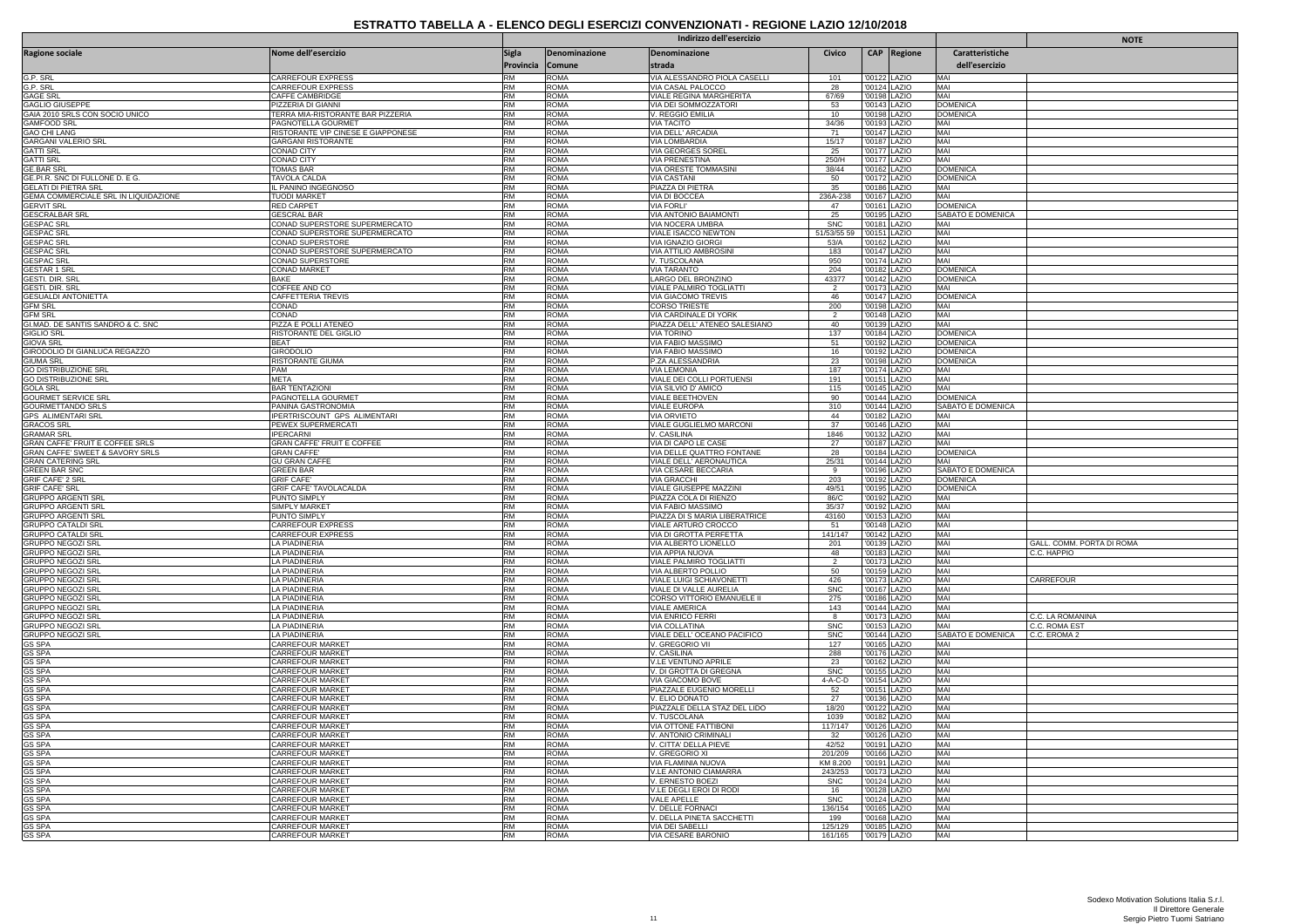|                                                                           |                                                         | Indirizzo dell'esercizio |                            |                                                    |                       |              |                               |                                    | <b>NOTE</b>               |
|---------------------------------------------------------------------------|---------------------------------------------------------|--------------------------|----------------------------|----------------------------------------------------|-----------------------|--------------|-------------------------------|------------------------------------|---------------------------|
| <b>Ragione sociale</b>                                                    | Nome dell'esercizio                                     | Sigla                    | Denominazione              | Denominazione                                      | Civico                |              | <b>CAP</b> Regione            | Caratteristiche                    |                           |
|                                                                           |                                                         | Provincia Comune         |                            | strada                                             |                       |              |                               | dell'esercizio                     |                           |
| G.P. SRL                                                                  | CARREFOUR EXPRESS                                       | <b>RM</b>                | <b>ROMA</b>                | VIA ALESSANDRO PIOLA CASELLI                       | 101                   |              | '00122 LAZIO                  | MAI                                |                           |
| G.P. SRL                                                                  | CARREFOUR EXPRESS                                       | <b>RM</b>                | <b>ROMA</b>                | VIA CASAL PALOCCO                                  | 28                    |              | '00124 LAZIO                  | MAI                                |                           |
| <b>GAGE SRL</b><br><b>GAGLIO GIUSEPPE</b>                                 | CAFFE CAMBRIDGE<br>PIZZERIA DI GIANNI                   | RM<br><b>RM</b>          | <b>ROMA</b><br><b>ROMA</b> | VIALE REGINA MARGHERITA<br>VIA DEI SOMMOZZATORI    | 67/69<br>53           |              | '00198 LAZIO<br>'00143 LAZIO  | MAI<br>DOMENICA                    |                           |
| GAIA 2010 SRLS CON SOCIO UNICO                                            | TERRA MIA-RISTORANTE BAR PIZZERIA                       | RM                       | <b>ROMA</b>                | V. REGGIO EMILIA                                   | 10                    |              | '00198 LAZIO                  | <b>DOMENICA</b>                    |                           |
| <b>GAMFOOD SRL</b>                                                        | PAGNOTELLA GOURMET                                      | <b>RM</b>                | <b>ROMA</b>                | <b>VIA TACITO</b>                                  | 34/36                 |              | '00193 LAZIO                  | MAI                                |                           |
| <b>GAO CHI LANG</b>                                                       | RISTORANTE VIP CINESE E GIAPPONESE                      | RM                       | <b>ROMA</b>                | VIA DELL' ARCADIA                                  | 71                    |              | '00147 LAZIO                  | MAI                                |                           |
| <b>GARGANI VALERIO SRL</b><br><b>GATTI SRL</b>                            | <b>GARGANI RISTORANTE</b><br><b>CONAD CITY</b>          | <b>RM</b><br>RM          | <b>ROMA</b><br><b>ROMA</b> | <b>VIA LOMBARDIA</b><br>VIA GEORGES SOREI          | 15/17<br>25           |              | '00187 LAZIO<br>'00177 LAZIO  | MAI<br>MAI                         |                           |
| <b>GATTI SRL</b>                                                          | CONAD CITY                                              | RM                       | <b>ROMA</b>                | <b>VIA PRENESTINA</b>                              | 250/H                 |              | '00177 LAZIO                  | MAI                                |                           |
| <b>GE BAR SR</b>                                                          | <b>TOMAS BAR</b>                                        | RM                       | <b>ROMA</b>                | VIA ORESTE TOMMASINI                               | 38/44                 |              | '00162 LAZIO                  | <b>DOMENICA</b>                    |                           |
| GE.PI.R. SNC DI FULLONE D. E G.                                           | TAVOLA CALDA                                            | RM                       | <b>ROMA</b>                | <b>VIA CASTANI</b>                                 | 50                    |              | '00172 LAZIO                  | <b>DOMENICA</b>                    |                           |
| <b>GELATI DI PIETRA SRL</b><br>GEMA COMMERCIALE SRL IN LIQUIDAZIONE       | L PANINO INGEGNOSO<br><b>TUODI MARKET</b>               | <b>RM</b><br>RM          | <b>ROMA</b><br><b>ROMA</b> | PIAZZA DI PIETRA<br>VIA DI BOCCEA                  | 35<br>236A-238        | '00186       | LAZIO<br>'00167 LAZIO         | MAI<br>MAI                         |                           |
| <b>GERVIT SRL</b>                                                         | <b>RED CARPET</b>                                       | RM                       | <b>ROMA</b>                | <b>VIA FORLI'</b>                                  | 47                    |              | '00161 LAZIO                  | <b>DOMENICA</b>                    |                           |
| <b>GESCRALBAR SR</b>                                                      | <b>GESCRAL BAR</b>                                      | <b>RM</b>                | <b>ROMA</b>                | VIA ANTONIO BAIAMONTI                              | 25                    |              | '00195 LAZIO                  | SABATO E DOMENICA                  |                           |
| GESPAC SRL<br>GESPAC SRL                                                  | CONAD SUPERSTORE SUPERMERCATO                           | <b>RM</b>                | <b>ROMA</b>                | VIA NOCERA UMBRA                                   | SNC                   |              | '00181_LAZIO                  | MAI                                |                           |
|                                                                           | CONAD SUPERSTORE SUPERMERCATO                           | RM<br>RM                 | <b>ROMA</b><br><b>ROMA</b> | VIALE ISACCO NEWTON                                | 51/53/55 5            |              | '00151 LAZIO                  | MAI                                |                           |
| <b>GESPAC SRI</b><br><b>GESPAC SRL</b>                                    | CONAD SUPERSTORE<br>CONAD SUPERSTORE SUPERMERCATO       | <b>RM</b>                | ROMA                       | VIA IGNAZIO GIORGI<br>VIA ATTILIO AMBROSINI        | 53/A<br>183           |              | '00162 LAZIO<br>'00147 LAZIO  | MAI<br>MAI                         |                           |
| <b>GESPAC SRI</b>                                                         | CONAD SUPERSTORE                                        | <b>RM</b>                | <b>ROMA</b>                | V. TUSCOLANA                                       | 950                   |              | '00174 LAZIO                  | MAI                                |                           |
| <b>GESTAR 1 SRI</b>                                                       | CONAD MARKET                                            | RM                       | <b>ROMA</b>                | <b>VIA TARANTO</b>                                 | 204                   |              | '00182 LAZIO                  | <b>DOMENICA</b>                    |                           |
| <b>GESTI. DIR. SRI</b>                                                    | BAKF                                                    | <b>RM</b>                | <b>ROMA</b>                | LARGO DEL BRONZINO                                 | 43377                 |              | '00142 LAZIO                  | <b>DOMENICA</b>                    |                           |
| GESTI. DIR. SRL<br><b>GESUALDI ANTONIETTA</b>                             | COFFEE AND CO<br>CAFFETTERIA TREVIS                     | RM<br><b>RM</b>          | <b>ROMA</b><br><b>ROMA</b> | VIALE PALMIRO TOGLIATTI<br>VIA GIACOMO TREVIS      | $\overline{2}$<br>46  |              | '00173 LAZIO<br>'00147   AZIO | MAI<br><b>DOMENICA</b>             |                           |
| <b>GFM SRL</b>                                                            | CONAD                                                   | <b>RM</b>                | <b>ROMA</b>                | CORSO TRIESTE                                      | 200                   |              | '00198 LAZIO                  | MAI                                |                           |
| <b>GFM SRL</b>                                                            | CONAD                                                   | RM                       | <b>ROMA</b>                | VIA CARDINALE DI YORK                              | $\overline{2}$        |              | '00148 LAZIO                  | MAI                                |                           |
| GI.MAD. DE SANTIS SANDRO & C. SNC                                         | PIZZA E POLLI ATENEO                                    | RM                       | <b>ROMA</b>                | PIAZZA DELL' ATENEO SALESIANO                      | 40                    |              | '00139 LAZIO                  | MAI                                |                           |
| <b>GIGLIO SRI</b>                                                         | RISTORANTE DEL GIGLIO                                   | RM                       | <b>ROMA</b>                | <b>VIA TORINO</b>                                  | 137                   |              | '00184 LAZIO                  | <b>DOMENICA</b>                    |                           |
| <b>GIOVA SRL</b><br>GIRODOLIO DI GIANLUCA REGAZZO                         | <b>BFAT</b><br><b>GIRODOLIO</b>                         | <b>RM</b><br>RM          | <b>ROMA</b><br><b>ROMA</b> | <b>VIA FABIO MASSIMO</b><br>VIA FABIO MASSIMO      | 51<br>16              |              | '00192 LAZIO<br>'00192 LAZIO  | <b>DOMENICA</b><br><b>DOMENICA</b> |                           |
| <b>GIUMA SRI</b>                                                          | RISTORANTE GIUMA                                        | <b>RM</b>                | <b>ROMA</b>                | P.ZA ALESSANDRIA                                   | 23                    | 00198        | LAZIO                         | <b>DOMENICA</b>                    |                           |
| <b>GO DISTRIBUZIONE SRL</b>                                               | PAM                                                     | <b>RM</b>                | <b>ROMA</b>                | <b>VIA LEMONIA</b>                                 | 187                   |              | '00174 LAZIO                  | MAI                                |                           |
| <b>GO DISTRIBUZIONE SRL</b>                                               | <b>MFTA</b>                                             | RM                       | <b>ROMA</b>                | VIALE DEI COLLI PORTUENSI                          | 191                   |              | '00151 LAZIO                  | MAI                                |                           |
| <b>GOLA SRL</b>                                                           | <b>BAR TENTAZIONI</b>                                   | <b>RM</b><br><b>RM</b>   | <b>ROMA</b><br><b>ROMA</b> | VIA SILVIO D' AMICO<br><b>VIALE BEETHOVEN</b>      | 115<br>90             | 00145        | LAZIO                         | MAI<br><b>DOMENICA</b>             |                           |
| <b>GOURMET SERVICE SRI</b><br><b>GOURMETTANDO SRLS</b>                    | PAGNOTELLA GOURMET<br>PANINA GASTRONOMIA                | <b>RM</b>                | <b>ROMA</b>                | VIALE EUROPA                                       | 310                   |              | '00144 LAZIO<br>'00144 LAZIO  | SABATO E DOMENICA                  |                           |
| <b>GPS ALIMENTARI SRL</b>                                                 | PERTRISCOUNT GPS ALIMENTARI                             | RM                       | <b>ROMA</b>                | <b>VIA ORVIETO</b>                                 | 44                    |              | '00182 LAZIO                  | MAI                                |                           |
| <b>GRACOS SRL</b>                                                         | PEWEX SUPERMERCATI                                      | <b>RM</b>                | <b>ROMA</b>                | VIALE GUGLIELMO MARCONI                            | 37                    |              | '00146 LAZIO                  | MAI                                |                           |
| <b>GRAMAR SRL</b>                                                         | <b>IPERCARNI</b>                                        | <b>RM</b>                | <b>ROMA</b>                | V. CASILINA                                        | 1846                  |              | '00132 LAZIO                  | MAI                                |                           |
| <b>GRAN CAFFE' FRUIT E COFFEE SRLS</b><br>GRAN CAFFE' SWEET & SAVORY SRLS | <b>GRAN CAFFE' FRUIT E COFFEE</b><br><b>GRAN CAFFE'</b> | RM<br><b>RM</b>          | <b>ROMA</b><br><b>ROMA</b> | VIA DI CAPO LE CASE<br>VIA DELLE QUATTRO FONTANE   | 27<br>28              |              | '00187 LAZIO<br>'00184 LAZIO  | MAI<br><b>DOMENICA</b>             |                           |
| <b>GRAN CATERING SRL</b>                                                  | <b>GU GRAN CAFFE</b>                                    | <b>RM</b>                | <b>ROMA</b>                | VIALE DELL' AERONAUTICA                            | 25/31                 |              | '00144 LAZIO                  | MAI                                |                           |
| <b>GREEN BAR SNC</b>                                                      | <b>GREEN BAR</b>                                        | <b>RM</b>                | <b>ROMA</b>                | VIA CESARE BECCARIA                                | -9                    |              | '00196 LAZIO                  | SABATO E DOMENICA                  |                           |
| <b>GRIF CAFE' 2 SRL</b>                                                   | <b>GRIF CAFE'</b>                                       | RM                       | <b>ROMA</b>                | <b>VIA GRACCHI</b>                                 | 203                   |              | '00192 LAZIO                  | <b>DOMENICA</b>                    |                           |
| <b>GRIF CAFE' SRL</b><br><b>GRUPPO ARGENTI SRL</b>                        | <b>GRIF CAFE' TAVOLACALDA</b><br>PUNTO SIMPLY           | <b>RM</b><br>RM          | <b>ROMA</b><br><b>ROMA</b> | VIALE GIUSEPPE MAZZINI<br>PIAZZA COLA DI RIENZO    | 49/51<br>86/C         |              | '00195 LAZIO<br>'00192 LAZIO  | <b>DOMENICA</b><br>MAI             |                           |
| <b>GRUPPO ARGENTI SRL</b>                                                 | SIMPLY MARKET                                           | RM                       | <b>ROMA</b>                | VIA FABIO MASSIMO                                  | 35/37                 | '00192       | LAZIO                         | MAI                                |                           |
| <b>GRUPPO ARGENTI SRL</b>                                                 | PUNTO SIMPLY                                            | <b>RM</b>                | <b>ROMA</b>                | PIAZZA DI S MARIA LIBERATRICE                      | 43160                 |              | '00153 LAZIO                  | MAI                                |                           |
| <b>GRUPPO CATALDI SRI</b>                                                 | CARREFOUR EXPRESS                                       | <b>RM</b>                | <b>ROMA</b>                | VIALE ARTURO CROCCO                                | 51                    |              | '00148 LAZIO                  | MAI                                |                           |
| <b>GRUPPO CATALDI SR</b>                                                  | CARREFOUR EXPRESS                                       | <b>RM</b><br><b>RM</b>   | <b>ROMA</b>                | VIA DI GROTTA PERFETTA                             | 141/147               | 00142        | LAZIO                         | MAI                                | GALL. COMM. PORTA DI ROMA |
| <b>GRUPPO NEGOZI SRL</b><br><b>GRUPPO NEGOZI SRL</b>                      | <b>LA PIADINERIA</b><br><b>LA PIADINERIA</b>            | RM                       | <b>ROMA</b><br><b>ROMA</b> | VIA ALBERTO LIONELLO<br>VIA APPIA NUOVA            | 201<br>48             |              | '00139 LAZIO<br>'00183 LAZIO  | MAI<br>MAI                         | C.C. HAPPIO               |
| <b>GRUPPO NEGOZI SRL</b>                                                  | A PIADINERIA                                            | RM                       | <b>ROMA</b>                | VIALE PALMIRO TOGLIATTI                            |                       | '00173       | LAZIO                         | MAI                                |                           |
| <b>GRUPPO NEGOZI SRI</b>                                                  | <b>LA PIADINERIA</b>                                    | RM                       | <b>ROMA</b>                | VIA ALBERTO POLLIO                                 | 50                    |              | '00159 LAZIO                  | MAI                                |                           |
| <b>GRUPPO NEGOZI SRL</b>                                                  | LA PIADINERIA                                           | <b>RM</b>                | <b>ROMA</b>                | VIALE LUIGI SCHIAVONETTI                           | 426                   |              | '00173 LAZIO                  | MAI                                | CARREFOUR                 |
| <b>GRUPPO NEGOZI SRL</b>                                                  | LA PIADINERIA                                           | <b>RM</b><br><b>RM</b>   | <b>ROMA</b>                | VIALE DI VALLE AURELIA                             | <b>SNC</b>            |              | '00167 LAZIO                  | MAI<br>MAI                         |                           |
| <b>GRUPPO NEGOZI SRL</b><br><b>GRUPPO NEGOZI SRL</b>                      | <b>LA PIADINERIA</b><br><b>LA PIADINERIA</b>            | <b>RM</b>                | <b>ROMA</b><br><b>ROMA</b> | CORSO VITTORIO EMANUELE II<br><b>VIALE AMERICA</b> | 275<br>143            |              | '00186 LAZIO<br>'00144 LAZIO  | MAI                                |                           |
| <b>GRUPPO NEGOZI SRL</b>                                                  | LA PIADINERIA                                           | <b>RM</b>                | <b>ROMA</b>                | VIA ENRICO FERRI                                   | 8                     |              | '00173 LAZIO                  | MAI                                | C.C. LA ROMANINA          |
| <b>GRUPPO NEGOZI SRL</b>                                                  | LA PIADINERIA                                           | <b>RM</b>                | <b>ROMA</b>                | VIA COLLATINA                                      | <b>SNC</b>            | '00153       | LAZIO                         | MAI                                | C.C. ROMA EST             |
| <b>GRUPPO NEGOZI SRL</b>                                                  | <b>LA PIADINERIA</b><br>CARREFOUR MARKET                | <b>RM</b><br>RM          | <b>ROMA</b><br><b>ROMA</b> | VIALE DELL' OCEANO PACIFICO                        | <b>SNC</b>            |              | '00144 LAZIO                  | SABATO E DOMENICA                  | C.C. EROMA 2              |
| <b>GS SPA</b><br><b>GS SPA</b>                                            | CARREFOUR MARKET                                        | <b>RM</b>                | <b>ROMA</b>                | V. GREGORIO VII<br>V. CASILINA                     | 127<br>288            |              | '00165 LAZIO<br>'00176 LAZIO  | MAI<br>MAI                         |                           |
| <b>GS SPA</b>                                                             | CARREFOUR MARKET                                        | RM                       | <b>ROMA</b>                | <b>V.LE VENTUNO APRILE</b>                         | 23                    |              | '00162 LAZIO                  | MAI                                |                           |
| <b>GS SPA</b>                                                             | CARREFOUR MARKET                                        | <b>RM</b>                | <b>ROMA</b>                | V. DI GROTTA DI GREGNA                             | <b>SNC</b>            |              | '00155 LAZIO                  | MAI                                |                           |
| <b>GS SPA</b>                                                             | CARREFOUR MARKET                                        | <b>RM</b>                | <b>ROMA</b>                | VIA GIACOMO BOVE                                   | $4-A-C-D$             |              | '00154 LAZIO                  | MAI                                |                           |
| <b>GS SPA</b><br><b>GS SPA</b>                                            | CARREFOUR MARKET<br><b>CARREFOUR MARKET</b>             | <b>RM</b><br><b>RM</b>   | <b>ROMA</b><br><b>ROMA</b> | PIAZZALE EUGENIO MORELLI                           | 52<br>27              |              | '00151 LAZIO                  | MAI<br>MAI                         |                           |
| <b>GS SPA</b>                                                             | CARREFOUR MARKET                                        | <b>RM</b>                | <b>ROMA</b>                | V. ELIO DONATO<br>PIAZZALE DELLA STAZ DEL LIDO     | 18/20                 |              | '00136 LAZIO<br>'00122 LAZIO  | MAI                                |                           |
| <b>GS SPA</b>                                                             | CARREFOUR MARKET                                        | <b>RM</b>                | <b>ROMA</b>                | V. TUSCOLANA                                       | 1039                  |              | '00182 LAZIO                  | MAI                                |                           |
| <b>GS SPA</b>                                                             | CARREFOUR MARKET                                        | <b>RM</b>                | <b>ROMA</b>                | VIA OTTONE FATTIBONI                               | 117/147               |              | '00126 LAZIO                  | MAI                                |                           |
| <b>GS SPA</b><br><b>GS SPA</b>                                            | CARREFOUR MARKET<br>CARREFOUR MARKET                    | RM<br><b>RM</b>          | <b>ROMA</b><br><b>ROMA</b> | V. ANTONIO CRIMINALI<br>V. CITTA' DELLA PIEVE      | 32<br>42/52           |              | 00126 LAZIO                   | MAI<br>MAI                         |                           |
| <b>GS SPA</b>                                                             | CARREFOUR MARKET                                        | RM                       | <b>ROMA</b>                | V. GREGORIO XI                                     | 201/209               |              | '00191 LAZIO<br>'00166 LAZIO  | MAI                                |                           |
| <b>GS SPA</b>                                                             | CARREFOUR MARKET                                        | <b>RM</b>                | <b>ROMA</b>                | VIA FLAMINIA NUOVA                                 | KM 8.200              |              | '00191 LAZIO                  | MAI                                |                           |
| <b>GS SPA</b>                                                             | <b>CARREFOUR MARKET</b>                                 | <b>RM</b>                | <b>ROMA</b>                | V.LE ANTONIO CIAMARRA                              | 243/253               |              | '00173 LAZIO                  | MAI                                |                           |
| <b>GS SPA</b>                                                             | CARREFOUR MARKET                                        | <b>RM</b>                | <b>ROMA</b>                | V. ERNESTO BOEZI                                   | <b>SNC</b>            |              | '00124 LAZIO                  | MAI                                |                           |
| <b>GS SPA</b>                                                             | CARREFOUR MARKET                                        | <b>RM</b><br><b>RM</b>   | <b>ROMA</b>                | V.LE DEGLI EROI DI RODI                            | 16                    |              | 00128 LAZIO                   | MAI<br>MAI                         |                           |
| <b>GS SPA</b><br><b>GS SPA</b>                                            | CARREFOUR MARKET<br><b>CARREFOUR MARKET</b>             | <b>RM</b>                | <b>ROMA</b><br><b>ROMA</b> | VALE APELLE<br>V. DELLE FORNACI                    | <b>SNC</b><br>136/154 |              | '00124 LAZIO<br>'00165 LAZIO  | MAI                                |                           |
| <b>GS SPA</b>                                                             | CARREFOUR MARKET                                        | <b>RM</b>                | <b>ROMA</b>                | V. DELLA PINETA SACCHETTI                          | 199                   |              | '00168 LAZIO                  | MAI                                |                           |
| <b>GS SPA</b>                                                             | <b>CARREFOUR MARKET</b>                                 | <b>RM</b>                | <b>ROMA</b>                | VIA DEI SABELLI                                    | 125/129               |              | '00185 LAZIO                  | MAI                                |                           |
| <b>GS SPA</b>                                                             | <b>CARREFOUR MARKET</b>                                 | <b>RM</b>                | <b>ROMA</b>                | VIA CESARE BARONIO                                 | 161/165               | '00179 LAZIO |                               | MAI                                |                           |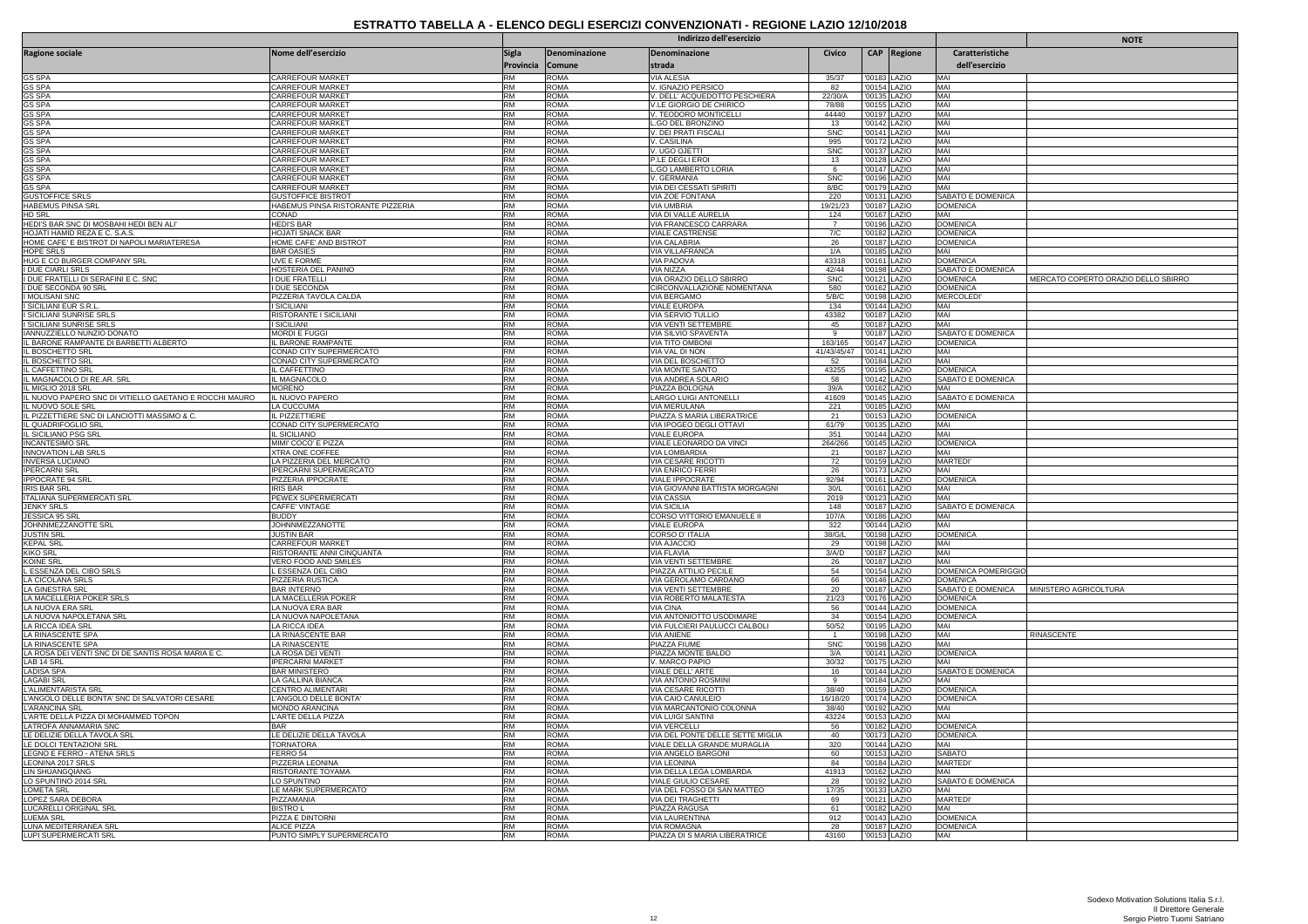|                                                                                |                                                |                           |                         | Indirizzo dell'esercizio                            |                   | <b>NOTE</b>                  |                              |                                      |                                           |
|--------------------------------------------------------------------------------|------------------------------------------------|---------------------------|-------------------------|-----------------------------------------------------|-------------------|------------------------------|------------------------------|--------------------------------------|-------------------------------------------|
| <b>Ragione sociale</b>                                                         | Nome dell'esercizio                            | <b>Sigla</b><br>Provincia | Denominazione<br>Comune | Denominazione<br>strada                             | Civico            |                              | CAP Regione                  | Caratteristiche<br>dell'esercizio    |                                           |
| GS SPA                                                                         | CARREFOUR MARKET                               | <b>RM</b>                 | AMOS                    | VIA ALESIA                                          | 35/37             | '00183 LAZIO                 |                              | MAI                                  |                                           |
| <b>GS SPA</b>                                                                  | CARREFOUR MARKET                               | <b>RM</b>                 | ROMA                    | V. IGNAZIO PERSICO                                  | 82                |                              | '00154 LAZIO                 | MAI                                  |                                           |
| GS SPA                                                                         | CARREFOUR MARKET                               | <b>RM</b>                 | roma                    | V. DELL' ACQUEDOTTO PESCHIERA                       | 22/30/A           | '00135 LAZIO                 |                              | MAI                                  |                                           |
| GS SPA<br><b>GS SPA</b>                                                        | CARREFOUR MARKET<br>CARREFOUR MARKET           | <b>RM</b><br><b>RM</b>    | ROMA<br><b>ROMA</b>     | V.LE GIORGIO DE CHIRICO<br>V. TEODORO MONTICELLI    | 78/88<br>44440    | '00197 LAZIO                 | '00155 LAZIO                 | MAI<br>MAI                           |                                           |
| <b>GS SPA</b>                                                                  | CARREFOUR MARKET                               | <b>RM</b>                 | ROMA                    | L.GO DEL BRONZINO                                   | 13                | '00142 LAZIO                 |                              | MAI                                  |                                           |
| <b>GS SPA</b>                                                                  | CARREFOUR MARKET                               | <b>RM</b>                 | roma                    | V. DEI PRATI FISCALI                                | <b>SNC</b>        |                              | '00141 LAZIO                 | MAI                                  |                                           |
| GS SPA                                                                         | CARREFOUR MARKET                               | <b>RM</b><br><b>RM</b>    | ROMA                    | V. CASILINA                                         | 995               | '00172 LAZIO                 |                              | MAI                                  |                                           |
| <b>GS SPA</b><br><b>GS SPA</b>                                                 | CARREFOUR MARKET<br>CARREFOUR MARKET           | RM                        | <b>ROMA</b><br>ROMA     | V. UGO OJETTI<br>P.LE DEGLI EROI                    | <b>SNC</b><br>13  | '00137 LAZIO                 | '00128 LAZIO                 | MAI<br>MAI                           |                                           |
| <b>GS SPA</b>                                                                  | CARREFOUR MARKET                               | <b>RM</b>                 | ROMA                    | <b>L.GO LAMBERTO LORIA</b>                          | 6                 | '00147 LAZIO                 |                              | MAI                                  |                                           |
| <b>GS SPA</b>                                                                  | CARREFOUR MARKET                               | <b>RM</b>                 | ROMA                    | V. GERMANIA                                         | <b>SNC</b>        | '00196 LAZIO                 |                              | MAI                                  |                                           |
| <b>GS SPA</b>                                                                  | CARREFOUR MARKET                               | <b>RM</b>                 | ROMA                    | VIA DEI CESSATI SPIRITI                             | 8/BC              |                              | '00179 LAZIO                 | MAI                                  |                                           |
| <b>GUSTOFFICE SRLS</b><br><b>HABEMUS PINSA SRL</b>                             | <b>GUSTOFFICE BISTROT</b>                      | <b>RM</b><br><b>RM</b>    | ROMA<br>ROMA            | VIA ZOE FONTANA<br>VIA UMBRIA                       | 220<br>19/21/23   | '00131 LAZIO<br>'00187 LAZIO |                              | SABATO E DOMENICA                    |                                           |
| HD SRL                                                                         | HABEMUS PINSA RISTORANTE PIZZERIA<br>CONAD     | <b>RM</b>                 | ROMA                    | VIA DI VALLE AURELIA                                | 124               |                              | '00167 LAZIO                 | <b>DOMENICA</b><br>MAI               |                                           |
| HEDI'S BAR SNC DI MOSBAHI HEDI BEN ALI'                                        | <b>HEDI'S BAR</b>                              | <b>RM</b>                 | roma                    | VIA FRANCESCO CARRARA                               | $\overline{7}$    | '00196 LAZIO                 |                              | <b>DOMENICA</b>                      |                                           |
| HOJATI HAMID REZA E C. S.A.S                                                   | HOJATI SNACK BAR                               | <b>RM</b>                 | ROMA                    | <b>VIALE CASTRENSE</b>                              | 7/C               | '00182 LAZIO                 |                              | <b>DOMENICA</b>                      |                                           |
| HOME CAFE' E BISTROT DI NAPOLI MARIATERESA                                     | HOME CAFE' AND BISTROT                         | <b>RM</b>                 | ROMA                    | <b>VIA CALABRIA</b>                                 | 26                | '00187 LAZIO                 |                              | <b>DOMENICA</b>                      |                                           |
| HOPE SRLS<br>HUG E CO BURGER COMPANY SRL                                       | <b>BAR OASIES</b><br><b>UVE E FORME</b>        | <b>RM</b><br><b>RM</b>    | ROMA<br>ROMA            | <b>VIA VILLAFRANCA</b><br><b>VIA PADOVA</b>         | 1/A<br>43318      | '00185 LAZIO<br>'00161 LAZIO |                              | MAI<br><b>DOMENICA</b>               |                                           |
| <b>I DUE CIARLI SRLS</b>                                                       | HOSTERIA DEL PANINO                            | <b>RM</b>                 | ROMA                    | VIA NIZZA                                           | 42/44             | '00198   AZIO                |                              | SABATO E DOMENICA                    |                                           |
| I DUE FRATELLI DI SERAFINI E C. SNC                                            | DUE FRATELLI                                   | <b>RM</b>                 | ROMA                    | VIA ORAZIO DELLO SBIRRO                             | <b>SNC</b>        | '00121 LAZIO                 |                              | <b>DOMENICA</b>                      | MERCATO COPERTO ORAZIO DELLO SBIRRO       |
| I DUE SECONDA 90 SRL                                                           | <b>DUE SECONDA</b>                             | <b>RM</b>                 | <b>ROMA</b>             | CIRCONVALLAZIONE NOMENTANA                          | 580               |                              | '00162 LAZIO                 | <b>DOMENICA</b>                      |                                           |
| <b>IMOLISANI SNC</b>                                                           | PIZZERIA TAVOLA CALDA                          | <b>RM</b>                 | ROMA                    | VIA BERGAMO                                         | 5/B/C             | '00198 LAZIO                 |                              | <b>MERCOLEDI</b>                     |                                           |
| I SICILIANI EUR S.R.L<br>I SICILIANI SUNRISE SRLS                              | <b>SICILIANI</b><br>RISTORANTE I SICILIANI     | <b>RM</b><br><b>RM</b>    | ROMA<br>ROMA            | VIALE EUROPA<br>VIA SERVIO TULLIO                   | 134<br>43382      | '00187 LAZIO                 | '00144 LAZIO                 | MAI<br>MAI                           |                                           |
| I SICILIANI SUNRISE SRLS                                                       | SICILIANI                                      | <b>RM</b>                 | ROMA                    | VIA VENTI SETTEMBRE                                 | 45                | '00187 LAZIO                 |                              | <b>MAI</b>                           |                                           |
| IANNUZZIELLO NUNZIO DONATO                                                     | MORDI E FUGGI                                  | RM                        | ROMA                    | <b>VIA SILVIO SPAVENTA</b>                          | 9                 |                              | '00187 LAZIO                 | SABATO E DOMENICA                    |                                           |
| IL BARONE RAMPANTE DI BARBETTI ALBERTO                                         | L BARONE RAMPANTE                              | <b>RM</b>                 | ROMA                    | VIA TITO OMBONI                                     | 163/165           | '00147 LAZIO                 |                              | <b>DOMENICA</b>                      |                                           |
| IL BOSCHETTO SRL                                                               | CONAD CITY SUPERMERCATO                        | <b>RM</b>                 | ROMA                    | VIA VAL DI NON                                      | 41/43/45/47       | '00141 LAZIO                 |                              | MAI                                  |                                           |
| IL BOSCHETTO SR                                                                | CONAD CITY SUPERMERCATO                        | <b>RM</b>                 | ROMA                    | VIA DEL BOSCHETTO                                   | 52<br>43255       | '00195 LAZIO                 | 00184 LAZIO                  | MAI                                  |                                           |
| IL CAFFETTINO SRI<br>IL MAGNACOLO DI RE.AR. SRL                                | L CAFFETTINO<br>L MAGNACOLO                    | <b>RM</b><br><b>RM</b>    | ROMA<br>ROMA            | <b>VIA MONTE SANTO</b><br>VIA ANDREA SOLARIO        | 58                | '00142 LAZIO                 |                              | <b>DOMENICA</b><br>SABATO E DOMENICA |                                           |
| L MIGLIO 2018 SRL                                                              | <b>IORENO</b>                                  | <b>RM</b>                 | <b>AMOS</b>             | PIAZZA BOLOGNA                                      | 39/A              |                              | '00162 LAZIO                 | MAI                                  |                                           |
| IL NUOVO PAPERO SNC DI VITIELLO GAETANO E ROCCHI MAURO                         | IL NUOVO PAPERO                                | <b>RM</b>                 | ROMA                    | <b>LARGO LUIGI ANTONELL</b>                         | 41609             | '00145 LAZIO                 |                              | SABATO E DOMENICA                    |                                           |
| IL NUOVO SOLE SRL                                                              | A CUCCUMA                                      | <b>RM</b>                 | ROMA                    | VIA MERULANA                                        | 221               | '00185 LAZIO                 |                              | MAI                                  |                                           |
| IL PIZZETTIERE SNC DI LANCIOTTI MASSIMO & C                                    | L PIZZETTIERI                                  | <b>RM</b>                 | ROMA                    | PIAZZA S MARIA LIBERATRICE                          | 21                |                              | '00153 LAZIO                 | <b>DOMENICA</b>                      |                                           |
| <u>IL QUADRIFOGLIO SRL</u><br>IL SICILIANO PSG SRL                             | CONAD CITY SUPERMERCATO<br>L SICILIANO         | <b>RM</b><br><b>RM</b>    | ROMA<br>ROMA            | VIA IPOGEO DEGLI OTTAVI<br>VIALE EUROPA             | 61/79<br>351      | '00135 LAZIO<br>'00144 LAZIO |                              | MAI<br>MAI                           |                                           |
| <b>INCANTESIMO SRL</b>                                                         | MIMI' COCO' E PIZZA                            | <b>RM</b>                 | ROMA                    | VIALE LEONARDO DA VINCI                             | 264/266           |                              | '00145 LAZIO                 | <b>DOMENICA</b>                      |                                           |
| <b>INNOVATION LAB SRLS</b>                                                     | <b>XTRA ONE COFFEE</b>                         | RM                        | ROMA                    | VIA LOMBARDIA                                       | 21                |                              | '00187 LAZIO                 | MAI                                  |                                           |
| <b>INVERSA LUCIANO</b>                                                         | LA PIZZERIA DEL MERCATO                        | <b>RM</b>                 | ROMA                    | <b>VIA CESARE RICOTTI</b>                           | 72                | '00159 LAZIO                 |                              | <b>MARTEDI</b>                       |                                           |
| <b>IPERCARNI SRL</b>                                                           | PERCARNI SUPERMERCATO                          | <b>RM</b>                 | ROMA                    | <b>VIA ENRICO FERRI</b>                             | 26                | '00173 LAZIO                 |                              | MAI                                  |                                           |
| <b>IPPOCRATE 94 SR</b><br><b>IRIS BAR SR</b>                                   | PIZZERIA IPPOCRATE<br><b>IRIS BAR</b>          | <b>RM</b><br><b>RM</b>    | ROMA<br>ROMA            | VIALE IPPOCRATE<br>VIA GIOVANNI BATTISTA MORGAGNI   | 92/94<br>30/L     | '00161 LAZIO<br>'00161 LAZIO |                              | <b>DOMENICA</b><br>MAI               |                                           |
| <b>ITALIANA SUPERMERCATI SRL</b>                                               | PEWEX SUPERMERCATI                             | <b>RM</b>                 | ROMA                    | <b>VIA CASSIA</b>                                   | 2019              | '00123 LAZIO                 |                              | MAI                                  |                                           |
| <b>JENKY SRLS</b>                                                              | CAFFE' VINTAGE                                 | <b>RM</b>                 | ROMA                    | <b>VIA SICILIA</b>                                  | 148               |                              | '00187 LAZIO                 | SABATO E DOMENICA                    |                                           |
| JESSICA 95 SRI                                                                 | <b>BUDDY</b>                                   | <b>RM</b>                 | ROMA                    | CORSO VITTORIO EMANUELE I                           | 107/A             | '00186 LAZIO                 |                              | MAI                                  |                                           |
| JOHNNMEZZANOTTE SRL                                                            | <b>JOHNNMEZZANOTTE</b>                         | <b>RM</b>                 | <b>ROMA</b>             | <b>VIALE EUROPA</b>                                 | 322               | '00144 LAZIO                 |                              | MAI                                  |                                           |
| <b>JUSTIN SRL</b><br><b>KEPAL SRL</b>                                          | USTIN BAR<br>CARREFOUR MARKET                  | RM<br><b>RM</b>           | ROMA<br>ROMA            | CORSO D' ITALIA<br><b>VIA AJACCIO</b>               | 38/G/L<br>29      | '00198 LAZIO                 | '00198 LAZIO                 | <b>DOMENICA</b><br>MAI               |                                           |
| <b>KIKO SRL</b>                                                                | RISTORANTE ANNI CINQUANTA                      | <b>RM</b>                 | ROMA                    | VIA FLAVIA                                          | 3/A/D             | '00187 LAZIO                 |                              | MAI                                  |                                           |
| <b>KOINE SRL</b>                                                               | VERO FOOD AND SMILES                           | <b>RM</b>                 | ROMA                    | VIA VENTI SETTEMBRE                                 | 26                |                              | '00187 LAZIO                 | MAI                                  |                                           |
| L ESSENZA DEL CIBO SRLS                                                        | L ESSENZA DEL CIBO                             | <b>RM</b>                 | ROMA                    | PIAZZA ATTILIO PECILE                               | 54                | '00154 LAZIO                 |                              | <b>DOMENICA POMERIGGIO</b>           |                                           |
| LA CICOLANA SRLS                                                               | PIZZERIA RUSTICA                               | <b>RM</b>                 | ROMA                    | VIA GEROLAMO CARDANO                                | 66                | '00146 LAZIO                 |                              | <b>DOMENICA</b>                      |                                           |
| <b>LA GINESTRA SRI</b><br>LA MACELLERIA POKER SRLS                             | BAR INTERNO<br>LA MACELLERIA POKER             | <b>RM</b><br><b>RM</b>    | ROMA<br>ROMA            | <b>VIA VENTI SETTEMBRE</b><br>VIA ROBERTO MALATESTA | 20<br>21/23       |                              | '00187 LAZIO<br>'00176 LAZIO | <b>DOMENICA</b>                      | SABATO E DOMENICA   MINISTERO AGRICOLTURA |
| LA NUOVA ERA SRL                                                               | LA NUOVA ERA BAR                               | <b>RM</b>                 | ROMA                    | <b>VIA CINA</b>                                     | 56                | '00144 LAZIO                 |                              | <b>DOMENICA</b>                      |                                           |
| LA NUOVA NAPOLETANA SRL                                                        | LA NUOVA NAPOLETANA                            | RM                        | ROMA                    | VIA ANTONIOTTO USODIMARE                            | 34                | '00154 LAZIO                 |                              | <b>DOMENICA</b>                      |                                           |
| LA RICCA IDEA SRL                                                              | LA RICCA IDEA                                  | <b>RM</b>                 | ROMA                    | VIA FULCIERI PAULUCCI CALBOLI                       | 50/52             | '00195 LAZIO                 |                              | MAI                                  |                                           |
| LA RINASCENTE SPA                                                              | LA RINASCENTE BAR                              | <b>RM</b>                 | ROMA                    | <b>VIA ANIENE</b>                                   |                   | '00198 LAZIO                 |                              | MAI                                  | <b>RINASCENTE</b>                         |
| <b>LA RINASCENTE SPA</b><br>LA ROSA DEI VENTI SNC DI DE SANTIS ROSA MARIA E C. | LA RINASCENTE<br>LA ROSA DEI VENTI             | <b>RM</b><br><b>RM</b>    | ROMA<br>ROMA            | PIAZZA FIUME<br>PIAZZA MONTE BALDO                  | <b>SNC</b><br>3/A | '00198 LAZIO<br>'00141 LAZIO |                              | MAI<br><b>DOMENICA</b>               |                                           |
| LAB 14 SRL                                                                     | <b>IPERCARNI MARKET</b>                        | <b>RM</b>                 | ROMA                    | V. MARCO PAPIO                                      | 30/32             | '00175 LAZIO                 |                              | MAI                                  |                                           |
| <b>LADISA SPA</b>                                                              | <b>BAR MINISTERO</b>                           | <b>RM</b>                 | ROMA                    | VIALE DELL'ARTE                                     | 16                | '00144   AZIO                |                              | SABATO E DOMENICA                    |                                           |
| <b>LAGABI SRL</b>                                                              | A GALLINA BIANCA                               | <b>RM</b>                 | ROMA                    | VIA ANTONIO ROSMINI                                 | 9                 | '00184 LAZIO                 |                              | MAI                                  |                                           |
| L'ALIMENTARISTA SRL<br>L'ANGOLO DELLE BONTA' SNC DI SALVATORI CESARE           | CENTRO ALIMENTARI                              | <b>RM</b><br><b>RM</b>    | ROMA<br>ROMA            | VIA CESARE RICOTTI                                  | 38/40             | '00159 LAZIO                 |                              | <b>DOMENICA</b>                      |                                           |
| L'ARANCINA SRL                                                                 | L'ANGOLO DELLE BONTA'<br><b>MONDO ARANCINA</b> | <b>RM</b>                 | ROMA                    | VIA CAIO CANULEIO<br>VIA MARCANTONIO COLONNA        | 16/18/20<br>38/40 | '00174 LAZIO                 | '00192 LAZIO                 | <b>DOMENICA</b><br>MAI               |                                           |
| L'ARTE DELLA PIZZA DI MOHAMMED TOPON                                           | 'ARTE DELLA PIZZA                              | <b>RM</b>                 | ROMA                    | <b>VIA LUIGI SANTINI</b>                            | 43224             | '00153 LAZIO                 |                              | MAI                                  |                                           |
| LATROFA ANNAMARIA SNC                                                          | RAR                                            | <b>RM</b>                 | ROMA                    | <b>VIA VERCELLI</b>                                 | 56                | '00182 LAZIO                 |                              | <b>DOMENICA</b>                      |                                           |
| LE DELIZIE DELLA TAVOLA SRI                                                    | E DELIZIE DELLA TAVOLA                         | <b>RM</b>                 | ROMA                    | VIA DEL PONTE DELLE SETTE MIGLIA                    | 40                |                              | '00173 LAZIO                 | <b>DOMENICA</b>                      |                                           |
| LE DOLCI TENTAZIONI SRL                                                        | <b>TORNATORA</b>                               | <b>RM</b>                 | ROMA                    | VIALE DELLA GRANDE MURAGLIA                         | 320               | '00144 LAZIO                 |                              | MAI                                  |                                           |
| LEGNO E FERRO - ATENA SRLS                                                     | FERRO 54                                       | <b>RM</b>                 | ROMA                    | VIA ANGELO BARGONI                                  | 60                | '00153 LAZIO                 |                              | <b>SABATO</b>                        |                                           |
| LEONINA 2017 SRLS<br><b>LIN SHUANGQIANG</b>                                    | PIZZERIA LEONINA<br>RISTORANTE TOYAMA          | <b>RM</b><br><b>RM</b>    | ROMA<br>ROMA            | VIA LEONINA<br>VIA DELLA LEGA LOMBARDA              | 84<br>41913       | '00162 LAZIO                 | '00184 LAZIO                 | MARTEDI<br>MAI                       |                                           |
| LO SPUNTINO 2014 SRL                                                           | LO SPUNTINO                                    | <b>RM</b>                 | ROMA                    | VIALE GIULIO CESARE                                 | 28                |                              | '00192 LAZIO                 | SABATO E DOMENICA                    |                                           |
| <b>LOMETA SRL</b>                                                              | E MARK SUPERMERCATO                            | <b>RM</b>                 | ROMA                    | VIA DEL FOSSO DI SAN MATTEO                         | 17/35             |                              | '00133 LAZIO                 | MAI                                  |                                           |
| LOPEZ SARA DEBORA                                                              | PIZZAMANIA                                     | <b>RM</b>                 | ROMA                    | VIA DEI TRAGHETTI                                   | 69                |                              | '00121 LAZIO                 | <b>MARTEDI</b>                       |                                           |
| LUCARELLI ORIGINAL SRL                                                         | <b>BISTRO L</b>                                | <b>RM</b>                 | ROMA                    | PIAZZA RAGUSA                                       | 61                | '00182 LAZIO                 |                              | MAI                                  |                                           |
| LUEMA SRI<br>LUNA MEDITERRANEA SRL                                             | PIZZA E DINTORNI<br>ALICE PIZZA                | <b>RM</b><br><b>RM</b>    | ROMA<br>ROMA            | <b>VIA LAURENTINA</b><br><b>VIA ROMAGNA</b>         | 912<br>28         | '00143 LAZIO<br>'00187 LAZIO |                              | <b>DOMENICA</b><br><b>DOMENICA</b>   |                                           |
| LUPI SUPERMERCATI SRL                                                          | PUNTO SIMPLY SUPERMERCATO                      | <b>RM</b>                 | ROMA                    | PIAZZA DI S MARIA LIBERATRICE                       | 43160             | '00153 LAZIO                 |                              | MAI                                  |                                           |
|                                                                                |                                                |                           |                         |                                                     |                   |                              |                              |                                      |                                           |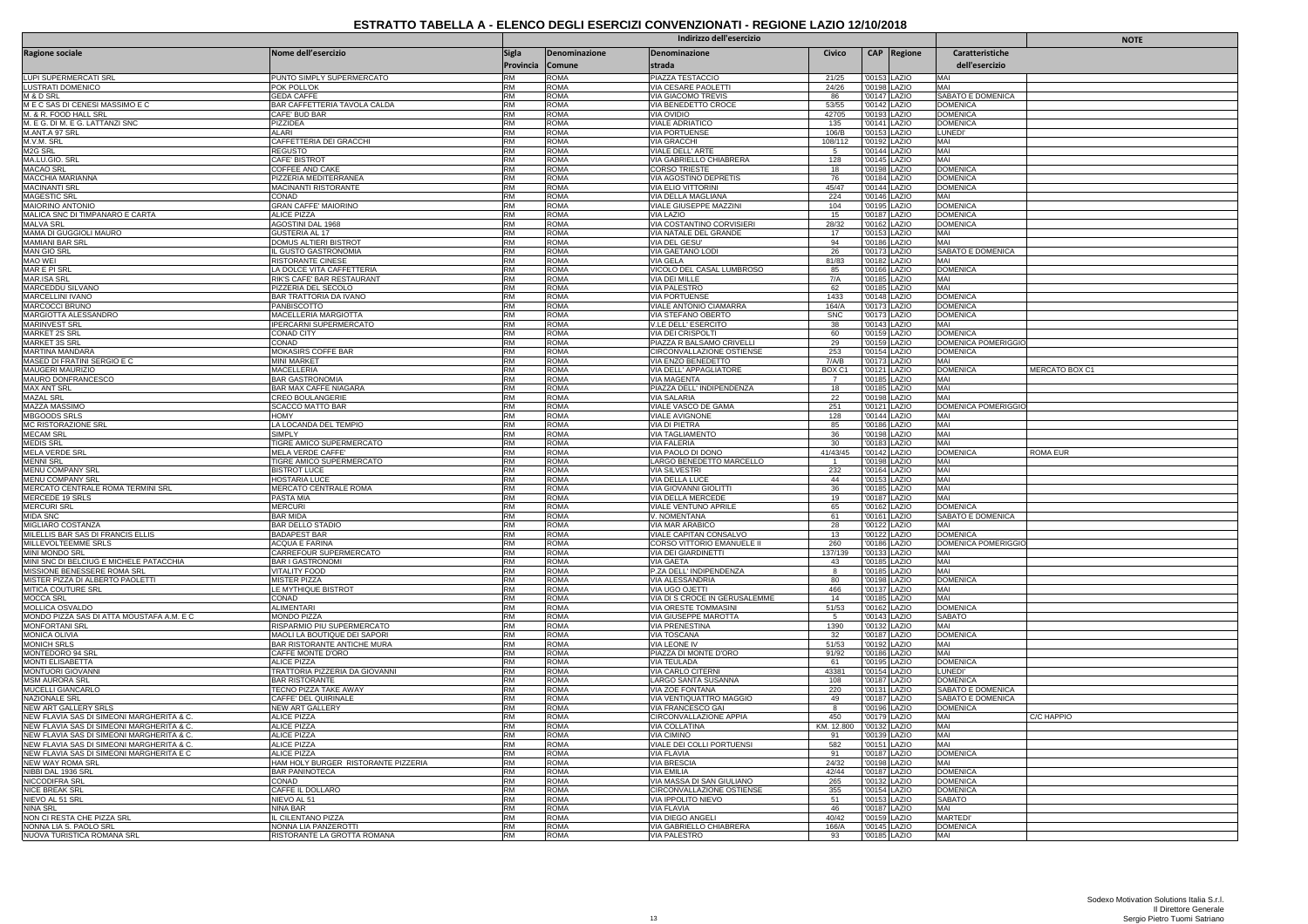|                                                                                        |                                                              |                           |                            | Indirizzo dell'esercizio                              |                      | <b>NOTE</b>                  |              |                                             |                 |
|----------------------------------------------------------------------------------------|--------------------------------------------------------------|---------------------------|----------------------------|-------------------------------------------------------|----------------------|------------------------------|--------------|---------------------------------------------|-----------------|
| Ragione sociale                                                                        | Nome dell'esercizio                                          | <b>Sigla</b><br>Provincia | Denominazione<br>Comune    | Denominazione<br>strada                               | Civico               |                              | CAP Regione  | Caratteristiche<br>dell'esercizio           |                 |
| LUPI SUPERMERCATI SRL                                                                  | PUNTO SIMPLY SUPERMERCATO                                    | <b>RM</b>                 | ROMA                       | PIAZZA TESTACCIO                                      | 21/25                | '00153 LAZIO                 |              | MAI                                         |                 |
| <b>LUSTRATI DOMENICO</b>                                                               | POK POLL'OK                                                  | RM                        | <b>ROMA</b>                | VIA CESARE PAOLETTI                                   | 24/26                | '00198 LAZIO                 |              | MAI                                         |                 |
| M & D SRL<br>MECSAS DI CENESI MASSIMO E C                                              | <b>GEDA CAFFE</b><br>BAR CAFFETTERIA TAVOLA CALDA            | <b>RM</b><br><b>RM</b>    | <b>ROMA</b><br><b>ROMA</b> | <u>VIA GIACOMO TREVIS</u><br>VIA BENEDETTO CROCE      | 86<br>53/55          | '00142 LAZIO                 | '00147 LAZIO | <b>SABATO E DOMENICA</b><br><b>DOMENICA</b> |                 |
| M. & R. FOOD HALL SRL                                                                  | CAFE' BUD BAR                                                | RM                        | <b>ROMA</b>                | VIA OVIDIO                                            | 42705                | '00193 LAZIO                 |              | <b>DOMENICA</b>                             |                 |
| M. E G. DI M. E G. LATTANZI SNC                                                        | <b>PIZZIDEA</b>                                              | <b>RM</b>                 | <b>ROMA</b>                | <b>VIALE ADRIATICO</b>                                | 135                  |                              | '00141 LAZIO | <b>DOMENICA</b>                             |                 |
| M.ANT.A 97 SRL<br>M.V.M. SRL                                                           | ALARI<br>CAFFETTERIA DEI GRACCHI                             | <b>RM</b><br><b>RM</b>    | <b>ROMA</b><br><b>ROMA</b> | <b>VIA PORTUENSE</b><br><b>VIA GRACCHI</b>            | 106/B<br>108/112     | '00153 LAZIO<br>'00192 LAZIO |              | LUNEDI'<br>MAI                              |                 |
| M <sub>2G</sub> SRL                                                                    | <b>REGUSTO</b>                                               | RM                        | <b>ROMA</b>                | VIALE DELL' ARTE                                      | 5                    |                              | '00144 LAZIO | MAI                                         |                 |
| MA.LU.GIO. SRL                                                                         | CAFE' BISTROT                                                | RM                        | <b>ROMA</b>                | VIA GABRIELLO CHIABRERA                               | 128                  | '00145 LAZIO                 |              | MAI                                         |                 |
| <b>MACAO SRL</b><br>MACCHIA MARIANNA                                                   | <b>COFFEE AND CAKE</b><br>PIZZERIA MEDITERRANEA              | <b>RM</b><br><b>RM</b>    | <b>ROMA</b><br><b>ROMA</b> | <b>CORSO TRIESTE</b><br>VIA AGOSTINO DEPRETIS         | 18<br>76             | '00198 LAZIO<br>'00184 LAZIO |              | <b>DOMENICA</b><br><b>DOMENICA</b>          |                 |
| <b>MACINANTI SRL</b>                                                                   | MACINANTI RISTORANTE                                         | <b>RM</b>                 | <b>ROMA</b>                | VIA ELIO VITTORINI                                    | 45/47                |                              | '00144 LAZIO | <b>DOMENICA</b>                             |                 |
| <b>MAGESTIC SRL</b>                                                                    | CONAD                                                        | RM                        | <b>ROMA</b>                | VIA DELLA MAGLIANA                                    | 224                  | '00146 LAZIO                 |              | MAI                                         |                 |
| MAIORINO ANTONIO<br>MALICA SNC DI TIMPANARO E CARTA                                    | <b>GRAN CAFFE' MAIORINO</b><br>ALICE PIZZA                   | <b>RM</b><br><b>RM</b>    | <b>ROMA</b><br><b>ROMA</b> | VIALE GIUSEPPE MAZZINI<br>VIA LAZIO                   | 104<br>15            | '00195 LAZIO                 |              | <b>DOMENICA</b><br><b>DOMENICA</b>          |                 |
| <b>MALVA SRL</b>                                                                       | AGOSTINI DAL 1968                                            | <b>RM</b>                 | <b>ROMA</b>                | VIA COSTANTINO CORVISIERI                             | 28/32                | '00162 LAZIO                 | '00187 LAZIO | <b>DOMENICA</b>                             |                 |
| MAMA DI GUGGIOLI MAURO                                                                 | GUSTERIA AL 17                                               | <b>RM</b>                 | <b>ROMA</b>                | VIA NATALE DEL GRANDE                                 | 17                   | '00153 LAZIO                 |              | MAI                                         |                 |
| <b>MAMIANI BAR SRL</b>                                                                 | <b>DOMUS ALTIERI BISTROT</b>                                 | RM                        | <b>ROMA</b>                | VIA DEL GESU'                                         | 94                   |                              | '00186 LAZIO | MAI                                         |                 |
| <b>MAN GIO SRL</b><br><b>MAO WEI</b>                                                   | IL GUSTO GASTRONOMIA<br><b>RISTORANTE CINESE</b>             | <b>RM</b><br><b>RM</b>    | <b>ROMA</b><br><b>ROMA</b> | VIA GAETANO LODI<br>VIA GELA                          | 26<br>81/83          | '00173 LAZIO<br>'00182 LAZIO |              | SABATO E DOMENICA<br>MAI                    |                 |
| MAR F PI SR                                                                            | LA DOLCE VITA CAFFETTERIA                                    | RM                        | <b>ROMA</b>                | VICOLO DEL CASAL LUMBROSO                             | 85                   |                              | '00166 LAZIO | <b>DOMENICA</b>                             |                 |
| MAR.ISA SRL                                                                            | RIK'S CAFE' BAR RESTAURANT                                   | <b>RM</b>                 | <b>ROMA</b>                | VIA DEI MILLE                                         | 7/A                  | '00185 LAZIO                 |              | MAI                                         |                 |
| MARCEDDU SILVANO<br>MARCELLINI IVANO                                                   | PIZZERIA DEL SECOLO<br>BAR TRATTORIA DA IVANO                | RM<br><b>RM</b>           | <b>ROMA</b><br><b>ROMA</b> | <b>VIA PALESTRO</b><br><b>VIA PORTUENSE</b>           | 62<br>1433           | '00185 LAZIO                 |              | MAI<br><b>DOMENICA</b>                      |                 |
| MARCOCCI BRUNO                                                                         | PANBISCOTTO                                                  | <b>RM</b>                 | <b>ROMA</b>                | VIALE ANTONIO CIAMARRA                                | 164/A                | '00173 LAZIO                 | '00148 LAZIO | <b>DOMENICA</b>                             |                 |
| MARGIOTTA ALESSANDRO                                                                   | MACELLERIA MARGIOTTA                                         | <b>RM</b>                 | <b>ROMA</b>                | VIA STEFANO OBERTO                                    | SNC                  | '00173 LAZIO                 |              | <b>DOMENICA</b>                             |                 |
| <b>MARINVEST SRL</b>                                                                   | <b>IPERCARNI SUPERMERCATO</b>                                | <b>RM</b>                 | <b>ROMA</b>                | V.LE DELL' ESERCITO                                   | 38                   |                              | '00143 LAZIO | MAI                                         |                 |
| <b>MARKET 2S SRL</b><br>MARKET 3S SRL                                                  | <b>CONAD CITY</b><br>CONAD                                   | RM<br><b>RM</b>           | <b>ROMA</b><br><b>ROMA</b> | VIA DEI CRISPOLTI<br>PIAZZA R BALSAMO CRIVELLI        | 60<br>29             | '00159 LAZIO<br>'00159 LAZIO |              | <b>DOMENICA</b><br>DOMENICA POMERIGGIO      |                 |
| MARTINA MANDARA                                                                        | MOKASIRS COFFE BAR                                           | RM                        | <b>ROMA</b>                | CIRCONVALLAZIONE OSTIENSE                             | 253                  | '00154 LAZIO                 |              | <b>DOMENICA</b>                             |                 |
| MASED DI FRATINI SERGIO E C                                                            | <b>MINI MARKET</b>                                           | <b>RM</b>                 | <b>ROMA</b>                | VIA ENZO BENEDETTO                                    | 7/A/B                |                              | '00173 LAZIO | MAI                                         |                 |
| MAUGERI MAURIZIO                                                                       | <b>MACELLERIA</b>                                            | RM                        | <b>ROMA</b>                | VIA DELL' APPAGLIATORE                                | BOX <sub>C1</sub>    |                              | '00121 LAZIO | <b>DOMENICA</b>                             | MERCATO BOX C1  |
| MAURO DONFRANCESCO<br>MAX ANT SRL                                                      | <b>BAR GASTRONOMIA</b><br>BAR MAX CAFFE NIAGARA              | <b>RM</b><br><b>RM</b>    | <b>ROMA</b><br><b>ROMA</b> | VIA MAGENTA<br>PIAZZA DELL' INDIPENDENZA              | $\overline{7}$<br>18 | '00185 LAZIO                 | '00185 LAZIO | MAI<br>MAI                                  |                 |
| <b>MAZAL SRL</b>                                                                       | CREO BOULANGERIE                                             | RM                        | <b>ROMA</b>                | <b>VIA SALARIA</b>                                    | 22                   | '00198 LAZIO                 |              | MAI                                         |                 |
| MAZZA MASSIMO                                                                          | SCACCO MATTO BAR                                             | <b>RM</b>                 | <b>ROMA</b>                | VIALE VASCO DE GAMA                                   | 251                  | '00121 LAZIO                 |              | DOMENICA POMERIGGIO                         |                 |
| <b>MBGOODS SRLS</b>                                                                    | <b>HOMY</b>                                                  | RM                        | <b>ROMA</b>                | <b>VIALE AVIGNONE</b>                                 | 128                  | '00144 LAZIO                 |              | MAI                                         |                 |
| MC RISTORAZIONE SRL<br><b>MECAM SRL</b>                                                | LA LOCANDA DEL TEMPIO<br>SIMPLY                              | <b>RM</b><br><b>RM</b>    | <b>ROMA</b><br><b>ROMA</b> | VIA DI PIETRA<br>VIA TAGLIAMENTO                      | 85<br>36             | '00186 LAZIO<br>'00198 LAZIO |              | MAI<br>MAI                                  |                 |
| <b>MEDIS SRL</b>                                                                       | TIGRE AMICO SUPERMERCATO                                     | RM                        | <b>ROMA</b>                | <b>VIA FALERIA</b>                                    | 30                   | '00183 LAZIO                 |              | MAI                                         |                 |
| <b>MELA VERDE SRI</b>                                                                  | MELA VERDE CAFFE'                                            | <b>RM</b>                 | <b>ROMA</b>                | VIA PAOLO DI DONO                                     | 41/43/45             | '00142 LAZIO                 |              | <b>DOMENICA</b>                             | <b>ROMA EUR</b> |
| <b>MENNI SRL</b><br>MENU COMPANY SRI                                                   | TIGRE AMICO SUPERMERCATO<br>BISTROT LUCE                     | RM<br><b>RM</b>           | <b>ROMA</b><br><b>ROMA</b> | LARGO BENEDETTO MARCELLO<br><b>VIA SILVESTRI</b>      | 232                  | '00198 LAZIO<br>'00164 LAZIO |              | MAI<br>MAI                                  |                 |
| MENU COMPANY SRL                                                                       | <b>HOSTARIA LUCE</b>                                         | RM                        | <b>ROMA</b>                | VIA DELLA LUCE                                        | 44                   | '00153 LAZIO                 |              | MAI                                         |                 |
| MERCATO CENTRALE ROMA TERMINI SRL                                                      | MERCATO CENTRALE ROMA                                        | RM                        | <b>ROMA</b>                | VIA GIOVANNI GIOLITTI                                 | 36                   | '00185 LAZIO                 |              | MAI                                         |                 |
| MERCEDE 19 SRLS                                                                        | PASTA MIA                                                    | <b>RM</b>                 | <b>ROMA</b>                | VIA DELLA MERCEDE                                     | 19                   |                              | '00187 LAZIO | MAI                                         |                 |
| <b>MERCURI SRL</b><br><b>MIDA SNC</b>                                                  | <b>MERCURI</b><br><b>BAR MIDA</b>                            | RM<br><b>RM</b>           | <b>ROMA</b><br><b>ROMA</b> | VIALE VENTUNO APRILE<br>V. NOMENTANA                  | 65<br>61             | '00162 LAZIO<br>'00161 LAZIO |              | <b>DOMENICA</b><br>SABATO E DOMENICA        |                 |
| MIGLIARO COSTANZA                                                                      | <b>BAR DELLO STADIO</b>                                      | <b>RM</b>                 | <b>ROMA</b>                | <b>VIA MAR ARABICO</b>                                | 28                   |                              | '00122 LAZIO | MAI                                         |                 |
| MILELLIS BAR SAS DI FRANCIS ELLIS                                                      | <b>BADAPEST BAR</b>                                          | RM                        | <b>ROMA</b>                | VIALE CAPITAN CONSALVO                                | 13                   |                              | '00122 LAZIO | <b>DOMENICA</b>                             |                 |
| MILLEVOLTEEMME SRLS                                                                    | <b>ACQUA E FARINA</b>                                        | RM<br><b>RM</b>           | <b>ROMA</b>                | <b>CORSO VITTORIO EMANUELE II</b>                     | 260                  | '00186 LAZIO                 |              | DOMENICA POMERIGGIO                         |                 |
| MINI MONDO SRL<br>MINI SNC DI BELCIUG E MICHELE PATACCHIA                              | CARREFOUR SUPERMERCATO<br><b>BAR I GASTRONOMI</b>            | RM                        | <b>ROMA</b><br><b>ROMA</b> | VIA DEI GIARDINETTI<br>VIA GAETA                      | 137/139<br>43        | '00133 LAZIO                 | '00185 LAZIO | MAI<br>MAI                                  |                 |
| MISSIONE BENESSERE ROMA SRL                                                            | <b>VITALITY FOOD</b>                                         | RM                        | <b>ROMA</b>                | P.ZA DELL' INDIPENDENZA                               | 8                    | '00185 LAZIO                 |              | MAI                                         |                 |
| MISTER PIZZA DI ALBERTO PAOLETTI                                                       | <b>MISTER PIZZA</b>                                          | RM                        | <b>ROMA</b>                | VIA ALESSANDRIA                                       | 80                   | '00198 LAZIO                 |              | <b>DOMENICA</b>                             |                 |
| <b>MITICA COUTURE SRL</b>                                                              | LE MYTHIQUE BISTROT<br>CONAD                                 | <b>RM</b><br>RM           | <b>ROMA</b>                | VIA UGO OJETTI                                        | 466<br>14            | '00137 LAZIO                 |              | MAI<br>MAI                                  |                 |
| MOCCA SRL<br>MOLLICA OSVALDO                                                           | ALIMENTARI                                                   | RM                        | <b>ROMA</b><br><b>ROMA</b> | VIA DI S CROCE IN GERUSALEMME<br>VIA ORESTE TOMMASINI | 51/53                | '00185 LAZIO<br>'00162 LAZIO |              | <b>DOMENICA</b>                             |                 |
| MONDO PIZZA SAS DI ATTA MOUSTAFA A.M. E C                                              | <b>MONDO PIZZA</b>                                           | RM                        | <b>ROMA</b>                | VIA GIUSEPPE MAROTTA                                  | -5                   | '00143 LAZIO                 |              | <b>SABATO</b>                               |                 |
| <b>MONFORTANI SRL</b>                                                                  | RISPARMIO PIU SUPERMERCATO                                   | RM                        | <b>ROMA</b>                | <b>VIA PRENESTINA</b>                                 | 1390                 | '00132 LAZIO                 |              | MAI                                         |                 |
| MONICA OLIVIA<br><b>MONICH SRLS</b>                                                    | MAOLI LA BOUTIQUE DEI SAPORI<br>BAR RISTORANTE ANTICHE MURA  | RM<br>RM                  | <b>ROMA</b><br><b>ROMA</b> | VIA TOSCANA<br>VIA LEONE IV                           | 32<br>51/53          | '00187 LAZIO<br>'00192 LAZIO |              | <b>DOMENICA</b><br>MAI                      |                 |
| MONTEDORO 94 SR                                                                        | CAFFE MONTE D'ORO                                            | RM                        | <b>ROMA</b>                | PIAZZA DI MONTE D'ORO                                 | 91/92                |                              | '00186 LAZIO | MAI                                         |                 |
| <b>MONTI ELISABETTA</b>                                                                | <b>ALICE PIZZA</b>                                           | RM                        | <b>ROMA</b>                | <b>VIA TEULADA</b>                                    | 61                   | '00195 LAZIO                 |              | <b>DOMENICA</b>                             |                 |
| <b>MONTUORI GIOVANNI</b>                                                               | <b>TRATTORIA PIZZERIA DA GIOVANNI</b>                        | <b>RM</b>                 | <b>ROMA</b>                | VIA CARLO CITERNI                                     | 43381                | '00154 LAZIO                 |              | LUNEDI'                                     |                 |
| <b>MSM AURORA SRL</b><br>MUCELLI GIANCARLO                                             | <b>BAR RISTORANTE</b><br>TECNO PIZZA TAKE AWAY               | RM<br>RM                  | <b>ROMA</b><br><b>ROMA</b> | LARGO SANTA SUSANNA<br>VIA ZOE FONTANA                | 108<br>220           | '00187 LAZIO<br>'00131 LAZIO |              | <b>DOMENICA</b><br>SABATO E DOMENICA        |                 |
| <b>NAZIONALE SRL</b>                                                                   | CAFFE' DEL QUIRINALE                                         | <b>RM</b>                 | <b>ROMA</b>                | VIA VENTIQUATTRO MAGGIO                               | 49                   |                              | '00187 LAZIO | SABATO E DOMENICA                           |                 |
| NEW ART GALLERY SRLS                                                                   | NEW ART GALLERY                                              | RM                        | <b>ROMA</b>                | VIA FRANCESCO GAI                                     | 8                    | '00196 LAZIO                 |              | <b>DOMENICA</b>                             |                 |
| NEW FLAVIA SAS DI SIMEONI MARGHERITA & C.                                              | <b>ALICE PIZZA</b>                                           | <b>RM</b><br><b>RM</b>    | <b>ROMA</b><br><b>ROMA</b> | CIRCONVALLAZIONE APPIA                                | 450<br>KM. 12.800    | '00179 LAZIO                 |              | MAI                                         | C/C HAPPIO      |
| NEW FLAVIA SAS DI SIMEONI MARGHERITA & C.<br>NEW FLAVIA SAS DI SIMEONI MARGHERITA & C. | <b>ALICE PIZZA</b><br>ALICE PIZZA                            | RM                        | <b>ROMA</b>                | VIA COLLATINA<br><b>VIA CIMINO</b>                    | 91                   | '00132 LAZIO                 | '00139 LAZIO | MAI<br>MAI                                  |                 |
| NEW FLAVIA SAS DI SIMEONI MARGHERITA & C                                               | <b>ALICE PIZZA</b>                                           | RM                        | <b>ROMA</b>                | <b>VIALE DEI COLLI PORTUENSI</b>                      | 582                  | '00151 LAZIO                 |              | MAI                                         |                 |
| NEW FLAVIA SAS DI SIMEONI MARGHERITA E C                                               | <b>ALICE PIZZA</b>                                           | RM                        | <b>ROMA</b>                | VIA FLAVIA                                            | 91                   | '00187 LAZIO                 |              | <b>DOMENICA</b>                             |                 |
| NEW WAY ROMA SRL<br>NIBBI DAL 1936 SRL                                                 | HAM HOLY BURGER RISTORANTE PIZZERIA<br><b>BAR PANINOTECA</b> | RM<br><b>RM</b>           | <b>ROMA</b><br><b>ROMA</b> | <b>VIA BRESCIA</b><br>VIA EMILIA                      | 24/32<br>42/44       | 00198 LAZIO<br>00187 LAZIO   |              | MAI<br><b>DOMENICA</b>                      |                 |
| NICCODIFRA SRL                                                                         | CONAD                                                        | <b>RM</b>                 | <b>ROMA</b>                | VIA MASSA DI SAN GIULIANO                             | 265                  | '00132 LAZIO                 |              | <b>DOMENICA</b>                             |                 |
| <b>NICE BREAK SRL</b>                                                                  | CAFFE IL DOLLARO                                             | RM                        | <b>ROMA</b>                | CIRCONVALLAZIONE OSTIENSE                             | 355                  | '00154 LAZIO                 |              | <b>DOMENICA</b>                             |                 |
| NIEVO AL 51 SRL                                                                        | NIEVO AL 51                                                  | <b>RM</b>                 | <b>ROMA</b>                | VIA IPPOLITO NIEVO                                    | 51                   | '00153 LAZIO                 |              | SABATO                                      |                 |
| <b>NINA SRL</b><br>NON CI RESTA CHE PIZZA SRL                                          | NINA BAR<br>IL CILENTANO PIZZA                               | <b>RM</b><br>RM           | <b>ROMA</b><br><b>ROMA</b> | VIA FLAVIA<br>VIA DIEGO ANGELI                        | 46<br>40/42          | '00187 LAZIO<br>'00159 LAZIO |              | MAI<br><b>MARTEDI</b>                       |                 |
| NONNA LIA S. PAOLO SRL                                                                 | NONNA LIA PANZEROTTI                                         | <b>RM</b>                 | <b>ROMA</b>                | VIA GABRIELLO CHIABRERA                               | 166/A                | '00145 LAZIO                 |              | <b>DOMENICA</b>                             |                 |
| NUOVA TURISTICA ROMANA SRL                                                             | RISTORANTE LA GROTTA ROMANA                                  | <b>RM</b>                 | <b>ROMA</b>                | <b>VIA PALESTRO</b>                                   | 93                   | '00185 LAZIO                 |              | MAI                                         |                 |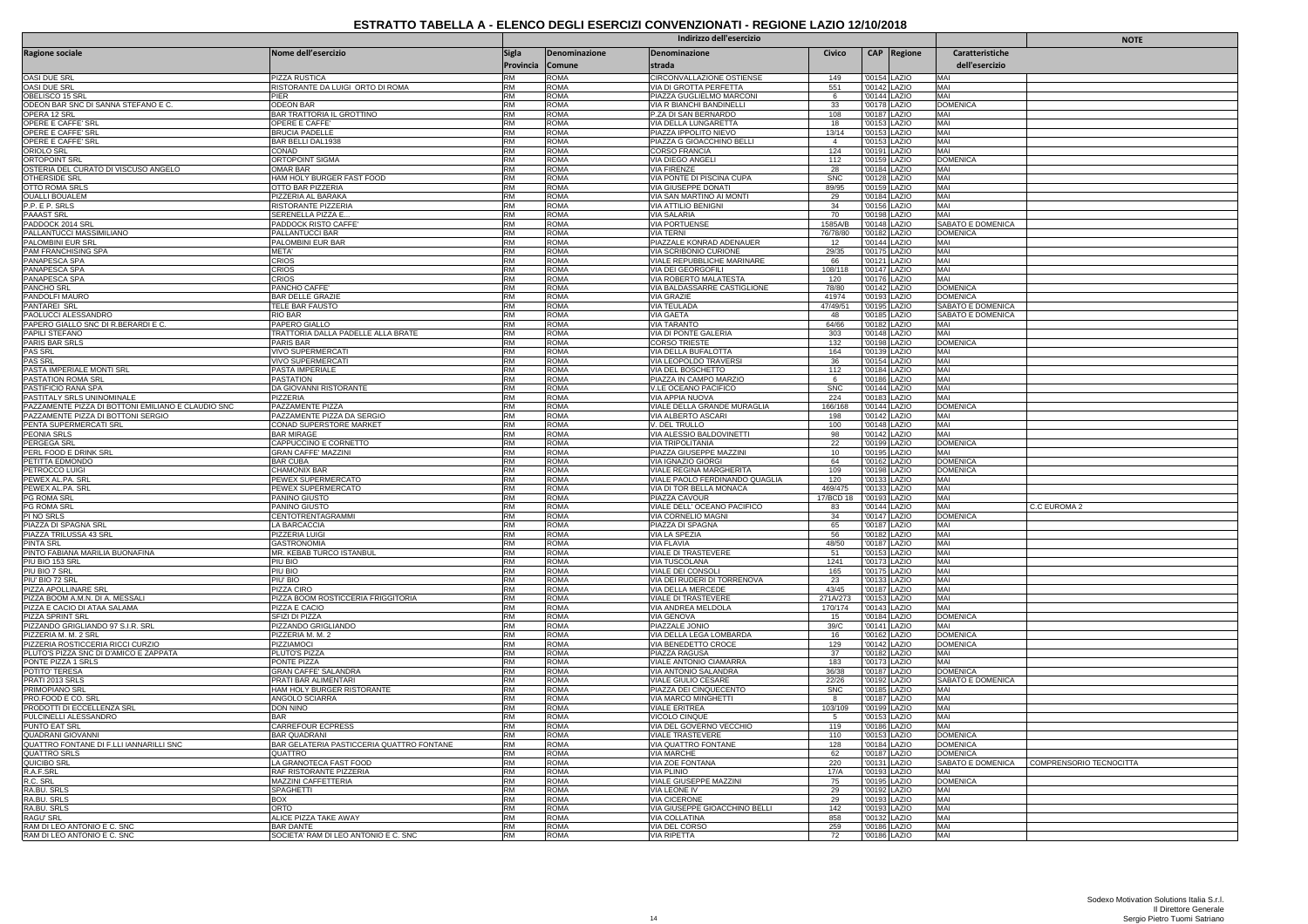|                                                                                  |                                                     |                        |                            | Indirizzo dell'esercizio                                  |                         |                              |             |                                      | <b>NOTE</b>                               |
|----------------------------------------------------------------------------------|-----------------------------------------------------|------------------------|----------------------------|-----------------------------------------------------------|-------------------------|------------------------------|-------------|--------------------------------------|-------------------------------------------|
| <b>Ragione sociale</b>                                                           | Nome dell'esercizio                                 | Sigla                  | Denominazione              | Denominazione                                             | Civico                  |                              | CAP Regione | Caratteristiche                      |                                           |
|                                                                                  |                                                     | Provincia              | Comune                     | strada                                                    |                         |                              |             | dell'esercizio                       |                                           |
| OASI DUE SRL                                                                     | PIZZA RUSTICA                                       | <b>RM</b>              | <b>ROMA</b>                | <b>CIRCONVALLAZIONE OSTIENSE</b>                          | 149                     | '00154 LAZIO                 |             | MAI                                  |                                           |
| OASI DUE SRL                                                                     | RISTORANTE DA LUIGI ORTO DI ROMA                    | <b>RM</b>              | <b>ROMA</b>                | VIA DI GROTTA PERFETTA                                    | 551                     | '00142 LAZIO                 |             | MAI                                  |                                           |
| OBELISCO 15 SRI<br>ODEON BAR SNC DI SANNA STEFANO E C.                           | PIFR<br><b>ODEON BAR</b>                            | <b>RM</b><br><b>RM</b> | <b>ROMA</b><br><b>ROMA</b> | PIAZZA GUGLIELMO MARCONI<br>VIA R BIANCHI BANDINELLI      | - 6<br>33               | '00144 LAZIO<br>'00178 LAZIO |             | MAI<br><b>DOMENICA</b>               |                                           |
| OPERA 12 SRL                                                                     | BAR TRATTORIA IL GROTTINO                           | <b>RM</b>              | <b>ROMA</b>                | P.ZA DI SAN BERNARDO                                      | 108                     | '00187 LAZIO                 |             | MAI                                  |                                           |
| OPERE E CAFFE' SRL                                                               | OPERE E CAFFE'                                      | <b>RM</b>              | <b>ROMA</b>                | VIA DELLA LUNGARETTA                                      | 18                      | '00153 LAZIO                 |             | MAI                                  |                                           |
| OPERE E CAFFE' SRL<br>OPERE E CAFFE' SRL                                         | <b>BRUCIA PADELLE</b><br><b>BAR BELLI DAL1938</b>   | <b>RM</b><br><b>RM</b> | <b>ROMA</b><br><b>ROMA</b> | PIAZZA IPPOLITO NIEVO<br>PIAZZA G GIOACCHINO BELLI        | 13/14<br>$\overline{4}$ | '00153 LAZIO<br>'00153 LAZIO |             | MAI<br>MAI                           |                                           |
| ORIOLO SRL                                                                       | CONAD                                               | <b>RM</b>              | <b>ROMA</b>                | <b>CORSO FRANCIA</b>                                      | 124                     | '00191 LAZIO                 |             | MAI                                  |                                           |
| <b>ORTOPOINT SRI</b>                                                             | ORTOPOINT SIGMA                                     | <b>RM</b>              | <b>ROMA</b>                | VIA DIEGO ANGEL                                           | $112$                   | '00159 LAZIO                 |             | <b>DOMENICA</b>                      |                                           |
| OSTERIA DEL CURATO DI VISCUSO ANGELO<br><b>OTHERSIDE SRL</b>                     | OMAR BAR<br>HAM HOLY BURGER FAST FOOD               | <b>RM</b><br><b>RM</b> | <b>ROMA</b><br><b>ROMA</b> | <b>VIA FIRENZE</b><br>VIA PONTE DI PISCINA CUPA           | 28<br><b>SNC</b>        | '00184 LAZIO<br>'00128 LAZIO |             | MAI<br>MAI                           |                                           |
| <b>OTTO ROMA SRLS</b>                                                            | OTTO BAR PIZZERIA                                   | <b>RM</b>              | <b>ROMA</b>                | VIA GIUSEPPE DONATI                                       | 89/95                   | '00159 LAZIO                 |             | MAI                                  |                                           |
| <b>OUALLI BOUALEM</b>                                                            | PIZZERIA AL BARAKA                                  | <b>RM</b>              | <b>ROMA</b>                | VIA SAN MARTINO AI MONTI                                  | 29                      | '00184 LAZIO                 |             | MAI                                  |                                           |
| P.P. E P. SRLS<br>PAAAST SRL                                                     | RISTORANTE PIZZERIA<br>SERENELLA PIZZA E            | <b>RM</b><br><b>RM</b> | <b>ROMA</b><br><b>ROMA</b> | VIA ATTILIO BENIGNI<br>VIA SALARIA                        | 34<br>70                | '00156 LAZIO<br>'00198 LAZIO |             | MAI<br>MAI                           |                                           |
| PADDOCK 2014 SRL                                                                 | PADDOCK RISTO CAFFE                                 | <b>RM</b>              | <b>ROMA</b>                | <b>VIA PORTUENSE</b>                                      | 1585A/B                 | '00148 LAZIO                 |             | SABATO E DOMENICA                    |                                           |
| PALLANTUCCI MASSIMILIANO                                                         | PALLANTUCCI BAR                                     | <b>RM</b>              | <b>ROMA</b>                | VIA TERNI                                                 | 76/78/80                | '00182 LAZIO                 |             | <b>DOMENICA</b>                      |                                           |
| PALOMBINI EUR SRI<br>PAM FRANCHISING SPA                                         | PALOMBINI EUR BAR<br>META'                          | RM<br><b>RM</b>        | <b>ROMA</b><br><b>ROMA</b> | PIAZZALE KONRAD ADENAUER                                  | 12                      | '00144 LAZIO<br>'00175 LAZIO |             | MAI<br>MAI                           |                                           |
| PANAPESCA SPA                                                                    | CRIOS                                               | <b>RM</b>              | <b>ROMA</b>                | VIA SCRIBONIO CURIONE<br>VIALE REPUBBLICHE MARINARE       | 29/35<br>66             | '00121 LAZIO                 |             | MAI                                  |                                           |
| PANAPESCA SPA                                                                    | CRIOS                                               | <b>RM</b>              | <b>ROMA</b>                | VIA DEI GEORGOFILI                                        | 108/118                 | '00147 LAZIO                 |             | MAI                                  |                                           |
| PANAPESCA SPA<br><b>PANCHO SRL</b>                                               | CRIOS<br>PANCHO CAFFE'                              | <b>RM</b><br><b>RM</b> | <b>ROMA</b><br><b>ROMA</b> | VIA ROBERTO MALATESTA<br>VIA BALDASSARRE CASTIGLIONE      | 120<br>78/80            | '00176 LAZIO<br>'00142 LAZIO |             | MAI<br><b>DOMENICA</b>               |                                           |
| PANDOLFI MAURO                                                                   | <b>BAR DELLE GRAZIE</b>                             | <b>RM</b>              | <b>ROMA</b>                | VIA GRAZIE                                                | 41974                   | '00193 LAZIO                 |             | <b>DOMENICA</b>                      |                                           |
| PANTAREI SRL                                                                     | TELE BAR FAUSTO                                     | <b>RM</b>              | <b>ROMA</b>                | <b>VIA TEULADA</b>                                        | 47/49/51                | '00195 LAZIO                 |             | SABATO E DOMENICA                    |                                           |
| PAOLUCCI ALESSANDRO                                                              | <b>RIO BAR</b>                                      | <b>RM</b>              | <b>ROMA</b>                | VIA GAETA                                                 | 48                      | '00185 LAZIO                 |             | SABATO E DOMENICA                    |                                           |
| PAPERO GIALLO SNC DI R.BERARDI E C.<br>PAPILI STEFANO                            | PAPERO GIALLO<br>TRATTORIA DALLA PADELLE ALLA BRATE | <b>RM</b><br><b>RM</b> | <b>ROMA</b><br><b>ROMA</b> | <b>VIA TARANTO</b><br>VIA DI PONTE GALERIA                | 64/66<br>303            | '00182 LAZIO<br>'00148 LAZIO |             | MAI<br>MAI                           |                                           |
| PARIS BAR SRLS                                                                   | PARIS BAR                                           | <b>RM</b>              | <b>ROMA</b>                | <b>CORSO TRIESTE</b>                                      | 132                     | '00198 LAZIO                 |             | <b>DOMENICA</b>                      |                                           |
| <b>PAS SRL</b>                                                                   | VIVO SUPERMERCATI                                   | <b>RM</b>              | <b>ROMA</b>                | VIA DELLA BUFALOTTA                                       | 164                     | '00139 LAZIO                 |             | MAI                                  |                                           |
| <b>PAS SRL</b><br>PASTA IMPERIALE MONTI SRL                                      | VIVO SUPERMERCATI<br>PASTA IMPERIALE                | <b>RM</b><br><b>RM</b> | <b>ROMA</b><br><b>ROMA</b> | VIA LEOPOLDO TRAVERSI<br>VIA DEL BOSCHETTO                | 36<br>112               | '00154 LAZIO<br>'00184 LAZIO |             | MAI<br>MAI                           |                                           |
| PASTATION ROMA SRL                                                               | PASTATION                                           | RM                     | <b>ROMA</b>                | PIAZZA IN CAMPO MARZIO                                    | 6                       | '00186 LAZIO                 |             | MAI                                  |                                           |
| PASTIFICIO RANA SPA                                                              | DA GIOVANNI RISTORANTE                              | <b>RM</b>              | <b>ROMA</b>                | V.LE OCEANO PACIFICO                                      | <b>SNC</b>              | '00144 LAZIO                 |             | MAI                                  |                                           |
| PASTITALY SRLS UNINOMINALE<br>PAZZAMENTE PIZZA DI BOTTONI EMILIANO E CLAUDIO SNC | PIZZERIA<br>PAZZAMENTE PIZZA                        | <b>RM</b><br><b>RM</b> | <b>ROMA</b><br><b>ROMA</b> | VIA APPIA NUOVA<br>VIALE DELLA GRANDE MURAGLIA            | 224<br>166/168          | '00183 LAZIO<br>'00144 LAZIO |             | MAI<br><b>DOMENICA</b>               |                                           |
| PAZZAMENTE PIZZA DI BOTTONI SERGIO                                               | PAZZAMENTE PIZZA DA SERGIO                          | <b>RM</b>              | <b>ROMA</b>                | VIA ALBERTO ASCARI                                        | 198                     | '00142 LAZIO                 |             | MAI                                  |                                           |
| PENTA SUPERMERCATI SRL                                                           | CONAD SUPERSTORE MARKET                             | <b>RM</b>              | <b>ROMA</b>                | V. DEL TRULLO                                             | 100                     | '00148 LAZIO                 |             | MAI                                  |                                           |
| PEONIA SRLS                                                                      | <b>BAR MIRAGE</b>                                   | <b>RM</b>              | <b>ROMA</b>                | VIA ALESSIO BALDOVINETTI                                  | 98                      | '00142 LAZIO                 |             | MAI                                  |                                           |
| <b>PERGEGA SRL</b><br>PERL FOOD E DRINK SRI                                      | CAPPUCCINO E CORNETTO<br><b>GRAN CAFFE' MAZZINI</b> | <b>RM</b><br><b>RM</b> | <b>ROMA</b><br><b>ROMA</b> | VIA TRIPOLITANIA<br>PIAZZA GIUSEPPE MAZZINI               | 22<br>10                | '00199 LAZIO<br>'00195 LAZIO |             | <b>DOMENICA</b><br>MAI               |                                           |
| PETITTA EDMONDO                                                                  | <b>BAR CUBA</b>                                     | <b>RM</b>              | <b>ROMA</b>                | <b>VIA IGNAZIO GIORGI</b>                                 | 64                      | '00162 LAZIO                 |             | <b>DOMENICA</b>                      |                                           |
| PETROCCO LUIGI                                                                   | <b>CHAMONIX BAR</b>                                 | <b>RM</b>              | <b>ROMA</b>                | VIALE REGINA MARGHERITA                                   | 109                     | '00198 LAZIO                 |             | <b>DOMENICA</b>                      |                                           |
| PEWEX AL.PA. SRI<br>PEWEX AL.PA. SRL                                             | PEWEX SUPERMERCATO<br>PEWEX SUPERMERCATO            | <b>RM</b><br><b>RM</b> | <b>ROMA</b><br><b>ROMA</b> | VIALE PAOLO FERDINANDO QUAGLIA<br>VIA DI TOR BELLA MONACA | 120<br>469/475          | '00133 LAZIO<br>'00133 LAZIO |             | MAI<br>MAI                           |                                           |
| PG ROMA SRL                                                                      | PANINO GIUSTO                                       | <b>RM</b>              | <b>ROMA</b>                | PIAZZA CAVOUR                                             | 17/BCD 18               | '00193 LAZIO                 |             | MAI                                  |                                           |
| PG ROMA SRL                                                                      | PANINO GIUSTO                                       | <b>RM</b>              | <b>ROMA</b>                | VIALE DELL' OCEANO PACIFICO                               | 83                      | '00144 LAZIO                 |             | MAI                                  | C.C EUROMA 2                              |
| PI NO SRLS<br>PIAZZA DI SPAGNA SRL                                               | <b>CENTOTRENTAGRAMMI</b><br>LA BARCACCIA            | <b>RM</b><br><b>RM</b> | <b>ROMA</b><br><b>ROMA</b> | VIA CORNELIO MAGNI                                        | 34                      | '00147 LAZIO                 |             | <b>DOMENICA</b><br>MAI               |                                           |
| PIAZZA TRILUSSA 43 SRL                                                           | <b>PIZZERIA LUIGI</b>                               | <b>RM</b>              | <b>ROMA</b>                | PIAZZA DI SPAGNA<br>VIA LA SPEZIA                         | 65<br>56                | '00187 LAZIO<br>'00182 LAZIO |             | MAI                                  |                                           |
| <b>PINTA SRL</b>                                                                 | <b>GASTRONOMIA</b>                                  | <b>RM</b>              | <b>ROMA</b>                | <b>VIA FLAVIA</b>                                         | 48/50                   | '00187 LAZIO                 |             | MAI                                  |                                           |
| PINTO FABIANA MARILIA BUONAFINA                                                  | MR. KEBAB TURCO ISTANBUL                            | <b>RM</b>              | <b>ROMA</b>                | VIALE DI TRASTEVERE                                       | 51                      | '00153 LAZIO                 |             | MAI                                  |                                           |
| PIU BIO 153 SRL<br>PIU BIO 7 SRL                                                 | PIU BIO<br>PIU BIO                                  | <b>RM</b><br><b>RM</b> | ROMA<br><b>ROMA</b>        | VIA TUSCOLANA<br>VIALE DEI CONSOL                         | 1241<br>165             | '00173 LAZIO<br>'00175 LAZIO |             | MAI<br>MAI                           |                                           |
| PIU' BIO 72 SRI                                                                  | PIU' BIO                                            | <b>RM</b>              | <b>ROMA</b>                | VIA DEI RUDERI DI TORRENOVA                               | 23                      | '00133 LAZIO                 |             | MAI                                  |                                           |
| PIZZA APOLLINARE SRL                                                             | <b>PIZZA CIRO</b>                                   | <b>RM</b>              | <b>ROMA</b>                | VIA DELLA MERCEDE                                         | 43/45                   | '00187 LAZIO                 |             | MAI                                  |                                           |
| PIZZA BOOM A.M.N. DI A. MESSALI<br>PIZZA E CACIO DI ATAA SALAMA                  | PIZZA BOOM ROSTICCERIA FRIGGITORIA<br>PIZZA E CACIO | <b>RM</b><br><b>RM</b> | <b>ROMA</b><br><b>ROMA</b> | <u>VIALE DI TRASTEVERE</u><br>VIA ANDREA MELDOLA          | 271A/273<br>170/174     | '00153 LAZIO<br>'00143 LAZIO |             | MAI<br>MAI                           |                                           |
| <b>PIZZA SPRINT SRL</b>                                                          | SFIZI DI PIZZA                                      | <b>RM</b>              | <b>ROMA</b>                | VIA GENOVA                                                | 15                      | '00184 LAZIO                 |             | <b>DOMENICA</b>                      |                                           |
| PIZZANDO GRIGLIANDO 97 S.I.R. SRL                                                | PIZZANDO GRIGLIANDO                                 | <b>RM</b>              | <b>ROMA</b>                | PIAZZALE JONIO                                            | 39/C                    | '00141                       | LAZIO       | MAI                                  |                                           |
| PIZZERIA M. M. 2 SRL<br>PIZZERIA ROSTICCERIA RICCI CURZIO                        | PIZZERIA M. M. 2<br>PIZZIAMOCI                      | <b>RM</b><br><b>RM</b> | <b>ROMA</b><br><b>ROMA</b> | VIA DELLA LEGA LOMBARDA                                   | 16<br>129               | '00162 LAZIO<br>'00142 LAZIO |             | <b>DOMENICA</b><br><b>DOMENICA</b>   |                                           |
| PLUTO'S PIZZA SNC DI D'AMICO E ZAPPATA                                           | PLUTO'S PIZZA                                       | <b>RM</b>              | <b>ROMA</b>                | VIA BENEDETTO CROCE<br>PIAZZA RAGUSA                      | 37                      | '00182 LAZIO                 |             | MAI                                  |                                           |
| PONTE PIZZA 1 SRLS                                                               | PONTE PIZZA                                         | <b>RM</b>              | <b>ROMA</b>                | VIALE ANTONIO CIAMARRA                                    | 183                     | '00173 LAZIO                 |             | MAI                                  |                                           |
| POTITO' TERESA<br>PRATI 2013 SRLS                                                | <b>GRAN CAFFE' SALANDRA</b><br>PRATI BAR ALIMENTARI | <b>RM</b><br><b>RM</b> | <b>ROMA</b><br><b>ROMA</b> | VIA ANTONIO SALANDRA<br>VIALE GIULIO CESARE               | 36/38<br>22/26          | '00187 LAZIO<br>'00192 LAZIO |             | <b>DOMENICA</b><br>SABATO E DOMENICA |                                           |
| <b>PRIMOPIANO SRL</b>                                                            | HAM HOLY BURGER RISTORANTE                          | <b>RM</b>              | <b>ROMA</b>                | PIAZZA DEI CINQUECENTO                                    | <b>SNC</b>              | '00185 LAZIO                 |             | MAI                                  |                                           |
| PRO.FOOD E CO. SRL                                                               | ANGOLO SCIARRA                                      | <b>RM</b>              | <b>ROMA</b>                | VIA MARCO MINGHETTI                                       | 8                       | '00187 LAZIO                 |             | MAI                                  |                                           |
| PRODOTTI DI ECCELLENZA SRL<br>PULCINELLI ALESSANDRO                              | DON NINO<br><b>BAR</b>                              | <b>RM</b><br><b>RM</b> | <b>ROMA</b><br><b>ROMA</b> | <b>VIALE ERITREA</b><br><b>VICOLO CINQUE</b>              | 103/109<br>-5           | '00199 LAZIO<br>'00153 LAZIO |             | MAI<br>MAI                           |                                           |
| PUNTO EAT SRL                                                                    | CARREFOUR ECPRESS                                   | <b>RM</b>              | <b>ROMA</b>                | VIA DEL GOVERNO VECCHIO                                   | 119                     | '00186 LAZIO                 |             | MAI                                  |                                           |
| <b>QUADRANI GIOVANNI</b>                                                         | BAR QUADRANI                                        | <b>RM</b>              | <b>ROMA</b>                | <b>VIALE TRASTEVERE</b>                                   | 110                     | '00153 LAZIO                 |             | <b>DOMENICA</b>                      |                                           |
| QUATTRO FONTANE DI F.LLI IANNARILLI SNC                                          | BAR GELATERIA PASTICCERIA QUATTRO FONTANE           | <b>RM</b>              | <b>ROMA</b>                | <b>VIA QUATTRO FONTANE</b>                                | 128                     | '00184 LAZIO                 |             | DOMENICA                             |                                           |
| <b>QUATTRO SRLS</b><br>QUICIBO SR                                                | QUATTRO<br>LA GRANOTECA FAST FOOD                   | <b>RM</b><br><b>RM</b> | <b>ROMA</b><br><b>ROMA</b> | <b>VIA MARCHE</b><br>VIA ZOE FONTANA                      | 62<br>220               | '00187 LAZIO<br>'00131 LAZIO |             | <b>DOMENICA</b>                      | SABATO E DOMENICA COMPRENSORIO TECNOCITTA |
| R.A.F.SRL                                                                        | RAF RISTORANTE PIZZERIA                             | <b>RM</b>              | <b>ROMA</b>                | VIA PLINIO                                                | 17/A                    | '00193 LAZIO                 |             | MAI                                  |                                           |
| R.C. SRL                                                                         | MAZZINI CAFFETTERIA                                 | <b>RM</b>              | <b>ROMA</b>                | VIALE GIUSEPPE MAZZINI                                    | 75                      | '00195 LAZIO                 |             | <b>DOMENICA</b>                      |                                           |
| RA.BU. SRLS<br>RA.BU. SRLS                                                       | SPAGHETTI<br><b>BOX</b>                             | <b>RM</b><br><b>RM</b> | <b>ROMA</b><br><b>ROMA</b> | VIA LEONE IV<br><b>VIA CICERONE</b>                       | 29<br>29                | '00192 LAZIO<br>'00193 LAZIO |             | MAI<br>MAI                           |                                           |
| RA.BU. SRLS                                                                      | ORTO                                                | <b>RM</b>              | <b>ROMA</b>                | VIA GIUSEPPE GIOACCHINO BELLI                             | 142                     | '00193 LAZIO                 |             | MAI                                  |                                           |
| <b>RAGU' SRL</b>                                                                 | ALICE PIZZA TAKE AWAY                               | <b>RM</b>              | <b>ROMA</b>                | VIA COLLATINA                                             | 858                     | '00132 LAZIO                 |             | MAI                                  |                                           |
| RAM DI LEO ANTONIO E C. SNC                                                      | <b>BAR DANTE</b>                                    | <b>RM</b>              | <b>ROMA</b>                | VIA DEL CORSC                                             | 259                     | '00186 LAZIO                 |             | MAI                                  |                                           |
| RAM DI LEO ANTONIO E C. SNC                                                      | SOCIETA' RAM DI LEO ANTONIO E C. SNC                | <b>RM</b>              | <b>ROMA</b>                | <b>VIA RIPETTA</b>                                        | 72                      | '00186 LAZIO                 |             | MAI                                  |                                           |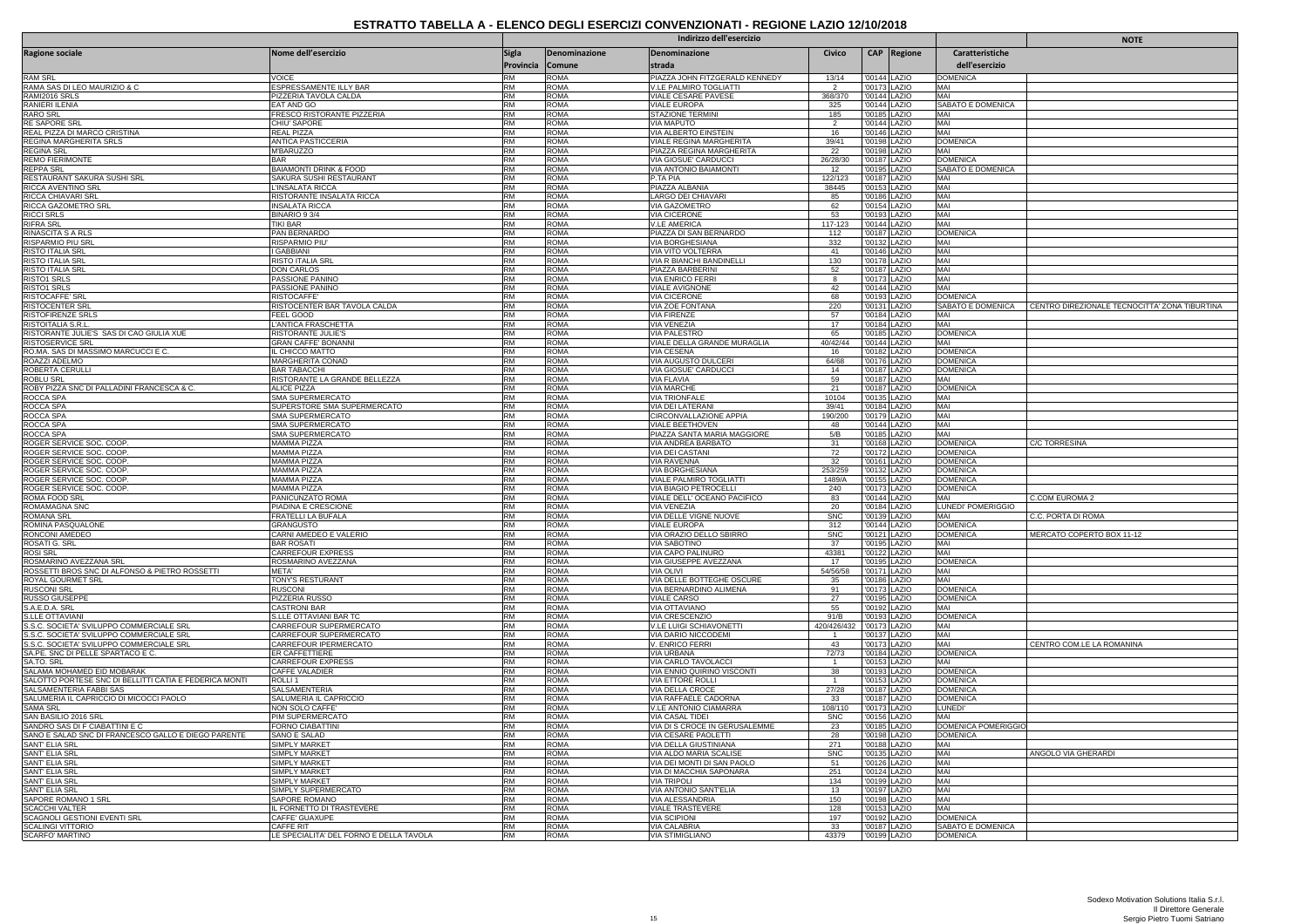|                                                        |                                                      |                           |                            | Indirizzo dell'esercizio                             |                       |                              |              |                                   | <b>NOTE</b>                                                     |
|--------------------------------------------------------|------------------------------------------------------|---------------------------|----------------------------|------------------------------------------------------|-----------------------|------------------------------|--------------|-----------------------------------|-----------------------------------------------------------------|
| <b>Ragione sociale</b>                                 | Nome dell'esercizio                                  | <b>Sigla</b><br>Provincia | Denominazione<br>Comune    | Denominazione<br>strada                              | Civico                |                              | CAP Regione  | Caratteristiche<br>dell'esercizio |                                                                 |
| RAM SRL                                                | VOICE                                                | <b>RM</b>                 | ROMA                       | PIAZZA JOHN FITZGERALD KENNEDY                       | 13/14                 | '00144 LAZIO                 |              | <b>DOMENICA</b>                   |                                                                 |
| RAMA SAS DI LEO MAURIZIO & C                           | ESPRESSAMENTE ILLY BAR                               | <b>RM</b>                 | <b>ROMA</b>                | V.LE PALMIRO TOGLIATTI                               |                       | '00173 LAZIO                 |              | MAI                               |                                                                 |
| RAMI2016 SRLS<br>RANIERI ILENIA                        | PIZZERIA TAVOLA CALDA<br>EAT AND GO                  | <b>RM</b><br><b>RM</b>    | <b>ROMA</b><br><b>ROMA</b> | <b>VIALE CESARE PAVESE</b><br>VIALE EUROPA           | 368/370<br>325        | '00144 LAZIO                 | '00144 LAZIO | MAI<br>SABATO E DOMENICA          |                                                                 |
| <b>RARO SRL</b>                                        | FRESCO RISTORANTE PIZZERIA                           | <b>RM</b>                 | <b>ROMA</b>                | STAZIONE TERMINI                                     | 185                   | '00185 LAZIO                 |              | MAI                               |                                                                 |
| <b>RE SAPORE SRI</b>                                   | CHIU' SAPORE                                         | <b>RM</b>                 | <b>ROMA</b>                | <b>VIA MAPUTO</b>                                    | $\overline{2}$        | '00144 LAZIO                 |              | MAI                               |                                                                 |
| REAL PIZZA DI MARCO CRISTINA                           | REAL PIZZA                                           | <b>RM</b>                 | <b>ROMA</b>                | <b>VIA ALBERTO EINSTEIN</b>                          | 16                    | '00146 LAZIO                 |              | MAI                               |                                                                 |
| REGINA MARGHERITA SRLS<br><b>REGINA SRL</b>            | ANTICA PASTICCERIA<br>M'BARUZZO                      | RM<br><b>RM</b>           | <b>ROMA</b><br><b>ROMA</b> | VIALE REGINA MARGHERITA                              | 39/41<br>22           | '00198 LAZIO<br>'00198 LAZIO |              | <b>DOMENICA</b><br>MAI            |                                                                 |
| <b>REMO FIERIMONTE</b>                                 | <b>BAR</b>                                           | <b>RM</b>                 | <b>ROMA</b>                | PIAZZA REGINA MARGHERITA<br>VIA GIOSUE' CARDUCCI     | 26/28/30              | '00187 LAZIO                 |              | <b>DOMENICA</b>                   |                                                                 |
| <b>REPPA SRL</b>                                       | <b>BAIAMONTI DRINK &amp; FOOD</b>                    | <b>RM</b>                 | <b>ROMA</b>                | <b>VIA ANTONIO BAIAMONTI</b>                         | 12                    | '00195 LAZIO                 |              | SABATO E DOMENICA                 |                                                                 |
| RESTAURANT SAKURA SUSHI SRL                            | SAKURA SUSHI RESTAURANT                              | <b>RM</b>                 | <b>ROMA</b>                | P.TA PIA                                             | 122/123               | '00187 LAZIO                 |              | MAI                               |                                                                 |
| RICCA AVENTINO SRL                                     | INSALATA RICCA                                       | RM                        | <b>ROMA</b>                | PIAZZA ALBANIA                                       | 38445                 |                              | '00153 LAZIO | MAI                               |                                                                 |
| RICCA CHIAVARI SRL<br>RICCA GAZOMETRO SRL              | RISTORANTE INSALATA RICCA<br>INSALATA RICCA          | <b>RM</b><br><b>RM</b>    | <b>ROMA</b><br><b>ROMA</b> | LARGO DEI CHIAVARI<br>VIA GAZOMETRO                  | 85<br>62              | '00186 LAZIO<br>'00154 LAZIO |              | MAI<br>MAI                        |                                                                 |
| <b>RICCI SRLS</b>                                      | BINARIO 93/4                                         | <b>RM</b>                 | <b>ROMA</b>                | <b>VIA CICERONE</b>                                  | 53                    |                              | '00193 LAZIO | MAI                               |                                                                 |
| <b>RIFRA SRL</b>                                       | TIKI BAR                                             | <b>RM</b>                 | <b>ROMA</b>                | <b>V.LE AMERICA</b>                                  | 117-123               | '00144 LAZIO                 |              | MAI                               |                                                                 |
| RINASCITA S A RLS                                      | PAN BERNARDO                                         | <b>RM</b>                 | <b>ROMA</b>                | PIAZZA DI SAN BERNARDO                               | 112                   | '00187 LAZIO                 |              | <b>DOMENICA</b>                   |                                                                 |
| <b>RISPARMIO PIU SRI</b>                               | <b>RISPARMIO PIU'</b>                                | <b>RM</b>                 | <b>ROMA</b>                | VIA BORGHESIANA                                      | 332                   | '00132 LAZIO                 |              | MAI                               |                                                                 |
| <b>RISTO ITALIA SRL</b><br><b>RISTO ITALIA SRI</b>     | I GABBIANI<br><b>RISTO ITALIA SRL</b>                | <b>RM</b><br><b>RM</b>    | <b>ROMA</b><br><b>ROMA</b> | VIA VITO VOLTERRA<br>VIA R BIANCHI BANDINELLI        | 41<br>130             | '00146 LAZIO<br>'00178 LAZIO |              | MAI<br>MAI                        |                                                                 |
| <b>RISTO ITALIA SRI</b>                                | DON CARLOS                                           | <b>RM</b>                 | <b>ROMA</b>                | PIAZZA BARBERINI                                     | 52                    | '00187 LAZIO                 |              | MAI                               |                                                                 |
| RISTO1 SRLS                                            | PASSIONE PANINO                                      | <b>RM</b>                 | <b>ROMA</b>                | <b>VIA ENRICO FERRI</b>                              | 8                     | '00173 LAZIO                 |              | MAI                               |                                                                 |
| <b>RISTO1 SRLS</b>                                     | PASSIONE PANINO                                      | <b>RM</b>                 | <b>ROMA</b>                | <b>VIALE AVIGNONE</b>                                | 42                    | '00144 LAZIO                 |              | MAI                               |                                                                 |
| <b>RISTOCAFFF' SRL</b>                                 | <b>RISTOCAFFE</b>                                    | <b>RM</b>                 | <b>ROMA</b>                | VIA CICERONE                                         | 68                    | '00193 LAZIO                 |              | <b>DOMENICA</b>                   |                                                                 |
| <b>RISTOCENTER SRL</b><br><b>RISTOFIRENZE SRLS</b>     | RISTOCENTER BAR TAVOLA CALDA<br>FEEL GOOD            | <b>RM</b><br><b>RM</b>    | <b>ROMA</b><br><b>ROMA</b> | VIA ZOE FONTANA<br><b>VIA FIRENZE</b>                | 220<br>57             | '00131 LAZIO<br>'00184 LAZIO |              | MAI                               | SABATO E DOMENICA CENTRO DIREZIONALE TECNOCITTA' ZONA TIBURTINA |
| RISTOITALIA S.R.L.                                     | 'ANTICA FRASCHETTA                                   | RM                        | <b>ROMA</b>                | <b>VIA VENEZIA</b>                                   | 17                    | '00184 LAZIO                 |              | MAI                               |                                                                 |
| RISTORANTE JULIE'S SAS DI CAO GIULIA XUE               | RISTORANTE JULIE'S                                   | <b>RM</b>                 | <b>ROMA</b>                | VIA PALESTRO                                         | 65                    | '00185 LAZIO                 |              | <b>DOMENICA</b>                   |                                                                 |
| <b>RISTOSERVICE SRI</b>                                | <b>GRAN CAFFE' BONANNI</b>                           | <b>RM</b>                 | <b>ROMA</b>                | VIALE DELLA GRANDE MURAGLIA                          | 40/42/44              | '00144 LAZIO                 |              | MAI                               |                                                                 |
| RO.MA. SAS DI MASSIMO MARCUCCI E C.                    | IL CHICCO MATTO                                      | <b>RM</b>                 | <b>ROMA</b>                | <b>VIA CESENA</b>                                    | 16                    | '00182 LAZIO                 |              | <b>DOMENICA</b>                   |                                                                 |
| ROAZZI ADELMO                                          | MARGHERITA CONAD                                     | RM                        | <b>ROMA</b>                | VIA AUGUSTO DULCERI                                  | 64/68                 |                              | '00176 LAZIO | <b>DOMENICA</b>                   |                                                                 |
| <b>ROBERTA CERULLI</b><br><b>ROBLU SRL</b>             | <b>BAR TABACCHI</b><br>RISTORANTE LA GRANDE BELLEZZA | <b>RM</b><br><b>RM</b>    | <b>ROMA</b><br><b>ROMA</b> | <b>VIA GIOSUE' CARDUCCI</b><br>VIA FLAVIA            | 14<br>59              | '00187 LAZIO<br>'00187 LAZIO |              | <b>DOMENICA</b><br>MAI            |                                                                 |
| ROBY PIZZA SNC DI PALLADINI FRANCESCA & C.             | ALICE PIZZA                                          | RM                        | ROMA                       | <b>VIA MARCHE</b>                                    | 21                    |                              | '00187 LAZIO | <b>DOMENICA</b>                   |                                                                 |
| ROCCA SPA                                              | SMA SUPERMERCATO                                     | <b>RM</b>                 | <b>ROMA</b>                | <b>VIA TRIONFALE</b>                                 | 10104                 | '00135 LAZIO                 |              | MAI                               |                                                                 |
| ROCCA SPA                                              | SUPERSTORE SMA SUPERMERCATO                          | <b>RM</b>                 | ROMA                       | VIA DEI LATERANI                                     | 39/41                 | '00184 LAZIO                 |              | MAI                               |                                                                 |
| ROCCA SPA                                              | SMA SUPERMERCATO                                     | <b>RM</b>                 | <b>ROMA</b>                | <b>CIRCONVALLAZIONE APPIA</b>                        | 190/200               |                              | '00179 LAZIO | MAI                               |                                                                 |
| ROCCA SPA<br>ROCCA SPA                                 | SMA SUPERMERCATO<br>SMA SUPERMERCATO                 | <b>RM</b><br><b>RM</b>    | <b>ROMA</b><br><b>ROMA</b> | VIALE BEETHOVEN<br>PIAZZA SANTA MARIA MAGGIORE       | 48<br>5/B             | '00144 LAZIO<br>'00185 LAZIO |              | MAI<br>MAI                        |                                                                 |
| ROGER SERVICE SOC. COOP                                | <b>MAMMA PIZZA</b>                                   | <b>RM</b>                 | <b>ROMA</b>                | VIA ANDREA BARBATO                                   | 31                    | '00168 LAZIO                 |              | <b>DOMENICA</b>                   | C/C TORRESINA                                                   |
| ROGER SERVICE SOC. COOP                                | <b>MAMMA PIZZA</b>                                   | <b>RM</b>                 | ROMA                       | VIA DEI CASTANI                                      | 72                    | '00172 LAZIO                 |              | <b>DOMENICA</b>                   |                                                                 |
| ROGER SERVICE SOC. COOP                                | <b>MAMMA PIZZA</b>                                   | <b>RM</b>                 | <b>ROMA</b>                | <b>VIA RAVENNA</b>                                   | 32                    | '00161 LAZIO                 |              | <b>DOMENICA</b>                   |                                                                 |
| ROGER SERVICE SOC. COOP                                | <b>MAMMA PIZZA</b>                                   | <b>RM</b>                 | <b>ROMA</b>                | VIA BORGHESIANA                                      | 253/259               | '00132 LAZIO                 |              | <b>DOMENICA</b>                   |                                                                 |
| ROGER SERVICE SOC. COOP                                | MAMMA PIZZA<br><b>MAMMA PIZZA</b>                    | <b>RM</b><br><b>RM</b>    | <b>ROMA</b><br><b>ROMA</b> | VIALE PALMIRO TOGLIATTI                              | 1489/A                | '00155 LAZIO                 |              | <b>DOMENICA</b>                   |                                                                 |
| ROGER SERVICE SOC. COOP<br>ROMA FOOD SRL               | PANICUNZATO ROMA                                     | <b>RM</b>                 | <b>ROMA</b>                | VIA BIAGIO PETROCELLI<br>VIALE DELL' OCEANO PACIFICO | 240<br>83             | '00173 LAZIO<br>'00144 LAZIO |              | <b>DOMENICA</b><br>MAI            | C.COM EUROMA 2                                                  |
| ROMAMAGNA SNO                                          | PIADINA E CRESCIONE                                  | <b>RM</b>                 | <b>ROMA</b>                | <b>VIA VENEZIA</b>                                   | 20                    | '00184 LAZIO                 |              | LUNEDI' POMERIGGIO                |                                                                 |
| ROMANA SRL                                             | FRATELLI LA BUFALA                                   | <b>RM</b>                 | <b>ROMA</b>                | VIA DELLE VIGNE NUOVE                                | <b>SNC</b>            | '00139 LAZIO                 |              | MAI                               | C.C. PORTA DI ROMA                                              |
| ROMINA PASQUALONE                                      | <b>GRANGUSTO</b>                                     | <b>RM</b>                 | <b>ROMA</b>                | <b>VIALE EUROPA</b>                                  | 312                   | '00144 LAZIO                 |              | <b>DOMENICA</b>                   |                                                                 |
| RONCONI AMEDEO                                         | CARNI AMEDEO E VALERIO                               | <b>RM</b>                 | <b>ROMA</b>                | VIA ORAZIO DELLO SBIRRO                              | SNC                   |                              | '00121 LAZIO | <b>DOMENICA</b>                   | MERCATO COPERTO BOX 11-12                                       |
| ROSATI G. SRL<br><b>ROSI SRL</b>                       | <b>BAR ROSATI</b><br>CARREFOUR EXPRESS               | <b>RM</b><br><b>RM</b>    | <b>ROMA</b><br><b>ROMA</b> | <b>VIA SABOTINO</b>                                  | 37                    | '00195 LAZIO                 |              | MAI<br>MAI                        |                                                                 |
| ROSMARINO AVEZZANA SRL                                 | ROSMARINO AVEZZANA                                   | <b>RM</b>                 | <b>ROMA</b>                | VIA CAPO PALINURO<br>VIA GIUSEPPE AVEZZANA           | 43381<br>17           | '00122 LAZIO                 | '00195 LAZIO | <b>DOMENICA</b>                   |                                                                 |
| ROSSETTI BROS SNC DI ALFONSO & PIETRO ROSSETTI         | <b>META</b>                                          | <b>RM</b>                 | <b>ROMA</b>                | VIA OLIVI                                            | 54/56/58              | '00171 LAZIO                 |              | MAI                               |                                                                 |
| ROYAL GOURMET SRL                                      | TONY'S RESTURANT                                     | <b>RM</b>                 | <b>ROMA</b>                | VIA DELLE BOTTEGHE OSCURE                            | 35                    | '00186 LAZIO                 |              | MAI                               |                                                                 |
| <b>RUSCONI SRL</b>                                     | <b>RUSCONI</b>                                       | <b>RM</b>                 | <b>ROMA</b>                | VIA BERNARDINO ALIMENA                               | 91                    |                              | '00173 LAZIO | <b>DOMENICA</b>                   |                                                                 |
| <b>RUSSO GIUSEPPE</b><br>S.A.E.D.A. SRL                | PIZZERIA RUSSO<br>CASTRONI BAR                       | <b>RM</b><br><b>RM</b>    | <b>ROMA</b><br><b>ROMA</b> | VIALE CARSO<br>VIA OTTAVIANO                         | 27<br>55              | '00195 LAZIO                 |              | <b>DOMENICA</b><br>MAI            |                                                                 |
| S.LLE OTTAVIANI                                        | <b>S.LLE OTTAVIANI BAR TC</b>                        | <b>RM</b>                 | <b>ROMA</b>                | <b>VIA CRESCENZIC</b>                                | 91/B                  | '00192 LAZIO<br>'00193 LAZIO |              | <b>DOMENICA</b>                   |                                                                 |
| S.S.C. SOCIETA' SVILUPPO COMMERCIALE SRL               | CARREFOUR SUPERMERCATO                               | <b>RM</b>                 | <b>ROMA</b>                | V.LE LUIGI SCHIAVONETTI                              | 420/426/432           | '00173 LAZIO                 |              | MAI                               |                                                                 |
| S.S.C. SOCIETA' SVILUPPO COMMERCIALE SRL               | CARREFOUR SUPERMERCATO                               | <b>RM</b>                 | <b>ROMA</b>                | VIA DARIO NICCODEMI                                  |                       | '00137 LAZIO                 |              | MAI                               |                                                                 |
| S.S.C. SOCIETA' SVILUPPO COMMERCIALE SRL               | CARREFOUR IPERMERCATO                                | <b>RM</b>                 | <b>ROMA</b>                | V. ENRICO FERRI                                      | 43                    | '00173 LAZIO                 |              | MAI                               | CENTRO COM.LE LA ROMANINA                                       |
| SA.PE. SNC DI PELLE SPARTACO E C<br>SA.TO. SRL         | ER CAFFETTIERE<br>CARREFOUR EXPRESS                  | <b>RM</b><br><b>RM</b>    | <b>ROMA</b><br><b>ROMA</b> | VIA URBANA<br>VIA CARLO TAVOLACCI                    | 72/73                 | '00184 LAZIO<br>'00153 LAZIO |              | <b>DOMENICA</b><br>MAI            |                                                                 |
| SALAMA MOHAMED EID MOBARAK                             | CAFFF VALADIER                                       | <b>RM</b>                 | <b>ROMA</b>                | VIA ENNIO OUIRINO VISCONTI                           | 38                    | '00193 LAZIO                 |              | <b>DOMENICA</b>                   |                                                                 |
| SALOTTO PORTESE SNC DI BELLITTI CATIA E FEDERICA MONTI | ROLLI <sub>1</sub>                                   | <b>RM</b>                 | <b>ROMA</b>                | VIA ETTORE ROLLI                                     |                       | '00153 LAZIO                 |              | <b>DOMENICA</b>                   |                                                                 |
| SALSAMENTERIA FABBI SAS                                | SALSAMENTERIA                                        | <b>RM</b>                 | <b>ROMA</b>                | VIA DELLA CROCE                                      | 27/28                 | '00187 LAZIO                 |              | <b>DOMENICA</b>                   |                                                                 |
| SALUMERIA IL CAPRICCIO DI MICOCCI PAOLO                | SALUMERIA IL CAPRICCIO                               | <b>RM</b>                 | <b>ROMA</b>                | VIA RAFFAELE CADORNA                                 | 33                    | '00187 LAZIO                 |              | <b>DOMENICA</b>                   |                                                                 |
| <b>SAMA SRL</b><br>SAN BASILIO 2016 SRL                | <b>NON SOLO CAFFE</b><br>PIM SUPERMERCATO            | <b>RM</b><br><b>RM</b>    | <b>ROMA</b><br><b>ROMA</b> | V.LE ANTONIO CIAMARRA<br>VIA CASAL TIDEI             | 108/110<br><b>SNC</b> | '00173 LAZIO<br>'00156 LAZIO |              | UNEDI'<br>MAI                     |                                                                 |
| SANDRO SAS DI F CIABATTINI E C                         | <b>FORNO CIABATTINI</b>                              | <b>RM</b>                 | <b>ROMA</b>                | VIA DI S CROCE IN GERUSALEMME                        | 23                    | '00185 LAZIO                 |              | DOMENICA POMERIGGIO               |                                                                 |
| SANO E SALAD SNC DI FRANCESCO GALLO E DIEGO PARENTE    | SANO E SALAD                                         | <b>RM</b>                 | <b>ROMA</b>                | VIA CESARE PAOLETTI                                  | 28                    |                              | '00198 LAZIO | <b>DOMENICA</b>                   |                                                                 |
| <b>SANT ELIA SRL</b>                                   | SIMPLY MARKET                                        | <b>RM</b>                 | <b>ROMA</b>                | <b>VIA DELLA GIUSTINIANA</b>                         | 271                   | '00188 LAZIO                 |              | MAI                               |                                                                 |
| <b>SANT ELIA SRI</b>                                   | SIMPLY MARKET                                        | <b>RM</b>                 | <b>ROMA</b>                | VIA ALDO MARIA SCALISE                               | <b>SNC</b>            | '00135 LAZIO                 |              | MAI                               | ANGOLO VIA GHERARDI                                             |
| SANT' ELIA SRI                                         | SIMPLY MARKET                                        | <b>RM</b>                 | <b>ROMA</b>                | VIA DEI MONTI DI SAN PAOLO                           | 51                    |                              | '00126 LAZIO | MAI                               |                                                                 |
| SANT' ELIA SRI<br><b>SANT' ELIA SRL</b>                | SIMPLY MARKET<br>SIMPLY MARKET                       | <b>RM</b><br><b>RM</b>    | <b>ROMA</b><br><b>ROMA</b> | VIA DI MACCHIA SAPONARA<br><b>VIA TRIPOLI</b>        | 251<br>134            | '00124 LAZIO<br>'00199 LAZIO |              | MAI<br>MAI                        |                                                                 |
| <b>SANT ELIA SRL</b>                                   | SIMPLY SUPERMERCATO                                  | <b>RM</b>                 | <b>ROMA</b>                | VIA ANTONIO SANT'ELIA                                | 13                    |                              | '00197 LAZIO | MAI                               |                                                                 |
| <b>SAPORE ROMANO 1 SRI</b>                             | <b>SAPORE ROMANO</b>                                 | <b>RM</b>                 | <b>ROMA</b>                | <b>VIA ALESSANDRIA</b>                               | 150                   | '00198 LAZIO                 |              | MAI                               |                                                                 |
| <b>SCACCHI VALTER</b>                                  | IL FORNETTO DI TRASTEVERE                            | <b>RM</b>                 | <b>ROMA</b>                | VIALE TRASTEVERE                                     | 128                   | '00153 LAZIO                 |              | MAI                               |                                                                 |
| SCAGNOLI GESTIONI EVENTI SRL                           | CAFFE' GUAXUPE                                       | <b>RM</b>                 | <b>ROMA</b>                | <b>VIA SCIPIONI</b>                                  | 197                   | '00192 LAZIO                 |              | <b>DOMENICA</b>                   |                                                                 |
| <b>SCALINGI VITTORIO</b>                               | CAFFF RIT                                            | <b>RM</b>                 | <b>ROMA</b>                | <b>VIA CALABRIA</b>                                  | 33                    | '00187 LAZIO                 |              | SABATO E DOMENICA                 |                                                                 |
| <b>SCARFO' MARTINO</b>                                 | LE SPECIALITA' DEL FORNO E DELLA TAVOLA              | <b>RM</b>                 | <b>ROMA</b>                | <b>VIA STIMIGLIANC</b>                               | 43379                 | '00199 LAZIO                 |              | <b>DOMENICA</b>                   |                                                                 |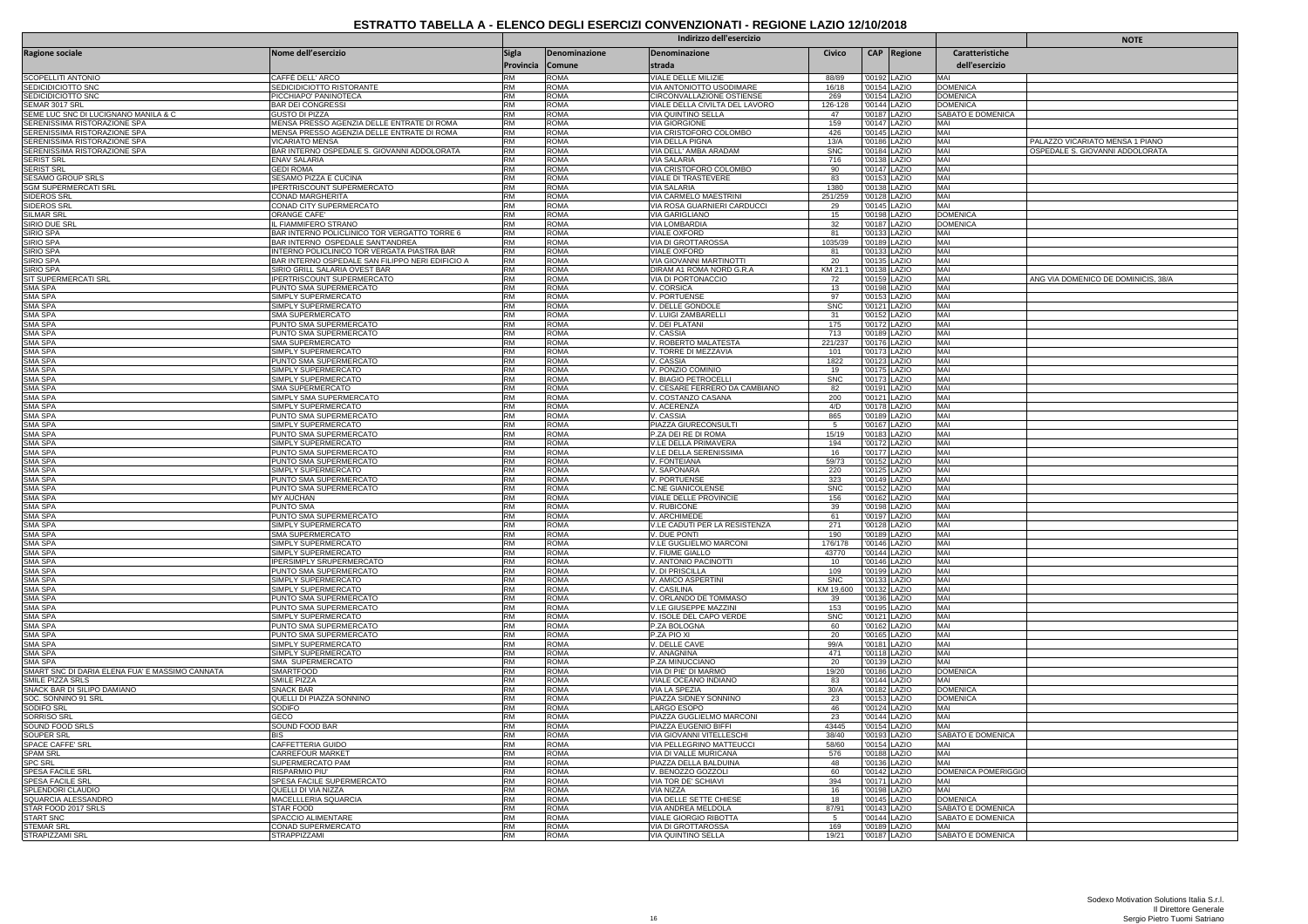|                                                        |                                                              |                                  |                                |                                                      | <b>NOTE</b>      |               |                              |                                    |                                     |
|--------------------------------------------------------|--------------------------------------------------------------|----------------------------------|--------------------------------|------------------------------------------------------|------------------|---------------|------------------------------|------------------------------------|-------------------------------------|
| Ragione sociale                                        | Nome dell'esercizio                                          | <b>Sigla</b><br><b>Provincia</b> | Denominazione<br><b>Comune</b> | Denominazione<br>strada                              | Civico           |               | CAP Regione                  | Caratteristiche<br>dell'esercizio  |                                     |
| SCOPELLITI ANTONIO                                     | CAFFÈ DELL' ARCO                                             | <b>RM</b>                        | ROMA                           | VIALE DELLE MILIZIE                                  | 88/89            |               | '00192 LAZIO                 | MAI                                |                                     |
| SEDICIDICIOTTO SNC                                     | SEDICIDICIOTTO RISTORANTE                                    | <b>RM</b>                        | ROMA                           | <b>VIA ANTONIOTTO USODIMARE</b>                      | 16/18            |               | '00154 LAZIO                 | <b>DOMENICA</b>                    |                                     |
| SEDICIDICIOTTO SNC                                     | PICCHIAPO' PANINOTECA                                        | <b>RM</b>                        | ROMA                           | CIRCONVALLAZIONE OSTIENSE                            | 269              |               | '00154 LAZIO                 | <b>DOMENICA</b>                    |                                     |
| SEMAR 3017 SRL<br>SEME LUC SNC DI LUCIGNANO MANILA & C | BAR DEI CONGRESSI                                            | <b>RM</b><br><b>RM</b>           | ROMA<br>ROMA                   | VIALE DELLA CIVILTA DEL LAVORO                       | 126-128          |               | '00144 LAZIO                 | DOMENICA                           |                                     |
| SERENISSIMA RISTORAZIONE SPA                           | GUSTO DI PIZZA<br>MENSA PRESSO AGENZIA DELLE ENTRATE DI ROMA | <b>RM</b>                        | ROMA                           | IVIA OUINTINO SELLA<br><b>VIA GIORGIONE</b>          | 47<br>159        | '00187 LAZIO  | '00147 LAZIO                 | SABATO E DOMENICA<br>MAI           |                                     |
| SERENISSIMA RISTORAZIONE SPA                           | MENSA PRESSO AGENZIA DELLE ENTRATE DI ROMA                   | <b>RM</b>                        | <b>ROMA</b>                    | VIA CRISTOFORO COLOMBO                               | 426              | '00145 LAZIO  |                              | MAI                                |                                     |
| SERENISSIMA RISTORAZIONE SPA                           | VICARIATO MENSA                                              | <b>RM</b>                        | ROMA                           | VIA DELLA PIGNA                                      | 13/A             | '00186 LAZIO  |                              | MAI                                | PALAZZO VICARIATO MENSA 1 PIANO     |
| SERENISSIMA RISTORAZIONE SPA                           | BAR INTERNO OSPEDALE S. GIOVANNI ADDOLORATA                  | <b>RM</b>                        | <b>ROMA</b>                    | VIA DELL' AMBA ARADAM                                | <b>SNC</b>       |               | '00184 LAZIO                 | MAI                                | OSPEDALE S. GIOVANNI ADDOLORATA     |
| <b>SERIST SRI</b>                                      | <b>FNAV SALARIA</b>                                          | <b>RM</b>                        | ROMA                           | VIA SALARIA                                          | 716              | '00138 LAZIO  |                              | MAI                                |                                     |
| SERIST SRL                                             | <b>GEDI ROMA</b>                                             | <b>RM</b>                        | ROMA                           | VIA CRISTOFORO COLOMBO                               | 90               |               | '00147 LAZIO                 | MAI                                |                                     |
| SESAMO GROUP SRLS                                      | SESAMO PIZZA E CUCINA                                        | <b>RM</b>                        | ROMA                           | VIALE DI TRASTEVERE                                  | 83               |               | '00153 LAZIO                 | MAI                                |                                     |
| SGM SUPERMERCATI SRL                                   | PERTRISCOUNT SUPERMERCATO                                    | <b>RM</b><br><b>RM</b>           | <b>ROMA</b>                    | <b>VIA SALARIA</b>                                   | 1380             | '00138 LAZIO  |                              | MAI<br>MAI                         |                                     |
| SIDEROS SRL<br><b>SIDEROS SRL</b>                      | CONAD MARGHERITA<br>CONAD CITY SUPERMERCATO                  | <b>RM</b>                        | ROMA<br>ROMA                   | VIA CARMELO MAESTRINI<br>VIA ROSA GUARNIERI CARDUCCI | 251/259<br>29    |               | '00128 LAZIO<br>'00145 LAZIO | MAI                                |                                     |
| SILMAR SRL                                             | ORANGE CAFE'                                                 | <b>RM</b>                        | ROMA                           | <b>VIA GARIGLIANO</b>                                | 15               |               | '00198 LAZIO                 | <b>DOMENICA</b>                    |                                     |
| SIRIO DUE SR                                           | FIAMMIFERO STRANO                                            | RM                               | ROMA                           | <b>VIA LOMBARDIA</b>                                 | 32               |               | '00187 LAZIO                 | <b>DOMENICA</b>                    |                                     |
| SIRIO SPA                                              | BAR INTERNO POLICLINICO TOR VERGATTO TORRE 6                 | RM                               | ROMA                           | <b>VIALE OXFORD</b>                                  | 81               |               | '00133 LAZIO                 | MAI                                |                                     |
| SIRIO SPA                                              | BAR INTERNO OSPEDALE SANT'ANDREA                             | <b>RM</b>                        | <b>ROMA</b>                    | VIA DI GROTTAROSSA                                   | 1035/39          |               | '00189 LAZIO                 | MAI                                |                                     |
| SIRIO SPA                                              | <b>NTERNO POLICLINICO TOR VERGATA PIASTRA BAR</b>            | <b>RM</b>                        | ROMA                           | VIALE OXFORD                                         | 81               |               | '00133 LAZIO                 | MAI                                |                                     |
| SIRIO SPA                                              | BAR INTERNO OSPEDALE SAN FILIPPO NERI EDIFICIO A             | <b>RM</b>                        | ROMA                           | <b>VIA GIOVANNI MARTINOTTI</b>                       | 20               | '00135 LAZIO  |                              | MAI                                |                                     |
| SIRIO SPA                                              | SIRIO GRILL SALARIA OVEST BAR                                | <b>RM</b>                        | ROMA                           | DIRAM A1 ROMA NORD G.R.A                             | KM 21.1          |               | '00138 LAZIO                 | MAI                                |                                     |
| SIT SUPERMERCATI SRL<br>SMA SPA                        | PERTRISCOUNT SUPERMERCATO<br>PUNTO SMA SUPERMERCATO          | <b>RM</b><br><b>RM</b>           | ROMA<br>ROMA                   | VIA DI PORTONACCIO<br>V. CORSICA                     | $\frac{72}{13}$  | '00198 LAZIO  | '00159 LAZIO                 | MAI<br>MAI                         | ANG VIA DOMENICO DE DOMINICIS, 38/A |
| SMA SPA                                                | SIMPLY SUPERMERCATO                                          | <b>RM</b>                        | ROMA                           | V. PORTUENSE                                         | 97               |               | '00153 LAZIO                 | MAI                                |                                     |
| SMA SPA                                                | SIMPLY SUPERMERCATO                                          | <b>RM</b>                        | ROMA                           | V. DELLE GONDOLE                                     | <b>SNC</b>       | '00121 LAZIO  |                              |                                    |                                     |
| <b>SMA SPA</b>                                         | SMA SUPERMERCATO                                             | <b>RM</b>                        | ROMA                           | V. LUIGI ZAMBARELLI                                  | 31               |               | '00152 LAZIO                 | MAI<br>MAI                         |                                     |
| SMA SPA                                                | PUNTO SMA SUPERMERCATO                                       | <b>RM</b>                        | ROMA                           | V. DEI PLATANI                                       | 175              |               | '00172 LAZIO                 | MAI                                |                                     |
| SMA SPA                                                | PUNTO SMA SUPERMERCATO                                       | <b>RM</b>                        | <b>ROMA</b>                    | V. CASSIA                                            | 713              | '00189 LAZIO  |                              | MAI                                |                                     |
| <b>SMA SPA</b>                                         | SMA SUPERMERCATO                                             | <b>RM</b>                        | ROMA                           | V. ROBERTO MALATESTA                                 | 221/237          |               | '00176 LAZIO                 | MAI                                |                                     |
| SMA SPA                                                | SIMPLY SUPERMERCATO                                          | <b>RM</b>                        | ROMA                           | V. TORRE DI MEZZAVIA                                 | 101              |               | '00173 LAZIO                 | MAI                                |                                     |
| <b>SMA SPA</b>                                         | PUNTO SMA SUPERMERCATO                                       | <b>RM</b><br><b>RM</b>           | <b>ROMA</b>                    | V. CASSIA                                            | 1822             |               | '00123 LAZIO                 | MAI<br>MAI                         |                                     |
| SMA SPA<br>SMA SPA                                     | SIMPLY SUPERMERCATO<br>SIMPLY SUPERMERCATO                   | <b>RM</b>                        | ROMA<br>ROMA                   | V. PONZIO COMINIO<br>V. BIAGIO PETROCELLI            | 19<br><b>SNC</b> |               | '00175 LAZIO<br>'00173 LAZIO | MAI                                |                                     |
| <b>SMA SPA</b>                                         | SMA SUPERMERCATO                                             | <b>RM</b>                        | ROMA                           | V. CESARE FERRERO DA CAMBIANO                        | 82               |               | '00191 LAZIO                 | MAI                                |                                     |
| SMA SPA                                                | SIMPLY SMA SUPERMERCATO                                      | RM                               | ROMA                           | V. COSTANZO CASANA                                   | 200              |               | '00121 LAZIO                 | MAI                                |                                     |
| SMA SPA                                                | SIMPLY SUPERMERCATO                                          | <b>RM</b>                        | <b>ROMA</b>                    | V. ACERENZA                                          | 4/D              |               | '00178 LAZIO                 | MAI                                |                                     |
| SMA SPA                                                | PUNTO SMA SUPERMERCATO                                       | <b>RM</b>                        | ROMA                           | V. CASSIA                                            | 865              |               | '00189 LAZIO                 | MAI                                |                                     |
| SMA SPA                                                | SIMPLY SUPERMERCATO                                          | <b>RM</b>                        | ROMA                           | PIAZZA GIURECONSULTI                                 | -5               |               | '00167 LAZIO                 | MAI                                |                                     |
| SMA SPA                                                | PUNTO SMA SUPERMERCATO                                       | <b>RM</b>                        | ROMA                           | P.ZA DELRE DI ROMA                                   | 15/19            |               | '00183 LAZIO                 | MAI                                |                                     |
| SMA SPA<br>SMA SPA                                     | SIMPLY SUPERMERCATO<br>PUNTO SMA SUPERMERCATO                | <b>RM</b><br><b>RM</b>           | ROMA<br>ROMA                   | V.LE DELLA PRIMAVERA<br>V.LE DELLA SERENISSIMA       | 194<br>16        |               | '00172 LAZIO<br>'00177 LAZIO | MAI<br>MAI                         |                                     |
| SMA SPA                                                | PUNTO SMA SUPERMERCATO                                       | <b>RM</b>                        | ROMA                           | V. FONTEIANA                                         | 59/73            | '00152 LAZIO  |                              | MAI                                |                                     |
| SMA SPA                                                | SIMPLY SUPERMERCATO                                          | <b>RM</b>                        | ROMA                           | V. SAPONARA                                          | 220              |               | '00125 LAZIO                 | MAI                                |                                     |
| SMA SPA                                                | PUNTO SMA SUPERMERCATO                                       | <b>RM</b>                        | <b>ROMA</b>                    | <b>V. PORTUENSE</b>                                  | 323              | '00149   AZIO |                              | MAI                                |                                     |
| SMA SPA                                                | PUNTO SMA SUPERMERCATO                                       | <b>RM</b>                        | ROMA                           | <b>C.NE GIANICOLENSE</b>                             | <b>SNC</b>       | '00152 LAZIO  |                              | MAI                                |                                     |
| <b>SMA SPA</b>                                         | <b>MY AUCHAN</b>                                             | <b>RM</b>                        | ROMA                           | VIALE DELLE PROVINCIE                                | 156              |               | '00162 LAZIO                 | MAI                                |                                     |
| SMA SPA                                                | PUNTO SMA                                                    | <b>RM</b>                        | ROMA                           | V. RUBICONE                                          | 39               | '00198 LAZIO  |                              | MAI                                |                                     |
| <b>SMA SPA</b>                                         | PUNTO SMA SUPERMERCATO                                       | <b>RM</b><br><b>RM</b>           | ROMA                           | V. ARCHIMEDE                                         | 61               |               | '00197 LAZIO                 | MAI                                |                                     |
| SMA SPA<br>SMA SPA                                     | SIMPLY SUPERMERCATO<br>SMA SUPERMERCATO                      | <b>RM</b>                        | ROMA<br>ROMA                   | V.LE CADUTI PER LA RESISTENZA<br>V. DUE PONTI        | 271<br>190       | '00189 LAZIO  | '00128 LAZIO                 | MAI                                |                                     |
| <b>SMA SPA</b>                                         | SIMPLY SUPERMERCATO                                          | <b>RM</b>                        | ROMA                           | V.LE GUGLIELMO MARCONI                               | 176/178          |               | '00146 LAZIO                 | MAI<br>MAI                         |                                     |
| <b>SMA SPA</b>                                         | SIMPLY SUPERMERCATO                                          | <b>RM</b>                        | ROMA                           | V. FIUME GIALLO                                      | 43770            |               | '00144 LAZIO                 | MAI                                |                                     |
| SMA SPA                                                | PERSIMPLY SRUPERMERCATO                                      | <b>RM</b>                        | ROMA                           | V. ANTONIO PACINOTTI                                 | 10               |               | '00146 LAZIO                 | MAI                                |                                     |
| SMA SPA                                                | PUNTO SMA SUPERMERCATO                                       | <b>RM</b>                        | ROMA                           | V. DI PRISCILLA                                      | 109              |               | '00199 LAZIO                 | MAI                                |                                     |
| <b>SMA SPA</b>                                         | SIMPLY SUPERMERCATO                                          | <b>RM</b>                        | ROMA                           | V. AMICO ASPERTINI                                   | <b>SNC</b>       |               | '00133 LAZIO                 | MAI                                |                                     |
| SMA SPA                                                | SIMPLY SUPERMERCATO                                          | <b>RM</b>                        | <b>ROMA</b>                    | V. CASILINA                                          | KM 19,600        |               | '00132 LAZIO                 | MAI                                |                                     |
| SMA SPA<br>SMA SPA                                     | PUNTO SMA SUPERMERCATO<br>PUNTO SMA SUPERMERCATO             | <b>RM</b><br><b>RM</b>           | ROMA<br><b>ROMA</b>            | V. ORLANDO DE TOMMASO<br>V.I.F GIUSEPPE MAZZINI      | 39<br>153        | '00195 LAZIO  | '00136 LAZIO                 | MAI<br>MAI                         |                                     |
| SMA SPA                                                | SIMPLY SUPERMERCATO                                          | <b>RM</b>                        | ROMA                           | V. ISOLE DEL CAPO VERDE                              | <b>SNC</b>       |               | '00121 LAZIO                 | MAI                                |                                     |
| SMA SPA                                                | PUNTO SMA SUPERMERCATO                                       | <b>RM</b>                        | ROMA                           | P.ZA BOLOGNA                                         | 60               |               | '00162 LAZIO                 | MAI                                |                                     |
| SMA SPA                                                | PUNTO SMA SUPERMERCATO                                       | <b>RM</b>                        | ROMA                           | P.ZA PIO XI                                          | 20               | '00165 LAZIO  |                              | MAI                                |                                     |
| SMA SPA                                                | SIMPLY SUPERMERCATO                                          | RM                               | ROMA                           | V. DELLE CAVE                                        | 99/A             | '00181 LAZIO  |                              | MAI                                |                                     |
| SMA SPA                                                | SIMPLY SUPERMERCATO                                          | <b>RM</b>                        | ROMA                           | V. ANAGNINA                                          | 471              | '00118 LAZIO  |                              | MAI                                |                                     |
| SMA SPA                                                | SMA SUPERMERCATO                                             | <b>RM</b>                        | ROMA                           | P.ZA MINUCCIANO                                      | 20               |               | '00139 LAZIO                 | MAI                                |                                     |
| SMART SNC DI DARIA ELENA FUA' E MASSIMO CANNATA        | <b>SMARTFOOD</b>                                             | <b>RM</b>                        | ROMA                           | VIA DI PIE' DI MARMO                                 | 19/20            |               | '00186 LAZIO                 | <b>DOMENICA</b>                    |                                     |
| SMILE PIZZA SRLS                                       | SMILE PIZZA                                                  | <b>RM</b><br><b>RM</b>           | ROMA                           | VIALE OCEANO INDIANO                                 | 83               | '00144 LAZIO  |                              | <b>MAI</b>                         |                                     |
| SNACK BAR DI SILIPO DAMIANO<br>SOC. SONNINO 91 SRL     | <b>SNACK BAR</b><br>QUELLI DI PIAZZA SONNINO                 | <b>RM</b>                        | ROMA<br>ROMA                   | VIA LA SPEZIA<br>PIAZZA SIDNEY SONNINO               | 30/A<br>23       |               | '00182 LAZIO<br>'00153 LAZIO | <b>DOMENICA</b><br><b>DOMENICA</b> |                                     |
| SODIFO SRL                                             | SODIFO                                                       | <b>RM</b>                        | <b>ROMA</b>                    | LARGO ESOPO                                          | 46               | '00124 LAZIO  |                              | MAI                                |                                     |
| SORRISO SRI                                            | GECO                                                         | <b>RM</b>                        | ROMA                           | PIAZZA GUGLIELMO MARCONI                             | 23               |               | '00144 LAZIO                 | MAI                                |                                     |
| SOUND FOOD SRLS                                        | SOUND FOOD BAR                                               | <b>RM</b>                        | ROMA                           | PIAZZA EUGENIO BIFFI                                 | 43445            |               | '00154 LAZIO                 | MAI                                |                                     |
| SOUPER SRL                                             | ВIS                                                          | <b>RM</b>                        | ROMA                           | VIA GIOVANNI VITELLESCHI                             | 38/40            |               | '00193 LAZIO                 | SABATO E DOMENICA                  |                                     |
| SPACE CAFFE' SRI                                       | CAFFETTERIA GUIDO                                            | <b>RM</b>                        | ROMA                           | VIA PELLEGRINO MATTEUCCI                             | 58/60            |               | '00154 LAZIO                 | MAI                                |                                     |
| <b>SPAM SRL</b>                                        | CARREFOUR MARKET                                             | <b>RM</b>                        | <b>ROMA</b>                    | VIA DI VALLE MURICANA                                | 576              |               | '00188 LAZIO                 | MAI                                |                                     |
| <b>SPC SRL</b>                                         | SUPERMERCATO PAM                                             | <b>RM</b>                        | ROMA                           | PIAZZA DELLA BALDUINA                                | 48               |               | '00136 LAZIO                 | MAI                                |                                     |
| SPESA FACILE SRL                                       | RISPARMIO PIU'                                               | <b>RM</b>                        | ROMA                           | V. BENOZZO GOZZOLI                                   | 60               |               | '00142 LAZIO                 | DOMENICA POMERIGGIO                |                                     |
| SPESA FACILE SRL                                       | SPESA FACILE SUPERMERCATO                                    | <b>RM</b>                        | ROMA                           | VIA TOR DE' SCHIAVI                                  | 394              |               | '00171 LAZIO                 | MAI                                |                                     |
| SPLENDORI CLAUDIO<br>SQUARCIA ALESSANDRC               | QUELLI DI VIA NIZZA<br>MACELLLERIA SQUARCIA                  | <b>RM</b><br><b>RM</b>           | ROMA<br>ROMA                   | VIA NIZZA<br>VIA DELLE SETTE CHIESE                  | 16<br>18         |               | '00198 LAZIO<br>'00145 LAZIO | MAI<br><b>DOMENICA</b>             |                                     |
| STAR FOOD 2017 SRLS                                    | STAR FOOD                                                    | <b>RM</b>                        | ROMA                           | VIA ANDREA MELDOLA                                   | 87/91            | '00143 LAZIO  |                              | SABATO E DOMENICA                  |                                     |
| <b>START SNC</b>                                       | <b>SPACCIO ALIMENTARE</b>                                    | <b>RM</b>                        | <b>ROMA</b>                    | <b>VIALE GIORGIO RIBOTTA</b>                         |                  | '00144 LAZIO  |                              | SABATO E DOMENICA                  |                                     |
| <b>STEMAR SRL</b>                                      | CONAD SUPERMERCATO                                           | <b>RM</b>                        | ROMA                           | VIA DI GROTTAROSSA                                   | 169              |               | '00189 LAZIO                 | MAI                                |                                     |
| STRAPIZZAMI SRL                                        | <b>STRAPPIZZAMI</b>                                          | <b>RM</b>                        | ROMA                           | VIA QUINTINO SELLA                                   | 19/21            | '00187 LAZIO  |                              | SABATO E DOMENICA                  |                                     |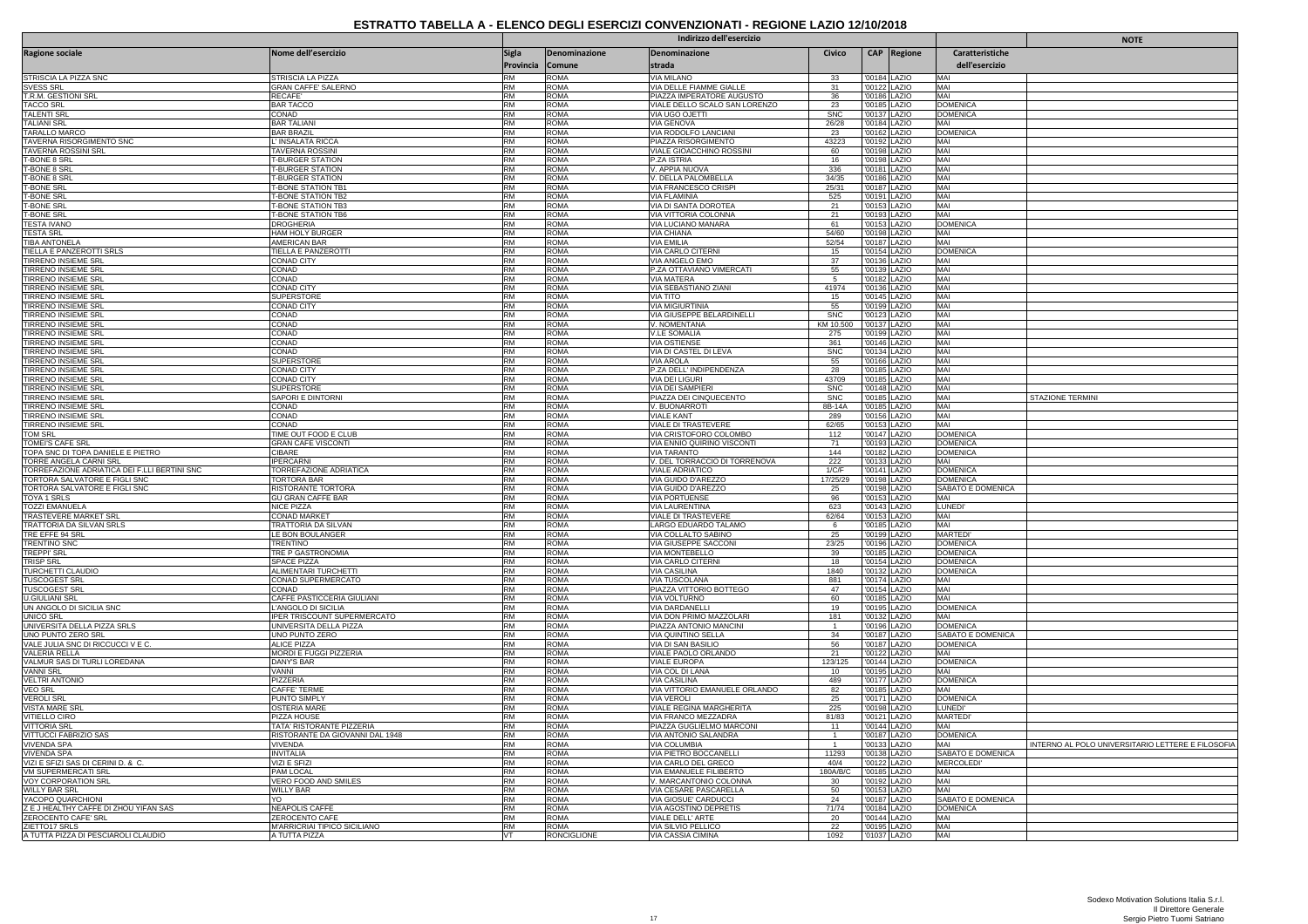|                                                           | Indirizzo dell'esercizio                               |                        |                            |                                                      |                                            |                              |                              |                                    | <b>NOTE</b>                                       |
|-----------------------------------------------------------|--------------------------------------------------------|------------------------|----------------------------|------------------------------------------------------|--------------------------------------------|------------------------------|------------------------------|------------------------------------|---------------------------------------------------|
| Ragione sociale                                           | Nome dell'esercizio                                    | Sigla<br>Provincia     | Denominazione<br>Comune    | <b>Denominazione</b><br>strada                       | Civico                                     |                              | <b>CAP</b> Regione           | Caratteristiche<br>dell'esercizio  |                                                   |
| STRISCIA LA PIZZA SNC                                     | STRISCIA LA PIZZA                                      | <b>RM</b>              | <b>ROMA</b>                | <b>VIA MILANO</b>                                    | 33                                         |                              | '00184 LAZIO                 | MAI                                |                                                   |
| <b>SVESS SRL</b>                                          | <b>GRAN CAFFE' SALERNO</b>                             | RM                     | <b>ROMA</b>                | <b>VIA DELLE FIAMME GIALLE</b>                       | 31                                         |                              | '00122 LAZIO                 | MAI                                |                                                   |
| T.R.M. GESTIONI SRL                                       | RECAFE                                                 | <b>RM</b>              | <b>ROMA</b>                | PIAZZA IMPERATORE AUGUSTO                            | 36                                         |                              | '00186 LAZIO                 | MAI                                |                                                   |
| <b>TACCO SRI</b>                                          | <b>BAR TACCC</b>                                       | <b>RM</b>              | <b>ROMA</b>                | VIALE DELLO SCALO SAN LORENZO                        | 23                                         |                              | '00185 LAZIO                 | <b>DOMENICA</b>                    |                                                   |
| <b>TALENTI SRI</b>                                        | CONAD                                                  | <b>RM</b>              | <b>ROMA</b>                | VIA UGO OJETTI                                       | <b>SNC</b>                                 |                              | '00137 LAZIO                 | <b>DOMENICA</b>                    |                                                   |
| <b>TALIANI SRL</b>                                        | <b>BAR TALIANI</b>                                     | <b>RM</b>              | <b>ROMA</b>                | VIA GENOVA                                           | 26/28                                      |                              | '00184 LAZIO                 | MAI                                |                                                   |
| TARALLO MARCO<br>TAVERNA RISORGIMENTO SNC                 | <b>BAR BRAZIL</b><br>L'INSALATA RICCA                  | RM<br><b>RM</b>        | <b>ROMA</b><br><b>ROMA</b> | VIA RODOLFO LANCIANI<br>PIAZZA RISORGIMENTO          | $\begin{array}{r} 23 \\ 43223 \end{array}$ | '00162 LAZIO<br>'00192 LAZIO |                              | <b>DOMENICA</b><br>MAI             |                                                   |
| <b>TAVERNA ROSSINI SRL</b>                                | TAVERNA ROSSINI                                        | <b>RM</b>              | <b>ROMA</b>                | VIALE GIOACCHINO ROSSINI                             | 60                                         |                              | '00198 LAZIO                 | MAI                                |                                                   |
| <b>T-BONE 8 SRL</b>                                       | <b>F-BURGER STATION</b>                                | <b>RM</b>              | <b>ROMA</b>                | P.ZA ISTRIA                                          | 16                                         |                              | '00198 LAZIO                 | MAI                                |                                                   |
| T-BONE 8 SRI                                              | <b>T-BURGER STATION</b>                                | <b>RM</b>              | <b>ROMA</b>                | V. APPIA NUOVA                                       | 336                                        | '00181   AZIO                |                              | MAI                                |                                                   |
| T-BONE 8 SRL                                              | <b>T-BURGER STATION</b>                                | <b>RM</b>              | <b>ROMA</b>                | V. DELLA PALOMBELLA                                  | 34/35                                      |                              | '00186 LAZIO                 | MAI                                |                                                   |
| <b>T-BONE SRL</b>                                         | <b>T-BONE STATION TB1</b>                              | <b>RM</b>              | <b>ROMA</b>                | <b>VIA FRANCESCO CRISPI</b>                          | 25/31<br>525                               |                              | '00187 LAZIO                 | MAI<br>MAI                         |                                                   |
| <b>T-BONE SRL</b>                                         | <b>T-BONE STATION TB2</b>                              | <b>RM</b>              | <b>ROMA</b>                | <b>VIA FLAMINIA</b>                                  |                                            |                              | '00191 LAZIO                 |                                    |                                                   |
| <b>T-BONE SRL</b><br><b>T-BONE SRL</b>                    | <b>T-BONE STATION TB3</b><br><b>T-BONE STATION TB6</b> | <b>RM</b><br><b>RM</b> | <b>ROMA</b><br><b>ROMA</b> | VIA DI SANTA DOROTEA                                 | 21<br>21                                   |                              | '00153 LAZIO                 | MAI<br>MAI                         |                                                   |
| <b>TESTA IVANO</b>                                        | <b>DROGHERIA</b>                                       | <b>RM</b>              | <b>ROMA</b>                | VIA VITTORIA COLONNA<br>VIA LUCIANO MANARA           | 61                                         |                              | '00193 LAZIO<br>'00153 LAZIO | <b>DOMENICA</b>                    |                                                   |
| <b>TESTA SRL</b>                                          | HAM HOLY BURGER                                        | <b>RM</b>              | <b>ROMA</b>                | <b>VIA CHIANA</b>                                    | 54/60                                      |                              | '00198 LAZIO                 | MAI                                |                                                   |
| <b>ITIBA ANTONELA</b>                                     | AMERICAN BAR                                           | <b>RM</b>              | <b>ROMA</b>                | VIA FMILIA                                           | 52/54                                      | '00187 LAZIO                 |                              | MAI                                |                                                   |
| TIELLA E PANZEROTTI SRLS                                  | TIELLA E PANZEROTTI                                    | <b>RM</b>              | <b>ROMA</b>                | VIA CARLO CITERNI                                    | 15                                         |                              | '00154 LAZIO                 | <b>DOMENICA</b>                    |                                                   |
| TIRRENO INSIEME SRL                                       | CONAD CITY                                             | <b>RM</b>              | <b>ROMA</b>                | VIA ANGELO EMO                                       | 37                                         |                              | '00136 LAZIO                 | MAI                                |                                                   |
| TIRRENO INSIEME SRL                                       | CONAD                                                  | <b>RM</b>              | <b>ROMA</b>                | P.ZA OTTAVIANO VIMERCATI                             | 55                                         |                              | '00139 LAZIO                 | MAI                                |                                                   |
| TIRRENO INSIEME SRL<br><b>TIRRENO INSIEME SRL</b>         | CONAD<br><b>CONAD CITY</b>                             | <b>RM</b><br><b>RM</b> | <b>ROMA</b><br><b>ROMA</b> | <b>VIA MATERA</b><br>VIA SEBASTIANO ZIANI            | 41974                                      |                              | '00182 LAZIO<br>'00136 LAZIO | MAI<br>MAI                         |                                                   |
| TIRRENO INSIEME SRI                                       | <b>SUPERSTORE</b>                                      | <b>RM</b>              | <b>ROMA</b>                | VIA TITO                                             | 15                                         |                              | '00145 LAZIO                 | MAI                                |                                                   |
| TIRRENO INSIEME SRL                                       | CONAD CITY                                             | RM                     | <b>ROMA</b>                | VIA MIGIURTINIA                                      | 55                                         |                              | '00199 LAZIO                 | MAI                                |                                                   |
| <b>TIRRENO INSIEME SRL</b>                                | CONAD                                                  | <b>RM</b>              | <b>ROMA</b>                | VIA GIUSEPPE BELARDINELLI                            | <b>SNC</b>                                 | '00123 LAZIO                 |                              | MAI                                |                                                   |
| TIRRENO INSIEME SRL                                       | CONAD                                                  | <b>RM</b>              | <b>ROMA</b>                | V. NOMENTANA                                         | KM 10.500                                  | '00137 LAZIO                 |                              | MAI                                |                                                   |
| <b>TIRRENO INSIEME SRL</b>                                | CONAD                                                  | RM                     | <b>ROMA</b>                | <b>V.LE SOMALIA</b>                                  | 275                                        |                              | '00199 LAZIO                 | MAI                                |                                                   |
| <b>TIRRENO INSIEME SRI</b>                                | CONAD                                                  | <b>RM</b>              | <b>ROMA</b>                | <b>VIA OSTIENSE</b>                                  | 361                                        |                              | '00146 LAZIO                 | MAI                                |                                                   |
| TIRRENO INSIEME SRL                                       | CONAD                                                  | <b>RM</b>              | <b>ROMA</b>                | VIA DI CASTEL DI LEVA                                | <b>SNC</b>                                 |                              | '00134 LAZIO                 | MAI                                |                                                   |
| TIRRENO INSIEME SRL<br><b>TIRRENO INSIEME SRI</b>         | <b>SUPERSTORE</b><br>CONAD CITY                        | <b>RM</b><br><b>RM</b> | <b>ROMA</b><br><b>ROMA</b> | <b>VIA AROLA</b><br>P.ZA DELL' INDIPENDENZA          | 55<br>28                                   |                              | '00166 LAZIO<br>'00185 LAZIO | MAI<br>MAI                         |                                                   |
| TIRRENO INSIEME SRL                                       | <b>CONAD CITY</b>                                      | <b>RM</b>              | <b>ROMA</b>                | VIA DEI LIGURI                                       | 43709                                      |                              | '00185 LAZIO                 | MAI                                |                                                   |
| TIRRENO INSIEME SRL                                       | <b>SUPERSTORE</b>                                      | <b>RM</b>              | <b>ROMA</b>                | <b>VIA DEI SAMPIERI</b>                              | <b>SNC</b>                                 |                              | '00148 LAZIO                 | MAI                                |                                                   |
| TIRRENO INSIEME SRL                                       | SAPORI E DINTORNI                                      | <b>RM</b>              | <b>ROMA</b>                | PIAZZA DEI CINQUECENTO                               | <b>SNC</b>                                 |                              | '00185 LAZIO                 | MAI                                | STAZIONE TERMINI                                  |
| TIRRENO INSIEME SRI                                       | CONAD                                                  | <b>RM</b>              | <b>ROMA</b>                | V. BUONARROTI                                        | 8B-14A                                     |                              | '00185 LAZIO                 | MAI                                |                                                   |
| <b>TIRRENO INSIEME SRI</b>                                | CONAD                                                  | <b>RM</b>              | <b>ROMA</b>                | <b>VIALE KANT</b>                                    | 289                                        |                              | '00156 LAZIO                 | MAI                                |                                                   |
| TIRRENO INSIEME SRI                                       | CONAD                                                  | <b>RM</b>              | ROMA                       | VIALE DI TRASTEVERE                                  | 62/65                                      |                              | '00153 LAZIO                 | MAI                                |                                                   |
| <b>TOM SRL</b>                                            | TIME OUT FOOD E CLUB                                   | <b>RM</b><br><b>RM</b> | <b>ROMA</b>                | VIA CRISTOFORO COLOMBO                               | 112                                        |                              | '00147 LAZIO                 | <b>DOMENICA</b><br><b>DOMENICA</b> |                                                   |
| TOMEI'S CAFE SRL<br>TOPA SNC DI TOPA DANIELE E PIETRO     | <b>GRAN CAFE VISCONTI</b><br>CIBARE                    | <b>RM</b>              | <b>ROMA</b><br><b>ROMA</b> | VIA ENNIO QUIRINO VISCONTI<br><b>VIA TARANTO</b>     | 71<br>144                                  |                              | '00193 LAZIO<br>'00182 LAZIO | <b>DOMENICA</b>                    |                                                   |
| TORRE ANGELA CARNI SRL                                    | <b>IPERCARNI</b>                                       | <b>RM</b>              | <b>ROMA</b>                | V. DEL TORRACCIO DI TORRENOVA                        | 222                                        |                              | '00133 LAZIO                 | MAI                                |                                                   |
| TORREFAZIONE ADRIATICA DEI F.LLI BERTINI SNC              | TORREFAZIONE ADRIATICA                                 | <b>RM</b>              | <b>ROMA</b>                | VIALE ADRIATICO                                      | 1/C/F                                      |                              | '00141 LAZIO                 | <b>DOMENICA</b>                    |                                                   |
| TORTORA SALVATORE E FIGLI SNC                             | <b>TORTORA BAR</b>                                     | <b>RM</b>              | <b>ROMA</b>                | VIA GUIDO D'AREZZC                                   | 17/25/29                                   |                              | '00198 LAZIO                 | <b>DOMENICA</b>                    |                                                   |
| TORTORA SALVATORE E FIGLI SNC                             | RISTORANTE TORTORA                                     | <b>RM</b>              | <b>ROMA</b>                | VIA GUIDO D'AREZZO                                   | 25                                         |                              | '00198 LAZIO                 | SABATO E DOMENICA                  |                                                   |
| TOYA 1 SRLS                                               | GU GRAN CAFFE BAR                                      | <b>RM</b>              | <b>ROMA</b>                | VIA PORTUENSE                                        | 96                                         |                              | '00153 LAZIO                 | MAI                                |                                                   |
| <b>TOZZI EMANUELA</b>                                     | NICE PIZZA                                             | RM                     | <b>ROMA</b>                | <b>VIA LAURENTINA</b>                                | 623                                        |                              | '00143 LAZIO                 | LUNEDI                             |                                                   |
| <b>TRASTEVERE MARKET SRL</b>                              | <b>CONAD MARKET</b>                                    | <b>RM</b><br><b>RM</b> | <b>ROMA</b>                | <b>VIALE DI TRASTEVERE</b>                           | 62/64                                      | '00153 LAZIO                 |                              | MAI                                |                                                   |
| TRATTORIA DA SILVAN SRLS<br>TRE EFFE 94 SRL               | TRATTORIA DA SILVAN<br><b>E BON BOULANGER</b>          | <b>RM</b>              | <b>ROMA</b><br><b>ROMA</b> | LARGO EDUARDO TALAMO<br>VIA COLLALTO SABINO          | 6                                          |                              | '00185 LAZIO<br>'00199 LAZIO | MAI<br><b>MARTEDI</b>              |                                                   |
| <b>TRENTINO SNC</b>                                       | <b>TRENTINO</b>                                        | <b>RM</b>              | <b>ROMA</b>                | VIA GIUSEPPE SACCON                                  | $\frac{25}{23/25}$                         |                              | '00196 LAZIO                 | <b>DOMENICA</b>                    |                                                   |
| <b>TREPPI' SRL</b>                                        | TRE P GASTRONOMIA                                      | <b>RM</b>              | <b>ROMA</b>                | VIA MONTEBELLO                                       | 39                                         |                              | '00185 LAZIO                 | <b>DOMENICA</b>                    |                                                   |
| <b>TRISP SRL</b>                                          | <b>SPACE PIZZA</b>                                     | <b>RM</b>              | <b>ROMA</b>                | <b>VIA CARLO CITERNI</b>                             | 18                                         |                              | '00154 LAZIO                 | <b>OMENICA</b>                     |                                                   |
| <b>TURCHETTI CLAUDIO</b>                                  | ALIMENTARI TURCHETT                                    | <b>RM</b>              | <b>ROMA</b>                | <b>VIA CASILINA</b>                                  | 1840                                       |                              | '00132 LAZIO                 | <b>DOMENICA</b>                    |                                                   |
| <b>TUSCOGEST SRL</b>                                      | CONAD SUPERMERCATO                                     | <b>RM</b>              | <b>ROMA</b>                | <b>VIA TUSCOLANA</b>                                 | 881                                        |                              | '00174 LAZIO                 | MAI                                |                                                   |
| <b>TUSCOGEST SRL</b>                                      | CONAD                                                  | <b>RM</b>              | <b>ROMA</b>                | PIAZZA VITTORIO BOTTEGO                              | 47                                         |                              | '00154 LAZIO                 | MAI                                |                                                   |
| <b>U.GIULIANI SRL</b><br>UN ANGOLO DI SICILIA SNC         | CAFFE PASTICCERIA GIULIANI<br><b>ANGOLO DI SICILIA</b> | <b>RM</b><br><b>RM</b> | ROMA<br><b>ROMA</b>        | VIA VOLTURNO<br>VIA DARDANELLI                       | 60<br>19                                   |                              | '00185 LAZIO<br>'00195 LAZIO | MAI<br><b>DOMENICA</b>             |                                                   |
| <b>UNICO SRL</b>                                          | <b>IPER TRISCOUNT SUPERMERCATO</b>                     | <b>RM</b>              | <b>ROMA</b>                | VIA DON PRIMO MAZZOLARI                              | 181                                        | '00132 LAZIO                 |                              | MAI                                |                                                   |
| UNIVERSITA DELLA PIZZA SRLS                               | UNIVERSITA DELLA PIZZA                                 | <b>RM</b>              | <b>ROMA</b>                | PIAZZA ANTONIO MANCINI                               | $\overline{1}$                             |                              | '00196 LAZIO                 | <b>DOMENICA</b>                    |                                                   |
| UNO PUNTO ZERO SRL                                        | UNO PUNTO ZERO                                         | <b>RM</b>              | <b>ROMA</b>                | VIA QUINTINO SELLA                                   | 34                                         |                              | '00187 LAZIO                 | SABATO E DOMENICA                  |                                                   |
| VALE JULIA SNC DI RICCUCCI V E C                          | <b>ALICE PIZZA</b>                                     | <b>RM</b>              | <b>ROMA</b>                | VIA DI SAN BASILIO                                   | 56                                         |                              | '00187 LAZIO                 | <b>DOMENICA</b>                    |                                                   |
| <b>VALERIA RELLA</b>                                      | MORDI E FUGGI PIZZERIA                                 | <b>RM</b>              | <b>ROMA</b>                | VIALE PAOLO ORLANDO                                  | 21                                         |                              | '00122 LAZIO                 | MAI                                |                                                   |
| VALMUR SAS DI TURLI LOREDANA                              | <b>DANY'S BAR</b>                                      | <b>RM</b>              | <b>ROMA</b>                | <b>VIALE EUROPA</b>                                  | 123/125                                    |                              | '00144 LAZIO                 | <b>DOMENICA</b>                    |                                                   |
| <b>VANNI SRL</b>                                          | VANNI                                                  | <b>RM</b>              | ROMA                       | VIA COL DI LANA                                      | 10                                         |                              | '00195 LAZIO                 | MAI                                |                                                   |
| <b>VELTRI ANTONIO</b><br><b>VEO SRL</b>                   | PIZZERIA<br><b>CAFFE' TERME</b>                        | <b>RM</b><br><b>RM</b> | <b>ROMA</b><br><b>ROMA</b> | <b>VIA CASILINA</b><br>VIA VITTORIO EMANUELE ORLANDO | 489<br>82                                  |                              | '00177 LAZIO<br>'00185 LAZIO | <b>DOMENICA</b><br>MAI             |                                                   |
| <b>VEROLI SRI</b>                                         | PUNTO SIMPLY                                           | <b>RM</b>              | <b>ROMA</b>                | VIA VEROLI                                           | 25                                         |                              | '00171 LAZIO                 | <b>DOMENICA</b>                    |                                                   |
| <b>VISTA MARE SRI</b>                                     | OSTERIA MARE                                           | <b>RM</b>              | <b>ROMA</b>                | VIALE REGINA MARGHERITA                              |                                            |                              | '00198 LAZIO                 | LUNEDI'                            |                                                   |
| VITIFILLO CIRO                                            | PIZZA HOUSE                                            | <b>RM</b>              | <b>ROMA</b>                | VIA FRANCO MEZZADRA                                  | $\frac{225}{81/83}$                        |                              | '00121 LAZIO                 | <b>MARTEDI</b>                     |                                                   |
| <b>VITTORIA SRL</b>                                       | TATA' RISTORANTE PIZZERIA                              | <b>RM</b>              | <b>ROMA</b>                | PIAZZA GUGLIELMO MARCONI                             | 11                                         |                              | '00144 LAZIO                 | MAI                                |                                                   |
| VITTUCCI FABRIZIO SAS                                     | RISTORANTE DA GIOVANNI DAL 1948                        | <b>RM</b>              | <b>ROMA</b>                | VIA ANTONIO SALANDRA                                 | -1                                         |                              | '00187 LAZIO                 | <b>DOMENICA</b>                    |                                                   |
| <b>VIVENDA SPA</b>                                        | <b>VIVENDA</b>                                         | <b>RM</b>              | <b>ROMA</b>                | VIA COLUMBIA                                         | $\overline{1}$                             | '00133 LAZIO                 |                              | MAI                                | INTERNO AL POLO UNIVERSITARIO LETTERE E FILOSOFIA |
| <b>VIVENDA SPA</b>                                        | <b>INVITALIA</b>                                       | <b>RM</b>              | <b>ROMA</b>                | VIA PIETRO BOCCANELLI                                | 11293                                      | '00138 LAZIO                 |                              | SABATO E DOMENICA                  |                                                   |
| VIZI E SFIZI SAS DI CERINI D. & C.<br>VM SUPERMERCATI SRL | <b>VIZI E SFIZI</b><br>PAM LOCAL                       | <b>RM</b><br><b>RM</b> | <b>ROMA</b><br><b>ROMA</b> | VIA CARLO DEL GRECO<br>VIA EMANUELE FILIBERTO        | 40/4<br>180A/B/C                           |                              | '00122 LAZIO<br>'00185 LAZIO | MERCOLEDI'<br>MAI                  |                                                   |
| <b>VOY CORPORATION SRL</b>                                | VERO FOOD AND SMILES                                   | <b>RM</b>              | <b>ROMA</b>                | V. MARCANTONIO COLONNA                               | 30                                         |                              | '00192 LAZIO                 | MAI                                |                                                   |
| <b>WILLY BAR SRL</b>                                      | WILLY BAR                                              | <b>RM</b>              | <b>ROMA</b>                | VIA CESARE PASCARELLA                                | 50                                         |                              | '00153 LAZIO                 | MAI                                |                                                   |
| YACOPO QUARCHIONI                                         | YO                                                     | <b>RM</b>              | ROMA                       | VIA GIOSUE' CARDUCCI                                 | 24                                         |                              | '00187 LAZIO                 | SABATO E DOMENICA                  |                                                   |
| Z E J HEALTHY CAFFE DI ZHOU YIFAN SAS                     | <b>NEAPOLIS CAFFE</b>                                  | <b>RM</b>              | <b>ROMA</b>                | VIA AGOSTINO DEPRETIS                                | 71/74                                      |                              | '00184 LAZIO                 | <b>DOMENICA</b>                    |                                                   |
| <b>ZEROCENTO CAFE' SRL</b>                                | ZEROCENTO CAFE                                         | <b>RM</b>              | <b>ROMA</b>                | VIALE DELL' ARTE                                     | 20                                         |                              | '00144 LAZIO                 | MAI                                |                                                   |
| ZIETTO17 SRLS                                             | M'ARRICRIAI TIPICO SICILIANO                           | <b>RM</b>              | <b>ROMA</b>                | VIA SILVIO PELLICO                                   | 22                                         | '00195 LAZIO                 |                              | MAI                                |                                                   |
| A TUTTA PIZZA DI PESCIAROLI CLAUDIO                       | A TUTTA PIZZA                                          | VT                     | <b>RONCIGLIONE</b>         | VIA CASSIA CIMINA                                    | 1092                                       | '01037 LAZIO                 |                              | MAI                                |                                                   |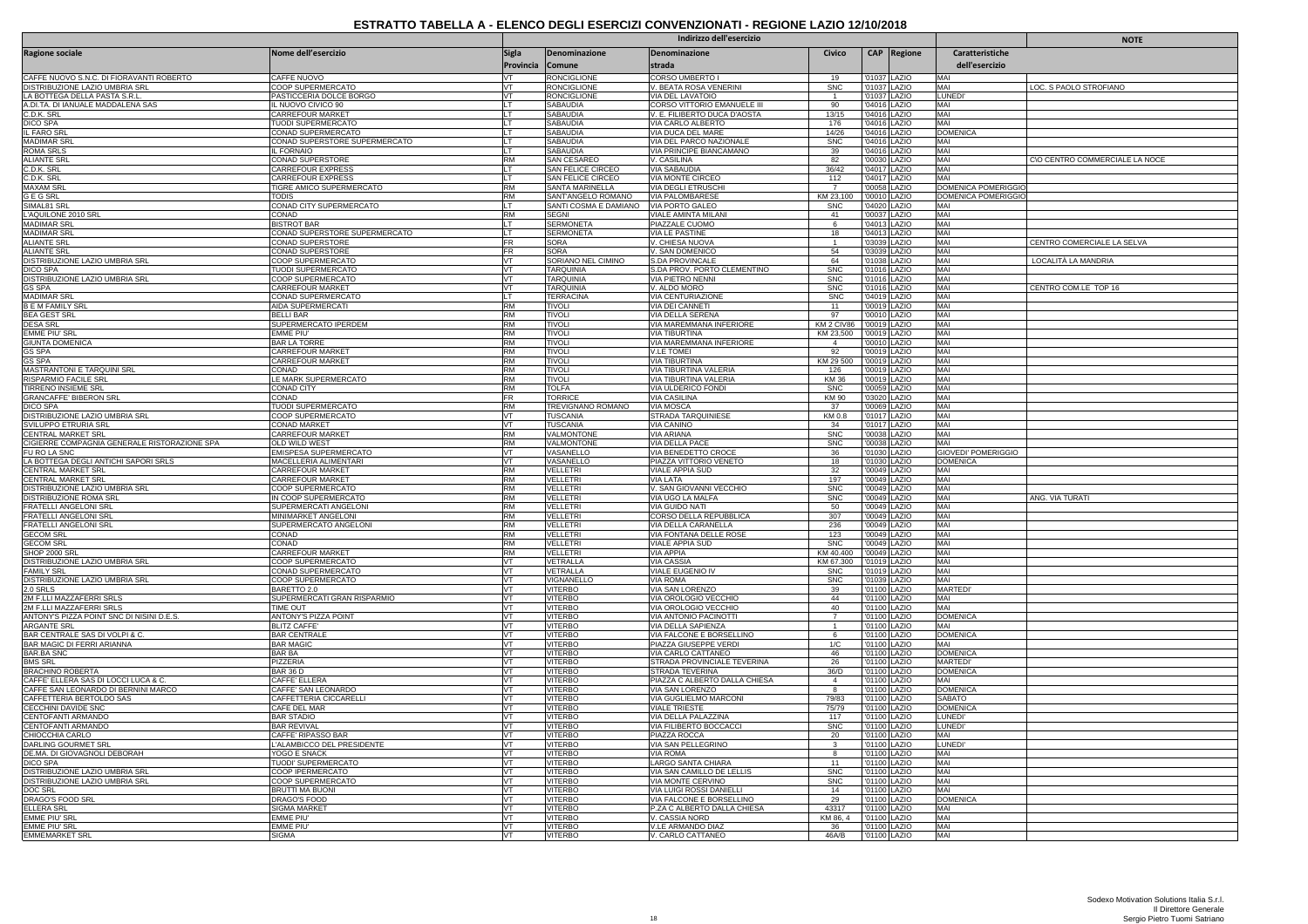|                                                                   |                                                      |                        |                                        | Indirizzo dell'esercizio                                      |                         | <b>NOTE</b>                  |                              |                            |                                |
|-------------------------------------------------------------------|------------------------------------------------------|------------------------|----------------------------------------|---------------------------------------------------------------|-------------------------|------------------------------|------------------------------|----------------------------|--------------------------------|
| <b>Ragione sociale</b>                                            | Nome dell'esercizio                                  | <b>Sigla</b>           | Denominazione                          | Denominazione                                                 | Civico                  |                              | CAP Regione                  | Caratteristiche            |                                |
|                                                                   |                                                      | Provincia Comune       |                                        | strada                                                        |                         |                              |                              | dell'esercizio             |                                |
| CAFFE NUOVO S.N.C. DI FIORAVANTI ROBERTO                          | CAFFE NUOVO                                          | VT                     | <b>RONCIGLIONE</b>                     | CORSO UMBERTO I                                               | 19                      | '01037 LAZIO                 |                              | MAI                        |                                |
| DISTRIBUZIONE LAZIO UMBRIA SRL                                    | COOP SUPERMERCATO                                    | VT                     | <b>RONCIGLIONE</b>                     | V. BEATA ROSA VENERINI                                        | <b>SNC</b>              | '01037 LAZIO                 |                              | MAI                        | LOC. S PAOLO STROFIANO         |
| LA BOTTEGA DELLA PASTA S.R.L<br>A.DI.TA. DI IANUALE MADDALENA SAS | PASTICCERIA DOLCE BORGO<br>IL NUOVO CIVICO 90        | VT<br>LT.              | <b>RONCIGLIONI</b><br>SABAUDIA         | <b>VIA DEL LAVATOIO</b><br><b>CORSO VITTORIO EMANUELE III</b> | $\overline{1}$<br>90    | '04016 LAZIO                 | '01037 LAZIO                 | LUNED<br>MAI               |                                |
| C.D.K. SRL                                                        | CARREFOUR MARKET                                     | LT                     | SABAUDIA                               | V. E. FILIBERTO DUCA D'AOSTA                                  | 13/15                   | '04016 LAZIO                 |                              | MAI                        |                                |
| <b>DICO SPA</b>                                                   | TUODI SUPERMERCATO                                   | LT                     | <b>SABAUDIA</b>                        | VIA CARLO ALBERTO                                             | 176                     |                              | 04016 LAZIO                  | MAI                        |                                |
| IL FARO SR<br><b>MADIMAR SRI</b>                                  | CONAD SUPERMERCATO<br>CONAD SUPERSTORE SUPERMERCATO  | LT<br>LТ               | SABAUDIA<br><b>SABAUDIA</b>            | VIA DUCA DEL MARE<br>VIA DEL PARCO NAZIONALE                  | 14/26<br><b>SNC</b>     | 04016 LAZIO                  | '04016 LAZIO                 | <b>DOMENICA</b><br>MAI     |                                |
| <b>ROMA SRLS</b>                                                  | <b>IL FORNAIO</b>                                    | IT.                    | <b>SABAUDIA</b>                        | VIA PRINCIPE BIANCAMANO                                       | 39                      |                              | 04016 LAZIO                  | MAI                        |                                |
| <b>ALIANTE SRI</b>                                                | CONAD SUPERSTORE                                     | <b>RM</b>              | SAN CESAREO                            | V. CASILINA                                                   | 82                      |                              | '00030 LAZIO                 | MAI                        | C\O CENTRO COMMERCIALE LA NOCE |
| C.D.K. SRL<br>C.D.K. SRL                                          | <b>CARREFOUR EXPRESS</b><br><b>CARREFOUR EXPRESS</b> | LT<br>LT.              | SAN FELICE CIRCEO<br>SAN FELICE CIRCEO | VIA SABAUDIA<br>VIA MONTE CIRCEO                              | 36/42<br>112            |                              | '04017 LAZIO<br>04017 LAZIO  | MAI<br>MAI                 |                                |
| <b>MAXAM SR</b>                                                   | TIGRE AMICO SUPERMERCATO                             | RM                     | SANTA MARINELLA                        | VIA DEGLI ETRUSCHI                                            | $\overline{7}$          | 00058 LAZIO                  |                              | DOMENICA POMERIGGIO        |                                |
| <b>GEGSRL</b>                                                     | <b>TODIS</b>                                         | <b>RM</b>              | SANT'ANGELO ROMANO                     | VIA PALOMBARESE                                               | KM 23,100               | '00010 LAZIO                 |                              | DOMENICA POMERIGGIO        |                                |
| SIMAL 81 SRI                                                      | CONAD CITY SUPERMERCATO                              | LT                     | SANTI COSMA E DAMIANO                  | VIA PORTO GALEO                                               | <b>SNC</b>              |                              | '04020 LAZIO                 | MAI                        |                                |
| L'AQUILONE 2010 SRL<br><b>MADIMAR SRL</b>                         | CONAD<br><b>BISTROT BAR</b>                          | <b>RM</b><br>lı T      | <b>SEGNI</b><br><b>SERMONETA</b>       | VIALE AMINTA MILANI<br>PIAZZALE CUOMO                         | 41<br>6                 | '04013 LAZIO                 | 00037 LAZIO                  | MAI<br>MAI                 |                                |
| <b>MADIMAR SR</b>                                                 | CONAD SUPERSTORE SUPERMERCATO                        | LT.                    | <b>SERMONETA</b>                       | VIA LE PASTINE                                                | 18                      | '04013 LAZIO                 |                              | MAI                        |                                |
| <b>ALIANTE SRL</b>                                                | CONAD SUPERSTORE                                     | <b>FR</b>              | SORA                                   | V. CHIESA NUOVA                                               | $\overline{1}$          | 03039                        | LAZIO                        | MAI                        | CENTRO COMERCIALE LA SELVA     |
| <b>ALIANTE SRL</b><br>DISTRIBUZIONE LAZIO UMBRIA SRL              | CONAD SUPERSTORE<br>COOP SUPERMERCATO                | FR<br>VT               | SORA<br>SORIANO NEL CIMINO             | V. SAN DOMENICO<br>S.DA PROVINCALE                            | 54<br>64                |                              | 03039 LAZIO<br>'01038 LAZIO  | MAI<br>MAI                 | LOCALITÀ LA MANDRIA            |
| <b>DICO SPA</b>                                                   | TUODI SUPERMERCATO                                   | Ivт                    | <b>TARQUINIA</b>                       | S.DA PROV. PORTO CLEMENTINO                                   | <b>SNC</b>              | 01016 LAZIO                  |                              | MAI                        |                                |
| DISTRIBUZIONE LAZIO UMBRIA SRL                                    | COOP SUPERMERCATO                                    | VT                     | TARQUINIA                              | VIA PIETRO NENNI                                              | SNC                     | '01016                       | LAZIO                        | MAI                        |                                |
| <b>GS SPA</b>                                                     | CARREFOUR MARKET                                     | VT                     | TARQUINIA                              | V. ALDO MORO                                                  | <b>SNC</b>              | '01016 LAZIO                 |                              | MAI                        | CENTRO COM.LE TOP 16           |
| <b>MADIMAR SRL</b><br><b>BEM FAMILY SR</b>                        | CONAD SUPERMERCATO<br>AIDA SUPERMERCATI              | lı T<br>RM             | <b>TERRACINA</b><br><b>TIVOLI</b>      | <b>VIA CENTURIAZIONI</b><br>VIA DEI CANNETI                   | <b>SNC</b><br>11        |                              | '04019 LAZIO<br>'00019 LAZIO | MAI<br>MAI                 |                                |
| <b>BEA GEST SRL</b>                                               | <b>BELLI BAR</b>                                     | <b>RM</b>              | <b>TIVOLI</b>                          | VIA DELLA SERENA                                              | 97                      | '00010 LAZIO                 |                              | MAI                        |                                |
| <b>DESA SRL</b>                                                   | SUPERMERCATO IPERDEM                                 | <b>RM</b>              | <b>TIVOLI</b>                          | VIA MAREMMANA INFERIORE                                       | KM 2 CIV86              | '00019 LAZIO                 |                              | MAI                        |                                |
| <b>EMME PIU' SRI</b>                                              | EMME PIU'                                            | RM<br><b>RM</b>        | <b>TIVOLI</b>                          | <b>VIA TIBURTINA</b>                                          | KM 23,500               | 00019                        | LAZIO                        | MAI<br>MAI                 |                                |
| <b>GIUNTA DOMENICA</b><br><b>GS SPA</b>                           | <b>BAR LA TORRE</b><br><b>CARREFOUR MARKET</b>       | RM                     | <b>TIVOLI</b><br><b>TIVOLI</b>         | VIA MAREMMANA INFERIORE<br>V.LE TOMEI                         | $\overline{4}$<br>92    | '00019 LAZIO                 | '00010 LAZIO                 | MAI                        |                                |
| <b>GS SPA</b>                                                     | CARREFOUR MARKET                                     | RM                     | <b>TIVOLI</b>                          | VIA TIBURTINA                                                 | KM 29 50                | 00019                        | LAZIO                        | MAI                        |                                |
| MASTRANTONI E TARQUINI SRL                                        | CONAD                                                | <b>RM</b>              | <b>TIVOLI</b>                          | VIA TIBURTINA VALERIA                                         | 126                     |                              | '00019 LAZIO                 | MAI                        |                                |
| RISPARMIO FACILE SRL                                              | LE MARK SUPERMERCATO                                 | <b>RM</b>              | TIVOLI                                 | VIA TIBURTINA VALERIA                                         | <b>KM36</b>             | '00019 LAZIO                 |                              | MAI                        |                                |
| TIRRENO INSIEME SRL<br><b>GRANCAFFE' BIBERON SRI</b>              | CONAD CITY<br>CONAD                                  | <b>RM</b><br>FR        | <b>OLFA</b><br><b>TORRICE</b>          | VIA ULDERICO FONDI<br><b>VIA CASILINA</b>                     | SNC<br><b>KM 90</b>     | 00059<br>'03020 LAZIO        | <b>AZIO</b>                  | MAI<br>MAI                 |                                |
| DICO SPA                                                          | TUODI SUPERMERCATO                                   | <b>RM</b>              | TREVIGNANO ROMANO                      | VIA MOSCA                                                     | 37                      | '00069 LAZIO                 |                              | MAI                        |                                |
| DISTRIBUZIONE LAZIO UMBRIA SRL                                    | COOP SUPERMERCATO                                    | VT                     | <b>TUSCANIA</b>                        | STRADA TARQUINIESE                                            | KM 0.8                  |                              | 01017 LAZIO                  | MAI                        |                                |
| SVILUPPO ETRURIA SRL<br>CENTRAL MARKET SRL                        | <b>CONAD MARKET</b><br>CARREFOUR MARKET              | VT<br><b>RM</b>        | <b>TUSCANIA</b><br>VALMONTONE          | VIA CANINO<br>VIA ARIANA                                      | 34<br><b>SNC</b>        | '00038 LAZIO                 | '01017 LAZIO                 | MAI<br>MAI                 |                                |
| CIGIERRE COMPAGNIA GENERALE RISTORAZIONE SPA                      | <b>OLD WILD WEST</b>                                 | <b>RM</b>              | VALMONTONE                             | <b>VIA DELLA PACE</b>                                         | <b>SNC</b>              | '00038                       | <b>AZIO</b>                  | MAI                        |                                |
| FU RO LA SNC                                                      | EMISPESA SUPERMERCATO                                | VT                     | VASANELLO                              | VIA BENEDETTO CROCE                                           | 36                      | '01030                       | LAZIO                        | <b>GIOVEDI' POMERIGGIO</b> |                                |
| LA BOTTEGA DEGLI ANTICHI SAPORI SRLS                              | MACELLERIA ALIMENTARI                                | VT                     | VASANELLO                              | PIAZZA VITTORIO VENETO                                        | 18                      | '01030 LAZIO                 |                              | <b>DOMENICA</b>            |                                |
| CENTRAL MARKET SRL<br><b>CENTRAL MARKET SRL</b>                   | CARREFOUR MARKET<br>CARREFOUR MARKET                 | <b>RM</b><br><b>RM</b> | VELLETRI<br>VELLETRI                   | VIALE APPIA SUD<br>VIA LATA                                   | 32<br>197               | 00049 LAZIO                  | '00049 LAZIO                 | MAI<br>MAI                 |                                |
| DISTRIBUZIONE LAZIO UMBRIA SRL                                    | COOP SUPERMERCATO                                    | <b>RM</b>              | VELLETRI                               | V. SAN GIOVANNI VECCHIO                                       | <b>SNC</b>              | '00049 LAZIO                 |                              | MAI                        |                                |
| <b>DISTRIBUZIONE ROMA SRL</b>                                     | IN COOP SUPERMERCATO                                 | <b>RM</b>              | <b>VELLETRI</b>                        | VIA UGO LA MALFA                                              | <b>SNC</b>              |                              | '00049 LAZIO                 | MAI                        | ANG. VIA TURATI                |
| FRATELLI ANGELONI SRL<br><b>FRATELLI ANGELONI SRL</b>             | SUPERMERCATI ANGELONI<br>MINIMARKET ANGELONI         | RM<br><b>RM</b>        | VELLETRI<br><b>VELLETRI</b>            | VIA GUIDO NATI<br><b>CORSO DELLA REPUBBLICA</b>               | 50<br>307               | '00049 LAZIO<br>'00049 LAZIO |                              | MAI<br>MAI                 |                                |
| FRATELLI ANGELONI SRL                                             | SUPERMERCATO ANGELONI                                | <b>RM</b>              | VELLETRI                               | VIA DELLA CARANELLA                                           | 236                     |                              | '00049 LAZIO                 | MAI                        |                                |
| <b>GECOM SRL</b>                                                  | CONAD                                                | RM                     | VELLETRI                               | VIA FONTANA DELLE ROS                                         | 123                     |                              | 00049 LAZIO                  | MAI                        |                                |
| <b>GECOM SRL</b>                                                  | CONAD                                                | <b>RM</b>              | <b>VELLETRI</b>                        | <b>VIALE APPIA SUD</b>                                        | <b>SNC</b>              | '00049 LAZIO                 |                              | MAI                        |                                |
| SHOP 2000 SRI<br>DISTRIBUZIONE LAZIO UMBRIA SRL                   | CARREFOUR MARKET<br>COOP SUPERMERCATO                | <b>RM</b><br>VT        | VELLETRI<br>/ETRALLA                   | <b>VIA APPIA</b><br>VIA CASSIA                                | KM 40.400<br>KM 67.300  | '00049 LAZIO                 | 01019 LAZIO                  | MAI<br>MAI                 |                                |
| <b>FAMILY SRL</b>                                                 | CONAD SUPERMERCATO                                   | <b>VT</b>              | <b>VETRALLA</b>                        | VIALE EUGENIO IV                                              | <b>SNC</b>              | '01019 LAZIO                 |                              | MAI                        |                                |
| DISTRIBUZIONE LAZIO UMBRIA SRL                                    | COOP SUPERMERCATO                                    | VT                     | VIGNANELLO                             | <b>VIA ROMA</b>                                               | <b>SNC</b>              | '01039 LAZIO                 |                              | MAI                        |                                |
| $2.0$ SRLS                                                        | BARETTO 2.0                                          | VT<br>$\sqrt{1}$       | /ITERBO                                | VIA SAN LORENZO                                               | 39                      | 01100                        | LAZIO                        | <b>MARTEDI</b><br>MAI      |                                |
| 2M F.LLI MAZZAFERRI SRLS<br>2M F.LLI MAZZAFERRI SRLS              | SUPERMERCATI GRAN RISPARMIO<br>TIME OUT              | VT                     | <b>VITERBO</b><br><b>VITERBO</b>       | VIA OROLOGIO VECCHIO<br>VIA OROLOGIO VECCHIO                  | 44<br>40                | '01100 LAZIO<br>'01100 LAZIO |                              | MAI                        |                                |
| ANTONY'S PIZZA POINT SNC DI NISINI D.E.S.                         | ANTONY'S PIZZA POINT                                 | VT                     | VITERBO                                | <b>VIA ANTONIO PACINOTTI</b>                                  | $\overline{7}$          | 01100                        | LAZIO                        | <b>DOMENICA</b>            |                                |
| <b>ARGANTE SRL</b>                                                | <b>BLITZ CAFFE'</b>                                  | VT                     | <b>VITERBO</b>                         | VIA DELLA SAPIENZA                                            | $\overline{1}$          | '01100                       | LAZIO                        | MAI                        |                                |
| BAR CENTRALE SAS DI VOLPI & C.<br>BAR MAGIC DI FERRI ARIANNA      | <b>BAR CENTRALE</b><br><b>BAR MAGIC</b>              | VT<br>VT               | <b>VITERBO</b><br>VITERBO              | VIA FALCONE E BORSELLINO                                      | 6<br>1/C                | '01100 LAZIO<br>'01100 LAZIO |                              | <b>DOMENICA</b><br>MAI     |                                |
| <b>BAR.BA SNC</b>                                                 | <b>BAR BA</b>                                        | VT                     | <b>VITERBO</b>                         | PIAZZA GIUSEPPE VERDI<br>VIA CARLO CATTANEO                   | 46                      | '01100 LAZIO                 |                              | <b>DOMENICA</b>            |                                |
| <b>BMS SRL</b>                                                    | PIZZERIA                                             | VT                     | <b>VITERBO</b>                         | STRADA PROVINCIALE TEVERINA                                   | 26                      | '01100 LAZIO                 |                              | <b>MARTEDI</b> '           |                                |
| <b>BRACHINO ROBERTA</b><br>CAFFE' ELLERA SAS DI LOCCI LUCA & C.   | <b>BAR 36 D</b>                                      | VT<br><b>VT</b>        | VITERBO                                | STRADA TEVERINA                                               | 36/D<br>$\overline{4}$  | '01100 LAZIO                 |                              | <b>DOMENICA</b><br>MAI     |                                |
| CAFFE SAN LEONARDO DI BERNINI MARCO                               | CAFFE' ELLERA<br>CAFFE' SAN LEONARDO                 | VT                     | VITERBO<br><b>VITERBO</b>              | PIAZZA C ALBERTO DALLA CHIESA<br>VIA SAN LORENZO              | $\overline{\mathbf{8}}$ | '01100 LAZIO                 | '01100 LAZIO                 | <b>DOMENICA</b>            |                                |
| CAFFETTERIA BERTOLDO SAS                                          | CAFFETTERIA CICCARELLI                               | VT                     | <b>VITERBO</b>                         | VIA GUGLIELMO MARCONI                                         | 79/83                   | '01100 LAZIO                 |                              | <b>SABATO</b>              |                                |
| CECCHINI DAVIDE SNC<br>CENTOFANTI ARMANDO                         | CAFE DEL MAR                                         | VT                     | <b>VITERBO</b>                         | VIALE TRIESTE                                                 | 75/79                   |                              | 01100 LAZIO                  | <b>DOMENICA</b>            |                                |
| CENTOFANTI ARMANDO                                                | <b>BAR STADIO</b><br><b>BAR REVIVAL</b>              | VT<br>VT               | <b>VITERBO</b><br><b>VITERBO</b>       | VIA DELLA PALAZZINA<br>VIA FILIBERTO BOCCACCI                 | 117<br><b>SNC</b>       | '01100 LAZIO<br>'01100 LAZIO |                              | <b>LUNEDI</b><br>LUNEDI'   |                                |
| CHIOCCHIA CARLO                                                   | CAFFE' RIPASSO BAR                                   | VT                     | VITERBO                                | PIAZZA ROCCA                                                  | 20                      |                              | '01100 LAZIO                 | MAI                        |                                |
| DARLING GOURMET SRI                                               | L'ALAMBICCO DEL PRESIDENTE                           | <b>VT</b>              | VITERBO                                | <b>VIA SAN PELLEGRINO</b>                                     | $\mathbf{3}$            | '01100 LAZIO                 |                              | <b>LUNED</b>               |                                |
| DE.MA. DI GIOVAGNOLI DEBORAH                                      | YOGO E SNACK                                         | VT                     | <b>VITERBO</b>                         | <b>VIA ROMA</b>                                               | 8                       | '01100 LAZIO                 |                              | MAI                        |                                |
| DICO SPA<br>DISTRIBUZIONE LAZIO UMBRIA SRL                        | TUODI' SUPERMERCATO<br>COOP IPERMERCATO              | VT<br>VT               | /ITERBO<br><b>VITERBO</b>              | LARGO SANTA CHIARA<br>VIA SAN CAMILLO DE LELLIS               | 11<br>SNC               | '01100 LAZIO                 | '01100 LAZIO                 | MAI<br>MAI                 |                                |
| DISTRIBUZIONE LAZIO UMBRIA SRL                                    | COOP SUPERMERCATO                                    | VT                     | <b>VITERBO</b>                         | VIA MONTE CERVINO                                             | <b>SNC</b>              | '01100 LAZIO                 |                              | MAI                        |                                |
| DOC SRL                                                           | <b>BRUTTI MA BUONI</b>                               | VT                     | VITERBO                                | <b>VIA LUIGI ROSSI DANIELLI</b>                               | 14                      | 01100                        | LAZIO                        | MAI                        |                                |
| DRAGO'S FOOD SRL<br><b>ELLERA SRL</b>                             | DRAGO'S FOOD<br><b>SIGMA MARKET</b>                  | <b>VT</b><br>VT        | <b>VITERBO</b><br>VITERBC              | VIA FALCONE E BORSELLINC<br>P.ZA C ALBERTO DALLA CHIESA       | 29<br>43317             | 01100<br>'01100 LAZIO        | LAZIO                        | <b>DOMENICA</b><br>MAI     |                                |
| <b>EMME PIU' SRL</b>                                              | <b>FMMF PIU'</b>                                     | <b>VT</b>              | VITERBO                                | V. CASSIA NORD                                                | KM 86.4                 | '01100 LAZIO                 |                              | MAI                        |                                |
| <b>EMME PIU' SRL</b>                                              | <b>EMME PIU</b>                                      | <b>VT</b>              | <b>VITERBO</b>                         | V.LE ARMANDO DIAZ                                             | 36                      | '01100 LAZIO                 |                              | MAI                        |                                |
| <b>EMMEMARKET SRL</b>                                             | <b>SIGMA</b>                                         | VT                     | <b>VITERBO</b>                         | V. CARLO CATTANEO                                             | 46A/B                   | '01100 LAZIO                 |                              | MAI                        |                                |